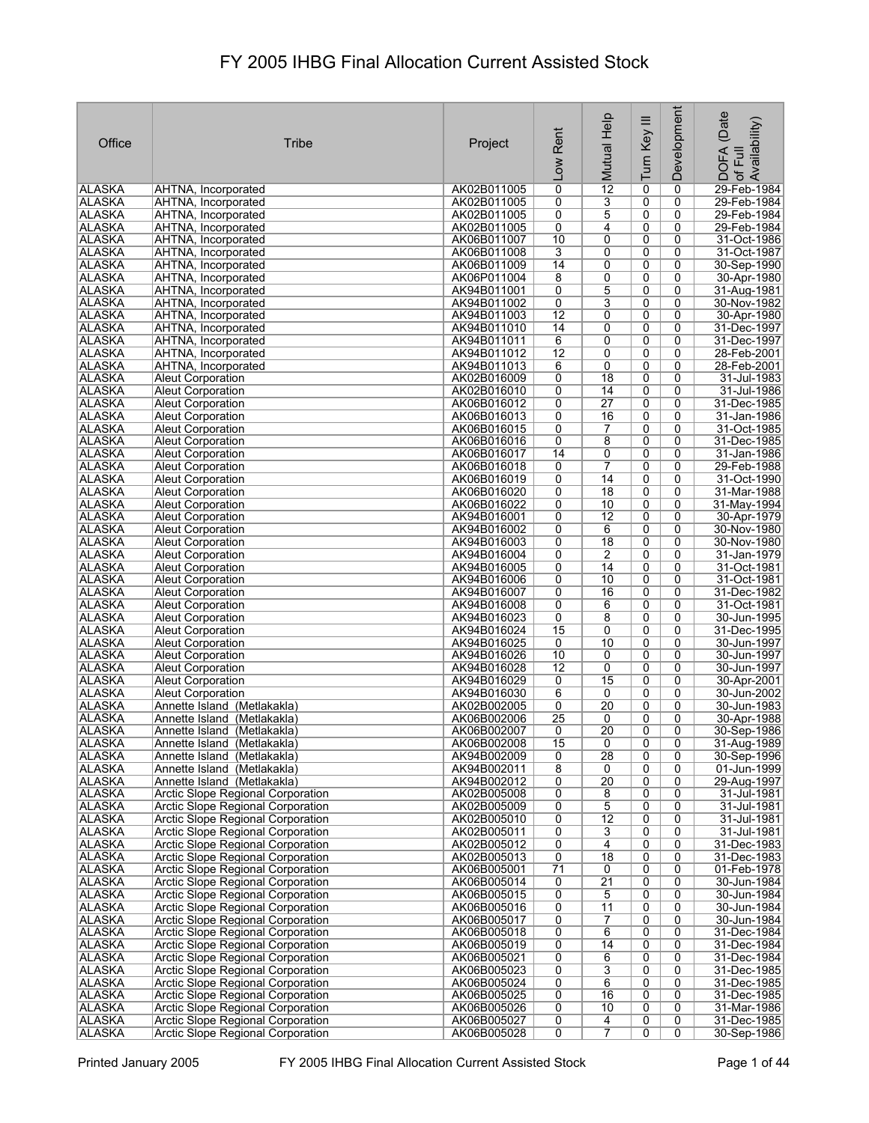| Office                         | <b>Tribe</b>                                                           | Project                    | Rent<br><b>Low</b>  | Mutual Help          | Turn Key III        | <b>Development</b>  | (Date<br>Availability)<br><b>DOFA</b><br>Full<br>$\overline{\sigma}$ |
|--------------------------------|------------------------------------------------------------------------|----------------------------|---------------------|----------------------|---------------------|---------------------|----------------------------------------------------------------------|
| <b>ALASKA</b>                  | AHTNA, Incorporated                                                    | AK02B011005                | 0                   | $\overline{12}$      | 0                   | 0                   | 29-Feb-1984                                                          |
| <b>ALASKA</b>                  | AHTNA, Incorporated                                                    | AK02B011005                | 0                   | 3                    | 0                   | 0                   | 29-Feb-1984                                                          |
| <b>ALASKA</b>                  | AHTNA, Incorporated                                                    | AK02B011005                | 0                   | 5                    | 0                   | 0                   | 29-Feb-1984                                                          |
| ALASKA                         | AHTNA, Incorporated                                                    | AK02B011005                | 0                   | 4                    | 0                   | 0                   | 29-Feb-1984                                                          |
| <b>ALASKA</b>                  | AHTNA, Incorporated                                                    | AK06B011007                | 10                  | 0                    | $\overline{0}$      | 0                   | 31-Oct-1986                                                          |
| <b>ALASKA</b><br><b>ALASKA</b> | AHTNA, Incorporated<br>AHTNA, Incorporated                             | AK06B011008<br>AK06B011009 | 3<br>14             | 0<br>$\overline{0}$  | 0<br>$\overline{0}$ | 0<br>0              | 31-Oct-1987<br>30-Sep-1990                                           |
| <b>ALASKA</b>                  | AHTNA, Incorporated                                                    | AK06P011004                | $\overline{8}$      | $\overline{0}$       | 0                   | 0                   | 30-Apr-1980                                                          |
| <b>ALASKA</b>                  | AHTNA, Incorporated                                                    | AK94B011001                | 0                   | 5                    | $\overline{0}$      | 0                   | 31-Aug-1981                                                          |
| <b>ALASKA</b>                  | AHTNA, Incorporated                                                    | AK94B011002                | 0                   | 3                    | 0                   | 0                   | 30-Nov-1982                                                          |
| <b>ALASKA</b>                  | AHTNA, Incorporated                                                    | AK94B011003                | 12                  | 0                    | 0                   | 0                   | 30-Apr-1980                                                          |
| <b>ALASKA</b>                  | AHTNA, Incorporated                                                    | AK94B011010                | 14                  | 0                    | 0                   | 0                   | 31-Dec-1997                                                          |
| <b>ALASKA</b>                  | AHTNA, Incorporated                                                    | AK94B011011                | 6                   | 0                    | 0                   | 0                   | 31-Dec-1997                                                          |
| <b>ALASKA</b>                  | AHTNA, Incorporated                                                    | AK94B011012                | $\overline{12}$     | 0                    | 0                   | 0                   | 28-Feb-2001                                                          |
| <b>ALASKA</b>                  | AHTNA, Incorporated                                                    | AK94B011013                | 6                   | 0                    | 0                   | 0                   | 28-Feb-2001                                                          |
| <b>ALASKA</b>                  | <b>Aleut Corporation</b>                                               | AK02B016009<br>AK02B016010 | 0<br>0              | 18<br>14             | 0<br>0              | 0<br>0              | 31-Jul-1983<br>31-Jul-1986                                           |
| <b>ALASKA</b><br><b>ALASKA</b> | <b>Aleut Corporation</b><br><b>Aleut Corporation</b>                   | AK06B016012                | 0                   | $\overline{27}$      | 0                   | 0                   | 31-Dec-1985                                                          |
| <b>ALASKA</b>                  | <b>Aleut Corporation</b>                                               | AK06B016013                | 0                   | 16                   | $\overline{0}$      | $\overline{0}$      | 31-Jan-1986                                                          |
| <b>ALASKA</b>                  | <b>Aleut Corporation</b>                                               | AK06B016015                | 0                   | 7                    | 0                   | 0                   | 31-Oct-1985                                                          |
| <b>ALASKA</b>                  | <b>Aleut Corporation</b>                                               | AK06B016016                | 0                   | 8                    | 0                   | 0                   | 31-Dec-1985                                                          |
| <b>ALASKA</b>                  | <b>Aleut Corporation</b>                                               | AK06B016017                | 14                  | $\overline{0}$       | 0                   | $\overline{0}$      | 31-Jan-1986                                                          |
| <b>ALASKA</b>                  | <b>Aleut Corporation</b>                                               | AK06B016018                | 0                   | 7                    | 0                   | 0                   | 29-Feb-1988                                                          |
| <b>ALASKA</b>                  | <b>Aleut Corporation</b>                                               | AK06B016019                | 0                   | 14                   | 0                   | 0                   | 31-Oct-1990                                                          |
| <b>ALASKA</b>                  | <b>Aleut Corporation</b>                                               | AK06B016020                | 0                   | $\overline{18}$      | 0                   | 0                   | 31-Mar-1988                                                          |
| <b>ALASKA</b>                  | <b>Aleut Corporation</b>                                               | AK06B016022                | 0                   | 10                   | 0                   | 0                   | 31-May-1994                                                          |
| <b>ALASKA</b>                  | <b>Aleut Corporation</b>                                               | AK94B016001                | 0                   | 12                   | 0                   | 0                   | 30-Apr-1979                                                          |
| <b>ALASKA</b><br><b>ALASKA</b> | <b>Aleut Corporation</b><br><b>Aleut Corporation</b>                   | AK94B016002                | 0<br>0              | 6<br>$\overline{18}$ | 0<br>0              | 0<br>0              | 30-Nov-1980<br>30-Nov-1980                                           |
| <b>ALASKA</b>                  | <b>Aleut Corporation</b>                                               | AK94B016003<br>AK94B016004 | 0                   | $\overline{2}$       | $\overline{0}$      | 0                   | 31-Jan-1979                                                          |
| <b>ALASKA</b>                  | <b>Aleut Corporation</b>                                               | AK94B016005                | 0                   | 14                   | 0                   | 0                   | 31-Oct-1981                                                          |
| <b>ALASKA</b>                  | <b>Aleut Corporation</b>                                               | AK94B016006                | 0                   | 10                   | $\overline{0}$      | 0                   | 31-Oct-1981                                                          |
| <b>ALASKA</b>                  | <b>Aleut Corporation</b>                                               | AK94B016007                | 0                   | 16                   | 0                   | 0                   | 31-Dec-1982                                                          |
| <b>ALASKA</b>                  | <b>Aleut Corporation</b>                                               | AK94B016008                | 0                   | 6                    | $\overline{0}$      | 0                   | 31-Oct-1981                                                          |
| <b>ALASKA</b>                  | <b>Aleut Corporation</b>                                               | AK94B016023                | 0                   | 8                    | 0                   | 0                   | 30-Jun-1995                                                          |
| <b>ALASKA</b>                  | <b>Aleut Corporation</b>                                               | AK94B016024                | 15                  | 0                    | 0                   | 0                   | 31-Dec-1995                                                          |
| <b>ALASKA</b>                  | <b>Aleut Corporation</b>                                               | AK94B016025                | 0<br>10             | 10                   | 0<br>0              | 0<br>0              | 30-Jun-1997                                                          |
| <b>ALASKA</b><br><b>ALASKA</b> | <b>Aleut Corporation</b><br><b>Aleut Corporation</b>                   | AK94B016026<br>AK94B016028 | $\overline{12}$     | 0<br>0               | 0                   | 0                   | 30-Jun-1997<br>30-Jun-1997                                           |
| <b>ALASKA</b>                  | <b>Aleut Corporation</b>                                               | AK94B016029                | 0                   | 15                   | 0                   | 0                   | 30-Apr-2001                                                          |
| ALASKA                         | <b>Aleut Corporation</b>                                               | AK94B016030                | 6                   | 0                    | 0                   | 0                   | 30-Jun-2002                                                          |
| <b>ALASKA</b>                  | Annette Island (Metlakakla)                                            | AK02B002005                | 0                   | 20                   | 0                   | 0                   | 30-Jun-1983                                                          |
| <b>ALASKA</b>                  | Annette Island (Metlakakla)                                            | AK06B002006                | $\overline{25}$     | 0                    | 0                   | 0                   | 30-Apr-1988                                                          |
| ∣ALASKA                        | Annette Island (Metlakakla)                                            | AK06B002007                | 0                   | $\overline{20}$      | $\overline{0}$      | $\overline{0}$      | 30-Sep-1986                                                          |
| <b>ALASKA</b>                  | Annette Island (Metlakakla)                                            | AK06B002008                | 15                  | 0                    | 0                   | 0                   | 31-Aug-1989                                                          |
| <b>ALASKA</b>                  | Annette Island (Metlakakla)                                            | AK94B002009                | 0                   | 28                   | 0                   | 0                   | 30-Sep-1996                                                          |
| <b>ALASKA</b><br><b>ALASKA</b> | Annette Island (Metlakakla)<br>Annette Island (Metlakakla)             | AK94B002011<br>AK94B002012 | $\overline{8}$<br>0 | $\overline{0}$<br>20 | $\overline{0}$<br>0 | $\overline{0}$<br>0 | 01-Jun-1999<br>29-Aug-1997                                           |
| <b>ALASKA</b>                  | <b>Arctic Slope Regional Corporation</b>                               | AK02B005008                | 0                   | 8                    | 0                   | 0                   | 31-Jul-1981                                                          |
| <b>ALASKA</b>                  | Arctic Slope Regional Corporation                                      | AK02B005009                | 0                   | 5                    | 0                   | 0                   | 31-Jul-1981                                                          |
| <b>ALASKA</b>                  | Arctic Slope Regional Corporation                                      | AK02B005010                | 0                   | $\overline{12}$      | 0                   | 0                   | 31-Jul-1981                                                          |
| <b>ALASKA</b>                  | Arctic Slope Regional Corporation                                      | AK02B005011                | $\overline{0}$      | $\overline{3}$       | 0                   | 0                   | 31-Jul-1981                                                          |
| <b>ALASKA</b>                  | <b>Arctic Slope Regional Corporation</b>                               | AK02B005012                | 0                   | 4                    | 0                   | 0                   | 31-Dec-1983                                                          |
| ALASKA                         | Arctic Slope Regional Corporation                                      | AK02B005013                | 0                   | 18                   | 0                   | 0                   | 31-Dec-1983                                                          |
| <b>ALASKA</b>                  | <b>Arctic Slope Regional Corporation</b>                               | AK06B005001                | $\overline{71}$     | 0                    | 0                   | 0                   | 01-Feb-1978                                                          |
| ALASKA                         | Arctic Slope Regional Corporation                                      | AK06B005014                | 0                   | $\overline{21}$      | 0                   | 0                   | 30-Jun-1984                                                          |
| ALASKA<br><b>ALASKA</b>        | Arctic Slope Regional Corporation<br>Arctic Slope Regional Corporation | AK06B005015<br>AK06B005016 | 0<br>0              | 5<br>11              | $\overline{0}$<br>0 | 0<br>0              | 30-Jun-1984<br>30-Jun-1984                                           |
| <b>ALASKA</b>                  | <b>Arctic Slope Regional Corporation</b>                               | AK06B005017                | 0                   | $\overline{7}$       | $\overline{0}$      | 0                   | 30-Jun-1984                                                          |
| <b>ALASKA</b>                  | Arctic Slope Regional Corporation                                      | AK06B005018                | 0                   | 6                    | 0                   | 0                   | 31-Dec-1984                                                          |
| <b>ALASKA</b>                  | Arctic Slope Regional Corporation                                      | AK06B005019                | 0                   | 14                   | 0                   | 0                   | 31-Dec-1984                                                          |
| <b>ALASKA</b>                  | Arctic Slope Regional Corporation                                      | AK06B005021                | 0                   | 6                    | 0                   | 0                   | 31-Dec-1984                                                          |
| <b>ALASKA</b>                  | Arctic Slope Regional Corporation                                      | AK06B005023                | 0                   | <u>3</u>             | 0                   | 0                   | 31-Dec-1985                                                          |
| <b>ALASKA</b>                  | Arctic Slope Regional Corporation                                      | AK06B005024                | 0                   | 6                    | 0                   | 0                   | 31-Dec-1985                                                          |
| <b>ALASKA</b>                  | Arctic Slope Regional Corporation                                      | AK06B005025                | 0                   | 16                   | 0                   | 0                   | 31-Dec-1985                                                          |
| ALASKA                         | Arctic Slope Regional Corporation                                      | AK06B005026                | 0                   | 10                   | 0                   | 0                   | 31-Mar-1986                                                          |
| ALASKA<br><b>ALASKA</b>        | Arctic Slope Regional Corporation<br>Arctic Slope Regional Corporation | AK06B005027<br>AK06B005028 | 0<br>$\overline{0}$ | 4<br>$\overline{7}$  | 0<br>0              | 0<br>0              | 31-Dec-1985<br>30-Sep-1986                                           |
|                                |                                                                        |                            |                     |                      |                     |                     |                                                                      |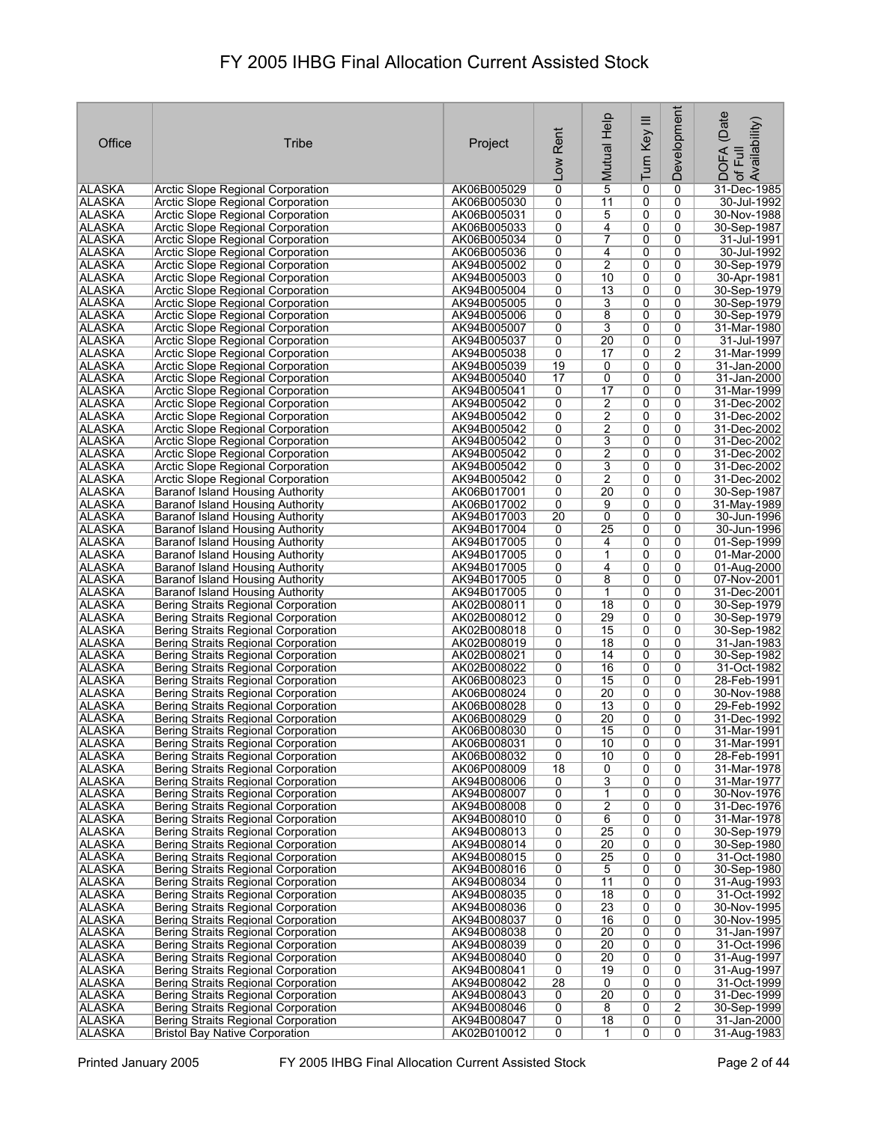|                                |                                                                                    |                            |                      | Mutual Help           |                | Development         | (Date<br>of Full<br>.Availability) |
|--------------------------------|------------------------------------------------------------------------------------|----------------------------|----------------------|-----------------------|----------------|---------------------|------------------------------------|
| Office                         | Tribe                                                                              | Project                    | Rent                 |                       |                |                     |                                    |
|                                |                                                                                    |                            |                      |                       |                |                     |                                    |
|                                |                                                                                    |                            | $\overline{100}$     |                       | Turn Key III   |                     | DOFA                               |
| ALASKA                         | Arctic Slope Regional Corporation                                                  | AK06B005029                | 0                    | $\overline{5}$        | 0              | 0                   | 31-Dec-1985                        |
| ALASKA                         | Arctic Slope Regional Corporation                                                  | AK06B005030                | 0                    | 11                    | 0              | 0                   | 30-Jul-1992                        |
| ALASKA                         | Arctic Slope Regional Corporation                                                  | AK06B005031                | 0                    | 5                     | 0              | 0                   | 30-Nov-1988                        |
| ALASKA                         | Arctic Slope Regional Corporation                                                  | AK06B005033                | 0                    | 4                     | 0              | 0                   | 30-Sep-1987                        |
| <b>ALASKA</b><br><b>ALASKA</b> | <b>Arctic Slope Regional Corporation</b>                                           | AK06B005034                | 0                    | 7                     | 0              | 0                   | 31-Jul-1991                        |
| ALASKA                         | Arctic Slope Regional Corporation<br>Arctic Slope Regional Corporation             | AK06B005036<br>AK94B005002 | 0<br>0               | 4<br>2                | 0<br>0         | 0<br>0              | 30-Jul-1992<br>30-Sep-1979         |
| ALASKA                         | Arctic Slope Regional Corporation                                                  | AK94B005003                | 0                    | 10                    | 0              | 0                   | 30-Apr-1981                        |
| <b>ALASKA</b>                  | Arctic Slope Regional Corporation                                                  | AK94B005004                | 0                    | 13                    | 0              | 0                   | 30-Sep-1979                        |
| <b>ALASKA</b>                  | <b>Arctic Slope Regional Corporation</b>                                           | AK94B005005                | 0                    | 3                     | 0              | 0                   | 30-Sep-1979                        |
| <b>ALASKA</b>                  | Arctic Slope Regional Corporation                                                  | AK94B005006                | 0                    | 8                     | 0              | 0                   | 30-Sep-1979                        |
| <b>ALASKA</b><br>ALASKA        | Arctic Slope Regional Corporation<br>Arctic Slope Regional Corporation             | AK94B005007<br>AK94B005037 | 0<br>0               | 3<br>20               | 0<br>0         | 0<br>0              | 31-Mar-1980<br>31-Jul-1997         |
| ALASKA                         | Arctic Slope Regional Corporation                                                  | AK94B005038                | 0                    | 17                    | 0              | $\overline{2}$      | 31-Mar-1999                        |
| <b>ALASKA</b>                  | Arctic Slope Regional Corporation                                                  | AK94B005039                | 19                   | 0                     | 0              | 0                   | 31-Jan-2000                        |
| ALASKA                         | Arctic Slope Regional Corporation                                                  | AK94B005040                | 17                   | 0                     | 0              | 0                   | 31-Jan-2000                        |
| <b>ALASKA</b>                  | Arctic Slope Regional Corporation                                                  | AK94B005041                | 0                    | 17                    | 0              | 0                   | 31-Mar-1999                        |
| <b>ALASKA</b>                  | Arctic Slope Regional Corporation                                                  | AK94B005042                | 0                    | 2                     | 0              | 0                   | 31-Dec-2002                        |
| <b>ALASKA</b><br><b>ALASKA</b> | <b>Arctic Slope Regional Corporation</b><br>Arctic Slope Regional Corporation      | AK94B005042<br>AK94B005042 | 0<br>0               | $\overline{2}$<br>2   | 0<br>0         | $\overline{0}$<br>0 | 31-Dec-2002<br>31-Dec-2002         |
| <b>ALASKA</b>                  | Arctic Slope Regional Corporation                                                  | AK94B005042                | 0                    | 3                     | 0              | 0                   | 31-Dec-2002                        |
| <b>ALASKA</b>                  | Arctic Slope Regional Corporation                                                  | AK94B005042                | 0                    | $\overline{2}$        | 0              | 0                   | 31-Dec-2002                        |
| <b>ALASKA</b>                  | Arctic Slope Regional Corporation                                                  | AK94B005042                | 0                    | 3                     | 0              | 0                   | 31-Dec-2002                        |
| <b>ALASKA</b>                  | <b>Arctic Slope Regional Corporation</b>                                           | AK94B005042                | 0                    | $\overline{2}$        | 0              | 0                   | 31-Dec-2002                        |
| <b>ALASKA</b>                  | Baranof Island Housing Authority                                                   | AK06B017001                | 0                    | 20                    | 0              | 0                   | 30-Sep-1987                        |
| ALASKA                         | Baranof Island Housing Authority                                                   | AK06B017002                | 0                    | 9                     | 0              | 0                   | 31-May-1989                        |
| <b>ALASKA</b><br>ALASKA        | <b>Baranof Island Housing Authority</b><br><b>Baranof Island Housing Authority</b> | AK94B017003<br>AK94B017004 | $\overline{20}$<br>0 | 0<br>25               | 0<br>0         | 0<br>0              | 30-Jun-1996<br>30-Jun-1996         |
| ALASKA                         | Baranof Island Housing Authority                                                   | AK94B017005                | 0                    | 4                     | 0              | 0                   | 01-Sep-1999                        |
| ALASKA                         | Baranof Island Housing Authority                                                   | AK94B017005                | 0                    | $\mathbf 1$           | 0              | 0                   | 01-Mar-2000                        |
| ALASKA                         | Baranof Island Housing Authority                                                   | AK94B017005                | 0                    | 4                     | 0              | 0                   | 01-Aug-2000                        |
| ALASKA                         | Baranof Island Housing Authority                                                   | AK94B017005                | 0                    | 8                     | 0              | 0                   | 07-Nov-2001                        |
| ALASKA                         | Baranof Island Housing Authority                                                   | AK94B017005                | 0                    | 1                     | 0              | 0                   | 31-Dec-2001                        |
| <b>ALASKA</b><br>ALASKA        | Bering Straits Regional Corporation                                                | AK02B008011<br>AK02B008012 | 0<br>0               | $\overline{18}$<br>29 | 0<br>0         | 0<br>0              | 30-Sep-1979<br>30-Sep-1979         |
| <b>ALASKA</b>                  | Bering Straits Regional Corporation<br>Bering Straits Regional Corporation         | AK02B008018                | 0                    | 15                    | 0              | 0                   | 30-Sep-1982                        |
| <b>ALASKA</b>                  | Bering Straits Regional Corporation                                                | AK02B008019                | 0                    | 18                    | 0              | 0                   | 31-Jan-1983                        |
| ALASKA                         | Bering Straits Regional Corporation                                                | AK02B008021                | 0                    | 14                    | 0              | 0                   | 30-Sep-1982                        |
| ALASKA                         | Bering Straits Regional Corporation                                                | AK02B008022                | 0                    | 16                    | 0              | 0                   | 31-Oct-1982                        |
| <b>ALASKA</b>                  | Bering Straits Regional Corporation                                                | AK06B008023                | 0                    | 15                    | 0              | 0                   | 28-Feb-1991                        |
| ALASKA<br><b>ALASKA</b>        | Bering Straits Regional Corporation<br>Bering Straits Regional Corporation         | AK06B008024<br>AK06B008028 | 0<br>0               | $\overline{20}$<br>13 | 0<br>0         | 0<br>0              | 30-Nov-1988<br>29-Feb-1992         |
| ALASKA                         | Bering Straits Regional Corporation                                                | AK06B008029                | 0                    | 20                    | 0              | 0                   | 31-Dec-1992                        |
| ALASKA                         | Bering Straits Regional Corporation                                                | AK06B008030                | 0                    | 15                    | 0              | 0                   | 31-Mar-1991                        |
| <b>ALASKA</b>                  | Bering Straits Regional Corporation                                                | AK06B008031                | 0                    | 10                    | 0              | 0                   | 31-Mar-1991                        |
| <b>ALASKA</b>                  | <b>Bering Straits Regional Corporation</b>                                         | AK06B008032                | 0                    | 10                    | 0              | 0                   | 28-Feb-1991                        |
| <b>ALASKA</b>                  | Bering Straits Regional Corporation                                                | AK06P008009                | $\overline{18}$      | 0                     | 0              | 0                   | 31-Mar-1978                        |
| <b>ALASKA</b><br><b>ALASKA</b> | Bering Straits Regional Corporation<br>Bering Straits Regional Corporation         | AK94B008006<br>AK94B008007 | 0<br>0               | <u>3</u><br>1         | 0<br>0         | 0<br>0              | 31-Mar-1977<br>30-Nov-1976         |
| <b>ALASKA</b>                  | Bering Straits Regional Corporation                                                | AK94B008008                | 0                    | $\overline{2}$        | $\overline{0}$ | 0                   | 31-Dec-1976                        |
| ALASKA                         | Bering Straits Regional Corporation                                                | AK94B008010                | 0                    | $\overline{6}$        | 0              | 0                   | 31-Mar-1978                        |
| <b>ALASKA</b>                  | Bering Straits Regional Corporation                                                | AK94B008013                | 0                    | 25                    | 0              | 0                   | 30-Sep-1979                        |
| ALASKA                         | Bering Straits Regional Corporation                                                | AK94B008014                | 0                    | $\overline{20}$       | 0              | 0                   | 30-Sep-1980                        |
| ALASKA                         | <b>Bering Straits Regional Corporation</b>                                         | AK94B008015                | 0                    | 25                    | 0              | 0                   | 31-Oct-1980                        |
| <b>ALASKA</b><br><b>ALASKA</b> | <b>Bering Straits Regional Corporation</b><br>Bering Straits Regional Corporation  | AK94B008016<br>AK94B008034 | 0<br>0               | 5<br>11               | 0<br>0         | 0<br>0              | 30-Sep-1980<br>31-Aug-1993         |
| <b>ALASKA</b>                  | <b>Bering Straits Regional Corporation</b>                                         | AK94B008035                | 0                    | $\overline{18}$       | 0              | 0                   | 31-Oct-1992                        |
| <b>ALASKA</b>                  | Bering Straits Regional Corporation                                                | AK94B008036                | 0                    | 23                    | 0              | 0                   | 30-Nov-1995                        |
| <b>ALASKA</b>                  | <b>Bering Straits Regional Corporation</b>                                         | AK94B008037                | 0                    | 16                    | 0              | 0                   | 30-Nov-1995                        |
| <b>ALASKA</b>                  | Bering Straits Regional Corporation                                                | AK94B008038                | 0                    | 20                    | 0              | 0                   | 31-Jan-1997                        |
| <b>ALASKA</b>                  | Bering Straits Regional Corporation                                                | AK94B008039                | 0                    | 20                    | 0              | 0                   | 31-Oct-1996                        |
| <b>ALASKA</b><br><b>ALASKA</b> | Bering Straits Regional Corporation<br>Bering Straits Regional Corporation         | AK94B008040<br>AK94B008041 | 0<br>$\overline{0}$  | $\overline{20}$<br>19 | 0<br>0         | 0<br>0              | 31-Aug-1997<br>31-Aug-1997         |
| ALASKA                         | Bering Straits Regional Corporation                                                | AK94B008042                | 28                   | 0                     | 0              | 0                   | 31-Oct-1999                        |
| <b>ALASKA</b>                  | Bering Straits Regional Corporation                                                | AK94B008043                | 0                    | $\overline{20}$       | 0              | 0                   | 31-Dec-1999                        |
| ALASKA                         | Bering Straits Regional Corporation                                                | AK94B008046                | 0                    | 8                     | 0              | $\overline{2}$      | 30-Sep-1999                        |
| <b>ALASKA</b>                  | Bering Straits Regional Corporation                                                | AK94B008047                | 0                    | $\overline{18}$       | $\overline{0}$ | 0                   | 31-Jan-2000                        |
| <b>ALASKA</b>                  | <b>Bristol Bay Native Corporation</b>                                              | AK02B010012                | 0                    |                       | 0              | $\overline{0}$      | 31-Aug-1983                        |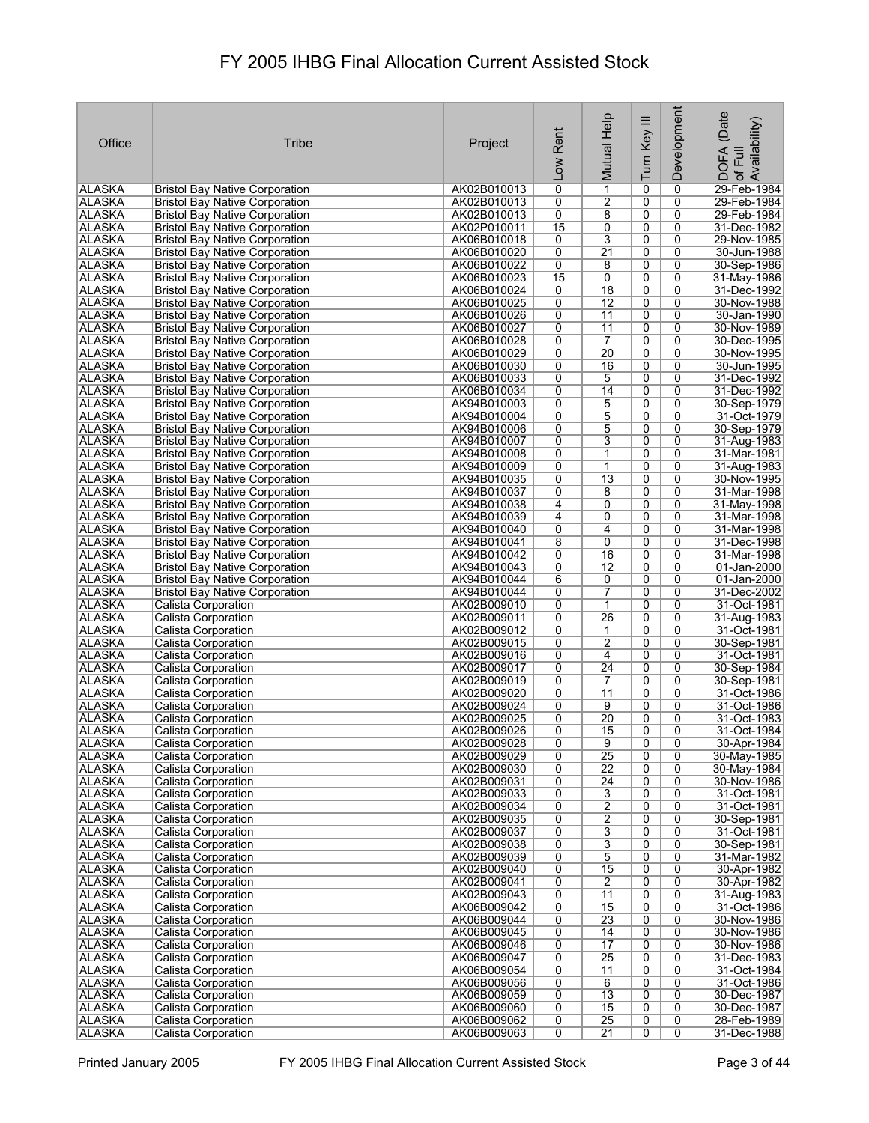| Office                         | <b>Tribe</b>                                                                   | Project                    | Rent<br>Low    | Mutual Help          | Turn Key III        | Development    | (Date<br>: DOFA (Date<br>! of Full<br>.Availability) |
|--------------------------------|--------------------------------------------------------------------------------|----------------------------|----------------|----------------------|---------------------|----------------|------------------------------------------------------|
| <b>ALASKA</b>                  | <b>Bristol Bay Native Corporation</b>                                          | AK02B010013                | 0              | 1                    | 0                   | 0              | 29-Feb-1984                                          |
| <b>ALASKA</b>                  | <b>Bristol Bay Native Corporation</b>                                          | AK02B010013                | 0              | 2                    | 0                   | 0              | 29-Feb-1984                                          |
| <b>ALASKA</b>                  | <b>Bristol Bay Native Corporation</b>                                          | AK02B010013                | 0              | 8                    | 0                   | 0              | 29-Feb-1984                                          |
| ALASKA                         | <b>Bristol Bay Native Corporation</b>                                          | AK02P010011                | 15             | 0                    | 0                   | 0              | 31-Dec-1982                                          |
| <b>ALASKA</b>                  | <b>Bristol Bay Native Corporation</b>                                          | AK06B010018                | 0              | 3                    | 0                   | 0              | 29-Nov-1985                                          |
| <b>ALASKA</b>                  | <b>Bristol Bay Native Corporation</b>                                          | AK06B010020                | 0              | $\overline{21}$      | 0                   | 0              | 30-Jun-1988                                          |
| <b>ALASKA</b>                  | <b>Bristol Bay Native Corporation</b>                                          | AK06B010022                | 0              | 8                    | $\overline{0}$      | 0              | 30-Sep-1986                                          |
| <b>ALASKA</b>                  | <b>Bristol Bay Native Corporation</b>                                          | AK06B010023                | 15             | 0                    | 0                   | 0              | 31-May-1986                                          |
| <b>ALASKA</b>                  | <b>Bristol Bay Native Corporation</b>                                          | AK06B010024                | 0              | $\overline{18}$      | 0                   | 0              | 31-Dec-1992                                          |
| <b>ALASKA</b>                  | <b>Bristol Bay Native Corporation</b>                                          | AK06B010025                | 0              | $\overline{12}$      | 0                   | 0              | 30-Nov-1988                                          |
| <b>ALASKA</b>                  | <b>Bristol Bay Native Corporation</b>                                          | AK06B010026                | 0              | 11                   | 0                   | 0              | 30-Jan-1990                                          |
| <b>ALASKA</b><br><b>ALASKA</b> | <b>Bristol Bay Native Corporation</b><br><b>Bristol Bay Native Corporation</b> | AK06B010027<br>AK06B010028 | 0<br>0         | $\overline{11}$<br>7 | 0<br>0              | 0<br>0         | 30-Nov-1989<br>30-Dec-1995                           |
| <b>ALASKA</b>                  | <b>Bristol Bay Native Corporation</b>                                          | AK06B010029                | 0              | 20                   | 0                   | 0              | 30-Nov-1995                                          |
| <b>ALASKA</b>                  | <b>Bristol Bay Native Corporation</b>                                          | AK06B010030                | 0              | 16                   | 0                   | 0              | 30-Jun-1995                                          |
| ALASKA                         | <b>Bristol Bay Native Corporation</b>                                          | AK06B010033                | 0              | 5                    | 0                   | 0              | 31-Dec-1992                                          |
| <b>ALASKA</b>                  | <b>Bristol Bay Native Corporation</b>                                          | AK06B010034                | 0              | 14                   | 0                   | 0              | 31-Dec-1992                                          |
| <b>ALASKA</b>                  | <b>Bristol Bay Native Corporation</b>                                          | AK94B010003                | 0              | 5                    | 0                   | 0              | 30-Sep-1979                                          |
| <b>ALASKA</b>                  | <b>Bristol Bay Native Corporation</b>                                          | AK94B010004                | 0              | 5                    | $\overline{0}$      | 0              | 31-Oct-1979                                          |
| <b>ALASKA</b>                  | <b>Bristol Bay Native Corporation</b>                                          | AK94B010006                | 0              | 5                    | 0                   | 0              | 30-Sep-1979                                          |
| <b>ALASKA</b>                  | <b>Bristol Bay Native Corporation</b>                                          | AK94B010007                | 0              | 3                    | 0                   | 0              | 31-Aug-1983                                          |
| <b>ALASKA</b>                  | <b>Bristol Bay Native Corporation</b>                                          | AK94B010008                | 0              | 1                    | $\overline{0}$      | $\overline{0}$ | 31-Mar-1981                                          |
| <b>ALASKA</b>                  | <b>Bristol Bay Native Corporation</b>                                          | AK94B010009                | 0              | $\mathbf 1$          | 0                   | 0              | 31-Aug-1983                                          |
| <b>ALASKA</b>                  | <b>Bristol Bay Native Corporation</b>                                          | AK94B010035                | 0              | $\overline{13}$      | 0                   | 0              | 30-Nov-1995                                          |
| <b>ALASKA</b>                  | <b>Bristol Bay Native Corporation</b>                                          | AK94B010037                | 0              | 8                    | 0                   | 0              | 31-Mar-1998                                          |
| <b>ALASKA</b>                  | <b>Bristol Bay Native Corporation</b>                                          | AK94B010038                | 4              | 0                    | 0                   | 0              | 31-May-1998                                          |
| <b>ALASKA</b>                  | <b>Bristol Bay Native Corporation</b>                                          | AK94B010039                | 4              | 0                    | 0                   | 0              | 31-Mar-1998                                          |
| <b>ALASKA</b>                  | <b>Bristol Bay Native Corporation</b>                                          | AK94B010040                | 0              | 4                    | 0                   | 0              | 31-Mar-1998                                          |
| ALASKA                         | <b>Bristol Bay Native Corporation</b>                                          | AK94B010041                | 8              | 0                    | 0                   | 0              | 31-Dec-1998                                          |
| <b>ALASKA</b>                  | <b>Bristol Bay Native Corporation</b>                                          | AK94B010042                | 0              | 16                   | 0                   | 0              | 31-Mar-1998                                          |
| <b>ALASKA</b>                  | <b>Bristol Bay Native Corporation</b>                                          | AK94B010043                | 0              | 12                   | 0                   | 0              | 01-Jan-2000                                          |
| <b>ALASKA</b>                  | <b>Bristol Bay Native Corporation</b>                                          | AK94B010044                | 6              | 0                    | 0                   | 0              | 01-Jan-2000                                          |
| <b>ALASKA</b>                  | <b>Bristol Bay Native Corporation</b>                                          | AK94B010044                | 0              | 7                    | 0                   | 0              | 31-Dec-2002                                          |
| <b>ALASKA</b>                  | Calista Corporation                                                            | AK02B009010                | 0              | $\mathbf{1}$         | $\overline{0}$      | 0              | 31-Oct-1981                                          |
| <b>ALASKA</b>                  | Calista Corporation                                                            | AK02B009011                | 0              | 26                   | 0                   | 0              | 31-Aug-1983                                          |
| <b>ALASKA</b>                  | Calista Corporation                                                            | AK02B009012                | 0              | 1                    | 0                   | 0              | 31-Oct-1981                                          |
| <b>ALASKA</b>                  | Calista Corporation<br><b>Calista Corporation</b>                              | AK02B009015                | 0              | 2                    | 0<br>0              | 0<br>0         | 30-Sep-1981                                          |
| <b>ALASKA</b><br><b>ALASKA</b> | Calista Corporation                                                            | AK02B009016<br>AK02B009017 | 0<br>0         | 4<br>$\overline{24}$ | 0                   | 0              | 31-Oct-1981<br>30-Sep-1984                           |
| <b>ALASKA</b>                  | <b>Calista Corporation</b>                                                     | AK02B009019                | 0              | 7                    | 0                   | 0              | 30-Sep-1981                                          |
| ALASKA                         | Calista Corporation                                                            | AK02B009020                | 0              | 11                   | 0                   | 0              | 31-Oct-1986                                          |
| ALASKA                         | Calista Corporation                                                            | AK02B009024                | 0              | 9                    | 0                   | 0              | 31-Oct-1986                                          |
| ALASKA                         | Calista Corporation                                                            | AK02B009025                | 0              | $\overline{20}$      | 0                   | 0              | 31-Oct-1983                                          |
| ∣ALASKA                        | Calista Corporation                                                            | AK02B009026                | 0              | 15                   | $\overline{0}$      | 0              | 31-Oct-1984                                          |
| <b>ALASKA</b>                  | Calista Corporation                                                            | AK02B009028                | 0              | 9                    | 0                   | 0              | 30-Apr-1984                                          |
| <b>ALASKA</b>                  | Calista Corporation                                                            | AK02B009029                | 0              | $\overline{25}$      | 0                   | 0              | 30-May-1985                                          |
| <b>ALASKA</b>                  | Calista Corporation                                                            | AK02B009030                | 0              | $\overline{22}$      | $\overline{0}$      | $\overline{0}$ | 30-May-1984                                          |
| <b>ALASKA</b>                  | Calista Corporation                                                            | AK02B009031                | 0              | 24                   | 0                   | 0              | 30-Nov-1986                                          |
| <b>ALASKA</b>                  | <b>Calista Corporation</b>                                                     | AK02B009033                | 0              | 3                    | 0                   | 0              | 31-Oct-1981                                          |
| <b>ALASKA</b>                  | Calista Corporation                                                            | AK02B009034                | 0              | $\overline{2}$       | 0                   | 0              | 31-Oct-1981                                          |
| <b>ALASKA</b>                  | Calista Corporation                                                            | AK02B009035                | 0              | $\overline{2}$       | 0                   | 0              | 30-Sep-1981                                          |
| <b>ALASKA</b>                  | Calista Corporation                                                            | AK02B009037                | 0              | 3                    | 0                   | 0              | 31-Oct-1981                                          |
| <b>ALASKA</b>                  | <b>Calista Corporation</b>                                                     | AK02B009038                | 0              | $\overline{3}$       | 0                   | 0              | 30-Sep-1981                                          |
| ALASKA                         | <b>Calista Corporation</b>                                                     | AK02B009039                | 0              | 5                    | 0                   | 0              | 31-Mar-1982                                          |
| <b>ALASKA</b>                  | Calista Corporation                                                            | AK02B009040                | 0              | $\overline{15}$      | $\overline{0}$      | 0              | 30-Apr-1982                                          |
| <b>ALASKA</b>                  | Calista Corporation                                                            | AK02B009041                | 0              | $\overline{2}$       | 0                   | 0              | 30-Apr-1982                                          |
| <b>ALASKA</b><br><b>ALASKA</b> | Calista Corporation<br>Calista Corporation                                     | AK02B009043<br>AK06B009042 | 0<br>0         | 11<br>15             | $\overline{0}$<br>0 | 0<br>0         | 31-Aug-1983<br>31-Oct-1986                           |
| <b>ALASKA</b>                  | <b>Calista Corporation</b>                                                     | AK06B009044                | 0              | $\overline{23}$      | $\overline{0}$      | 0              | 30-Nov-1986                                          |
| <b>ALASKA</b>                  | Calista Corporation                                                            | AK06B009045                | 0              | 14                   | 0                   | 0              | 30-Nov-1986                                          |
| <b>ALASKA</b>                  | Calista Corporation                                                            | AK06B009046                | 0              | 17                   | 0                   | 0              | 30-Nov-1986                                          |
| <b>ALASKA</b>                  | <b>Calista Corporation</b>                                                     | AK06B009047                | 0              | $\overline{25}$      | 0                   | 0              | 31-Dec-1983                                          |
| <b>ALASKA</b>                  | Calista Corporation                                                            | AK06B009054                | 0              | 11                   | 0                   | 0              | 31-Oct-1984                                          |
| <b>ALASKA</b>                  | Calista Corporation                                                            | AK06B009056                | 0              | 6                    | 0                   | 0              | 31-Oct-1986                                          |
| <b>ALASKA</b>                  | Calista Corporation                                                            | AK06B009059                | 0              | 13                   | 0                   | 0              | 30-Dec-1987                                          |
| ALASKA                         | Calista Corporation                                                            | AK06B009060                | 0              | 15                   | 0                   | 0              | 30-Dec-1987                                          |
| ALASKA                         | Calista Corporation                                                            | AK06B009062                | 0              | $\overline{25}$      | 0                   | 0              | 28-Feb-1989                                          |
| <b>ALASKA</b>                  | Calista Corporation                                                            | AK06B009063                | $\overline{0}$ | $\overline{21}$      | $\overline{0}$      | 0              | 31-Dec-1988                                          |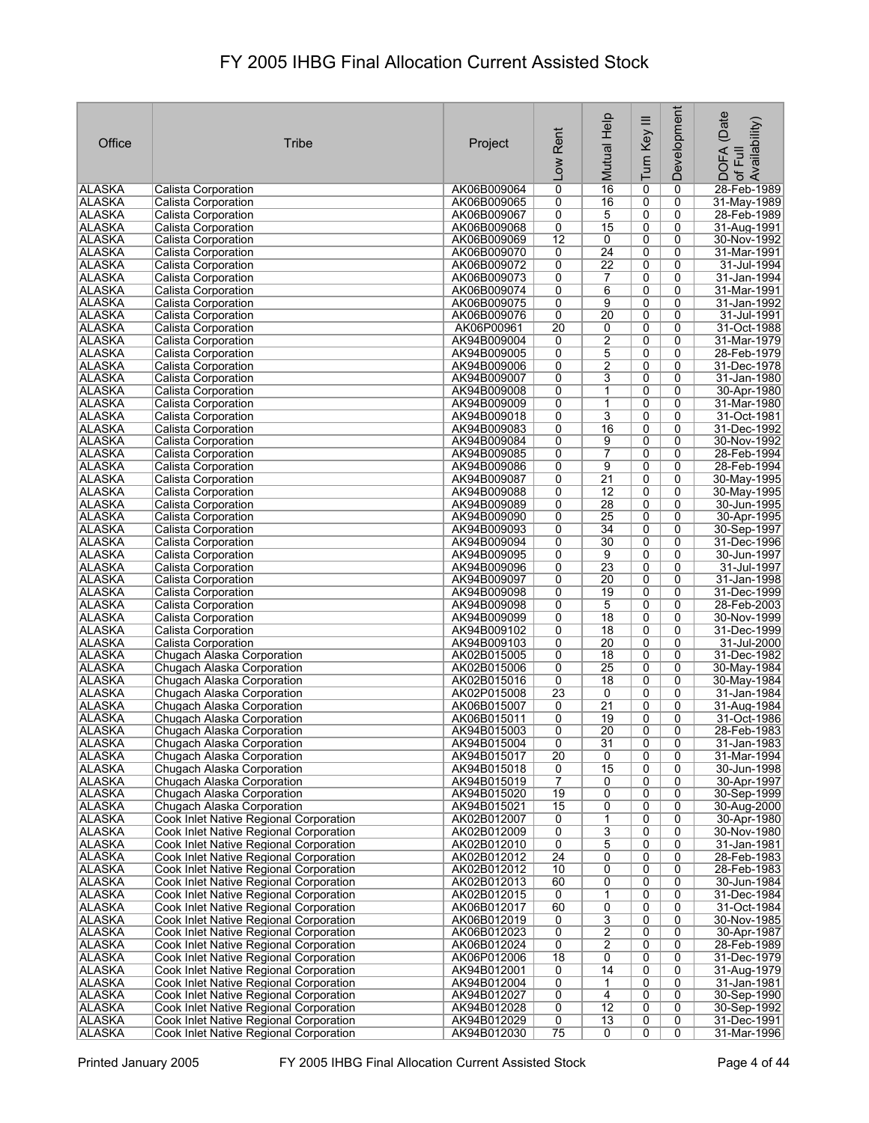| Office                         | Tribe                                                                            | Project                    | Rent<br>Low     | Mutual Help                      | Ξ<br>Turn Key       | Development         | (Date<br>1DOFA (Date<br>! of Full<br>.Availability) |
|--------------------------------|----------------------------------------------------------------------------------|----------------------------|-----------------|----------------------------------|---------------------|---------------------|-----------------------------------------------------|
| <b>ALASKA</b>                  | Calista Corporation                                                              | AK06B009064                | $\overline{0}$  | 16                               | 0                   | 0                   | 28-Feb-1989                                         |
| <b>ALASKA</b>                  | Calista Corporation                                                              | AK06B009065                | 0               | 16                               | 0                   | 0                   | 31-May-1989                                         |
| <b>ALASKA</b>                  | Calista Corporation                                                              | AK06B009067                | 0               | 5                                | $\overline{0}$      | 0                   | 28-Feb-1989                                         |
| <b>ALASKA</b>                  | Calista Corporation                                                              | AK06B009068                | 0               | 15                               | 0                   | 0                   | 31-Aug-1991                                         |
| <b>ALASKA</b>                  | Calista Corporation                                                              | AK06B009069                | $\overline{12}$ | 0                                | $\overline{0}$      | 0                   | 30-Nov-1992                                         |
| <b>ALASKA</b>                  | Calista Corporation                                                              | AK06B009070                | 0               | 24                               | 0                   | 0                   | 31-Mar-1991                                         |
| <b>ALASKA</b>                  | Calista Corporation                                                              | AK06B009072                | 0               | $\overline{22}$                  | 0                   | 0                   | 31-Jul-1994                                         |
| <b>ALASKA</b>                  | Calista Corporation<br>Calista Corporation                                       | AK06B009073                | 0               | 7                                | 0                   | 0                   | 31-Jan-1994                                         |
| <b>ALASKA</b><br><b>ALASKA</b> | <b>Calista Corporation</b>                                                       | AK06B009074<br>AK06B009075 | 0<br>0          | 6<br>9                           | 0<br>0              | 0<br>0              | 31-Mar-1991<br>31-Jan-1992                          |
| <b>ALASKA</b>                  | Calista Corporation                                                              | AK06B009076                | 0               | $\overline{20}$                  | 0                   | 0                   | 31-Jul-1991                                         |
| <b>ALASKA</b>                  | Calista Corporation                                                              | AK06P00961                 | 20              | 0                                | 0                   | 0                   | 31-Oct-1988                                         |
| <b>ALASKA</b>                  | Calista Corporation                                                              | AK94B009004                | 0               | $\overline{2}$                   | 0                   | 0                   | 31-Mar-1979                                         |
| <b>ALASKA</b>                  | Calista Corporation                                                              | AK94B009005                | 0               | $\overline{5}$                   | 0                   | 0                   | 28-Feb-1979                                         |
| <b>ALASKA</b>                  | Calista Corporation                                                              | AK94B009006                | 0               | $\overline{2}$                   | 0                   | 0                   | 31-Dec-1978                                         |
| <b>ALASKA</b>                  | Calista Corporation                                                              | AK94B009007                | 0               | $\overline{3}$                   | 0                   | 0                   | 31-Jan-1980                                         |
| <b>ALASKA</b>                  | Calista Corporation                                                              | AK94B009008                | 0               | 1                                | 0                   | 0                   | 30-Apr-1980                                         |
| <b>ALASKA</b>                  | Calista Corporation                                                              | AK94B009009                | 0               | $\mathbf{1}$                     | 0                   | 0                   | 31-Mar-1980                                         |
| <b>ALASKA</b>                  | Calista Corporation                                                              | AK94B009018                | $\overline{0}$  | 3                                | $\overline{0}$      | $\overline{0}$      | 31-Oct-1981                                         |
| <b>ALASKA</b>                  | Calista Corporation                                                              | AK94B009083                | 0               | 16                               | 0                   | 0                   | 31-Dec-1992                                         |
| <b>ALASKA</b>                  | Calista Corporation                                                              | AK94B009084                | 0               | 9                                | 0                   | 0                   | 30-Nov-1992                                         |
| <b>ALASKA</b>                  | Calista Corporation                                                              | AK94B009085                | $\overline{0}$  | 7                                | $\overline{0}$      | 0                   | 28-Feb-1994                                         |
| <b>ALASKA</b>                  | Calista Corporation                                                              | AK94B009086                | 0               | 9                                | 0                   | 0                   | 28-Feb-1994                                         |
| <b>ALASKA</b>                  | Calista Corporation                                                              | AK94B009087                | 0               | $\overline{21}$                  | 0                   | $\mathbf{0}$        | 30-May-1995                                         |
| <b>ALASKA</b>                  | Calista Corporation                                                              | AK94B009088                | $\overline{0}$  | $\overline{12}$                  | $\overline{0}$      | 0                   | 30-May-1995                                         |
| <b>ALASKA</b>                  | Calista Corporation                                                              | AK94B009089                | 0               | 28                               | 0                   | 0                   | 30-Jun-1995                                         |
| <b>ALASKA</b>                  | Calista Corporation                                                              | AK94B009090                | 0               | $\overline{25}$                  | 0                   | 0                   | 30-Apr-1995                                         |
| <b>ALASKA</b><br><b>ALASKA</b> | Calista Corporation                                                              | AK94B009093                | 0<br>0          | $\overline{34}$<br>30            | 0<br>0              | 0<br>0              | 30-Sep-1997<br>31-Dec-1996                          |
| <b>ALASKA</b>                  | Calista Corporation<br>Calista Corporation                                       | AK94B009094<br>AK94B009095 | 0               | 9                                | $\overline{0}$      | 0                   | 30-Jun-1997                                         |
| <b>ALASKA</b>                  | Calista Corporation                                                              | AK94B009096                | 0               | 23                               | 0                   | 0                   | 31-Jul-1997                                         |
| <b>ALASKA</b>                  | Calista Corporation                                                              | AK94B009097                | 0               | $\overline{20}$                  | 0                   | 0                   | 31-Jan-1998                                         |
| <b>ALASKA</b>                  | Calista Corporation                                                              | AK94B009098                | 0               | 19                               | 0                   | 0                   | 31-Dec-1999                                         |
| <b>ALASKA</b>                  | Calista Corporation                                                              | AK94B009098                | 0               | 5                                | 0                   | 0                   | 28-Feb-2003                                         |
| <b>ALASKA</b>                  | Calista Corporation                                                              | AK94B009099                | 0               | $\overline{18}$                  | 0                   | 0                   | 30-Nov-1999                                         |
| <b>ALASKA</b>                  | Calista Corporation                                                              | AK94B009102                | 0               | $\overline{18}$                  | 0                   | 0                   | 31-Dec-1999                                         |
| <b>ALASKA</b>                  | Calista Corporation                                                              | AK94B009103                | 0               | $\overline{20}$                  | 0                   | 0                   | 31-Jul-2000                                         |
| ALASKA                         | Chugach Alaska Corporation                                                       | AK02B015005                | 0               | 18                               | 0                   | 0                   | 31-Dec-1982                                         |
| ALASKA                         | Chugach Alaska Corporation                                                       | AK02B015006                | 0               | $\overline{25}$                  | 0                   | 0                   | 30-May-1984                                         |
| <b>ALASKA</b>                  | Chugach Alaska Corporation                                                       | AK02B015016                | 0               | 18                               | 0                   | 0                   | 30-May-1984                                         |
| ALASKA                         | Chugach Alaska Corporation                                                       | AK02P015008                | 23              | 0                                | 0                   | 0                   | 31-Jan-1984                                         |
| <b>ALASKA</b><br><b>ALASKA</b> | Chugach Alaska Corporation                                                       | AK06B015007                | 0               | $\overline{21}$                  | 0                   | 0                   | 31-Aug-1984                                         |
| <b>ALASKA</b>                  | Chugach Alaska Corporation<br>Chugach Alaska Corporation                         | AK06B015011<br>AK94B015003 | 0<br>0          | 19<br>$\overline{20}$            | 0<br>$\overline{0}$ | 0<br>$\overline{0}$ | 31-Oct-1986<br>28-Feb-1983                          |
| <b>ALASKA</b>                  | Chugach Alaska Corporation                                                       | AK94B015004                | 0               | 31                               | 0                   | 0                   | 31-Jan-1983                                         |
| <b>ALASKA</b>                  | Chugach Alaska Corporation                                                       | AK94B015017                | 20              | 0                                | 0                   | 0                   | 31-Mar-1994                                         |
| <b>ALASKA</b>                  | Chugach Alaska Corporation                                                       | AK94B015018                | 0               | 15                               | $\overline{0}$      | 0                   | 30-Jun-1998                                         |
| <b>ALASKA</b>                  | Chugach Alaska Corporation                                                       | AK94B015019                | $\overline{7}$  | $\overline{0}$                   | 0                   | 0                   | 30-Apr-1997                                         |
| <b>ALASKA</b>                  | Chugach Alaska Corporation                                                       | AK94B015020                | 19              | 0                                | 0                   | 0                   | 30-Sep-1999                                         |
| <b>ALASKA</b>                  | Chugach Alaska Corporation                                                       | AK94B015021                | 15              | 0                                | 0                   | $\overline{0}$      | 30-Aug-2000                                         |
| <b>ALASKA</b>                  | Cook Inlet Native Regional Corporation                                           | AK02B012007                | $\overline{0}$  | $\overline{1}$                   | 0                   | 0                   | 30-Apr-1980                                         |
| ALASKA                         | Cook Inlet Native Regional Corporation                                           | AK02B012009                | $\overline{0}$  | $\overline{3}$                   | 0                   | 0                   | 30-Nov-1980                                         |
| <b>ALASKA</b>                  | Cook Inlet Native Regional Corporation                                           | AK02B012010                | 0               | $\overline{5}$                   | 0                   | 0                   | 31-Jan-1981                                         |
| ALASKA                         | Cook Inlet Native Regional Corporation                                           | AK02B012012                | 24              | 0                                | 0                   | 0                   | 28-Feb-1983                                         |
| <b>ALASKA</b>                  | Cook Inlet Native Regional Corporation                                           | AK02B012012                | 10              | 0                                | $\overline{0}$      | 0                   | 28-Feb-1983                                         |
| <b>ALASKA</b>                  | Cook Inlet Native Regional Corporation                                           | AK02B012013                | 60              | 0                                | 0                   | 0                   | 30-Jun-1984                                         |
| <b>ALASKA</b>                  | Cook Inlet Native Regional Corporation                                           | AK02B012015                | 0               | 1                                | 0                   | 0                   | 31-Dec-1984                                         |
| <b>ALASKA</b>                  | Cook Inlet Native Regional Corporation                                           | AK06B012017<br>AK06B012019 | 60              | 0                                | 0<br>0              | 0<br>0              | 31-Oct-1984<br>30-Nov-1985                          |
| <b>ALASKA</b><br>ALASKA        | Cook Inlet Native Regional Corporation<br>Cook Inlet Native Regional Corporation | AK06B012023                | 0<br>0          | $\overline{3}$<br>$\overline{2}$ | 0                   | 0                   | 30-Apr-1987                                         |
| <b>ALASKA</b>                  | Cook Inlet Native Regional Corporation                                           | AK06B012024                | 0               | $\overline{2}$                   | 0                   | 0                   | 28-Feb-1989                                         |
| <b>ALASKA</b>                  | Cook Inlet Native Regional Corporation                                           | AK06P012006                | $\overline{18}$ | 0                                | 0                   | 0                   | 31-Dec-1979                                         |
| <b>ALASKA</b>                  | Cook Inlet Native Regional Corporation                                           | AK94B012001                | 0               | 14                               | 0                   | 0                   | 31-Aug-1979                                         |
| ALASKA                         | Cook Inlet Native Regional Corporation                                           | AK94B012004                | 0               | 1                                | 0                   | 0                   | 31-Jan-1981                                         |
| ALASKA                         | Cook Inlet Native Regional Corporation                                           | AK94B012027                | 0               | $\overline{4}$                   | 0                   | 0                   | 30-Sep-1990                                         |
| ALASKA                         | Cook Inlet Native Regional Corporation                                           | AK94B012028                | 0               | 12                               | 0                   | 0                   | 30-Sep-1992                                         |
| <b>ALASKA</b>                  | Cook Inlet Native Regional Corporation                                           | AK94B012029                | $\overline{0}$  | 13                               | 0                   | 0                   | 31-Dec-1991                                         |
| <b>ALASKA</b>                  | Cook Inlet Native Regional Corporation                                           | AK94B012030                | $\overline{75}$ | $\overline{0}$                   | 0                   | 0                   | 31-Mar-1996                                         |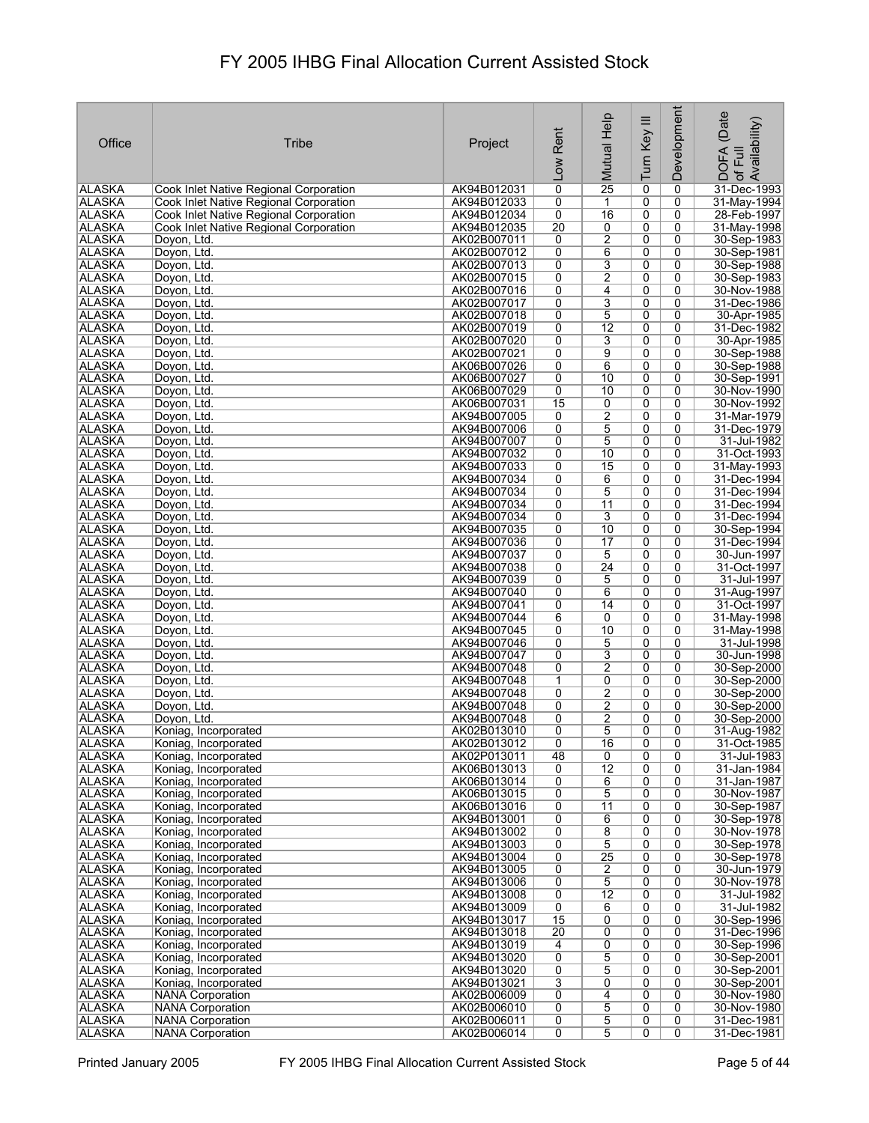|               |                                        |             |                 |                 |                | Development    | (Date<br>of Full<br>Availability) |
|---------------|----------------------------------------|-------------|-----------------|-----------------|----------------|----------------|-----------------------------------|
|               |                                        |             |                 |                 |                |                |                                   |
| Office        | Tribe                                  | Project     | Rent            |                 |                |                |                                   |
|               |                                        |             |                 |                 |                |                |                                   |
|               |                                        |             | <b>Low</b>      | Mutual Help     | Turn Key III   |                | <b>DOFA</b>                       |
| ∣ALASKA       | Cook Inlet Native Regional Corporation | AK94B012031 | 0               | 25              | 0              | 0              | 31-Dec-1993                       |
| <b>ALASKA</b> | Cook Inlet Native Regional Corporation | AK94B012033 | 0               | 1               | 0              | 0              | 31-May-1994                       |
| <b>ALASKA</b> | Cook Inlet Native Regional Corporation | AK94B012034 | 0               | 16              | 0              | 0              | 28-Feb-1997                       |
| <b>ALASKA</b> | Cook Inlet Native Regional Corporation | AK94B012035 | $\overline{20}$ | 0               | 0              | 0              | 31-May-1998                       |
| <b>ALASKA</b> | Doyon, Ltd.                            | AK02B007011 | 0               | $\overline{2}$  | 0              | 0              | 30-Sep-1983                       |
| <b>ALASKA</b> | Doyon, Ltd.                            | AK02B007012 | 0               | 6               | 0              | 0              | 30-Sep-1981                       |
| <b>ALASKA</b> | Doyon, Ltd.                            | AK02B007013 | 0               | 3               | 0              | 0              | 30-Sep-1988                       |
| <b>ALASKA</b> | Doyon, Ltd.                            | AK02B007015 | 0               | 2               | 0              | 0              | 30-Sep-1983                       |
| <b>ALASKA</b> | Doyon, Ltd.                            | AK02B007016 | 0               | 4               | 0              | 0              | 30-Nov-1988                       |
| <b>ALASKA</b> | Doyon, Ltd.                            | AK02B007017 | 0               | $\overline{3}$  | 0              | 0              | 31-Dec-1986                       |
| <b>ALASKA</b> | Doyon, Ltd.                            | AK02B007018 | 0               | 5               | $\overline{0}$ | 0              | 30-Apr-1985                       |
| <b>ALASKA</b> | Doyon, Ltd.                            | AK02B007019 | 0               | $\overline{12}$ | 0              | 0              | 31-Dec-1982                       |
| <b>ALASKA</b> | Doyon, Ltd.                            | AK02B007020 | 0               | 3               | 0              | 0              | 30-Apr-1985                       |
| <b>ALASKA</b> | Doyon, Ltd.                            | AK02B007021 | 0               | 9               | 0              | 0              | 30-Sep-1988                       |
| <b>ALASKA</b> | Doyon, Ltd.                            | AK06B007026 | 0               | 6               | 0              | 0              | 30-Sep-1988                       |
| <b>ALASKA</b> | Doyon, Ltd.                            | AK06B007027 | 0               | 10              | 0              | 0              | 30-Sep-1991                       |
| <b>ALASKA</b> | Doyon, Ltd.                            | AK06B007029 | 0               | 10              | 0              | 0              | 30-Nov-1990                       |
| <b>ALASKA</b> | Doyon, Ltd.                            | AK06B007031 | 15              | 0               | 0              | 0              | 30-Nov-1992                       |
| <b>ALASKA</b> | Doyon, Ltd.                            | AK94B007005 | 0               | $\overline{2}$  | $\overline{0}$ | 0              | 31-Mar-1979                       |
| <b>ALASKA</b> | Doyon, Ltd.                            | AK94B007006 | 0               | $\overline{5}$  | 0              | 0              | 31-Dec-1979                       |
| <b>ALASKA</b> | Doyon, Ltd.                            | AK94B007007 | 0               | 5               | 0              | 0              | 31-Jul-1982                       |
| <b>ALASKA</b> | Doyon, Ltd.                            | AK94B007032 | $\overline{0}$  | $\overline{10}$ | $\overline{0}$ | $\overline{0}$ | 31-Oct-1993                       |
| <b>ALASKA</b> | Doyon, Ltd.                            | AK94B007033 | 0               | 15              | 0              | 0              | 31-May-1993                       |
| <b>ALASKA</b> | Doyon, Ltd.                            | AK94B007034 | 0               | 6               | 0              | 0              | 31-Dec-1994                       |
| <b>ALASKA</b> | Doyon, Ltd.                            | AK94B007034 | 0               | 5               | 0              | $\overline{0}$ | 31-Dec-1994                       |
| <b>ALASKA</b> | Doyon, Ltd.                            | AK94B007034 | 0               | $\overline{11}$ | 0              | 0              | 31-Dec-1994                       |
| <b>ALASKA</b> | Doyon, Ltd.                            | AK94B007034 | 0               | 3               | 0              | 0              | 31-Dec-1994                       |
| <b>ALASKA</b> | Doyon, Ltd.                            | AK94B007035 | 0               | 10              | 0              | 0              | 30-Sep-1994                       |
| <b>ALASKA</b> | Doyon, Ltd.                            | AK94B007036 | 0               | 17              | 0              | 0              | 31-Dec-1994                       |
| <b>ALASKA</b> | Doyon, Ltd.                            | AK94B007037 | 0               | $\overline{5}$  | 0              | 0              | 30-Jun-1997                       |
| <b>ALASKA</b> | Doyon, Ltd.                            | AK94B007038 | 0               | 24              | 0              | 0              | 31-Oct-1997                       |
| <b>ALASKA</b> | Doyon, Ltd.                            | AK94B007039 | 0               | 5               | 0              | 0              | 31-Jul-1997                       |
| <b>ALASKA</b> | Doyon, Ltd.                            | AK94B007040 | 0               | 6               | 0              | 0              | 31-Aug-1997                       |
| <b>ALASKA</b> | Doyon, Ltd.                            | AK94B007041 | 0               | 14              | 0              | 0              | 31-Oct-1997                       |
| <b>ALASKA</b> | Doyon, Ltd.                            | AK94B007044 | 6               | 0               | 0              | 0              | 31-May-1998                       |
| <b>ALASKA</b> | Doyon, Ltd.                            | AK94B007045 | 0               | 10              | $\overline{0}$ | 0              | 31-May-1998                       |
| <b>ALASKA</b> | Doyon, Ltd.                            | AK94B007046 | 0               | 5               | 0              | 0              | 31-Jul-1998                       |
| <b>ALASKA</b> | Doyon, Ltd.                            | AK94B007047 | 0               | 3               | 0              | 0              | 30-Jun-1998                       |
| <b>ALASKA</b> | Doyon, Ltd.                            | AK94B007048 | 0               | 2               | 0              | 0              | 30-Sep-2000                       |
| <b>ALASKA</b> | Doyon, Ltd.                            | AK94B007048 | 1               | 0               | 0              | 0              | 30-Sep-2000                       |
| ALASKA        | Doyon, Ltd.                            | AK94B007048 | 0               | 2               | 0              | 0              | 30-Sep-2000                       |
| <b>ALASKA</b> | Doyon, Ltd.                            | AK94B007048 | 0               | 2               | 0              | 0              | 30-Sep-2000                       |
| <b>ALASKA</b> | Doyon, Ltd.                            | AK94B007048 | 0               | 2               | 0              | 0              | 30-Sep-2000                       |
| <b>ALASKA</b> | Koniag, Incorporated                   | AK02B013010 | 0               | 5               | $\overline{0}$ | 0              | 31-Aug-1982                       |
| <b>ALASKA</b> | Koniag, Incorporated                   | AK02B013012 | 0               | 16              | 0              | 0              | 31-Oct-1985                       |
| ALASKA        | Koniag, Incorporated                   | AK02P013011 | 48              | 0               | 0              | 0              | 31-Jul-1983                       |
| ALASKA        | Koniag, Incorporated                   | AK06B013013 | 0               | $\overline{12}$ | $\overline{0}$ | $\overline{0}$ | 31-Jan-1984                       |
| <b>ALASKA</b> | Koniag. Incorporated                   | AK06B013014 | $\overline{0}$  | 6               | 0              | 0              | 31-Jan-1987                       |
| <b>ALASKA</b> | Koniag, Incorporated                   | AK06B013015 | 0               | $\overline{5}$  | 0              | 0              | 30-Nov-1987                       |
| <b>ALASKA</b> | Koniag, Incorporated                   | AK06B013016 | 0               | $\overline{11}$ | 0              | $\overline{0}$ | 30-Sep-1987                       |
| <b>ALASKA</b> | Koniag, Incorporated                   | AK94B013001 | 0               | 6               | 0              | 0              | 30-Sep-1978                       |
| <b>ALASKA</b> | Koniag, Incorporated                   | AK94B013002 | 0               | 8               | 0              | 0              | 30-Nov-1978                       |
| <b>ALASKA</b> | Koniag, Incorporated                   | AK94B013003 | 0               | 5               | 0              | 0              | 30-Sep-1978                       |
| <b>ALASKA</b> | Koniag, Incorporated                   | AK94B013004 | 0               | $\overline{25}$ | 0              | 0              | 30-Sep-1978                       |
| <b>ALASKA</b> | Koniag, Incorporated                   | AK94B013005 | 0               | 2               | 0              | 0              | 30-Jun-1979                       |
| <b>ALASKA</b> | Koniag, Incorporated                   | AK94B013006 | 0               | 5               | 0              | 0              | 30-Nov-1978                       |
| <b>ALASKA</b> | Koniag, Incorporated                   | AK94B013008 | 0               | $\overline{12}$ | 0              | 0              | 31-Jul-1982                       |
| ALASKA        | Koniag, Incorporated                   | AK94B013009 | 0               | 6               | 0              | 0              | 31-Jul-1982                       |
| <b>ALASKA</b> | Koniag, Incorporated                   | AK94B013017 | $\overline{15}$ | 0               | $\overline{0}$ | 0              | 30-Sep-1996                       |
| ALASKA        | Koniag, Incorporated                   | AK94B013018 | $\overline{20}$ | 0               | 0              | 0              | 31-Dec-1996                       |
| <b>ALASKA</b> | Koniag, Incorporated                   | AK94B013019 | $\overline{4}$  | $\overline{0}$  | $\overline{0}$ | 0              | 30-Sep-1996                       |
| <b>ALASKA</b> | Koniag, Incorporated                   | AK94B013020 | 0               | $\overline{5}$  | 0              | 0              | 30-Sep-2001                       |
| <b>ALASKA</b> | Koniag, Incorporated                   | AK94B013020 | 0               | 5               | 0              | 0              | 30-Sep-2001                       |
| <b>ALASKA</b> | Koniag, Incorporated                   | AK94B013021 | 3               | 0               | 0              | 0              | 30-Sep-2001                       |
| <b>ALASKA</b> | <b>NANA Corporation</b>                | AK02B006009 | 0               | 4               | 0              | 0              | 30-Nov-1980                       |
| ALASKA        | <b>NANA Corporation</b>                | AK02B006010 | 0               | $\overline{5}$  | 0              | 0              | 30-Nov-1980                       |
| <b>ALASKA</b> | <b>NANA Corporation</b>                | AK02B006011 | 0               | $\overline{5}$  | 0              | 0              | 31-Dec-1981                       |
| <b>ALASKA</b> | <b>NANA Corporation</b>                | AK02B006014 | 0               | $\overline{5}$  | 0              | 0              | 31-Dec-1981                       |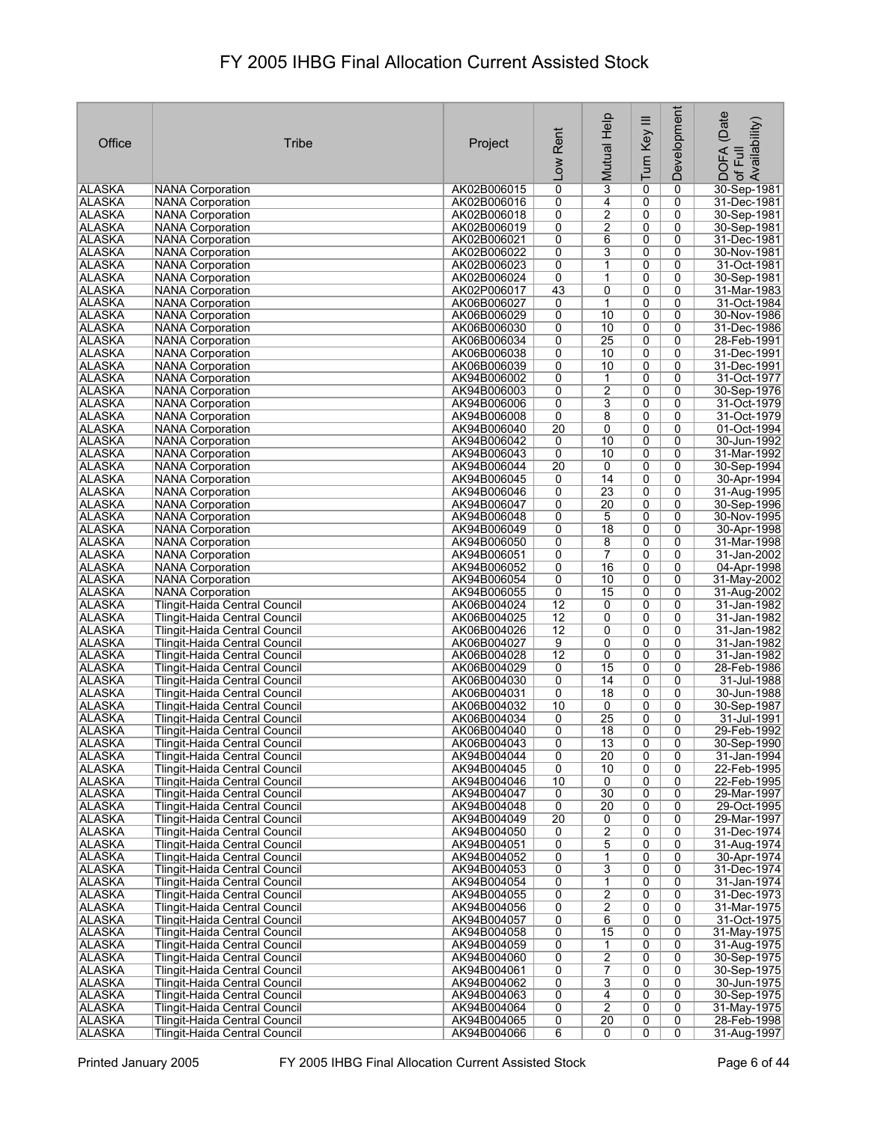| Office                         | <b>Tribe</b>                                                          | Project                    | Rent<br><b>Low</b>   | Mutual Help                   | Turn Key III              | <b>Development</b> | (Date<br>Availability)<br><b>DOFA</b><br>Full<br>$\overline{\sigma}$ |
|--------------------------------|-----------------------------------------------------------------------|----------------------------|----------------------|-------------------------------|---------------------------|--------------------|----------------------------------------------------------------------|
| <b>ALASKA</b>                  | <b>NANA Corporation</b>                                               | AK02B006015                | $\overline{0}$       | $\overline{\mathbf{3}}$       | 0                         | 0                  | 30-Sep-1981                                                          |
| <b>ALASKA</b>                  | <b>NANA Corporation</b>                                               | AK02B006016                | 0                    | 4                             | 0                         | 0                  | 31-Dec-1981                                                          |
| <b>ALASKA</b>                  | <b>NANA Corporation</b>                                               | AK02B006018                | 0                    | $\overline{2}$                | 0                         | 0                  | 30-Sep-1981                                                          |
| <b>ALASKA</b>                  | <b>NANA Corporation</b>                                               | AK02B006019                | 0                    | 2                             | 0                         | 0                  | 30-Sep-1981                                                          |
| <b>ALASKA</b>                  | <b>NANA Corporation</b>                                               | AK02B006021                | $\overline{0}$       | 6                             | $\overline{0}$            | 0                  | 31-Dec-1981                                                          |
| <b>ALASKA</b><br><b>ALASKA</b> | <b>NANA Corporation</b><br><b>NANA Corporation</b>                    | AK02B006022<br>AK02B006023 | 0<br>0               | 3<br>1                        | 0<br>$\overline{0}$       | 0<br>0             | 30-Nov-1981<br>31-Oct-1981                                           |
| <b>ALASKA</b>                  | <b>NANA Corporation</b>                                               | AK02B006024                | $\overline{0}$       | 1                             | 0                         | 0                  | 30-Sep-1981                                                          |
| <b>ALASKA</b>                  | <b>NANA Corporation</b>                                               | AK02P006017                | 43                   | $\overline{0}$                | $\overline{0}$            | 0                  | 31-Mar-1983                                                          |
| <b>ALASKA</b>                  | <b>NANA Corporation</b>                                               | AK06B006027                | 0                    | 1                             | 0                         | 0                  | 31-Oct-1984                                                          |
| <b>ALASKA</b>                  | <b>NANA Corporation</b>                                               | AK06B006029                | 0                    | 10                            | $\overline{0}$            | 0                  | 30-Nov-1986                                                          |
| <b>ALASKA</b>                  | <b>NANA Corporation</b>                                               | AK06B006030                | 0                    | 10                            | 0                         | 0                  | 31-Dec-1986                                                          |
| <b>ALASKA</b>                  | <b>NANA Corporation</b>                                               | AK06B006034                | 0                    | 25                            | 0                         | 0                  | 28-Feb-1991                                                          |
| <b>ALASKA</b>                  | <b>NANA Corporation</b>                                               | AK06B006038                | 0                    | 10                            | 0                         | 0                  | 31-Dec-1991                                                          |
| <b>ALASKA</b>                  | <b>NANA Corporation</b>                                               | AK06B006039                | 0                    | 10                            | $\overline{0}$            | 0                  | 31-Dec-1991                                                          |
| ALASKA<br><b>ALASKA</b>        | <b>NANA Corporation</b><br><b>NANA Corporation</b>                    | AK94B006002<br>AK94B006003 | 0<br>0               | $\mathbf 1$<br>$\overline{2}$ | 0<br>0                    | 0<br>0             | 31-Oct-1977<br>30-Sep-1976                                           |
| <b>ALASKA</b>                  | <b>NANA Corporation</b>                                               | AK94B006006                | 0                    | $\overline{3}$                | 0                         | 0                  | 31-Oct-1979                                                          |
| <b>ALASKA</b>                  | <b>NANA Corporation</b>                                               | AK94B006008                | $\overline{0}$       | $\overline{8}$                | $\overline{\mathfrak{o}}$ | $\overline{0}$     | 31-Oct-1979                                                          |
| <b>ALASKA</b>                  | <b>NANA Corporation</b>                                               | AK94B006040                | 20                   | 0                             | 0                         | 0                  | 01-Oct-1994                                                          |
| <b>ALASKA</b>                  | <b>NANA Corporation</b>                                               | AK94B006042                | 0                    | 10                            | 0                         | $\overline{0}$     | 30-Jun-1992                                                          |
| <b>ALASKA</b>                  | <b>NANA Corporation</b>                                               | AK94B006043                | $\overline{0}$       | $\overline{10}$               | $\overline{0}$            | $\overline{0}$     | 31-Mar-1992                                                          |
| <b>ALASKA</b>                  | <b>NANA Corporation</b>                                               | AK94B006044                | 20                   | 0                             | 0                         | 0                  | 30-Sep-1994                                                          |
| <b>ALASKA</b>                  | <b>NANA Corporation</b>                                               | AK94B006045                | 0                    | 14                            | 0                         | 0                  | 30-Apr-1994                                                          |
| <b>ALASKA</b>                  | <b>NANA Corporation</b>                                               | AK94B006046                | 0                    | $\overline{23}$               | 0                         | $\overline{0}$     | 31-Aug-1995                                                          |
| <b>ALASKA</b>                  | <b>NANA Corporation</b>                                               | AK94B006047                | $\overline{0}$<br>0  | 20<br>5                       | $\overline{0}$<br>0       | 0<br>0             | 30-Sep-1996                                                          |
| <b>ALASKA</b><br><b>ALASKA</b> | <b>NANA Corporation</b><br><b>NANA Corporation</b>                    | AK94B006048<br>AK94B006049 | 0                    | $\overline{18}$               | 0                         | 0                  | 30-Nov-1995<br>30-Apr-1998                                           |
| <b>ALASKA</b>                  | <b>NANA Corporation</b>                                               | AK94B006050                | 0                    | 8                             | 0                         | 0                  | 31-Mar-1998                                                          |
| <b>ALASKA</b>                  | <b>NANA Corporation</b>                                               | AK94B006051                | $\overline{0}$       | $\overline{7}$                | $\overline{0}$            | 0                  | 31-Jan-2002                                                          |
| <b>ALASKA</b>                  | <b>NANA Corporation</b>                                               | AK94B006052                | 0                    | 16                            | 0                         | 0                  | 04-Apr-1998                                                          |
| <b>ALASKA</b>                  | <b>NANA Corporation</b>                                               | AK94B006054                | 0                    | 10                            | $\overline{0}$            | 0                  | 31-May-2002                                                          |
| <b>ALASKA</b>                  | <b>NANA Corporation</b>                                               | AK94B006055                | $\overline{0}$       | 15                            | $\overline{0}$            | $\overline{0}$     | 31-Aug-2002                                                          |
| <b>ALASKA</b>                  | Tlingit-Haida Central Council                                         | AK06B004024                | $\overline{12}$      | 0                             | $\overline{0}$            | $\overline{0}$     | 31-Jan-1982                                                          |
| <b>ALASKA</b>                  | Tlingit-Haida Central Council                                         | AK06B004025                | $\overline{12}$      | 0                             | 0                         | 0                  | 31-Jan-1982                                                          |
| <b>ALASKA</b><br><b>ALASKA</b> | Tlingit-Haida Central Council<br><b>Tlingit-Haida Central Council</b> | AK06B004026<br>AK06B004027 | $\overline{12}$<br>9 | 0<br>0                        | 0<br>0                    | 0<br>0             | 31-Jan-1982<br>31-Jan-1982                                           |
| <b>ALASKA</b>                  | Tlingit-Haida Central Council                                         | AK06B004028                | $\overline{12}$      | 0                             | 0                         | 0                  | 31-Jan-1982                                                          |
| <b>ALASKA</b>                  | Tlingit-Haida Central Council                                         | AK06B004029                | 0                    | 15                            | 0                         | 0                  | 28-Feb-1986                                                          |
| <b>ALASKA</b>                  | Tlingit-Haida Central Council                                         | AK06B004030                | 0                    | 14                            | 0                         | 0                  | 31-Jul-1988                                                          |
| ALASKA                         | Tlingit-Haida Central Council                                         | AK06B004031                | 0                    | $\overline{18}$               | 0                         | 0                  | 30-Jun-1988                                                          |
| <b>ALASKA</b>                  | Tlingit-Haida Central Council                                         | AK06B004032                | 10                   | 0                             | 0                         | 0                  | 30-Sep-1987                                                          |
| <b>ALASKA</b>                  | Tlingit-Haida Central Council                                         | AK06B004034                | 0                    | 25                            | 0                         | 0                  | 31-Jul-1991                                                          |
| ∣ALASKA                        | Tlingit-Haida Central Council                                         | AK06B004040                | 0                    | 18                            | $\overline{0}$            | $\overline{0}$     | 29-Feb-1992                                                          |
| ALASKA<br><b>ALASKA</b>        | Tlingit-Haida Central Council<br>Tlingit-Haida Central Council        | AK06B004043<br>AK94B004044 | 0<br>0               | 13<br>$\overline{20}$         | 0<br>0                    | 0<br>0             | 30-Sep-1990<br>31-Jan-1994                                           |
| <b>ALASKA</b>                  | <b>Tlingit-Haida Central Council</b>                                  | AK94B004045                | 0                    | 10                            | $\overline{0}$            | $\overline{0}$     | 22-Feb-1995                                                          |
| <b>ALASKA</b>                  | <b>Tlingit-Haida Central Council</b>                                  | AK94B004046                | 10                   | 0                             | 0                         | 0                  | 22-Feb-1995                                                          |
| <b>ALASKA</b>                  | <b>Tlingit-Haida Central Council</b>                                  | AK94B004047                | 0                    | 30                            | 0                         | 0                  | 29-Mar-1997                                                          |
| <b>ALASKA</b>                  | Tlingit-Haida Central Council                                         | AK94B004048                | 0                    | 20                            | 0                         | 0                  | 29-Oct-1995                                                          |
| <b>ALASKA</b>                  | <b>Tlingit-Haida Central Council</b>                                  | AK94B004049                | 20                   | $\overline{0}$                | 0                         | 0                  | 29-Mar-1997                                                          |
| <b>ALASKA</b>                  | Tlingit-Haida Central Council                                         | AK94B004050                | 0                    | $\overline{2}$                | 0                         | 0                  | 31-Dec-1974                                                          |
| <b>ALASKA</b>                  | <b>Tlingit-Haida Central Council</b>                                  | AK94B004051                | 0                    | $\overline{5}$                | 0                         | 0                  | 31-Aug-1974                                                          |
| <b>ALASKA</b><br><b>ALASKA</b> | Tlingit-Haida Central Council<br>Tlingit-Haida Central Council        | AK94B004052<br>AK94B004053 | 0<br>0               | 1<br>$\overline{3}$           | 0<br>$\overline{0}$       | 0<br>0             | 30-Apr-1974<br>31-Dec-1974                                           |
| <b>ALASKA</b>                  | Tlingit-Haida Central Council                                         | AK94B004054                | 0                    | $\mathbf{1}$                  | 0                         | 0                  | 31-Jan-1974                                                          |
| ALASKA                         | Tlingit-Haida Central Council                                         | AK94B004055                | 0                    | $\overline{2}$                | $\overline{0}$            | 0                  | 31-Dec-1973                                                          |
| <b>ALASKA</b>                  | Tlingit-Haida Central Council                                         | AK94B004056                | 0                    | $\overline{2}$                | 0                         | 0                  | 31-Mar-1975                                                          |
| <b>ALASKA</b>                  | Tlingit-Haida Central Council                                         | AK94B004057                | 0                    | 6                             | $\overline{0}$            | 0                  | 31-Oct-1975                                                          |
| <b>ALASKA</b>                  | Tlingit-Haida Central Council                                         | AK94B004058                | 0                    | 15                            | 0                         | 0                  | 31-May-1975                                                          |
| <b>ALASKA</b>                  | Tlingit-Haida Central Council                                         | AK94B004059                | 0                    | 1                             | 0                         | 0                  | 31-Aug-1975                                                          |
| <b>ALASKA</b>                  | Tlingit-Haida Central Council                                         | AK94B004060                | 0                    | $\overline{2}$                | 0                         | 0                  | 30-Sep-1975                                                          |
| <b>ALASKA</b><br><b>ALASKA</b> | Tlingit-Haida Central Council<br>Tlingit-Haida Central Council        | AK94B004061<br>AK94B004062 | 0<br>0               | 7<br>3                        | 0<br>0                    | 0<br>0             | 30-Sep-1975<br>30-Jun-1975                                           |
| <b>ALASKA</b>                  | Tlingit-Haida Central Council                                         | AK94B004063                | 0                    | 4                             | 0                         | 0                  | 30-Sep-1975                                                          |
| ALASKA                         | Tlingit-Haida Central Council                                         | AK94B004064                | 0                    | $\overline{2}$                | 0                         | 0                  | 31-May-1975                                                          |
| ALASKA                         | Tlingit-Haida Central Council                                         | AK94B004065                | 0                    | $\overline{20}$               | 0                         | 0                  | 28-Feb-1998                                                          |
| <b>ALASKA</b>                  | Tlingit-Haida Central Council                                         | AK94B004066                | 6                    | 0                             | $\overline{0}$            | $\overline{0}$     | 31-Aug-1997                                                          |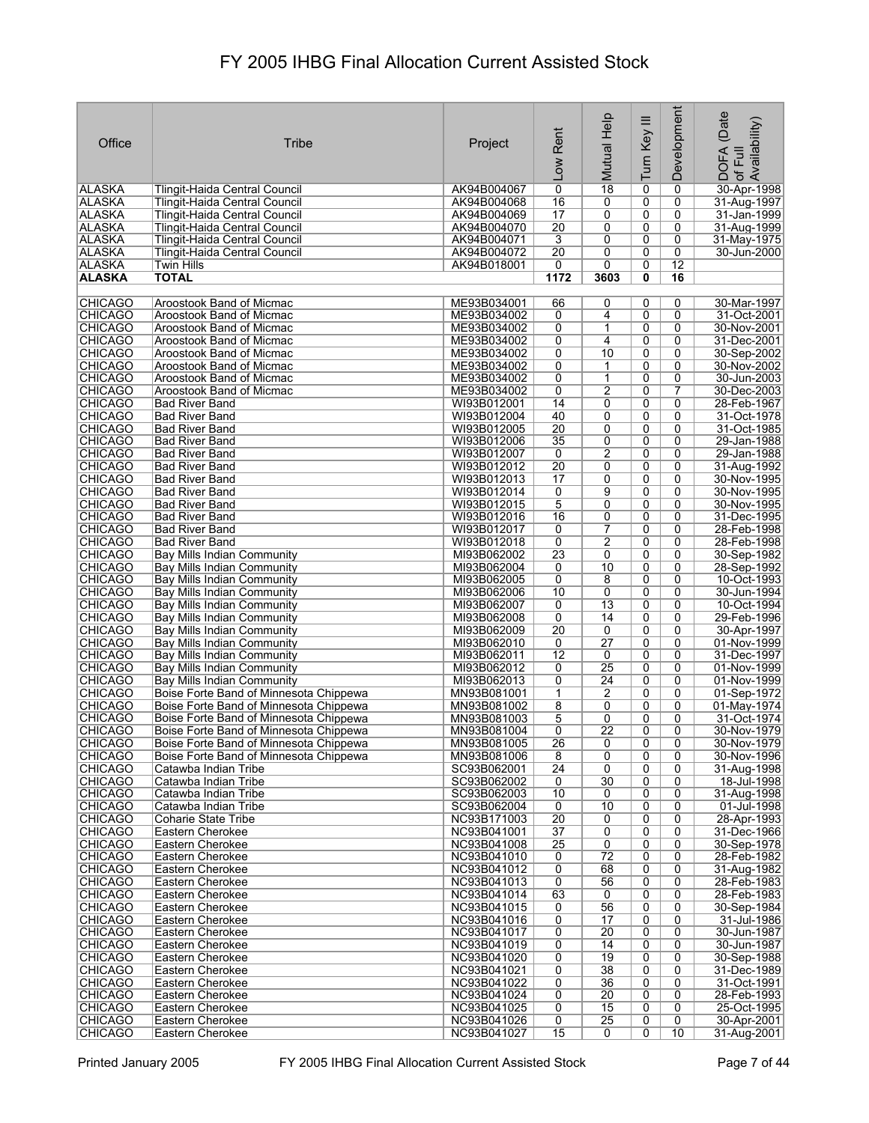|                                  |                                                                      |                            |                      | Mutual Help                        |                     | Development         | (Date<br>: DOFA (Date<br>·of Full<br>.Availability) |
|----------------------------------|----------------------------------------------------------------------|----------------------------|----------------------|------------------------------------|---------------------|---------------------|-----------------------------------------------------|
| Office                           | Tribe                                                                |                            | Rent                 |                                    |                     |                     |                                                     |
|                                  |                                                                      | Project                    |                      |                                    |                     |                     |                                                     |
|                                  |                                                                      |                            | Low                  |                                    | Turn Key III        |                     |                                                     |
|                                  |                                                                      |                            |                      |                                    |                     |                     |                                                     |
| ∣ALASKA                          | Tlingit-Haida Central Council                                        | AK94B004067                | 0                    | $\overline{18}$                    | 0                   | 0                   | 30-Apr-1998                                         |
| <b>ALASKA</b><br><b>ALASKA</b>   | Tlingit-Haida Central Council<br>Tlingit-Haida Central Council       | AK94B004068<br>AK94B004069 | 16<br>17             | 0<br>0                             | 0<br>0              | 0<br>0              | 31-Aug-1997<br>31-Jan-1999                          |
| ALASKA                           | Tlingit-Haida Central Council                                        | AK94B004070                | $\overline{20}$      | 0                                  | 0                   | 0                   | 31-Aug-1999                                         |
| <b>ALASKA</b>                    | <b>Tlingit-Haida Central Council</b>                                 | AK94B004071                | 3                    | 0                                  | 0                   | 0                   | 31-May-1975                                         |
| <b>ALASKA</b>                    | Tlingit-Haida Central Council                                        | AK94B004072                | $\overline{20}$      | 0                                  | 0                   | 0                   | 30-Jun-2000                                         |
| <b>ALASKA</b>                    | Twin Hills                                                           | AK94B018001                | 0                    | 0                                  | 0                   | 12                  |                                                     |
| <b>ALASKA</b>                    | <b>TOTAL</b>                                                         |                            | 1172                 | 3603                               | 0                   | 16                  |                                                     |
|                                  |                                                                      |                            |                      |                                    |                     |                     |                                                     |
| <b>CHICAGO</b>                   | Aroostook Band of Micmac                                             | ME93B034001                | 66                   | 0                                  | 0                   | 0                   | 30-Mar-1997                                         |
| <b>CHICAGO</b><br><b>CHICAGO</b> | Aroostook Band of Micmac                                             | ME93B034002<br>ME93B034002 | 0<br>0               | 4<br>1                             | 0                   | 0<br>0              | 31-Oct-2001                                         |
| <b>CHICAGO</b>                   | Aroostook Band of Micmac<br>Aroostook Band of Micmac                 | ME93B034002                | 0                    | 4                                  | 0<br>0              | 0                   | 30-Nov-2001<br>31-Dec-2001                          |
| <b>CHICAGO</b>                   | Aroostook Band of Micmac                                             | ME93B034002                | 0                    | 10                                 | 0                   | 0                   | 30-Sep-2002                                         |
| <b>CHICAGO</b>                   | Aroostook Band of Micmac                                             | ME93B034002                | 0                    | 1                                  | 0                   | 0                   | 30-Nov-2002                                         |
| <b>CHICAGO</b>                   | <b>Aroostook Band of Micmac</b>                                      | ME93B034002                | 0                    | 1                                  | 0                   | 0                   | 30-Jun-2003                                         |
| <b>CHICAGO</b>                   | Aroostook Band of Micmac                                             | ME93B034002                | 0                    | 2                                  | 0                   | 7                   | 30-Dec-2003                                         |
| <b>CHICAGO</b>                   | <b>Bad River Band</b>                                                | WI93B012001                | 14                   | 0                                  | 0                   | 0                   | 28-Feb-1967                                         |
| <b>CHICAGO</b>                   | <b>Bad River Band</b>                                                | WI93B012004                | 40                   | 0                                  | 0                   | 0                   | 31-Oct-1978                                         |
| <b>CHICAGO</b>                   | <b>Bad River Band</b>                                                | WI93B012005                | $\overline{20}$      | 0                                  | 0                   | 0                   | 31-Oct-1985                                         |
| <b>CHICAGO</b><br><b>CHICAGO</b> | <b>Bad River Band</b><br><b>Bad River Band</b>                       | WI93B012006<br>WI93B012007 | $\overline{35}$<br>0 | 0<br>$\overline{2}$                | 0<br>$\overline{0}$ | 0<br>$\overline{0}$ | 29-Jan-1988<br>29-Jan-1988                          |
| <b>CHICAGO</b>                   | <b>Bad River Band</b>                                                | WI93B012012                | $\overline{20}$      | 0                                  | 0                   | 0                   | 31-Aug-1992                                         |
| <b>CHICAGO</b>                   | <b>Bad River Band</b>                                                | WI93B012013                | 17                   | 0                                  | 0                   | 0                   | 30-Nov-1995                                         |
| <b>CHICAGO</b>                   | <b>Bad River Band</b>                                                | WI93B012014                | $\overline{0}$       | 9                                  | 0                   | 0                   | 30-Nov-1995                                         |
| <b>CHICAGO</b>                   | <b>Bad River Band</b>                                                | WI93B012015                | 5                    | 0                                  | 0                   | 0                   | 30-Nov-1995                                         |
| <b>CHICAGO</b>                   | <b>Bad River Band</b>                                                | WI93B012016                | 16                   | 0                                  | 0                   | 0                   | 31-Dec-1995                                         |
| <b>CHICAGO</b>                   | <b>Bad River Band</b>                                                | WI93B012017                | 0                    | $\overline{7}$                     | 0                   | 0                   | 28-Feb-1998                                         |
| <b>CHICAGO</b>                   | <b>Bad River Band</b>                                                | WI93B012018                | 0                    | 2                                  | 0                   | 0                   | 28-Feb-1998                                         |
| <b>CHICAGO</b>                   | Bay Mills Indian Community                                           | MI93B062002                | 23                   | 0                                  | 0                   | $\Omega$            | 30-Sep-1982                                         |
| <b>CHICAGO</b><br><b>CHICAGO</b> | Bay Mills Indian Community<br>Bay Mills Indian Community             | MI93B062004<br>MI93B062005 | 0<br>$\overline{0}$  | 10<br>8                            | 0<br>0              | 0<br>0              | 28-Sep-1992<br>10-Oct-1993                          |
| <b>CHICAGO</b>                   | <b>Bay Mills Indian Community</b>                                    | MI93B062006                | 10                   | 0                                  | 0                   | 0                   | 30-Jun-1994                                         |
| <b>CHICAGO</b>                   | Bay Mills Indian Community                                           | MI93B062007                | 0                    | $\overline{13}$                    | 0                   | 0                   | 10-Oct-1994                                         |
| <b>CHICAGO</b>                   | Bay Mills Indian Community                                           | MI93B062008                | 0                    | 14                                 | 0                   | 0                   | 29-Feb-1996                                         |
| <b>CHICAGO</b>                   | Bay Mills Indian Community                                           | MI93B062009                | $\overline{20}$      | 0                                  | 0                   | 0                   | 30-Apr-1997                                         |
| <b>CHICAGO</b>                   | Bay Mills Indian Community                                           | MI93B062010                | 0                    | $\overline{27}$                    | 0                   | 0                   | 01-Nov-1999                                         |
| <b>CHICAGO</b>                   | Bay Mills Indian Community                                           | MI93B062011                | $\overline{12}$      | 0                                  | 0                   | 0                   | 31-Dec-1997                                         |
| <b>CHICAGO</b>                   | Bay Mills Indian Community                                           | MI93B062012                | $\overline{0}$       | $\overline{25}$<br>$\overline{24}$ | 0                   | 0<br>0              | 01-Nov-1999<br>01-Nov-1999                          |
| <b>CHICAGO</b><br><b>CHICAGO</b> | Bay Mills Indian Community<br>Boise Forte Band of Minnesota Chippewa | MI93B062013<br>MN93B081001 | 0<br>1               | 2                                  | 0<br>0              | 0                   | 01-Sep-1972                                         |
| <b>CHICAGO</b>                   | Boise Forte Band of Minnesota Chippewa                               | MN93B081002                | 8                    | 0                                  | 0                   | 0                   | 01-May-1974                                         |
| <b>CHICAGO</b>                   | Boise Forte Band of Minnesota Chippewa                               | MN93B081003                | 5                    | 0                                  | 0                   | 0                   | 31-Oct-1974                                         |
| CHICAGO                          | Boise Forte Band of Minnesota Chippewa                               | MN93B081004                | 0                    | 22                                 | $\overline{0}$      | 0                   | 30-Nov-1979                                         |
| <b>CHICAGO</b>                   | Boise Forte Band of Minnesota Chippewa                               | MN93B081005                | 26                   | 0                                  | 0                   | 0                   | 30-Nov-1979                                         |
| <b>CHICAGO</b>                   | Boise Forte Band of Minnesota Chippewa                               | MN93B081006                | 8                    | 0                                  | 0                   | 0                   | 30-Nov-1996                                         |
| <b>CHICAGO</b>                   | Catawba Indian Tribe                                                 | SC93B062001                | $\overline{24}$      | $\overline{0}$                     | $\overline{0}$      | $\overline{0}$      | 31-Aug-1998                                         |
| <b>CHICAGO</b><br><b>CHICAGO</b> | Catawba Indian Tribe<br>Catawba Indian Tribe                         | SC93B062002<br>SC93B062003 | 0<br>10              | $\overline{30}$<br>0               | 0<br>0              | 0<br>0              | 18-Jul-1998<br>31-Aug-1998                          |
| <b>CHICAGO</b>                   | Catawba Indian Tribe                                                 | SC93B062004                | 0                    | $\overline{10}$                    | 0                   | $\overline{0}$      | 01-Jul-1998                                         |
| <b>CHICAGO</b>                   | <b>Coharie State Tribe</b>                                           | NC93B171003                | 20                   | 0                                  | 0                   | 0                   | 28-Apr-1993                                         |
| <b>CHICAGO</b>                   | Eastern Cherokee                                                     | NC93B041001                | 37                   | 0                                  | 0                   | 0                   | 31-Dec-1966                                         |
| <b>CHICAGO</b>                   | Eastern Cherokee                                                     | NC93B041008                | 25                   | 0                                  | 0                   | 0                   | 30-Sep-1978                                         |
| <b>CHICAGO</b>                   | Eastern Cherokee                                                     | NC93B041010                | 0                    | $\overline{72}$                    | 0                   | 0                   | 28-Feb-1982                                         |
| <b>CHICAGO</b>                   | Eastern Cherokee                                                     | NC93B041012                | $\overline{0}$       | 68                                 | 0                   | 0                   | 31-Aug-1982                                         |
| <b>CHICAGO</b>                   | Eastern Cherokee                                                     | NC93B041013                | $\overline{0}$       | 56                                 | 0                   | 0                   | 28-Feb-1983                                         |
| <b>CHICAGO</b><br><b>CHICAGO</b> | Eastern Cherokee<br>Eastern Cherokee                                 | NC93B041014<br>NC93B041015 | 63<br>0              | 0<br>56                            | 0<br>0              | 0<br>0              | 28-Feb-1983<br>30-Sep-1984                          |
| <b>CHICAGO</b>                   | Eastern Cherokee                                                     | NC93B041016                | $\overline{0}$       | 17                                 | 0                   | 0                   | 31-Jul-1986                                         |
| <b>CHICAGO</b>                   | Eastern Cherokee                                                     | NC93B041017                | $\overline{0}$       | $\overline{20}$                    | 0                   | 0                   | 30-Jun-1987                                         |
| <b>CHICAGO</b>                   | Eastern Cherokee                                                     | NC93B041019                | 0                    | 14                                 | 0                   | 0                   | 30-Jun-1987                                         |
| <b>CHICAGO</b>                   | Eastern Cherokee                                                     | NC93B041020                | $\overline{0}$       | 19                                 | 0                   | 0                   | 30-Sep-1988                                         |
| <b>CHICAGO</b>                   | Eastern Cherokee                                                     | NC93B041021                | 0                    | 38                                 | 0                   | 0                   | 31-Dec-1989                                         |
| <b>CHICAGO</b>                   | Eastern Cherokee                                                     | NC93B041022                | $\overline{0}$       | 36                                 | 0                   | 0                   | 31-Oct-1991                                         |
| <b>CHICAGO</b>                   | Eastern Cherokee                                                     | NC93B041024                | 0                    | $\overline{20}$                    | 0                   | 0                   | 28-Feb-1993                                         |
| <b>CHICAGO</b><br><b>CHICAGO</b> | Eastern Cherokee<br>Eastern Cherokee                                 | NC93B041025<br>NC93B041026 | 0<br>0               | 15<br>$\overline{25}$              | 0<br>0              | 0<br>0              | 25-Oct-1995<br>30-Apr-2001                          |
| <b>CHICAGO</b>                   | Eastern Cherokee                                                     | NC93B041027                | $\overline{15}$      | 0                                  | 0                   | 10                  | 31-Aug-2001                                         |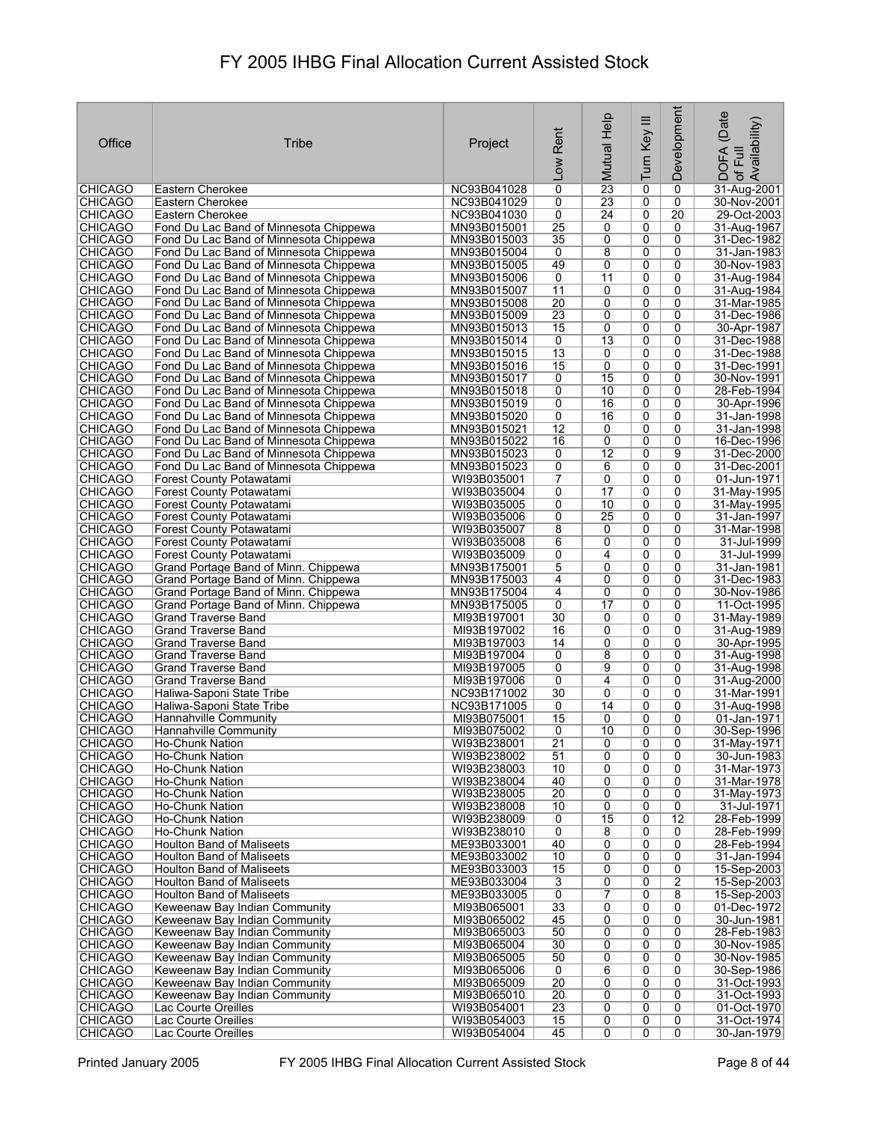| Office                           | Tribe                                                                            | Project                    | Rent<br><b>NOT</b>   | Mutual Help         | Turn Key III        | Development         | (Date<br>: DOFA (Date<br>∵of Full<br>,Availability) |
|----------------------------------|----------------------------------------------------------------------------------|----------------------------|----------------------|---------------------|---------------------|---------------------|-----------------------------------------------------|
| <b>CHICAGO</b>                   | Eastern Cherokee                                                                 | NC93B041028                | 0                    | $\overline{23}$     | 0                   | 0                   | 31-Aug-2001                                         |
| <b>CHICAGO</b>                   | Eastern Cherokee                                                                 | NC93B041029                | 0                    | 23                  | 0                   | 0                   | 30-Nov-2001                                         |
| <b>CHICAGO</b>                   | Eastern Cherokee                                                                 | NC93B041030                | 0                    | $\overline{24}$     | 0                   | 20                  | 29-Oct-2003                                         |
| <b>CHICAGO</b>                   | Fond Du Lac Band of Minnesota Chippewa                                           | MN93B015001                | $\overline{25}$      | 0                   | 0                   | 0                   | 31-Aug-1967                                         |
| <b>CHICAGO</b><br><b>CHICAGO</b> | Fond Du Lac Band of Minnesota Chippewa<br>Fond Du Lac Band of Minnesota Chippewa | MN93B015003<br>MN93B015004 | $\overline{35}$<br>0 | 0<br>8              | 0<br>0              | 0<br>0              | 31-Dec-1982<br>31-Jan-1983                          |
| <b>CHICAGO</b>                   | Fond Du Lac Band of Minnesota Chippewa                                           | MN93B015005                | 49                   | 0                   | $\overline{0}$      | 0                   | 30-Nov-1983                                         |
| <b>CHICAGO</b>                   | Fond Du Lac Band of Minnesota Chippewa                                           | MN93B015006                | $\overline{0}$       | 11                  | 0                   | 0                   | 31-Aug-1984                                         |
| <b>CHICAGO</b>                   | Fond Du Lac Band of Minnesota Chippewa                                           | MN93B015007                | 11                   | 0                   | 0                   | 0                   | 31-Aug-1984                                         |
| <b>CHICAGO</b>                   | Fond Du Lac Band of Minnesota Chippewa                                           | MN93B015008                | $\overline{20}$      | 0                   | 0                   | 0                   | 31-Mar-1985                                         |
| <b>CHICAGO</b>                   | Fond Du Lac Band of Minnesota Chippewa                                           | MN93B015009                | 23                   | 0                   | 0                   | 0                   | 31-Dec-1986                                         |
| <b>CHICAGO</b>                   | Fond Du Lac Band of Minnesota Chippewa                                           | MN93B015013                | 15                   | 0                   | 0                   | 0                   | 30-Apr-1987                                         |
| <b>CHICAGO</b>                   | Fond Du Lac Band of Minnesota Chippewa                                           | MN93B015014                | 0                    | $\overline{13}$     | 0                   | 0                   | 31-Dec-1988                                         |
| <b>CHICAGO</b>                   | Fond Du Lac Band of Minnesota Chippewa                                           | MN93B015015                | 13                   | 0                   | 0                   | 0<br>$\mathbf{0}$   | 31-Dec-1988                                         |
| <b>CHICAGO</b><br><b>CHICAGO</b> | Fond Du Lac Band of Minnesota Chippewa<br>Fond Du Lac Band of Minnesota Chippewa | MN93B015016<br>MN93B015017 | 15<br>0              | 0<br>15             | 0<br>0              | 0                   | 31-Dec-1991<br>30-Nov-1991                          |
| <b>CHICAGO</b>                   | Fond Du Lac Band of Minnesota Chippewa                                           | MN93B015018                | 0                    | 10                  | 0                   | 0                   | 28-Feb-1994                                         |
| <b>CHICAGO</b>                   | Fond Du Lac Band of Minnesota Chippewa                                           | MN93B015019                | 0                    | 16                  | 0                   | 0                   | 30-Apr-1996                                         |
| <b>CHICAGO</b>                   | Fond Du Lac Band of Minnesota Chippewa                                           | MN93B015020                | 0                    | 16                  | $\overline{0}$      | 0                   | 31-Jan-1998                                         |
| <b>CHICAGO</b>                   | Fond Du Lac Band of Minnesota Chippewa                                           | MN93B015021                | $\overline{12}$      | 0                   | 0                   | 0                   | 31-Jan-1998                                         |
| <b>CHICAGO</b>                   | Fond Du Lac Band of Minnesota Chippewa                                           | MN93B015022                | 16                   | 0                   | 0                   | 0                   | 16-Dec-1996                                         |
| <b>CHICAGO</b>                   | Fond Du Lac Band of Minnesota Chippewa                                           | MN93B015023                | 0                    | $\overline{12}$     | $\overline{0}$      | $\overline{9}$      | 31-Dec-2000                                         |
| <b>CHICAGO</b>                   | Fond Du Lac Band of Minnesota Chippewa                                           | MN93B015023                | 0                    | 6                   | 0                   | 0                   | 31-Dec-2001                                         |
| <b>CHICAGO</b>                   | Forest County Potawatami                                                         | WI93B035001                | $\overline{7}$       | 0                   | 0                   | 0                   | 01-Jun-1971                                         |
| <b>CHICAGO</b>                   | Forest County Potawatami                                                         | WI93B035004                | 0                    | $\overline{17}$     | 0                   | 0                   | 31-May-1995                                         |
| <b>CHICAGO</b>                   | Forest County Potawatami                                                         | WI93B035005                | 0<br>0               | 10<br>25            | 0<br>0              | 0<br>0              | 31-May-1995                                         |
| <b>CHICAGO</b><br><b>CHICAGO</b> | Forest County Potawatami<br>Forest County Potawatami                             | WI93B035006<br>WI93B035007 | 8                    | 0                   | 0                   | $\mathbf{0}$        | 31-Jan-1997<br>31-Mar-1998                          |
| <b>CHICAGO</b>                   | Forest County Potawatami                                                         | WI93B035008                | 6                    | 0                   | 0                   | 0                   | 31-Jul-1999                                         |
| <b>CHICAGO</b>                   | Forest County Potawatami                                                         | WI93B035009                | 0                    | 4                   | 0                   | 0                   | 31-Jul-1999                                         |
| <b>CHICAGO</b>                   | Grand Portage Band of Minn. Chippewa                                             | MN93B175001                | $\overline{5}$       | 0                   | 0                   | 0                   | 31-Jan-1981                                         |
| <b>CHICAGO</b>                   | Grand Portage Band of Minn. Chippewa                                             | MN93B175003                | 4                    | 0                   | 0                   | 0                   | 31-Dec-1983                                         |
| <b>CHICAGO</b>                   | Grand Portage Band of Minn. Chippewa                                             | MN93B175004                | 4                    | 0                   | 0                   | 0                   | 30-Nov-1986                                         |
| <b>CHICAGO</b>                   | Grand Portage Band of Minn. Chippewa                                             | MN93B175005                | 0                    | 17                  | 0                   | 0                   | 11-Oct-1995                                         |
| <b>CHICAGO</b>                   | Grand Traverse Band                                                              | MI93B197001                | 30                   | 0                   | 0                   | 0                   | 31-May-1989                                         |
| <b>CHICAGO</b>                   | <b>Grand Traverse Band</b>                                                       | MI93B197002                | 16<br>14             | 0<br>0              | 0<br>0              | 0<br>0              | 31-Aug-1989                                         |
| <b>CHICAGO</b><br><b>CHICAGO</b> | Grand Traverse Band<br><b>Grand Traverse Band</b>                                | MI93B197003<br>MI93B197004 | 0                    | 8                   | 0                   | 0                   | 30-Apr-1995<br>31-Aug-1998                          |
| <b>CHICAGO</b>                   | Grand Traverse Band                                                              | MI93B197005                | 0                    | 9                   | 0                   | 0                   | 31-Aug-1998                                         |
| <b>CHICAGO</b>                   | Grand Traverse Band                                                              | MI93B197006                | 0                    | 4                   | 0                   | $\mathbf{0}$        | 31-Aug-2000                                         |
| <b>CHICAGO</b>                   | Haliwa-Saponi State Tribe                                                        | NC93B171002                | 30                   | 0                   | 0                   | 0                   | 31-Mar-1991                                         |
| <b>CHICAGO</b>                   | Haliwa-Saponi State Tribe                                                        | NC93B171005                | 0                    | 14                  | 0                   | 0                   | 31-Aug-1998                                         |
| <b>CHICAGO</b>                   | Hannahville Community                                                            | MI93B075001                | $\overline{15}$      | 0                   | 0                   | 0                   | 01-Jan-1971                                         |
| <b>CHICAGO</b>                   | <b>Hannahville Community</b>                                                     | MI93B075002                | 0                    | 10                  | $\overline{0}$      | 0                   | 30-Sep-1996                                         |
| <b>CHICAGO</b>                   | Ho-Chunk Nation                                                                  | WI93B238001                | 21                   | 0                   | 0                   | 0                   | 31-May-1971                                         |
| <b>CHICAGO</b><br><b>CHICAGO</b> | Ho-Chunk Nation<br>Ho-Chunk Nation                                               | WI93B238002<br>WI93B238003 | 51<br>10             | 0<br>$\overline{0}$ | 0<br>$\overline{0}$ | 0<br>$\overline{0}$ | 30-Jun-1983<br>31-Mar-1973                          |
| <b>CHICAGO</b>                   | Ho-Chunk Nation                                                                  | WI93B238004                | 40                   | 0                   | 0                   | 0                   | 31-Mar-1978                                         |
| <b>CHICAGO</b>                   | Ho-Chunk Nation                                                                  | WI93B238005                | $\overline{20}$      | 0                   | 0                   | 0                   | 31-May-1973                                         |
| <b>CHICAGO</b>                   | <b>Ho-Chunk Nation</b>                                                           | WI93B238008                | 10                   | 0                   | 0                   | 0                   | 31-Jul-1971                                         |
| <b>CHICAGO</b>                   | Ho-Chunk Nation                                                                  | WI93B238009                | 0                    | $\overline{15}$     | 0                   | $\overline{12}$     | 28-Feb-1999                                         |
| <b>CHICAGO</b>                   | <b>Ho-Chunk Nation</b>                                                           | WI93B238010                | $\overline{0}$       | 8                   | 0                   | 0                   | 28-Feb-1999                                         |
| <b>CHICAGO</b>                   | <b>Houlton Band of Maliseets</b>                                                 | ME93B033001                | 40                   | 0                   | 0                   | 0                   | 28-Feb-1994                                         |
| <b>CHICAGO</b>                   | <b>Houlton Band of Maliseets</b>                                                 | ME93B033002                | 10                   | 0                   | 0                   | 0                   | 31-Jan-1994                                         |
| <b>CHICAGO</b>                   | <b>Houlton Band of Maliseets</b>                                                 | ME93B033003<br>ME93B033004 | 15<br>$\overline{3}$ | 0                   | 0                   | 0<br>$\overline{2}$ | 15-Sep-2003<br>15-Sep-2003                          |
| <b>CHICAGO</b><br><b>CHICAGO</b> | <b>Houlton Band of Maliseets</b><br><b>Houlton Band of Maliseets</b>             | ME93B033005                | $\overline{0}$       | 0<br>7              | 0<br>0              | 8                   | 15-Sep-2003                                         |
| <b>CHICAGO</b>                   | Keweenaw Bay Indian Community                                                    | MI93B065001                | $\overline{33}$      | 0                   | 0                   | 0                   | 01-Dec-1972                                         |
| <b>CHICAGO</b>                   | Keweenaw Bay Indian Community                                                    | MI93B065002                | 45                   | 0                   | 0                   | 0                   | 30-Jun-1981                                         |
| <b>CHICAGO</b>                   | Keweenaw Bay Indian Community                                                    | MI93B065003                | 50                   | 0                   | 0                   | 0                   | 28-Feb-1983                                         |
| <b>CHICAGO</b>                   | Keweenaw Bay Indian Community                                                    | MI93B065004                | 30                   | 0                   | 0                   | 0                   | 30-Nov-1985                                         |
| <b>CHICAGO</b>                   | Keweenaw Bay Indian Community                                                    | MI93B065005                | 50                   | 0                   | 0                   | 0                   | 30-Nov-1985                                         |
| <b>CHICAGO</b>                   | Keweenaw Bay Indian Community                                                    | MI93B065006                | 0                    | 6                   | 0                   | 0                   | 30-Sep-1986                                         |
| <b>CHICAGO</b>                   | Keweenaw Bay Indian Community                                                    | MI93B065009                | $\overline{20}$      | 0                   | 0                   | 0                   | 31-Oct-1993                                         |
| <b>CHICAGO</b>                   | Keweenaw Bay Indian Community                                                    | MI93B065010                | 20                   | 0                   | 0                   | 0                   | 31-Oct-1993                                         |
| <b>CHICAGO</b><br>CHICAGO        | Lac Courte Oreilles<br>Lac Courte Oreilles                                       | WI93B054001<br>WI93B054003 | 23<br>15             | 0<br>0              | 0<br>0              | 0<br>0              | 01-Oct-1970<br>31-Oct-1974                          |
| <b>CHICAGO</b>                   | Lac Courte Oreilles                                                              | WI93B054004                | $\overline{45}$      | $\overline{0}$      | 0                   | $\overline{0}$      | 30-Jan-1979                                         |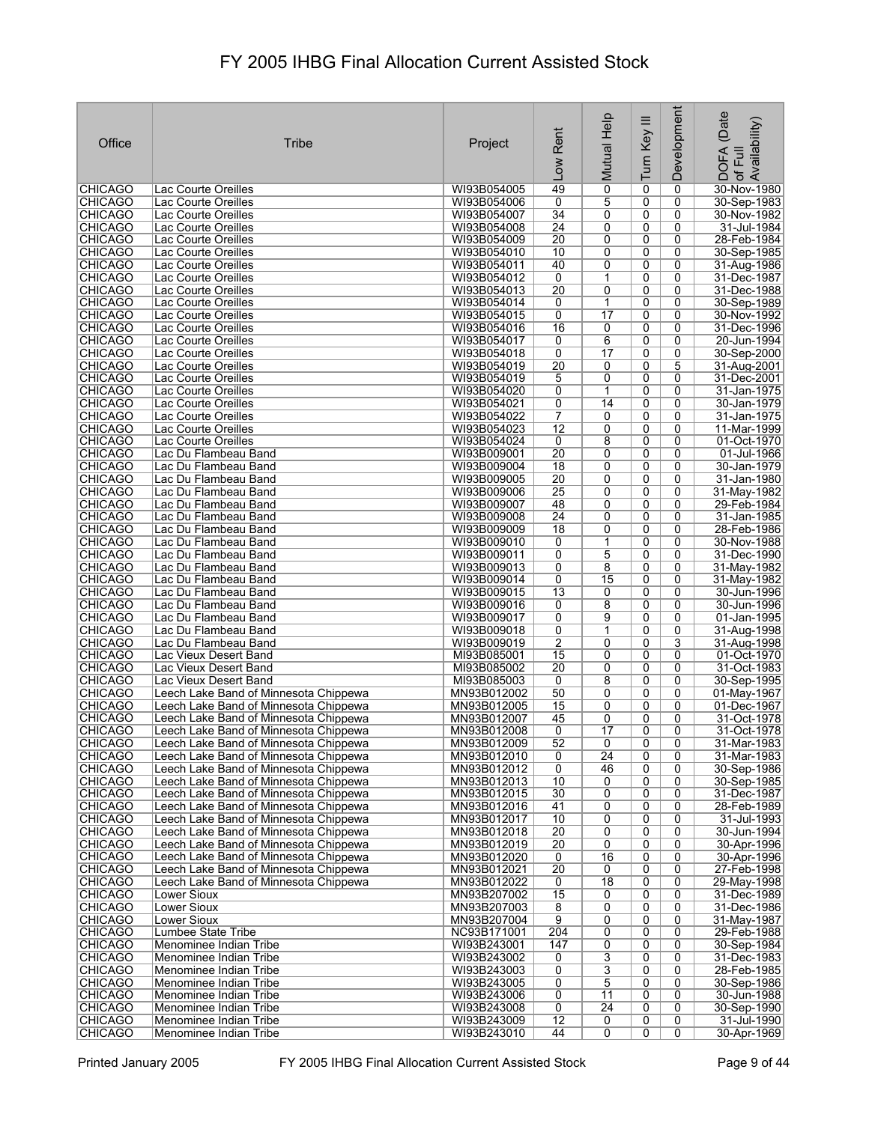| 49<br>$\overline{0}$<br>30-Nov-1980<br><b>CHICAGO</b><br>Lac Courte Oreilles<br>WI93B054005<br>0<br>0<br>5<br><b>CHICAGO</b><br>WI93B054006<br>0<br>0<br>0<br>30-Sep-1983<br>Lac Courte Oreilles<br>34<br><b>CHICAGO</b><br>Lac Courte Oreilles<br>WI93B054007<br>0<br>0<br>0<br>30-Nov-1982<br><b>CHICAGO</b><br>24<br>0<br>0<br>0<br>31-Jul-1984<br>Lac Courte Oreilles<br>WI93B054008<br>20<br>0<br>0<br>0<br>28-Feb-1984<br><b>CHICAGO</b><br>Lac Courte Oreilles<br>WI93B054009<br><b>CHICAGO</b><br>Lac Courte Oreilles<br>WI93B054010<br>10<br>0<br>0<br>0<br>30-Sep-1985<br>40<br>0<br><b>CHICAGO</b><br>WI93B054011<br>0<br>0<br>31-Aug-1986<br>Lac Courte Oreilles<br><b>CHICAGO</b><br>WI93B054012<br>0<br>1<br>0<br>0<br>31-Dec-1987<br>Lac Courte Oreilles<br><b>CHICAGO</b><br>$\overline{20}$<br>0<br>0<br>31-Dec-1988<br>Lac Courte Oreilles<br>WI93B054013<br>0<br>0<br><b>CHICAGO</b><br>WI93B054014<br>0<br>$\mathbf 1$<br>0<br>30-Sep-1989<br>Lac Courte Oreilles<br><b>CHICAGO</b><br>0<br>$\overline{17}$<br>0<br>0<br>Lac Courte Oreilles<br>WI93B054015<br>30-Nov-1992<br><b>CHICAGO</b><br>16<br>0<br>0<br>31-Dec-1996<br>Lac Courte Oreilles<br>WI93B054016<br>0<br>0<br><b>CHICAGO</b><br>WI93B054017<br>0<br>6<br>0<br>20-Jun-1994<br>Lac Courte Oreilles<br>$\overline{17}$<br><b>CHICAGO</b><br>Lac Courte Oreilles<br>WI93B054018<br>0<br>0<br>0<br>30-Sep-2000<br>$\overline{20}$<br>0<br>5<br><b>CHICAGO</b><br>Lac Courte Oreilles<br>WI93B054019<br>0<br>31-Aug-2001<br><b>CHICAGO</b><br>5<br>0<br>0<br>0<br>31-Dec-2001<br>Lac Courte Oreilles<br>WI93B054019<br><b>CHICAGO</b><br>0<br>1<br>0<br>0<br>Lac Courte Oreilles<br>WI93B054020<br>31-Jan-1975<br><b>CHICAGO</b><br>0<br>0<br>0<br>30-Jan-1979<br>Lac Courte Oreilles<br>WI93B054021<br>14<br><b>CHICAGO</b><br>7<br>0<br>$\overline{0}$<br>WI93B054022<br>0<br>31-Jan-1975<br>Lac Courte Oreilles<br><b>CHICAGO</b><br>$\overline{12}$<br>0<br>0<br>11-Mar-1999<br>Lac Courte Oreilles<br>WI93B054023<br>0<br><b>CHICAGO</b><br>8<br>0<br>0<br>01-Oct-1970<br>Lac Courte Oreilles<br>WI93B054024<br>0<br>$\overline{20}$<br><b>CHICAGO</b><br>Lac Du Flambeau Band<br>WI93B009001<br>0<br>0<br>0<br>01-Jul-1966<br><b>CHICAGO</b><br>0<br>Lac Du Flambeau Band<br>WI93B009004<br>18<br>0<br>0<br>30-Jan-1979<br><b>CHICAGO</b><br>20<br>0<br>31-Jan-1980<br>Lac Du Flambeau Band<br>WI93B009005<br>0<br>0<br>25<br><b>CHICAGO</b><br>WI93B009006<br>0<br>0<br>0<br>31-May-1982<br>Lac Du Flambeau Band<br>48<br><b>CHICAGO</b><br>Lac Du Flambeau Band<br>WI93B009007<br>0<br>0<br>0<br>29-Feb-1984<br>24<br>0<br><b>CHICAGO</b><br>Lac Du Flambeau Band<br>WI93B009008<br>0<br>0<br>31-Jan-1985<br>$\overline{18}$<br><b>CHICAGO</b><br>Lac Du Flambeau Band<br>WI93B009009<br>0<br>0<br>0<br>28-Feb-1986<br><b>CHICAGO</b><br>1<br>0<br>0<br>30-Nov-1988<br>Lac Du Flambeau Band<br>WI93B009010<br>0<br>0<br>5<br>0<br>0<br><b>CHICAGO</b><br>Lac Du Flambeau Band<br>WI93B009011<br>31-Dec-1990<br><b>CHICAGO</b><br>8<br>0<br>Lac Du Flambeau Band<br>WI93B009013<br>0<br>0<br>31-May-1982<br>15<br><b>CHICAGO</b><br>WI93B009014<br>0<br>0<br>0<br>Lac Du Flambeau Band<br>31-May-1982<br><b>CHICAGO</b><br>13<br>Lac Du Flambeau Band<br>WI93B009015<br>0<br>0<br>0<br>30-Jun-1996<br><b>CHICAGO</b><br>8<br>0<br>0<br>Lac Du Flambeau Band<br>WI93B009016<br>0<br>30-Jun-1996<br><b>CHICAGO</b><br>Lac Du Flambeau Band<br>WI93B009017<br>0<br>9<br>0<br>0<br>01-Jan-1995<br><b>CHICAGO</b><br>WI93B009018<br>0<br>0<br>0<br>Lac Du Flambeau Band<br>1<br>31-Aug-1998<br>$\overline{2}$<br><b>CHICAGO</b><br>0<br>3<br>Lac Du Flambeau Band<br>WI93B009019<br>0<br>31-Aug-1998<br>15<br>0<br><b>CHICAGO</b><br>MI93B085001<br>0<br>0<br>01-Oct-1970<br>Lac Vieux Desert Band<br>$\overline{20}$<br><b>CHICAGO</b><br>Lac Vieux Desert Band<br>MI93B085002<br>0<br>0<br>0<br>31-Oct-1983<br>8<br>0<br><b>CHICAGO</b><br>Lac Vieux Desert Band<br>MI93B085003<br>0<br>0<br>30-Sep-1995<br><b>CHICAGO</b><br>Leech Lake Band of Minnesota Chippewa<br>50<br>0<br>0<br>0<br>MN93B012002<br>01-May-1967<br><b>CHICAGO</b><br>0<br>0<br>0<br>Leech Lake Band of Minnesota Chippewa<br>MN93B012005<br>15<br>01-Dec-1967<br><b>CHICAGO</b><br>45<br>0<br>0<br>0<br>Leech Lake Band of Minnesota Chippewa<br>MN93B012007<br>31-Oct-1978<br>$\overline{0}$<br>$\overline{17}$<br>0<br>$\overline{0}$<br><b>CHICAGO</b><br>MN93B012008<br>31-Oct-1978<br>Leech Lake Band of Minnesota Chippewa<br><b>CHICAGO</b><br>Leech Lake Band of Minnesota Chippewa<br>MN93B012009<br>0<br>0<br>31-Mar-1983<br>52<br>0<br><b>CHICAGO</b><br>$\overline{24}$<br>0<br>31-Mar-1983<br>Leech Lake Band of Minnesota Chippewa<br>MN93B012010<br>0<br>0<br><b>CHICAGO</b><br>Leech Lake Band of Minnesota Chippewa<br>MN93B012012<br>0<br>46<br>0<br>0<br>30-Sep-1986<br>10<br>0<br>0<br><b>CHICAGO</b><br>Leech Lake Band of Minnesota Chippewa<br>MN93B012013<br>0<br>30-Sep-1985<br><b>CHICAGO</b><br>30<br>0<br>0<br>Leech Lake Band of Minnesota Chippewa<br>MN93B012015<br>0<br>$\overline{0}$<br><b>CHICAGO</b><br>Leech Lake Band of Minnesota Chippewa<br>MN93B012016<br>41<br>0<br>0<br>28-Feb-1989<br>10<br>0<br>0<br>0<br><b>CHICAGO</b><br>MN93B012017<br>31-Jul-1993<br>Leech Lake Band of Minnesota Chippewa<br>$\overline{20}$<br>0<br><b>CHICAGO</b><br>Leech Lake Band of Minnesota Chippewa<br>MN93B012018<br>0<br>0<br>30-Jun-1994<br>$\overline{20}$<br>0<br>0<br>30-Apr-1996<br><b>CHICAGO</b><br>Leech Lake Band of Minnesota Chippewa<br>MN93B012019<br>0<br>16<br>0<br>0<br><b>CHICAGO</b><br>0<br>30-Apr-1996<br>Leech Lake Band of Minnesota Chippewa<br>MN93B012020<br>$\overline{20}$<br>0<br>0<br>0<br><b>CHICAGO</b><br>Leech Lake Band of Minnesota Chippewa<br>MN93B012021<br>27-Feb-1998<br>$\overline{18}$<br>0<br>0<br><b>CHICAGO</b><br>Leech Lake Band of Minnesota Chippewa<br>MN93B012022<br>0<br>29-May-1998<br>15<br>0<br>0<br><b>CHICAGO</b><br>Lower Sioux<br>MN93B207002<br>0<br>31-Dec-1989<br><b>CHICAGO</b><br>$\overline{8}$<br>0<br>Lower Sioux<br>MN93B207003<br>0<br>0<br>31-Dec-1986<br><b>CHICAGO</b><br><b>Lower Sioux</b><br>$\overline{9}$<br>0<br>0<br>0<br>MN93B207004<br>31-May-1987<br>204<br>0<br>0<br><b>CHICAGO</b><br>Lumbee State Tribe<br>NC93B171001<br>0<br>29-Feb-1988<br><b>CHICAGO</b><br>147<br>0<br>0<br>0<br>Menominee Indian Tribe<br>WI93B243001<br>30-Sep-1984<br>$\overline{3}$<br><b>CHICAGO</b><br>0<br>0<br>Menominee Indian Tribe<br>WI93B243002<br>0<br>31-Dec-1983<br>$\overline{3}$<br>$\overline{0}$<br>0<br>0<br><b>CHICAGO</b><br>Menominee Indian Tribe<br>WI93B243003<br>28-Feb-1985<br>5<br>0<br><b>CHICAGO</b><br>Menominee Indian Tribe<br>WI93B243005<br>0<br>0<br>30-Sep-1986<br><b>CHICAGO</b><br>0<br>11<br>0<br>0<br>Menominee Indian Tribe<br>WI93B243006<br>30-Jun-1988<br>$\overline{0}$<br>$\overline{24}$<br>0<br><b>CHICAGO</b><br>WI93B243008<br>0<br>30-Sep-1990<br>Menominee Indian Tribe<br><b>CHICAGO</b><br>12<br>0<br>0<br>0<br>31-Jul-1990<br>Menominee Indian Tribe<br>WI93B243009<br><b>CHICAGO</b><br>44<br>$\overline{0}$<br>Menominee Indian Tribe<br>WI93B243010<br>0<br>0 | Office | Tribe | Project | Rent<br>Low | Mutual Help | Turn Key III | Development | (Date<br>Availability)<br><b>DOFA</b><br>卮<br>$\mathcal{P}$ |
|-------------------------------------------------------------------------------------------------------------------------------------------------------------------------------------------------------------------------------------------------------------------------------------------------------------------------------------------------------------------------------------------------------------------------------------------------------------------------------------------------------------------------------------------------------------------------------------------------------------------------------------------------------------------------------------------------------------------------------------------------------------------------------------------------------------------------------------------------------------------------------------------------------------------------------------------------------------------------------------------------------------------------------------------------------------------------------------------------------------------------------------------------------------------------------------------------------------------------------------------------------------------------------------------------------------------------------------------------------------------------------------------------------------------------------------------------------------------------------------------------------------------------------------------------------------------------------------------------------------------------------------------------------------------------------------------------------------------------------------------------------------------------------------------------------------------------------------------------------------------------------------------------------------------------------------------------------------------------------------------------------------------------------------------------------------------------------------------------------------------------------------------------------------------------------------------------------------------------------------------------------------------------------------------------------------------------------------------------------------------------------------------------------------------------------------------------------------------------------------------------------------------------------------------------------------------------------------------------------------------------------------------------------------------------------------------------------------------------------------------------------------------------------------------------------------------------------------------------------------------------------------------------------------------------------------------------------------------------------------------------------------------------------------------------------------------------------------------------------------------------------------------------------------------------------------------------------------------------------------------------------------------------------------------------------------------------------------------------------------------------------------------------------------------------------------------------------------------------------------------------------------------------------------------------------------------------------------------------------------------------------------------------------------------------------------------------------------------------------------------------------------------------------------------------------------------------------------------------------------------------------------------------------------------------------------------------------------------------------------------------------------------------------------------------------------------------------------------------------------------------------------------------------------------------------------------------------------------------------------------------------------------------------------------------------------------------------------------------------------------------------------------------------------------------------------------------------------------------------------------------------------------------------------------------------------------------------------------------------------------------------------------------------------------------------------------------------------------------------------------------------------------------------------------------------------------------------------------------------------------------------------------------------------------------------------------------------------------------------------------------------------------------------------------------------------------------------------------------------------------------------------------------------------------------------------------------------------------------------------------------------------------------------------------------------------------------------------------------------------------------------------------------------------------------------------------------------------------------------------------------------------------------------------------------------------------------------------------------------------------------------------------------------------------------------------------------------------------------------------------------------------------------------------------------------------------------------------------------------------------------------------------------------------------------------------------------------------------------------------------------------------------------------------------------------------------------------------------------------------------------------------------------------------------------------------------------------------------------------------------------------------------------------------------------------------------------------------------------------------------------------------------------------------------------------------------------------------------------------------------------------------------------------------------------------------------------------------------------------------------------------------------------------------------------------------------------------------------------------------------------------------------------------------------------------------------------------------------------------------------------------------------------------------------------------------------------------------------------------------------------------------------------------------------------------------------------------------------------------------------------------------------------------------------------------|--------|-------|---------|-------------|-------------|--------------|-------------|-------------------------------------------------------------|
|                                                                                                                                                                                                                                                                                                                                                                                                                                                                                                                                                                                                                                                                                                                                                                                                                                                                                                                                                                                                                                                                                                                                                                                                                                                                                                                                                                                                                                                                                                                                                                                                                                                                                                                                                                                                                                                                                                                                                                                                                                                                                                                                                                                                                                                                                                                                                                                                                                                                                                                                                                                                                                                                                                                                                                                                                                                                                                                                                                                                                                                                                                                                                                                                                                                                                                                                                                                                                                                                                                                                                                                                                                                                                                                                                                                                                                                                                                                                                                                                                                                                                                                                                                                                                                                                                                                                                                                                                                                                                                                                                                                                                                                                                                                                                                                                                                                                                                                                                                                                                                                                                                                                                                                                                                                                                                                                                                                                                                                                                                                                                                                                                                                                                                                                                                                                                                                                                                                                                                                                                                                                                                                                                                                                                                                                                                                                                                                                                                                                                                                                                                                                                                                                                                                                                                                                                                                                                                                                                                                                                                                                                                                                                                               |        |       |         |             |             |              |             |                                                             |
| 31-Dec-1987<br>30-Apr-1969                                                                                                                                                                                                                                                                                                                                                                                                                                                                                                                                                                                                                                                                                                                                                                                                                                                                                                                                                                                                                                                                                                                                                                                                                                                                                                                                                                                                                                                                                                                                                                                                                                                                                                                                                                                                                                                                                                                                                                                                                                                                                                                                                                                                                                                                                                                                                                                                                                                                                                                                                                                                                                                                                                                                                                                                                                                                                                                                                                                                                                                                                                                                                                                                                                                                                                                                                                                                                                                                                                                                                                                                                                                                                                                                                                                                                                                                                                                                                                                                                                                                                                                                                                                                                                                                                                                                                                                                                                                                                                                                                                                                                                                                                                                                                                                                                                                                                                                                                                                                                                                                                                                                                                                                                                                                                                                                                                                                                                                                                                                                                                                                                                                                                                                                                                                                                                                                                                                                                                                                                                                                                                                                                                                                                                                                                                                                                                                                                                                                                                                                                                                                                                                                                                                                                                                                                                                                                                                                                                                                                                                                                                                                                    |        |       |         |             |             |              |             |                                                             |
|                                                                                                                                                                                                                                                                                                                                                                                                                                                                                                                                                                                                                                                                                                                                                                                                                                                                                                                                                                                                                                                                                                                                                                                                                                                                                                                                                                                                                                                                                                                                                                                                                                                                                                                                                                                                                                                                                                                                                                                                                                                                                                                                                                                                                                                                                                                                                                                                                                                                                                                                                                                                                                                                                                                                                                                                                                                                                                                                                                                                                                                                                                                                                                                                                                                                                                                                                                                                                                                                                                                                                                                                                                                                                                                                                                                                                                                                                                                                                                                                                                                                                                                                                                                                                                                                                                                                                                                                                                                                                                                                                                                                                                                                                                                                                                                                                                                                                                                                                                                                                                                                                                                                                                                                                                                                                                                                                                                                                                                                                                                                                                                                                                                                                                                                                                                                                                                                                                                                                                                                                                                                                                                                                                                                                                                                                                                                                                                                                                                                                                                                                                                                                                                                                                                                                                                                                                                                                                                                                                                                                                                                                                                                                                               |        |       |         |             |             |              |             |                                                             |
|                                                                                                                                                                                                                                                                                                                                                                                                                                                                                                                                                                                                                                                                                                                                                                                                                                                                                                                                                                                                                                                                                                                                                                                                                                                                                                                                                                                                                                                                                                                                                                                                                                                                                                                                                                                                                                                                                                                                                                                                                                                                                                                                                                                                                                                                                                                                                                                                                                                                                                                                                                                                                                                                                                                                                                                                                                                                                                                                                                                                                                                                                                                                                                                                                                                                                                                                                                                                                                                                                                                                                                                                                                                                                                                                                                                                                                                                                                                                                                                                                                                                                                                                                                                                                                                                                                                                                                                                                                                                                                                                                                                                                                                                                                                                                                                                                                                                                                                                                                                                                                                                                                                                                                                                                                                                                                                                                                                                                                                                                                                                                                                                                                                                                                                                                                                                                                                                                                                                                                                                                                                                                                                                                                                                                                                                                                                                                                                                                                                                                                                                                                                                                                                                                                                                                                                                                                                                                                                                                                                                                                                                                                                                                                               |        |       |         |             |             |              |             |                                                             |
|                                                                                                                                                                                                                                                                                                                                                                                                                                                                                                                                                                                                                                                                                                                                                                                                                                                                                                                                                                                                                                                                                                                                                                                                                                                                                                                                                                                                                                                                                                                                                                                                                                                                                                                                                                                                                                                                                                                                                                                                                                                                                                                                                                                                                                                                                                                                                                                                                                                                                                                                                                                                                                                                                                                                                                                                                                                                                                                                                                                                                                                                                                                                                                                                                                                                                                                                                                                                                                                                                                                                                                                                                                                                                                                                                                                                                                                                                                                                                                                                                                                                                                                                                                                                                                                                                                                                                                                                                                                                                                                                                                                                                                                                                                                                                                                                                                                                                                                                                                                                                                                                                                                                                                                                                                                                                                                                                                                                                                                                                                                                                                                                                                                                                                                                                                                                                                                                                                                                                                                                                                                                                                                                                                                                                                                                                                                                                                                                                                                                                                                                                                                                                                                                                                                                                                                                                                                                                                                                                                                                                                                                                                                                                                               |        |       |         |             |             |              |             |                                                             |
|                                                                                                                                                                                                                                                                                                                                                                                                                                                                                                                                                                                                                                                                                                                                                                                                                                                                                                                                                                                                                                                                                                                                                                                                                                                                                                                                                                                                                                                                                                                                                                                                                                                                                                                                                                                                                                                                                                                                                                                                                                                                                                                                                                                                                                                                                                                                                                                                                                                                                                                                                                                                                                                                                                                                                                                                                                                                                                                                                                                                                                                                                                                                                                                                                                                                                                                                                                                                                                                                                                                                                                                                                                                                                                                                                                                                                                                                                                                                                                                                                                                                                                                                                                                                                                                                                                                                                                                                                                                                                                                                                                                                                                                                                                                                                                                                                                                                                                                                                                                                                                                                                                                                                                                                                                                                                                                                                                                                                                                                                                                                                                                                                                                                                                                                                                                                                                                                                                                                                                                                                                                                                                                                                                                                                                                                                                                                                                                                                                                                                                                                                                                                                                                                                                                                                                                                                                                                                                                                                                                                                                                                                                                                                                               |        |       |         |             |             |              |             |                                                             |
|                                                                                                                                                                                                                                                                                                                                                                                                                                                                                                                                                                                                                                                                                                                                                                                                                                                                                                                                                                                                                                                                                                                                                                                                                                                                                                                                                                                                                                                                                                                                                                                                                                                                                                                                                                                                                                                                                                                                                                                                                                                                                                                                                                                                                                                                                                                                                                                                                                                                                                                                                                                                                                                                                                                                                                                                                                                                                                                                                                                                                                                                                                                                                                                                                                                                                                                                                                                                                                                                                                                                                                                                                                                                                                                                                                                                                                                                                                                                                                                                                                                                                                                                                                                                                                                                                                                                                                                                                                                                                                                                                                                                                                                                                                                                                                                                                                                                                                                                                                                                                                                                                                                                                                                                                                                                                                                                                                                                                                                                                                                                                                                                                                                                                                                                                                                                                                                                                                                                                                                                                                                                                                                                                                                                                                                                                                                                                                                                                                                                                                                                                                                                                                                                                                                                                                                                                                                                                                                                                                                                                                                                                                                                                                               |        |       |         |             |             |              |             |                                                             |
|                                                                                                                                                                                                                                                                                                                                                                                                                                                                                                                                                                                                                                                                                                                                                                                                                                                                                                                                                                                                                                                                                                                                                                                                                                                                                                                                                                                                                                                                                                                                                                                                                                                                                                                                                                                                                                                                                                                                                                                                                                                                                                                                                                                                                                                                                                                                                                                                                                                                                                                                                                                                                                                                                                                                                                                                                                                                                                                                                                                                                                                                                                                                                                                                                                                                                                                                                                                                                                                                                                                                                                                                                                                                                                                                                                                                                                                                                                                                                                                                                                                                                                                                                                                                                                                                                                                                                                                                                                                                                                                                                                                                                                                                                                                                                                                                                                                                                                                                                                                                                                                                                                                                                                                                                                                                                                                                                                                                                                                                                                                                                                                                                                                                                                                                                                                                                                                                                                                                                                                                                                                                                                                                                                                                                                                                                                                                                                                                                                                                                                                                                                                                                                                                                                                                                                                                                                                                                                                                                                                                                                                                                                                                                                               |        |       |         |             |             |              |             |                                                             |
|                                                                                                                                                                                                                                                                                                                                                                                                                                                                                                                                                                                                                                                                                                                                                                                                                                                                                                                                                                                                                                                                                                                                                                                                                                                                                                                                                                                                                                                                                                                                                                                                                                                                                                                                                                                                                                                                                                                                                                                                                                                                                                                                                                                                                                                                                                                                                                                                                                                                                                                                                                                                                                                                                                                                                                                                                                                                                                                                                                                                                                                                                                                                                                                                                                                                                                                                                                                                                                                                                                                                                                                                                                                                                                                                                                                                                                                                                                                                                                                                                                                                                                                                                                                                                                                                                                                                                                                                                                                                                                                                                                                                                                                                                                                                                                                                                                                                                                                                                                                                                                                                                                                                                                                                                                                                                                                                                                                                                                                                                                                                                                                                                                                                                                                                                                                                                                                                                                                                                                                                                                                                                                                                                                                                                                                                                                                                                                                                                                                                                                                                                                                                                                                                                                                                                                                                                                                                                                                                                                                                                                                                                                                                                                               |        |       |         |             |             |              |             |                                                             |
|                                                                                                                                                                                                                                                                                                                                                                                                                                                                                                                                                                                                                                                                                                                                                                                                                                                                                                                                                                                                                                                                                                                                                                                                                                                                                                                                                                                                                                                                                                                                                                                                                                                                                                                                                                                                                                                                                                                                                                                                                                                                                                                                                                                                                                                                                                                                                                                                                                                                                                                                                                                                                                                                                                                                                                                                                                                                                                                                                                                                                                                                                                                                                                                                                                                                                                                                                                                                                                                                                                                                                                                                                                                                                                                                                                                                                                                                                                                                                                                                                                                                                                                                                                                                                                                                                                                                                                                                                                                                                                                                                                                                                                                                                                                                                                                                                                                                                                                                                                                                                                                                                                                                                                                                                                                                                                                                                                                                                                                                                                                                                                                                                                                                                                                                                                                                                                                                                                                                                                                                                                                                                                                                                                                                                                                                                                                                                                                                                                                                                                                                                                                                                                                                                                                                                                                                                                                                                                                                                                                                                                                                                                                                                                               |        |       |         |             |             |              |             |                                                             |
|                                                                                                                                                                                                                                                                                                                                                                                                                                                                                                                                                                                                                                                                                                                                                                                                                                                                                                                                                                                                                                                                                                                                                                                                                                                                                                                                                                                                                                                                                                                                                                                                                                                                                                                                                                                                                                                                                                                                                                                                                                                                                                                                                                                                                                                                                                                                                                                                                                                                                                                                                                                                                                                                                                                                                                                                                                                                                                                                                                                                                                                                                                                                                                                                                                                                                                                                                                                                                                                                                                                                                                                                                                                                                                                                                                                                                                                                                                                                                                                                                                                                                                                                                                                                                                                                                                                                                                                                                                                                                                                                                                                                                                                                                                                                                                                                                                                                                                                                                                                                                                                                                                                                                                                                                                                                                                                                                                                                                                                                                                                                                                                                                                                                                                                                                                                                                                                                                                                                                                                                                                                                                                                                                                                                                                                                                                                                                                                                                                                                                                                                                                                                                                                                                                                                                                                                                                                                                                                                                                                                                                                                                                                                                                               |        |       |         |             |             |              |             |                                                             |
|                                                                                                                                                                                                                                                                                                                                                                                                                                                                                                                                                                                                                                                                                                                                                                                                                                                                                                                                                                                                                                                                                                                                                                                                                                                                                                                                                                                                                                                                                                                                                                                                                                                                                                                                                                                                                                                                                                                                                                                                                                                                                                                                                                                                                                                                                                                                                                                                                                                                                                                                                                                                                                                                                                                                                                                                                                                                                                                                                                                                                                                                                                                                                                                                                                                                                                                                                                                                                                                                                                                                                                                                                                                                                                                                                                                                                                                                                                                                                                                                                                                                                                                                                                                                                                                                                                                                                                                                                                                                                                                                                                                                                                                                                                                                                                                                                                                                                                                                                                                                                                                                                                                                                                                                                                                                                                                                                                                                                                                                                                                                                                                                                                                                                                                                                                                                                                                                                                                                                                                                                                                                                                                                                                                                                                                                                                                                                                                                                                                                                                                                                                                                                                                                                                                                                                                                                                                                                                                                                                                                                                                                                                                                                                               |        |       |         |             |             |              |             |                                                             |
|                                                                                                                                                                                                                                                                                                                                                                                                                                                                                                                                                                                                                                                                                                                                                                                                                                                                                                                                                                                                                                                                                                                                                                                                                                                                                                                                                                                                                                                                                                                                                                                                                                                                                                                                                                                                                                                                                                                                                                                                                                                                                                                                                                                                                                                                                                                                                                                                                                                                                                                                                                                                                                                                                                                                                                                                                                                                                                                                                                                                                                                                                                                                                                                                                                                                                                                                                                                                                                                                                                                                                                                                                                                                                                                                                                                                                                                                                                                                                                                                                                                                                                                                                                                                                                                                                                                                                                                                                                                                                                                                                                                                                                                                                                                                                                                                                                                                                                                                                                                                                                                                                                                                                                                                                                                                                                                                                                                                                                                                                                                                                                                                                                                                                                                                                                                                                                                                                                                                                                                                                                                                                                                                                                                                                                                                                                                                                                                                                                                                                                                                                                                                                                                                                                                                                                                                                                                                                                                                                                                                                                                                                                                                                                               |        |       |         |             |             |              |             |                                                             |
|                                                                                                                                                                                                                                                                                                                                                                                                                                                                                                                                                                                                                                                                                                                                                                                                                                                                                                                                                                                                                                                                                                                                                                                                                                                                                                                                                                                                                                                                                                                                                                                                                                                                                                                                                                                                                                                                                                                                                                                                                                                                                                                                                                                                                                                                                                                                                                                                                                                                                                                                                                                                                                                                                                                                                                                                                                                                                                                                                                                                                                                                                                                                                                                                                                                                                                                                                                                                                                                                                                                                                                                                                                                                                                                                                                                                                                                                                                                                                                                                                                                                                                                                                                                                                                                                                                                                                                                                                                                                                                                                                                                                                                                                                                                                                                                                                                                                                                                                                                                                                                                                                                                                                                                                                                                                                                                                                                                                                                                                                                                                                                                                                                                                                                                                                                                                                                                                                                                                                                                                                                                                                                                                                                                                                                                                                                                                                                                                                                                                                                                                                                                                                                                                                                                                                                                                                                                                                                                                                                                                                                                                                                                                                                               |        |       |         |             |             |              |             |                                                             |
|                                                                                                                                                                                                                                                                                                                                                                                                                                                                                                                                                                                                                                                                                                                                                                                                                                                                                                                                                                                                                                                                                                                                                                                                                                                                                                                                                                                                                                                                                                                                                                                                                                                                                                                                                                                                                                                                                                                                                                                                                                                                                                                                                                                                                                                                                                                                                                                                                                                                                                                                                                                                                                                                                                                                                                                                                                                                                                                                                                                                                                                                                                                                                                                                                                                                                                                                                                                                                                                                                                                                                                                                                                                                                                                                                                                                                                                                                                                                                                                                                                                                                                                                                                                                                                                                                                                                                                                                                                                                                                                                                                                                                                                                                                                                                                                                                                                                                                                                                                                                                                                                                                                                                                                                                                                                                                                                                                                                                                                                                                                                                                                                                                                                                                                                                                                                                                                                                                                                                                                                                                                                                                                                                                                                                                                                                                                                                                                                                                                                                                                                                                                                                                                                                                                                                                                                                                                                                                                                                                                                                                                                                                                                                                               |        |       |         |             |             |              |             |                                                             |
|                                                                                                                                                                                                                                                                                                                                                                                                                                                                                                                                                                                                                                                                                                                                                                                                                                                                                                                                                                                                                                                                                                                                                                                                                                                                                                                                                                                                                                                                                                                                                                                                                                                                                                                                                                                                                                                                                                                                                                                                                                                                                                                                                                                                                                                                                                                                                                                                                                                                                                                                                                                                                                                                                                                                                                                                                                                                                                                                                                                                                                                                                                                                                                                                                                                                                                                                                                                                                                                                                                                                                                                                                                                                                                                                                                                                                                                                                                                                                                                                                                                                                                                                                                                                                                                                                                                                                                                                                                                                                                                                                                                                                                                                                                                                                                                                                                                                                                                                                                                                                                                                                                                                                                                                                                                                                                                                                                                                                                                                                                                                                                                                                                                                                                                                                                                                                                                                                                                                                                                                                                                                                                                                                                                                                                                                                                                                                                                                                                                                                                                                                                                                                                                                                                                                                                                                                                                                                                                                                                                                                                                                                                                                                                               |        |       |         |             |             |              |             |                                                             |
|                                                                                                                                                                                                                                                                                                                                                                                                                                                                                                                                                                                                                                                                                                                                                                                                                                                                                                                                                                                                                                                                                                                                                                                                                                                                                                                                                                                                                                                                                                                                                                                                                                                                                                                                                                                                                                                                                                                                                                                                                                                                                                                                                                                                                                                                                                                                                                                                                                                                                                                                                                                                                                                                                                                                                                                                                                                                                                                                                                                                                                                                                                                                                                                                                                                                                                                                                                                                                                                                                                                                                                                                                                                                                                                                                                                                                                                                                                                                                                                                                                                                                                                                                                                                                                                                                                                                                                                                                                                                                                                                                                                                                                                                                                                                                                                                                                                                                                                                                                                                                                                                                                                                                                                                                                                                                                                                                                                                                                                                                                                                                                                                                                                                                                                                                                                                                                                                                                                                                                                                                                                                                                                                                                                                                                                                                                                                                                                                                                                                                                                                                                                                                                                                                                                                                                                                                                                                                                                                                                                                                                                                                                                                                                               |        |       |         |             |             |              |             |                                                             |
|                                                                                                                                                                                                                                                                                                                                                                                                                                                                                                                                                                                                                                                                                                                                                                                                                                                                                                                                                                                                                                                                                                                                                                                                                                                                                                                                                                                                                                                                                                                                                                                                                                                                                                                                                                                                                                                                                                                                                                                                                                                                                                                                                                                                                                                                                                                                                                                                                                                                                                                                                                                                                                                                                                                                                                                                                                                                                                                                                                                                                                                                                                                                                                                                                                                                                                                                                                                                                                                                                                                                                                                                                                                                                                                                                                                                                                                                                                                                                                                                                                                                                                                                                                                                                                                                                                                                                                                                                                                                                                                                                                                                                                                                                                                                                                                                                                                                                                                                                                                                                                                                                                                                                                                                                                                                                                                                                                                                                                                                                                                                                                                                                                                                                                                                                                                                                                                                                                                                                                                                                                                                                                                                                                                                                                                                                                                                                                                                                                                                                                                                                                                                                                                                                                                                                                                                                                                                                                                                                                                                                                                                                                                                                                               |        |       |         |             |             |              |             |                                                             |
|                                                                                                                                                                                                                                                                                                                                                                                                                                                                                                                                                                                                                                                                                                                                                                                                                                                                                                                                                                                                                                                                                                                                                                                                                                                                                                                                                                                                                                                                                                                                                                                                                                                                                                                                                                                                                                                                                                                                                                                                                                                                                                                                                                                                                                                                                                                                                                                                                                                                                                                                                                                                                                                                                                                                                                                                                                                                                                                                                                                                                                                                                                                                                                                                                                                                                                                                                                                                                                                                                                                                                                                                                                                                                                                                                                                                                                                                                                                                                                                                                                                                                                                                                                                                                                                                                                                                                                                                                                                                                                                                                                                                                                                                                                                                                                                                                                                                                                                                                                                                                                                                                                                                                                                                                                                                                                                                                                                                                                                                                                                                                                                                                                                                                                                                                                                                                                                                                                                                                                                                                                                                                                                                                                                                                                                                                                                                                                                                                                                                                                                                                                                                                                                                                                                                                                                                                                                                                                                                                                                                                                                                                                                                                                               |        |       |         |             |             |              |             |                                                             |
|                                                                                                                                                                                                                                                                                                                                                                                                                                                                                                                                                                                                                                                                                                                                                                                                                                                                                                                                                                                                                                                                                                                                                                                                                                                                                                                                                                                                                                                                                                                                                                                                                                                                                                                                                                                                                                                                                                                                                                                                                                                                                                                                                                                                                                                                                                                                                                                                                                                                                                                                                                                                                                                                                                                                                                                                                                                                                                                                                                                                                                                                                                                                                                                                                                                                                                                                                                                                                                                                                                                                                                                                                                                                                                                                                                                                                                                                                                                                                                                                                                                                                                                                                                                                                                                                                                                                                                                                                                                                                                                                                                                                                                                                                                                                                                                                                                                                                                                                                                                                                                                                                                                                                                                                                                                                                                                                                                                                                                                                                                                                                                                                                                                                                                                                                                                                                                                                                                                                                                                                                                                                                                                                                                                                                                                                                                                                                                                                                                                                                                                                                                                                                                                                                                                                                                                                                                                                                                                                                                                                                                                                                                                                                                               |        |       |         |             |             |              |             |                                                             |
|                                                                                                                                                                                                                                                                                                                                                                                                                                                                                                                                                                                                                                                                                                                                                                                                                                                                                                                                                                                                                                                                                                                                                                                                                                                                                                                                                                                                                                                                                                                                                                                                                                                                                                                                                                                                                                                                                                                                                                                                                                                                                                                                                                                                                                                                                                                                                                                                                                                                                                                                                                                                                                                                                                                                                                                                                                                                                                                                                                                                                                                                                                                                                                                                                                                                                                                                                                                                                                                                                                                                                                                                                                                                                                                                                                                                                                                                                                                                                                                                                                                                                                                                                                                                                                                                                                                                                                                                                                                                                                                                                                                                                                                                                                                                                                                                                                                                                                                                                                                                                                                                                                                                                                                                                                                                                                                                                                                                                                                                                                                                                                                                                                                                                                                                                                                                                                                                                                                                                                                                                                                                                                                                                                                                                                                                                                                                                                                                                                                                                                                                                                                                                                                                                                                                                                                                                                                                                                                                                                                                                                                                                                                                                                               |        |       |         |             |             |              |             |                                                             |
|                                                                                                                                                                                                                                                                                                                                                                                                                                                                                                                                                                                                                                                                                                                                                                                                                                                                                                                                                                                                                                                                                                                                                                                                                                                                                                                                                                                                                                                                                                                                                                                                                                                                                                                                                                                                                                                                                                                                                                                                                                                                                                                                                                                                                                                                                                                                                                                                                                                                                                                                                                                                                                                                                                                                                                                                                                                                                                                                                                                                                                                                                                                                                                                                                                                                                                                                                                                                                                                                                                                                                                                                                                                                                                                                                                                                                                                                                                                                                                                                                                                                                                                                                                                                                                                                                                                                                                                                                                                                                                                                                                                                                                                                                                                                                                                                                                                                                                                                                                                                                                                                                                                                                                                                                                                                                                                                                                                                                                                                                                                                                                                                                                                                                                                                                                                                                                                                                                                                                                                                                                                                                                                                                                                                                                                                                                                                                                                                                                                                                                                                                                                                                                                                                                                                                                                                                                                                                                                                                                                                                                                                                                                                                                               |        |       |         |             |             |              |             |                                                             |
|                                                                                                                                                                                                                                                                                                                                                                                                                                                                                                                                                                                                                                                                                                                                                                                                                                                                                                                                                                                                                                                                                                                                                                                                                                                                                                                                                                                                                                                                                                                                                                                                                                                                                                                                                                                                                                                                                                                                                                                                                                                                                                                                                                                                                                                                                                                                                                                                                                                                                                                                                                                                                                                                                                                                                                                                                                                                                                                                                                                                                                                                                                                                                                                                                                                                                                                                                                                                                                                                                                                                                                                                                                                                                                                                                                                                                                                                                                                                                                                                                                                                                                                                                                                                                                                                                                                                                                                                                                                                                                                                                                                                                                                                                                                                                                                                                                                                                                                                                                                                                                                                                                                                                                                                                                                                                                                                                                                                                                                                                                                                                                                                                                                                                                                                                                                                                                                                                                                                                                                                                                                                                                                                                                                                                                                                                                                                                                                                                                                                                                                                                                                                                                                                                                                                                                                                                                                                                                                                                                                                                                                                                                                                                                               |        |       |         |             |             |              |             |                                                             |
|                                                                                                                                                                                                                                                                                                                                                                                                                                                                                                                                                                                                                                                                                                                                                                                                                                                                                                                                                                                                                                                                                                                                                                                                                                                                                                                                                                                                                                                                                                                                                                                                                                                                                                                                                                                                                                                                                                                                                                                                                                                                                                                                                                                                                                                                                                                                                                                                                                                                                                                                                                                                                                                                                                                                                                                                                                                                                                                                                                                                                                                                                                                                                                                                                                                                                                                                                                                                                                                                                                                                                                                                                                                                                                                                                                                                                                                                                                                                                                                                                                                                                                                                                                                                                                                                                                                                                                                                                                                                                                                                                                                                                                                                                                                                                                                                                                                                                                                                                                                                                                                                                                                                                                                                                                                                                                                                                                                                                                                                                                                                                                                                                                                                                                                                                                                                                                                                                                                                                                                                                                                                                                                                                                                                                                                                                                                                                                                                                                                                                                                                                                                                                                                                                                                                                                                                                                                                                                                                                                                                                                                                                                                                                                               |        |       |         |             |             |              |             |                                                             |
|                                                                                                                                                                                                                                                                                                                                                                                                                                                                                                                                                                                                                                                                                                                                                                                                                                                                                                                                                                                                                                                                                                                                                                                                                                                                                                                                                                                                                                                                                                                                                                                                                                                                                                                                                                                                                                                                                                                                                                                                                                                                                                                                                                                                                                                                                                                                                                                                                                                                                                                                                                                                                                                                                                                                                                                                                                                                                                                                                                                                                                                                                                                                                                                                                                                                                                                                                                                                                                                                                                                                                                                                                                                                                                                                                                                                                                                                                                                                                                                                                                                                                                                                                                                                                                                                                                                                                                                                                                                                                                                                                                                                                                                                                                                                                                                                                                                                                                                                                                                                                                                                                                                                                                                                                                                                                                                                                                                                                                                                                                                                                                                                                                                                                                                                                                                                                                                                                                                                                                                                                                                                                                                                                                                                                                                                                                                                                                                                                                                                                                                                                                                                                                                                                                                                                                                                                                                                                                                                                                                                                                                                                                                                                                               |        |       |         |             |             |              |             |                                                             |
|                                                                                                                                                                                                                                                                                                                                                                                                                                                                                                                                                                                                                                                                                                                                                                                                                                                                                                                                                                                                                                                                                                                                                                                                                                                                                                                                                                                                                                                                                                                                                                                                                                                                                                                                                                                                                                                                                                                                                                                                                                                                                                                                                                                                                                                                                                                                                                                                                                                                                                                                                                                                                                                                                                                                                                                                                                                                                                                                                                                                                                                                                                                                                                                                                                                                                                                                                                                                                                                                                                                                                                                                                                                                                                                                                                                                                                                                                                                                                                                                                                                                                                                                                                                                                                                                                                                                                                                                                                                                                                                                                                                                                                                                                                                                                                                                                                                                                                                                                                                                                                                                                                                                                                                                                                                                                                                                                                                                                                                                                                                                                                                                                                                                                                                                                                                                                                                                                                                                                                                                                                                                                                                                                                                                                                                                                                                                                                                                                                                                                                                                                                                                                                                                                                                                                                                                                                                                                                                                                                                                                                                                                                                                                                               |        |       |         |             |             |              |             |                                                             |
|                                                                                                                                                                                                                                                                                                                                                                                                                                                                                                                                                                                                                                                                                                                                                                                                                                                                                                                                                                                                                                                                                                                                                                                                                                                                                                                                                                                                                                                                                                                                                                                                                                                                                                                                                                                                                                                                                                                                                                                                                                                                                                                                                                                                                                                                                                                                                                                                                                                                                                                                                                                                                                                                                                                                                                                                                                                                                                                                                                                                                                                                                                                                                                                                                                                                                                                                                                                                                                                                                                                                                                                                                                                                                                                                                                                                                                                                                                                                                                                                                                                                                                                                                                                                                                                                                                                                                                                                                                                                                                                                                                                                                                                                                                                                                                                                                                                                                                                                                                                                                                                                                                                                                                                                                                                                                                                                                                                                                                                                                                                                                                                                                                                                                                                                                                                                                                                                                                                                                                                                                                                                                                                                                                                                                                                                                                                                                                                                                                                                                                                                                                                                                                                                                                                                                                                                                                                                                                                                                                                                                                                                                                                                                                               |        |       |         |             |             |              |             |                                                             |
|                                                                                                                                                                                                                                                                                                                                                                                                                                                                                                                                                                                                                                                                                                                                                                                                                                                                                                                                                                                                                                                                                                                                                                                                                                                                                                                                                                                                                                                                                                                                                                                                                                                                                                                                                                                                                                                                                                                                                                                                                                                                                                                                                                                                                                                                                                                                                                                                                                                                                                                                                                                                                                                                                                                                                                                                                                                                                                                                                                                                                                                                                                                                                                                                                                                                                                                                                                                                                                                                                                                                                                                                                                                                                                                                                                                                                                                                                                                                                                                                                                                                                                                                                                                                                                                                                                                                                                                                                                                                                                                                                                                                                                                                                                                                                                                                                                                                                                                                                                                                                                                                                                                                                                                                                                                                                                                                                                                                                                                                                                                                                                                                                                                                                                                                                                                                                                                                                                                                                                                                                                                                                                                                                                                                                                                                                                                                                                                                                                                                                                                                                                                                                                                                                                                                                                                                                                                                                                                                                                                                                                                                                                                                                                               |        |       |         |             |             |              |             |                                                             |
|                                                                                                                                                                                                                                                                                                                                                                                                                                                                                                                                                                                                                                                                                                                                                                                                                                                                                                                                                                                                                                                                                                                                                                                                                                                                                                                                                                                                                                                                                                                                                                                                                                                                                                                                                                                                                                                                                                                                                                                                                                                                                                                                                                                                                                                                                                                                                                                                                                                                                                                                                                                                                                                                                                                                                                                                                                                                                                                                                                                                                                                                                                                                                                                                                                                                                                                                                                                                                                                                                                                                                                                                                                                                                                                                                                                                                                                                                                                                                                                                                                                                                                                                                                                                                                                                                                                                                                                                                                                                                                                                                                                                                                                                                                                                                                                                                                                                                                                                                                                                                                                                                                                                                                                                                                                                                                                                                                                                                                                                                                                                                                                                                                                                                                                                                                                                                                                                                                                                                                                                                                                                                                                                                                                                                                                                                                                                                                                                                                                                                                                                                                                                                                                                                                                                                                                                                                                                                                                                                                                                                                                                                                                                                                               |        |       |         |             |             |              |             |                                                             |
|                                                                                                                                                                                                                                                                                                                                                                                                                                                                                                                                                                                                                                                                                                                                                                                                                                                                                                                                                                                                                                                                                                                                                                                                                                                                                                                                                                                                                                                                                                                                                                                                                                                                                                                                                                                                                                                                                                                                                                                                                                                                                                                                                                                                                                                                                                                                                                                                                                                                                                                                                                                                                                                                                                                                                                                                                                                                                                                                                                                                                                                                                                                                                                                                                                                                                                                                                                                                                                                                                                                                                                                                                                                                                                                                                                                                                                                                                                                                                                                                                                                                                                                                                                                                                                                                                                                                                                                                                                                                                                                                                                                                                                                                                                                                                                                                                                                                                                                                                                                                                                                                                                                                                                                                                                                                                                                                                                                                                                                                                                                                                                                                                                                                                                                                                                                                                                                                                                                                                                                                                                                                                                                                                                                                                                                                                                                                                                                                                                                                                                                                                                                                                                                                                                                                                                                                                                                                                                                                                                                                                                                                                                                                                                               |        |       |         |             |             |              |             |                                                             |
|                                                                                                                                                                                                                                                                                                                                                                                                                                                                                                                                                                                                                                                                                                                                                                                                                                                                                                                                                                                                                                                                                                                                                                                                                                                                                                                                                                                                                                                                                                                                                                                                                                                                                                                                                                                                                                                                                                                                                                                                                                                                                                                                                                                                                                                                                                                                                                                                                                                                                                                                                                                                                                                                                                                                                                                                                                                                                                                                                                                                                                                                                                                                                                                                                                                                                                                                                                                                                                                                                                                                                                                                                                                                                                                                                                                                                                                                                                                                                                                                                                                                                                                                                                                                                                                                                                                                                                                                                                                                                                                                                                                                                                                                                                                                                                                                                                                                                                                                                                                                                                                                                                                                                                                                                                                                                                                                                                                                                                                                                                                                                                                                                                                                                                                                                                                                                                                                                                                                                                                                                                                                                                                                                                                                                                                                                                                                                                                                                                                                                                                                                                                                                                                                                                                                                                                                                                                                                                                                                                                                                                                                                                                                                                               |        |       |         |             |             |              |             |                                                             |
|                                                                                                                                                                                                                                                                                                                                                                                                                                                                                                                                                                                                                                                                                                                                                                                                                                                                                                                                                                                                                                                                                                                                                                                                                                                                                                                                                                                                                                                                                                                                                                                                                                                                                                                                                                                                                                                                                                                                                                                                                                                                                                                                                                                                                                                                                                                                                                                                                                                                                                                                                                                                                                                                                                                                                                                                                                                                                                                                                                                                                                                                                                                                                                                                                                                                                                                                                                                                                                                                                                                                                                                                                                                                                                                                                                                                                                                                                                                                                                                                                                                                                                                                                                                                                                                                                                                                                                                                                                                                                                                                                                                                                                                                                                                                                                                                                                                                                                                                                                                                                                                                                                                                                                                                                                                                                                                                                                                                                                                                                                                                                                                                                                                                                                                                                                                                                                                                                                                                                                                                                                                                                                                                                                                                                                                                                                                                                                                                                                                                                                                                                                                                                                                                                                                                                                                                                                                                                                                                                                                                                                                                                                                                                                               |        |       |         |             |             |              |             |                                                             |
|                                                                                                                                                                                                                                                                                                                                                                                                                                                                                                                                                                                                                                                                                                                                                                                                                                                                                                                                                                                                                                                                                                                                                                                                                                                                                                                                                                                                                                                                                                                                                                                                                                                                                                                                                                                                                                                                                                                                                                                                                                                                                                                                                                                                                                                                                                                                                                                                                                                                                                                                                                                                                                                                                                                                                                                                                                                                                                                                                                                                                                                                                                                                                                                                                                                                                                                                                                                                                                                                                                                                                                                                                                                                                                                                                                                                                                                                                                                                                                                                                                                                                                                                                                                                                                                                                                                                                                                                                                                                                                                                                                                                                                                                                                                                                                                                                                                                                                                                                                                                                                                                                                                                                                                                                                                                                                                                                                                                                                                                                                                                                                                                                                                                                                                                                                                                                                                                                                                                                                                                                                                                                                                                                                                                                                                                                                                                                                                                                                                                                                                                                                                                                                                                                                                                                                                                                                                                                                                                                                                                                                                                                                                                                                               |        |       |         |             |             |              |             |                                                             |
|                                                                                                                                                                                                                                                                                                                                                                                                                                                                                                                                                                                                                                                                                                                                                                                                                                                                                                                                                                                                                                                                                                                                                                                                                                                                                                                                                                                                                                                                                                                                                                                                                                                                                                                                                                                                                                                                                                                                                                                                                                                                                                                                                                                                                                                                                                                                                                                                                                                                                                                                                                                                                                                                                                                                                                                                                                                                                                                                                                                                                                                                                                                                                                                                                                                                                                                                                                                                                                                                                                                                                                                                                                                                                                                                                                                                                                                                                                                                                                                                                                                                                                                                                                                                                                                                                                                                                                                                                                                                                                                                                                                                                                                                                                                                                                                                                                                                                                                                                                                                                                                                                                                                                                                                                                                                                                                                                                                                                                                                                                                                                                                                                                                                                                                                                                                                                                                                                                                                                                                                                                                                                                                                                                                                                                                                                                                                                                                                                                                                                                                                                                                                                                                                                                                                                                                                                                                                                                                                                                                                                                                                                                                                                                               |        |       |         |             |             |              |             |                                                             |
|                                                                                                                                                                                                                                                                                                                                                                                                                                                                                                                                                                                                                                                                                                                                                                                                                                                                                                                                                                                                                                                                                                                                                                                                                                                                                                                                                                                                                                                                                                                                                                                                                                                                                                                                                                                                                                                                                                                                                                                                                                                                                                                                                                                                                                                                                                                                                                                                                                                                                                                                                                                                                                                                                                                                                                                                                                                                                                                                                                                                                                                                                                                                                                                                                                                                                                                                                                                                                                                                                                                                                                                                                                                                                                                                                                                                                                                                                                                                                                                                                                                                                                                                                                                                                                                                                                                                                                                                                                                                                                                                                                                                                                                                                                                                                                                                                                                                                                                                                                                                                                                                                                                                                                                                                                                                                                                                                                                                                                                                                                                                                                                                                                                                                                                                                                                                                                                                                                                                                                                                                                                                                                                                                                                                                                                                                                                                                                                                                                                                                                                                                                                                                                                                                                                                                                                                                                                                                                                                                                                                                                                                                                                                                                               |        |       |         |             |             |              |             |                                                             |
|                                                                                                                                                                                                                                                                                                                                                                                                                                                                                                                                                                                                                                                                                                                                                                                                                                                                                                                                                                                                                                                                                                                                                                                                                                                                                                                                                                                                                                                                                                                                                                                                                                                                                                                                                                                                                                                                                                                                                                                                                                                                                                                                                                                                                                                                                                                                                                                                                                                                                                                                                                                                                                                                                                                                                                                                                                                                                                                                                                                                                                                                                                                                                                                                                                                                                                                                                                                                                                                                                                                                                                                                                                                                                                                                                                                                                                                                                                                                                                                                                                                                                                                                                                                                                                                                                                                                                                                                                                                                                                                                                                                                                                                                                                                                                                                                                                                                                                                                                                                                                                                                                                                                                                                                                                                                                                                                                                                                                                                                                                                                                                                                                                                                                                                                                                                                                                                                                                                                                                                                                                                                                                                                                                                                                                                                                                                                                                                                                                                                                                                                                                                                                                                                                                                                                                                                                                                                                                                                                                                                                                                                                                                                                                               |        |       |         |             |             |              |             |                                                             |
|                                                                                                                                                                                                                                                                                                                                                                                                                                                                                                                                                                                                                                                                                                                                                                                                                                                                                                                                                                                                                                                                                                                                                                                                                                                                                                                                                                                                                                                                                                                                                                                                                                                                                                                                                                                                                                                                                                                                                                                                                                                                                                                                                                                                                                                                                                                                                                                                                                                                                                                                                                                                                                                                                                                                                                                                                                                                                                                                                                                                                                                                                                                                                                                                                                                                                                                                                                                                                                                                                                                                                                                                                                                                                                                                                                                                                                                                                                                                                                                                                                                                                                                                                                                                                                                                                                                                                                                                                                                                                                                                                                                                                                                                                                                                                                                                                                                                                                                                                                                                                                                                                                                                                                                                                                                                                                                                                                                                                                                                                                                                                                                                                                                                                                                                                                                                                                                                                                                                                                                                                                                                                                                                                                                                                                                                                                                                                                                                                                                                                                                                                                                                                                                                                                                                                                                                                                                                                                                                                                                                                                                                                                                                                                               |        |       |         |             |             |              |             |                                                             |
|                                                                                                                                                                                                                                                                                                                                                                                                                                                                                                                                                                                                                                                                                                                                                                                                                                                                                                                                                                                                                                                                                                                                                                                                                                                                                                                                                                                                                                                                                                                                                                                                                                                                                                                                                                                                                                                                                                                                                                                                                                                                                                                                                                                                                                                                                                                                                                                                                                                                                                                                                                                                                                                                                                                                                                                                                                                                                                                                                                                                                                                                                                                                                                                                                                                                                                                                                                                                                                                                                                                                                                                                                                                                                                                                                                                                                                                                                                                                                                                                                                                                                                                                                                                                                                                                                                                                                                                                                                                                                                                                                                                                                                                                                                                                                                                                                                                                                                                                                                                                                                                                                                                                                                                                                                                                                                                                                                                                                                                                                                                                                                                                                                                                                                                                                                                                                                                                                                                                                                                                                                                                                                                                                                                                                                                                                                                                                                                                                                                                                                                                                                                                                                                                                                                                                                                                                                                                                                                                                                                                                                                                                                                                                                               |        |       |         |             |             |              |             |                                                             |
|                                                                                                                                                                                                                                                                                                                                                                                                                                                                                                                                                                                                                                                                                                                                                                                                                                                                                                                                                                                                                                                                                                                                                                                                                                                                                                                                                                                                                                                                                                                                                                                                                                                                                                                                                                                                                                                                                                                                                                                                                                                                                                                                                                                                                                                                                                                                                                                                                                                                                                                                                                                                                                                                                                                                                                                                                                                                                                                                                                                                                                                                                                                                                                                                                                                                                                                                                                                                                                                                                                                                                                                                                                                                                                                                                                                                                                                                                                                                                                                                                                                                                                                                                                                                                                                                                                                                                                                                                                                                                                                                                                                                                                                                                                                                                                                                                                                                                                                                                                                                                                                                                                                                                                                                                                                                                                                                                                                                                                                                                                                                                                                                                                                                                                                                                                                                                                                                                                                                                                                                                                                                                                                                                                                                                                                                                                                                                                                                                                                                                                                                                                                                                                                                                                                                                                                                                                                                                                                                                                                                                                                                                                                                                                               |        |       |         |             |             |              |             |                                                             |
|                                                                                                                                                                                                                                                                                                                                                                                                                                                                                                                                                                                                                                                                                                                                                                                                                                                                                                                                                                                                                                                                                                                                                                                                                                                                                                                                                                                                                                                                                                                                                                                                                                                                                                                                                                                                                                                                                                                                                                                                                                                                                                                                                                                                                                                                                                                                                                                                                                                                                                                                                                                                                                                                                                                                                                                                                                                                                                                                                                                                                                                                                                                                                                                                                                                                                                                                                                                                                                                                                                                                                                                                                                                                                                                                                                                                                                                                                                                                                                                                                                                                                                                                                                                                                                                                                                                                                                                                                                                                                                                                                                                                                                                                                                                                                                                                                                                                                                                                                                                                                                                                                                                                                                                                                                                                                                                                                                                                                                                                                                                                                                                                                                                                                                                                                                                                                                                                                                                                                                                                                                                                                                                                                                                                                                                                                                                                                                                                                                                                                                                                                                                                                                                                                                                                                                                                                                                                                                                                                                                                                                                                                                                                                                               |        |       |         |             |             |              |             |                                                             |
|                                                                                                                                                                                                                                                                                                                                                                                                                                                                                                                                                                                                                                                                                                                                                                                                                                                                                                                                                                                                                                                                                                                                                                                                                                                                                                                                                                                                                                                                                                                                                                                                                                                                                                                                                                                                                                                                                                                                                                                                                                                                                                                                                                                                                                                                                                                                                                                                                                                                                                                                                                                                                                                                                                                                                                                                                                                                                                                                                                                                                                                                                                                                                                                                                                                                                                                                                                                                                                                                                                                                                                                                                                                                                                                                                                                                                                                                                                                                                                                                                                                                                                                                                                                                                                                                                                                                                                                                                                                                                                                                                                                                                                                                                                                                                                                                                                                                                                                                                                                                                                                                                                                                                                                                                                                                                                                                                                                                                                                                                                                                                                                                                                                                                                                                                                                                                                                                                                                                                                                                                                                                                                                                                                                                                                                                                                                                                                                                                                                                                                                                                                                                                                                                                                                                                                                                                                                                                                                                                                                                                                                                                                                                                                               |        |       |         |             |             |              |             |                                                             |
|                                                                                                                                                                                                                                                                                                                                                                                                                                                                                                                                                                                                                                                                                                                                                                                                                                                                                                                                                                                                                                                                                                                                                                                                                                                                                                                                                                                                                                                                                                                                                                                                                                                                                                                                                                                                                                                                                                                                                                                                                                                                                                                                                                                                                                                                                                                                                                                                                                                                                                                                                                                                                                                                                                                                                                                                                                                                                                                                                                                                                                                                                                                                                                                                                                                                                                                                                                                                                                                                                                                                                                                                                                                                                                                                                                                                                                                                                                                                                                                                                                                                                                                                                                                                                                                                                                                                                                                                                                                                                                                                                                                                                                                                                                                                                                                                                                                                                                                                                                                                                                                                                                                                                                                                                                                                                                                                                                                                                                                                                                                                                                                                                                                                                                                                                                                                                                                                                                                                                                                                                                                                                                                                                                                                                                                                                                                                                                                                                                                                                                                                                                                                                                                                                                                                                                                                                                                                                                                                                                                                                                                                                                                                                                               |        |       |         |             |             |              |             |                                                             |
|                                                                                                                                                                                                                                                                                                                                                                                                                                                                                                                                                                                                                                                                                                                                                                                                                                                                                                                                                                                                                                                                                                                                                                                                                                                                                                                                                                                                                                                                                                                                                                                                                                                                                                                                                                                                                                                                                                                                                                                                                                                                                                                                                                                                                                                                                                                                                                                                                                                                                                                                                                                                                                                                                                                                                                                                                                                                                                                                                                                                                                                                                                                                                                                                                                                                                                                                                                                                                                                                                                                                                                                                                                                                                                                                                                                                                                                                                                                                                                                                                                                                                                                                                                                                                                                                                                                                                                                                                                                                                                                                                                                                                                                                                                                                                                                                                                                                                                                                                                                                                                                                                                                                                                                                                                                                                                                                                                                                                                                                                                                                                                                                                                                                                                                                                                                                                                                                                                                                                                                                                                                                                                                                                                                                                                                                                                                                                                                                                                                                                                                                                                                                                                                                                                                                                                                                                                                                                                                                                                                                                                                                                                                                                                               |        |       |         |             |             |              |             |                                                             |
|                                                                                                                                                                                                                                                                                                                                                                                                                                                                                                                                                                                                                                                                                                                                                                                                                                                                                                                                                                                                                                                                                                                                                                                                                                                                                                                                                                                                                                                                                                                                                                                                                                                                                                                                                                                                                                                                                                                                                                                                                                                                                                                                                                                                                                                                                                                                                                                                                                                                                                                                                                                                                                                                                                                                                                                                                                                                                                                                                                                                                                                                                                                                                                                                                                                                                                                                                                                                                                                                                                                                                                                                                                                                                                                                                                                                                                                                                                                                                                                                                                                                                                                                                                                                                                                                                                                                                                                                                                                                                                                                                                                                                                                                                                                                                                                                                                                                                                                                                                                                                                                                                                                                                                                                                                                                                                                                                                                                                                                                                                                                                                                                                                                                                                                                                                                                                                                                                                                                                                                                                                                                                                                                                                                                                                                                                                                                                                                                                                                                                                                                                                                                                                                                                                                                                                                                                                                                                                                                                                                                                                                                                                                                                                               |        |       |         |             |             |              |             |                                                             |
|                                                                                                                                                                                                                                                                                                                                                                                                                                                                                                                                                                                                                                                                                                                                                                                                                                                                                                                                                                                                                                                                                                                                                                                                                                                                                                                                                                                                                                                                                                                                                                                                                                                                                                                                                                                                                                                                                                                                                                                                                                                                                                                                                                                                                                                                                                                                                                                                                                                                                                                                                                                                                                                                                                                                                                                                                                                                                                                                                                                                                                                                                                                                                                                                                                                                                                                                                                                                                                                                                                                                                                                                                                                                                                                                                                                                                                                                                                                                                                                                                                                                                                                                                                                                                                                                                                                                                                                                                                                                                                                                                                                                                                                                                                                                                                                                                                                                                                                                                                                                                                                                                                                                                                                                                                                                                                                                                                                                                                                                                                                                                                                                                                                                                                                                                                                                                                                                                                                                                                                                                                                                                                                                                                                                                                                                                                                                                                                                                                                                                                                                                                                                                                                                                                                                                                                                                                                                                                                                                                                                                                                                                                                                                                               |        |       |         |             |             |              |             |                                                             |
|                                                                                                                                                                                                                                                                                                                                                                                                                                                                                                                                                                                                                                                                                                                                                                                                                                                                                                                                                                                                                                                                                                                                                                                                                                                                                                                                                                                                                                                                                                                                                                                                                                                                                                                                                                                                                                                                                                                                                                                                                                                                                                                                                                                                                                                                                                                                                                                                                                                                                                                                                                                                                                                                                                                                                                                                                                                                                                                                                                                                                                                                                                                                                                                                                                                                                                                                                                                                                                                                                                                                                                                                                                                                                                                                                                                                                                                                                                                                                                                                                                                                                                                                                                                                                                                                                                                                                                                                                                                                                                                                                                                                                                                                                                                                                                                                                                                                                                                                                                                                                                                                                                                                                                                                                                                                                                                                                                                                                                                                                                                                                                                                                                                                                                                                                                                                                                                                                                                                                                                                                                                                                                                                                                                                                                                                                                                                                                                                                                                                                                                                                                                                                                                                                                                                                                                                                                                                                                                                                                                                                                                                                                                                                                               |        |       |         |             |             |              |             |                                                             |
|                                                                                                                                                                                                                                                                                                                                                                                                                                                                                                                                                                                                                                                                                                                                                                                                                                                                                                                                                                                                                                                                                                                                                                                                                                                                                                                                                                                                                                                                                                                                                                                                                                                                                                                                                                                                                                                                                                                                                                                                                                                                                                                                                                                                                                                                                                                                                                                                                                                                                                                                                                                                                                                                                                                                                                                                                                                                                                                                                                                                                                                                                                                                                                                                                                                                                                                                                                                                                                                                                                                                                                                                                                                                                                                                                                                                                                                                                                                                                                                                                                                                                                                                                                                                                                                                                                                                                                                                                                                                                                                                                                                                                                                                                                                                                                                                                                                                                                                                                                                                                                                                                                                                                                                                                                                                                                                                                                                                                                                                                                                                                                                                                                                                                                                                                                                                                                                                                                                                                                                                                                                                                                                                                                                                                                                                                                                                                                                                                                                                                                                                                                                                                                                                                                                                                                                                                                                                                                                                                                                                                                                                                                                                                                               |        |       |         |             |             |              |             |                                                             |
|                                                                                                                                                                                                                                                                                                                                                                                                                                                                                                                                                                                                                                                                                                                                                                                                                                                                                                                                                                                                                                                                                                                                                                                                                                                                                                                                                                                                                                                                                                                                                                                                                                                                                                                                                                                                                                                                                                                                                                                                                                                                                                                                                                                                                                                                                                                                                                                                                                                                                                                                                                                                                                                                                                                                                                                                                                                                                                                                                                                                                                                                                                                                                                                                                                                                                                                                                                                                                                                                                                                                                                                                                                                                                                                                                                                                                                                                                                                                                                                                                                                                                                                                                                                                                                                                                                                                                                                                                                                                                                                                                                                                                                                                                                                                                                                                                                                                                                                                                                                                                                                                                                                                                                                                                                                                                                                                                                                                                                                                                                                                                                                                                                                                                                                                                                                                                                                                                                                                                                                                                                                                                                                                                                                                                                                                                                                                                                                                                                                                                                                                                                                                                                                                                                                                                                                                                                                                                                                                                                                                                                                                                                                                                                               |        |       |         |             |             |              |             |                                                             |
|                                                                                                                                                                                                                                                                                                                                                                                                                                                                                                                                                                                                                                                                                                                                                                                                                                                                                                                                                                                                                                                                                                                                                                                                                                                                                                                                                                                                                                                                                                                                                                                                                                                                                                                                                                                                                                                                                                                                                                                                                                                                                                                                                                                                                                                                                                                                                                                                                                                                                                                                                                                                                                                                                                                                                                                                                                                                                                                                                                                                                                                                                                                                                                                                                                                                                                                                                                                                                                                                                                                                                                                                                                                                                                                                                                                                                                                                                                                                                                                                                                                                                                                                                                                                                                                                                                                                                                                                                                                                                                                                                                                                                                                                                                                                                                                                                                                                                                                                                                                                                                                                                                                                                                                                                                                                                                                                                                                                                                                                                                                                                                                                                                                                                                                                                                                                                                                                                                                                                                                                                                                                                                                                                                                                                                                                                                                                                                                                                                                                                                                                                                                                                                                                                                                                                                                                                                                                                                                                                                                                                                                                                                                                                                               |        |       |         |             |             |              |             |                                                             |
|                                                                                                                                                                                                                                                                                                                                                                                                                                                                                                                                                                                                                                                                                                                                                                                                                                                                                                                                                                                                                                                                                                                                                                                                                                                                                                                                                                                                                                                                                                                                                                                                                                                                                                                                                                                                                                                                                                                                                                                                                                                                                                                                                                                                                                                                                                                                                                                                                                                                                                                                                                                                                                                                                                                                                                                                                                                                                                                                                                                                                                                                                                                                                                                                                                                                                                                                                                                                                                                                                                                                                                                                                                                                                                                                                                                                                                                                                                                                                                                                                                                                                                                                                                                                                                                                                                                                                                                                                                                                                                                                                                                                                                                                                                                                                                                                                                                                                                                                                                                                                                                                                                                                                                                                                                                                                                                                                                                                                                                                                                                                                                                                                                                                                                                                                                                                                                                                                                                                                                                                                                                                                                                                                                                                                                                                                                                                                                                                                                                                                                                                                                                                                                                                                                                                                                                                                                                                                                                                                                                                                                                                                                                                                                               |        |       |         |             |             |              |             |                                                             |
|                                                                                                                                                                                                                                                                                                                                                                                                                                                                                                                                                                                                                                                                                                                                                                                                                                                                                                                                                                                                                                                                                                                                                                                                                                                                                                                                                                                                                                                                                                                                                                                                                                                                                                                                                                                                                                                                                                                                                                                                                                                                                                                                                                                                                                                                                                                                                                                                                                                                                                                                                                                                                                                                                                                                                                                                                                                                                                                                                                                                                                                                                                                                                                                                                                                                                                                                                                                                                                                                                                                                                                                                                                                                                                                                                                                                                                                                                                                                                                                                                                                                                                                                                                                                                                                                                                                                                                                                                                                                                                                                                                                                                                                                                                                                                                                                                                                                                                                                                                                                                                                                                                                                                                                                                                                                                                                                                                                                                                                                                                                                                                                                                                                                                                                                                                                                                                                                                                                                                                                                                                                                                                                                                                                                                                                                                                                                                                                                                                                                                                                                                                                                                                                                                                                                                                                                                                                                                                                                                                                                                                                                                                                                                                               |        |       |         |             |             |              |             |                                                             |
|                                                                                                                                                                                                                                                                                                                                                                                                                                                                                                                                                                                                                                                                                                                                                                                                                                                                                                                                                                                                                                                                                                                                                                                                                                                                                                                                                                                                                                                                                                                                                                                                                                                                                                                                                                                                                                                                                                                                                                                                                                                                                                                                                                                                                                                                                                                                                                                                                                                                                                                                                                                                                                                                                                                                                                                                                                                                                                                                                                                                                                                                                                                                                                                                                                                                                                                                                                                                                                                                                                                                                                                                                                                                                                                                                                                                                                                                                                                                                                                                                                                                                                                                                                                                                                                                                                                                                                                                                                                                                                                                                                                                                                                                                                                                                                                                                                                                                                                                                                                                                                                                                                                                                                                                                                                                                                                                                                                                                                                                                                                                                                                                                                                                                                                                                                                                                                                                                                                                                                                                                                                                                                                                                                                                                                                                                                                                                                                                                                                                                                                                                                                                                                                                                                                                                                                                                                                                                                                                                                                                                                                                                                                                                                               |        |       |         |             |             |              |             |                                                             |
|                                                                                                                                                                                                                                                                                                                                                                                                                                                                                                                                                                                                                                                                                                                                                                                                                                                                                                                                                                                                                                                                                                                                                                                                                                                                                                                                                                                                                                                                                                                                                                                                                                                                                                                                                                                                                                                                                                                                                                                                                                                                                                                                                                                                                                                                                                                                                                                                                                                                                                                                                                                                                                                                                                                                                                                                                                                                                                                                                                                                                                                                                                                                                                                                                                                                                                                                                                                                                                                                                                                                                                                                                                                                                                                                                                                                                                                                                                                                                                                                                                                                                                                                                                                                                                                                                                                                                                                                                                                                                                                                                                                                                                                                                                                                                                                                                                                                                                                                                                                                                                                                                                                                                                                                                                                                                                                                                                                                                                                                                                                                                                                                                                                                                                                                                                                                                                                                                                                                                                                                                                                                                                                                                                                                                                                                                                                                                                                                                                                                                                                                                                                                                                                                                                                                                                                                                                                                                                                                                                                                                                                                                                                                                                               |        |       |         |             |             |              |             |                                                             |
|                                                                                                                                                                                                                                                                                                                                                                                                                                                                                                                                                                                                                                                                                                                                                                                                                                                                                                                                                                                                                                                                                                                                                                                                                                                                                                                                                                                                                                                                                                                                                                                                                                                                                                                                                                                                                                                                                                                                                                                                                                                                                                                                                                                                                                                                                                                                                                                                                                                                                                                                                                                                                                                                                                                                                                                                                                                                                                                                                                                                                                                                                                                                                                                                                                                                                                                                                                                                                                                                                                                                                                                                                                                                                                                                                                                                                                                                                                                                                                                                                                                                                                                                                                                                                                                                                                                                                                                                                                                                                                                                                                                                                                                                                                                                                                                                                                                                                                                                                                                                                                                                                                                                                                                                                                                                                                                                                                                                                                                                                                                                                                                                                                                                                                                                                                                                                                                                                                                                                                                                                                                                                                                                                                                                                                                                                                                                                                                                                                                                                                                                                                                                                                                                                                                                                                                                                                                                                                                                                                                                                                                                                                                                                                               |        |       |         |             |             |              |             |                                                             |
|                                                                                                                                                                                                                                                                                                                                                                                                                                                                                                                                                                                                                                                                                                                                                                                                                                                                                                                                                                                                                                                                                                                                                                                                                                                                                                                                                                                                                                                                                                                                                                                                                                                                                                                                                                                                                                                                                                                                                                                                                                                                                                                                                                                                                                                                                                                                                                                                                                                                                                                                                                                                                                                                                                                                                                                                                                                                                                                                                                                                                                                                                                                                                                                                                                                                                                                                                                                                                                                                                                                                                                                                                                                                                                                                                                                                                                                                                                                                                                                                                                                                                                                                                                                                                                                                                                                                                                                                                                                                                                                                                                                                                                                                                                                                                                                                                                                                                                                                                                                                                                                                                                                                                                                                                                                                                                                                                                                                                                                                                                                                                                                                                                                                                                                                                                                                                                                                                                                                                                                                                                                                                                                                                                                                                                                                                                                                                                                                                                                                                                                                                                                                                                                                                                                                                                                                                                                                                                                                                                                                                                                                                                                                                                               |        |       |         |             |             |              |             |                                                             |
|                                                                                                                                                                                                                                                                                                                                                                                                                                                                                                                                                                                                                                                                                                                                                                                                                                                                                                                                                                                                                                                                                                                                                                                                                                                                                                                                                                                                                                                                                                                                                                                                                                                                                                                                                                                                                                                                                                                                                                                                                                                                                                                                                                                                                                                                                                                                                                                                                                                                                                                                                                                                                                                                                                                                                                                                                                                                                                                                                                                                                                                                                                                                                                                                                                                                                                                                                                                                                                                                                                                                                                                                                                                                                                                                                                                                                                                                                                                                                                                                                                                                                                                                                                                                                                                                                                                                                                                                                                                                                                                                                                                                                                                                                                                                                                                                                                                                                                                                                                                                                                                                                                                                                                                                                                                                                                                                                                                                                                                                                                                                                                                                                                                                                                                                                                                                                                                                                                                                                                                                                                                                                                                                                                                                                                                                                                                                                                                                                                                                                                                                                                                                                                                                                                                                                                                                                                                                                                                                                                                                                                                                                                                                                                               |        |       |         |             |             |              |             |                                                             |
|                                                                                                                                                                                                                                                                                                                                                                                                                                                                                                                                                                                                                                                                                                                                                                                                                                                                                                                                                                                                                                                                                                                                                                                                                                                                                                                                                                                                                                                                                                                                                                                                                                                                                                                                                                                                                                                                                                                                                                                                                                                                                                                                                                                                                                                                                                                                                                                                                                                                                                                                                                                                                                                                                                                                                                                                                                                                                                                                                                                                                                                                                                                                                                                                                                                                                                                                                                                                                                                                                                                                                                                                                                                                                                                                                                                                                                                                                                                                                                                                                                                                                                                                                                                                                                                                                                                                                                                                                                                                                                                                                                                                                                                                                                                                                                                                                                                                                                                                                                                                                                                                                                                                                                                                                                                                                                                                                                                                                                                                                                                                                                                                                                                                                                                                                                                                                                                                                                                                                                                                                                                                                                                                                                                                                                                                                                                                                                                                                                                                                                                                                                                                                                                                                                                                                                                                                                                                                                                                                                                                                                                                                                                                                                               |        |       |         |             |             |              |             |                                                             |
|                                                                                                                                                                                                                                                                                                                                                                                                                                                                                                                                                                                                                                                                                                                                                                                                                                                                                                                                                                                                                                                                                                                                                                                                                                                                                                                                                                                                                                                                                                                                                                                                                                                                                                                                                                                                                                                                                                                                                                                                                                                                                                                                                                                                                                                                                                                                                                                                                                                                                                                                                                                                                                                                                                                                                                                                                                                                                                                                                                                                                                                                                                                                                                                                                                                                                                                                                                                                                                                                                                                                                                                                                                                                                                                                                                                                                                                                                                                                                                                                                                                                                                                                                                                                                                                                                                                                                                                                                                                                                                                                                                                                                                                                                                                                                                                                                                                                                                                                                                                                                                                                                                                                                                                                                                                                                                                                                                                                                                                                                                                                                                                                                                                                                                                                                                                                                                                                                                                                                                                                                                                                                                                                                                                                                                                                                                                                                                                                                                                                                                                                                                                                                                                                                                                                                                                                                                                                                                                                                                                                                                                                                                                                                                               |        |       |         |             |             |              |             |                                                             |
|                                                                                                                                                                                                                                                                                                                                                                                                                                                                                                                                                                                                                                                                                                                                                                                                                                                                                                                                                                                                                                                                                                                                                                                                                                                                                                                                                                                                                                                                                                                                                                                                                                                                                                                                                                                                                                                                                                                                                                                                                                                                                                                                                                                                                                                                                                                                                                                                                                                                                                                                                                                                                                                                                                                                                                                                                                                                                                                                                                                                                                                                                                                                                                                                                                                                                                                                                                                                                                                                                                                                                                                                                                                                                                                                                                                                                                                                                                                                                                                                                                                                                                                                                                                                                                                                                                                                                                                                                                                                                                                                                                                                                                                                                                                                                                                                                                                                                                                                                                                                                                                                                                                                                                                                                                                                                                                                                                                                                                                                                                                                                                                                                                                                                                                                                                                                                                                                                                                                                                                                                                                                                                                                                                                                                                                                                                                                                                                                                                                                                                                                                                                                                                                                                                                                                                                                                                                                                                                                                                                                                                                                                                                                                                               |        |       |         |             |             |              |             |                                                             |
|                                                                                                                                                                                                                                                                                                                                                                                                                                                                                                                                                                                                                                                                                                                                                                                                                                                                                                                                                                                                                                                                                                                                                                                                                                                                                                                                                                                                                                                                                                                                                                                                                                                                                                                                                                                                                                                                                                                                                                                                                                                                                                                                                                                                                                                                                                                                                                                                                                                                                                                                                                                                                                                                                                                                                                                                                                                                                                                                                                                                                                                                                                                                                                                                                                                                                                                                                                                                                                                                                                                                                                                                                                                                                                                                                                                                                                                                                                                                                                                                                                                                                                                                                                                                                                                                                                                                                                                                                                                                                                                                                                                                                                                                                                                                                                                                                                                                                                                                                                                                                                                                                                                                                                                                                                                                                                                                                                                                                                                                                                                                                                                                                                                                                                                                                                                                                                                                                                                                                                                                                                                                                                                                                                                                                                                                                                                                                                                                                                                                                                                                                                                                                                                                                                                                                                                                                                                                                                                                                                                                                                                                                                                                                                               |        |       |         |             |             |              |             |                                                             |
|                                                                                                                                                                                                                                                                                                                                                                                                                                                                                                                                                                                                                                                                                                                                                                                                                                                                                                                                                                                                                                                                                                                                                                                                                                                                                                                                                                                                                                                                                                                                                                                                                                                                                                                                                                                                                                                                                                                                                                                                                                                                                                                                                                                                                                                                                                                                                                                                                                                                                                                                                                                                                                                                                                                                                                                                                                                                                                                                                                                                                                                                                                                                                                                                                                                                                                                                                                                                                                                                                                                                                                                                                                                                                                                                                                                                                                                                                                                                                                                                                                                                                                                                                                                                                                                                                                                                                                                                                                                                                                                                                                                                                                                                                                                                                                                                                                                                                                                                                                                                                                                                                                                                                                                                                                                                                                                                                                                                                                                                                                                                                                                                                                                                                                                                                                                                                                                                                                                                                                                                                                                                                                                                                                                                                                                                                                                                                                                                                                                                                                                                                                                                                                                                                                                                                                                                                                                                                                                                                                                                                                                                                                                                                                               |        |       |         |             |             |              |             |                                                             |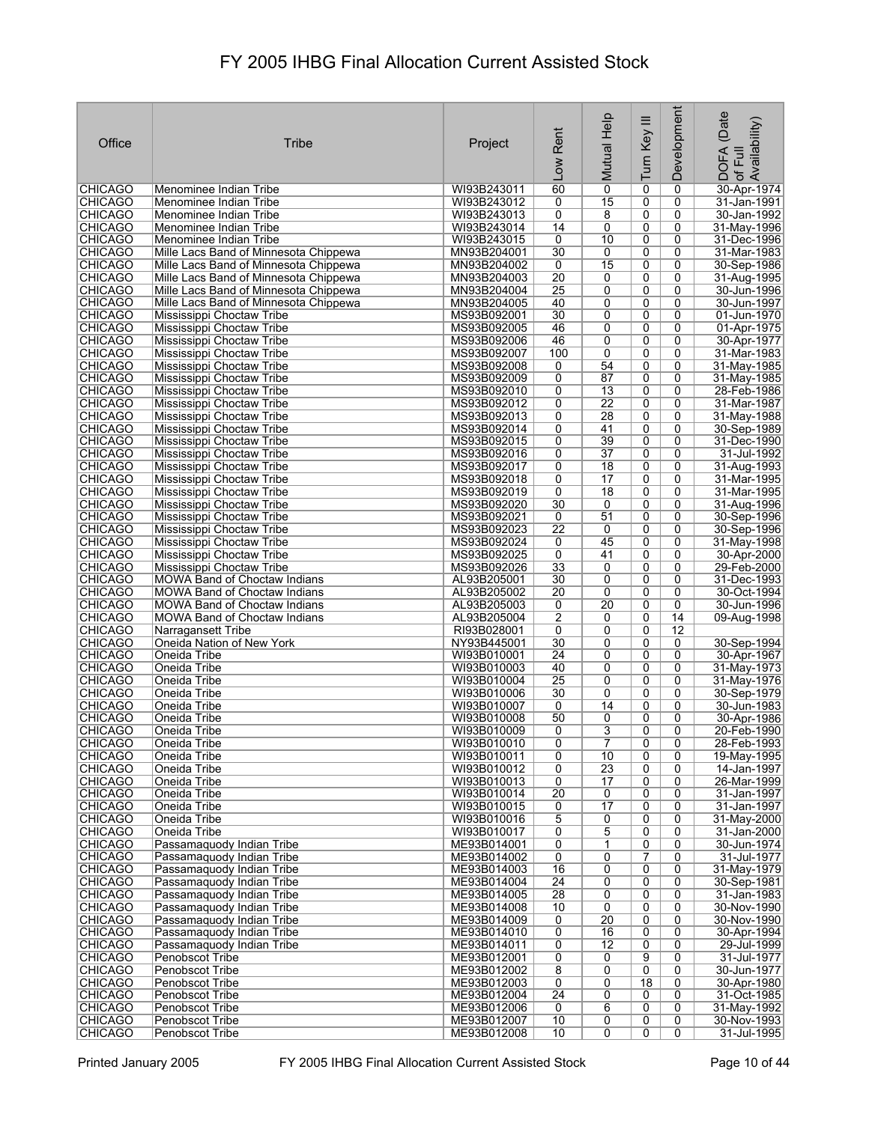| 60<br>$\overline{0}$<br>WI93B243011<br>$\mathbf 0$<br>30-Apr-1974<br><b>CHICAGO</b><br>Menominee Indian Tribe<br>0<br>15<br>0<br>0<br><b>CHICAGO</b><br>WI93B243012<br>0<br>31-Jan-1991  <br>Menominee Indian Tribe<br><b>CHICAGO</b><br>0<br>8<br>0<br>0<br>30-Jan-1992<br>Menominee Indian Tribe<br>WI93B243013<br>14<br><b>CHICAGO</b><br>Menominee Indian Tribe<br>WI93B243014<br>0<br>0<br>0<br>31-May-1996<br><b>CHICAGO</b><br>WI93B243015<br>0<br>10<br>0<br>0<br>Menominee Indian Tribe<br>31-Dec-1996<br><b>CHICAGO</b><br>30<br>0<br>0<br>31-Mar-1983<br>Mille Lacs Band of Minnesota Chippewa<br>MN93B204001<br>0<br>$\overline{15}$<br><b>CHICAGO</b><br>0<br>0<br>Mille Lacs Band of Minnesota Chippewa<br>MN93B204002<br>0<br>30-Sep-1986<br><b>CHICAGO</b><br>$\overline{20}$<br>0<br>0<br>0<br>Mille Lacs Band of Minnesota Chippewa<br>MN93B204003<br>31-Aug-1995<br><b>CHICAGO</b><br>MN93B204004<br>$\overline{25}$<br>0<br>0<br>0<br>Mille Lacs Band of Minnesota Chippewa<br>30-Jun-1996<br>40<br><b>CHICAGO</b><br>MN93B204005<br>0<br>0<br>0<br>30-Jun-1997<br>Mille Lacs Band of Minnesota Chippewa<br>$\overline{0}$<br><b>CHICAGO</b><br>30<br>0<br>0<br>01-Jun-1970<br>Mississippi Choctaw Tribe<br>MS93B092001<br>46<br>0<br>0<br>0<br>01-Apr-1975<br><b>CHICAGO</b><br>Mississippi Choctaw Tribe<br>MS93B092005<br>$\overline{0}$<br><b>CHICAGO</b><br>46<br>0<br>0<br>MS93B092006<br>30-Apr-1977<br>Mississippi Choctaw Tribe<br><b>CHICAGO</b><br>100<br>0<br>0<br>0<br>31-Mar-1983<br>Mississippi Choctaw Tribe<br>MS93B092007<br><b>CHICAGO</b><br>54<br>$\overline{0}$<br>MS93B092008<br>0<br>31-May-1985<br>Mississippi Choctaw Tribe<br>0<br><b>CHICAGO</b><br>87<br>0<br>0<br>MS93B092009<br>0<br>31-May-1985<br>Mississippi Choctaw Tribe<br><b>CHICAGO</b><br>MS93B092010<br>0<br>$\overline{13}$<br>0<br>0<br>28-Feb-1986<br>Mississippi Choctaw Tribe<br>$\overline{22}$<br><b>CHICAGO</b><br>0<br>0<br>0<br>31-Mar-1987<br>Mississippi Choctaw Tribe<br>MS93B092012<br><b>CHICAGO</b><br>28<br>0<br>$\overline{0}$<br>Mississippi Choctaw Tribe<br>MS93B092013<br>0<br>31-May-1988<br><b>CHICAGO</b><br>0<br>41<br>0<br>Mississippi Choctaw Tribe<br>MS93B092014<br>0<br>30-Sep-1989<br><b>CHICAGO</b><br>MS93B092015<br>39<br>0<br>0<br>31-Dec-1990<br>Mississippi Choctaw Tribe<br>0<br>$\overline{37}$<br><b>CHICAGO</b><br>MS93B092016<br>0<br>0<br>0<br>31-Jul-1992<br>Mississippi Choctaw Tribe<br>0<br>0<br><b>CHICAGO</b><br>MS93B092017<br>0<br>18<br>31-Aug-1993<br>Mississippi Choctaw Tribe<br>17<br>31-Mar-1995<br><b>CHICAGO</b><br>Mississippi Choctaw Tribe<br>MS93B092018<br>0<br>0<br>0<br>$\overline{18}$<br>$\overline{0}$<br>$\overline{0}$<br><b>CHICAGO</b><br>MS93B092019<br>0<br>31-Mar-1995<br>Mississippi Choctaw Tribe<br>30<br>$\overline{0}$<br>0<br>0<br>31-Aug-1996<br><b>CHICAGO</b><br>Mississippi Choctaw Tribe<br>MS93B092020<br><b>CHICAGO</b><br>51<br>0<br>0<br>Mississippi Choctaw Tribe<br>MS93B092021<br>0<br>30-Sep-1996<br>$\overline{22}$<br><b>CHICAGO</b><br>0<br>0<br>0<br>30-Sep-1996<br>Mississippi Choctaw Tribe<br>MS93B092023<br><b>CHICAGO</b><br>45<br>Mississippi Choctaw Tribe<br>MS93B092024<br>0<br>0<br>0<br>31-May-1998<br><b>CHICAGO</b><br>0<br>41<br>0<br>0<br>Mississippi Choctaw Tribe<br>MS93B092025<br>30-Apr-2000<br><b>CHICAGO</b><br>MS93B092026<br>33<br>0<br>Mississippi Choctaw Tribe<br>0<br>0<br>29-Feb-2000<br><b>CHICAGO</b><br>30<br>0<br>0<br>MOWA Band of Choctaw Indians<br>AL93B205001<br>0<br>31-Dec-1993<br><b>CHICAGO</b><br>$\overline{20}$<br>0<br>0<br>30-Oct-1994<br><b>MOWA Band of Choctaw Indians</b><br>AL93B205002<br>0<br>20<br><b>CHICAGO</b><br>0<br>0<br>0<br>30-Jun-1996<br><b>MOWA Band of Choctaw Indians</b><br>AL93B205003<br>$\overline{2}$<br>14<br><b>CHICAGO</b><br>MOWA Band of Choctaw Indians<br>AL93B205004<br>0<br>0<br>09-Aug-1998<br>12<br><b>CHICAGO</b><br>0<br>0<br>0<br>Narragansett Tribe<br>RI93B028001<br>30<br>0<br><b>CHICAGO</b><br>Oneida Nation of New York<br>NY93B445001<br>0<br>0<br>30-Sep-1994<br>$\overline{0}$<br>$\overline{24}$<br>0<br>0<br><b>CHICAGO</b><br>WI93B010001<br>30-Apr-1967<br>Oneida Tribe<br><b>CHICAGO</b><br>40<br>0<br>0<br>0<br>31-May-1973<br>Oneida Tribe<br>WI93B010003<br><b>CHICAGO</b><br>$\overline{25}$<br>0<br>0<br>0<br>31-May-1976<br>Oneida Tribe<br>WI93B010004<br>30<br>0<br>0<br><b>CHICAGO</b><br>WI93B010006<br>0<br>30-Sep-1979<br>Oneida Tribe<br><b>CHICAGO</b><br>0<br>14<br>0<br>0<br>30-Jun-1983<br>Oneida Tribe<br>WI93B010007<br><b>CHICAGO</b><br>50<br>0<br>0<br>30-Apr-1986<br>Oneida Tribe<br>WI93B010008<br>0<br>3<br>$\overline{0}$<br>$\overline{0}$<br>WI93B010009<br>0<br>20-Feb-1990<br> CHICAGO<br>Oneida Tribe<br>$\overline{7}$<br><b>CHICAGO</b><br>Oneida Tribe<br>WI93B010010<br>0<br>28-Feb-1993<br>0<br>0<br><b>CHICAGO</b><br>Oneida Tribe<br>WI93B010011<br>10<br>0<br>19-May-1995<br>0<br>0<br>$\overline{23}$<br>$\overline{0}$<br><b>CHICAGO</b><br>Oneida Tribe<br>WI93B010012<br>0<br>0<br>14-Jan-1997<br>$\overline{0}$<br><b>CHICAGO</b><br>Oneida Tribe<br>WI93B010013<br>0<br>17<br>0<br>26-Mar-1999<br>20<br>WI93B010014<br>0<br>$\mathbf 0$<br>31-Jan-1997<br><b>CHICAGO</b><br>Oneida Tribe<br>0<br>$\overline{17}$<br>$\overline{0}$<br>$\overline{0}$<br><b>CHICAGO</b><br>Oneida Tribe<br>WI93B010015<br>0<br>31-Jan-1997<br>5<br><b>CHICAGO</b><br>0<br>0<br>0<br>Oneida Tribe<br>WI93B010016<br>31-May-2000<br><b>CHICAGO</b><br>0<br>5<br>0<br>0<br>Oneida Tribe<br>WI93B010017<br>31-Jan-2000<br><b>CHICAGO</b><br>Passamaguody Indian Tribe<br>ME93B014001<br>0<br>1<br>0<br>0<br>30-Jun-1974<br><b>CHICAGO</b><br>ME93B014002<br>0<br>0<br>31-Jul-1977<br>Passamaquody Indian Tribe<br>0<br>7<br><b>CHICAGO</b><br>16<br>0<br>0<br>0<br>31-May-1979<br>Passamaquody Indian Tribe<br>ME93B014003<br><b>CHICAGO</b><br>Passamaguody Indian Tribe<br>ME93B014004<br>24<br>0<br>0<br>30-Sep-1981<br>0<br><b>CHICAGO</b><br>ME93B014005<br>28<br>0<br>0<br>0<br>Passamaquody Indian Tribe<br>31-Jan-1983<br><b>CHICAGO</b><br>ME93B014008<br>10<br>$\overline{0}$<br>0<br>0<br>30-Nov-1990<br>Passamaquody Indian Tribe<br>20<br><b>CHICAGO</b><br>ME93B014009<br>0<br>0<br>0<br>30-Nov-1990<br>Passamaquody Indian Tribe<br><b>CHICAGO</b><br>Passamaquody Indian Tribe<br>ME93B014010<br>0<br>16<br>0<br>0<br>30-Apr-1994<br><b>CHICAGO</b><br>0<br>$\overline{12}$<br>0<br>0<br>29-Jul-1999<br>Passamaquody Indian Tribe<br>ME93B014011<br>$\overline{0}$<br>9<br>0<br><b>CHICAGO</b><br>Penobscot Tribe<br>ME93B012001<br>0<br>31-Jul-1977<br>$\overline{0}$<br>8<br>0<br>0<br><b>CHICAGO</b><br>Penobscot Tribe<br>ME93B012002<br>30-Jun-1977<br><b>CHICAGO</b><br>Penobscot Tribe<br>ME93B012003<br>0<br>0<br>0<br>30-Apr-1980<br>18<br>$\overline{24}$<br><b>CHICAGO</b><br>ME93B012004<br>0<br>0<br>31-Oct-1985<br>Penobscot Tribe<br>0<br>6<br>0<br>31-May-1992<br><b>CHICAGO</b><br>Penobscot Tribe<br>ME93B012006<br>0<br>0<br><b>CHICAGO</b><br>ME93B012007<br>10<br>0<br>0<br>0<br>30-Nov-1993<br>Penobscot Tribe<br><b>CHICAGO</b><br>ME93B012008<br>10<br>$\overline{0}$<br>$\overline{0}$<br>31-Jul-1995<br>Penobscot Tribe<br>0 | Office | <b>Tribe</b> | Project | Rent<br>Low | Mutual Help | Turn Key III | Development | (Date<br>: DOFA (Date<br>·of Full<br>.Availability) |
|----------------------------------------------------------------------------------------------------------------------------------------------------------------------------------------------------------------------------------------------------------------------------------------------------------------------------------------------------------------------------------------------------------------------------------------------------------------------------------------------------------------------------------------------------------------------------------------------------------------------------------------------------------------------------------------------------------------------------------------------------------------------------------------------------------------------------------------------------------------------------------------------------------------------------------------------------------------------------------------------------------------------------------------------------------------------------------------------------------------------------------------------------------------------------------------------------------------------------------------------------------------------------------------------------------------------------------------------------------------------------------------------------------------------------------------------------------------------------------------------------------------------------------------------------------------------------------------------------------------------------------------------------------------------------------------------------------------------------------------------------------------------------------------------------------------------------------------------------------------------------------------------------------------------------------------------------------------------------------------------------------------------------------------------------------------------------------------------------------------------------------------------------------------------------------------------------------------------------------------------------------------------------------------------------------------------------------------------------------------------------------------------------------------------------------------------------------------------------------------------------------------------------------------------------------------------------------------------------------------------------------------------------------------------------------------------------------------------------------------------------------------------------------------------------------------------------------------------------------------------------------------------------------------------------------------------------------------------------------------------------------------------------------------------------------------------------------------------------------------------------------------------------------------------------------------------------------------------------------------------------------------------------------------------------------------------------------------------------------------------------------------------------------------------------------------------------------------------------------------------------------------------------------------------------------------------------------------------------------------------------------------------------------------------------------------------------------------------------------------------------------------------------------------------------------------------------------------------------------------------------------------------------------------------------------------------------------------------------------------------------------------------------------------------------------------------------------------------------------------------------------------------------------------------------------------------------------------------------------------------------------------------------------------------------------------------------------------------------------------------------------------------------------------------------------------------------------------------------------------------------------------------------------------------------------------------------------------------------------------------------------------------------------------------------------------------------------------------------------------------------------------------------------------------------------------------------------------------------------------------------------------------------------------------------------------------------------------------------------------------------------------------------------------------------------------------------------------------------------------------------------------------------------------------------------------------------------------------------------------------------------------------------------------------------------------------------------------------------------------------------------------------------------------------------------------------------------------------------------------------------------------------------------------------------------------------------------------------------------------------------------------------------------------------------------------------------------------------------------------------------------------------------------------------------------------------------------------------------------------------------------------------------------------------------------------------------------------------------------------------------------------------------------------------------------------------------------------------------------------------------------------------------------------------------------------------------------------------------------------------------------------------------------------------------------------------------------------------------------------------------------------------------------------------------------------------------------------------------------------------------------------------------------------------------------------------------------------------------------------------------------------------------------------------------------------------------------------------------------------------------------------------------------------------------------------------------------------------------------------------------------------------------------------------------------------------------------------------------------------------------------------------------------------------------------------------------------------------------------------------------------------------------------------------------------------------------------------------|--------|--------------|---------|-------------|-------------|--------------|-------------|-----------------------------------------------------|
|                                                                                                                                                                                                                                                                                                                                                                                                                                                                                                                                                                                                                                                                                                                                                                                                                                                                                                                                                                                                                                                                                                                                                                                                                                                                                                                                                                                                                                                                                                                                                                                                                                                                                                                                                                                                                                                                                                                                                                                                                                                                                                                                                                                                                                                                                                                                                                                                                                                                                                                                                                                                                                                                                                                                                                                                                                                                                                                                                                                                                                                                                                                                                                                                                                                                                                                                                                                                                                                                                                                                                                                                                                                                                                                                                                                                                                                                                                                                                                                                                                                                                                                                                                                                                                                                                                                                                                                                                                                                                                                                                                                                                                                                                                                                                                                                                                                                                                                                                                                                                                                                                                                                                                                                                                                                                                                                                                                                                                                                                                                                                                                                                                                                                                                                                                                                                                                                                                                                                                                                                                                                                                                                                                                                                                                                                                                                                                                                                                                                                                                                                                                                                                                                                                                                                                                                                                                                                                                                                                                                                                                                                                                                                                                                                      |        |              |         |             |             |              |             |                                                     |
|                                                                                                                                                                                                                                                                                                                                                                                                                                                                                                                                                                                                                                                                                                                                                                                                                                                                                                                                                                                                                                                                                                                                                                                                                                                                                                                                                                                                                                                                                                                                                                                                                                                                                                                                                                                                                                                                                                                                                                                                                                                                                                                                                                                                                                                                                                                                                                                                                                                                                                                                                                                                                                                                                                                                                                                                                                                                                                                                                                                                                                                                                                                                                                                                                                                                                                                                                                                                                                                                                                                                                                                                                                                                                                                                                                                                                                                                                                                                                                                                                                                                                                                                                                                                                                                                                                                                                                                                                                                                                                                                                                                                                                                                                                                                                                                                                                                                                                                                                                                                                                                                                                                                                                                                                                                                                                                                                                                                                                                                                                                                                                                                                                                                                                                                                                                                                                                                                                                                                                                                                                                                                                                                                                                                                                                                                                                                                                                                                                                                                                                                                                                                                                                                                                                                                                                                                                                                                                                                                                                                                                                                                                                                                                                                                      |        |              |         |             |             |              |             |                                                     |
|                                                                                                                                                                                                                                                                                                                                                                                                                                                                                                                                                                                                                                                                                                                                                                                                                                                                                                                                                                                                                                                                                                                                                                                                                                                                                                                                                                                                                                                                                                                                                                                                                                                                                                                                                                                                                                                                                                                                                                                                                                                                                                                                                                                                                                                                                                                                                                                                                                                                                                                                                                                                                                                                                                                                                                                                                                                                                                                                                                                                                                                                                                                                                                                                                                                                                                                                                                                                                                                                                                                                                                                                                                                                                                                                                                                                                                                                                                                                                                                                                                                                                                                                                                                                                                                                                                                                                                                                                                                                                                                                                                                                                                                                                                                                                                                                                                                                                                                                                                                                                                                                                                                                                                                                                                                                                                                                                                                                                                                                                                                                                                                                                                                                                                                                                                                                                                                                                                                                                                                                                                                                                                                                                                                                                                                                                                                                                                                                                                                                                                                                                                                                                                                                                                                                                                                                                                                                                                                                                                                                                                                                                                                                                                                                                      |        |              |         |             |             |              |             |                                                     |
|                                                                                                                                                                                                                                                                                                                                                                                                                                                                                                                                                                                                                                                                                                                                                                                                                                                                                                                                                                                                                                                                                                                                                                                                                                                                                                                                                                                                                                                                                                                                                                                                                                                                                                                                                                                                                                                                                                                                                                                                                                                                                                                                                                                                                                                                                                                                                                                                                                                                                                                                                                                                                                                                                                                                                                                                                                                                                                                                                                                                                                                                                                                                                                                                                                                                                                                                                                                                                                                                                                                                                                                                                                                                                                                                                                                                                                                                                                                                                                                                                                                                                                                                                                                                                                                                                                                                                                                                                                                                                                                                                                                                                                                                                                                                                                                                                                                                                                                                                                                                                                                                                                                                                                                                                                                                                                                                                                                                                                                                                                                                                                                                                                                                                                                                                                                                                                                                                                                                                                                                                                                                                                                                                                                                                                                                                                                                                                                                                                                                                                                                                                                                                                                                                                                                                                                                                                                                                                                                                                                                                                                                                                                                                                                                                      |        |              |         |             |             |              |             |                                                     |
|                                                                                                                                                                                                                                                                                                                                                                                                                                                                                                                                                                                                                                                                                                                                                                                                                                                                                                                                                                                                                                                                                                                                                                                                                                                                                                                                                                                                                                                                                                                                                                                                                                                                                                                                                                                                                                                                                                                                                                                                                                                                                                                                                                                                                                                                                                                                                                                                                                                                                                                                                                                                                                                                                                                                                                                                                                                                                                                                                                                                                                                                                                                                                                                                                                                                                                                                                                                                                                                                                                                                                                                                                                                                                                                                                                                                                                                                                                                                                                                                                                                                                                                                                                                                                                                                                                                                                                                                                                                                                                                                                                                                                                                                                                                                                                                                                                                                                                                                                                                                                                                                                                                                                                                                                                                                                                                                                                                                                                                                                                                                                                                                                                                                                                                                                                                                                                                                                                                                                                                                                                                                                                                                                                                                                                                                                                                                                                                                                                                                                                                                                                                                                                                                                                                                                                                                                                                                                                                                                                                                                                                                                                                                                                                                                      |        |              |         |             |             |              |             |                                                     |
|                                                                                                                                                                                                                                                                                                                                                                                                                                                                                                                                                                                                                                                                                                                                                                                                                                                                                                                                                                                                                                                                                                                                                                                                                                                                                                                                                                                                                                                                                                                                                                                                                                                                                                                                                                                                                                                                                                                                                                                                                                                                                                                                                                                                                                                                                                                                                                                                                                                                                                                                                                                                                                                                                                                                                                                                                                                                                                                                                                                                                                                                                                                                                                                                                                                                                                                                                                                                                                                                                                                                                                                                                                                                                                                                                                                                                                                                                                                                                                                                                                                                                                                                                                                                                                                                                                                                                                                                                                                                                                                                                                                                                                                                                                                                                                                                                                                                                                                                                                                                                                                                                                                                                                                                                                                                                                                                                                                                                                                                                                                                                                                                                                                                                                                                                                                                                                                                                                                                                                                                                                                                                                                                                                                                                                                                                                                                                                                                                                                                                                                                                                                                                                                                                                                                                                                                                                                                                                                                                                                                                                                                                                                                                                                                                      |        |              |         |             |             |              |             |                                                     |
|                                                                                                                                                                                                                                                                                                                                                                                                                                                                                                                                                                                                                                                                                                                                                                                                                                                                                                                                                                                                                                                                                                                                                                                                                                                                                                                                                                                                                                                                                                                                                                                                                                                                                                                                                                                                                                                                                                                                                                                                                                                                                                                                                                                                                                                                                                                                                                                                                                                                                                                                                                                                                                                                                                                                                                                                                                                                                                                                                                                                                                                                                                                                                                                                                                                                                                                                                                                                                                                                                                                                                                                                                                                                                                                                                                                                                                                                                                                                                                                                                                                                                                                                                                                                                                                                                                                                                                                                                                                                                                                                                                                                                                                                                                                                                                                                                                                                                                                                                                                                                                                                                                                                                                                                                                                                                                                                                                                                                                                                                                                                                                                                                                                                                                                                                                                                                                                                                                                                                                                                                                                                                                                                                                                                                                                                                                                                                                                                                                                                                                                                                                                                                                                                                                                                                                                                                                                                                                                                                                                                                                                                                                                                                                                                                      |        |              |         |             |             |              |             |                                                     |
|                                                                                                                                                                                                                                                                                                                                                                                                                                                                                                                                                                                                                                                                                                                                                                                                                                                                                                                                                                                                                                                                                                                                                                                                                                                                                                                                                                                                                                                                                                                                                                                                                                                                                                                                                                                                                                                                                                                                                                                                                                                                                                                                                                                                                                                                                                                                                                                                                                                                                                                                                                                                                                                                                                                                                                                                                                                                                                                                                                                                                                                                                                                                                                                                                                                                                                                                                                                                                                                                                                                                                                                                                                                                                                                                                                                                                                                                                                                                                                                                                                                                                                                                                                                                                                                                                                                                                                                                                                                                                                                                                                                                                                                                                                                                                                                                                                                                                                                                                                                                                                                                                                                                                                                                                                                                                                                                                                                                                                                                                                                                                                                                                                                                                                                                                                                                                                                                                                                                                                                                                                                                                                                                                                                                                                                                                                                                                                                                                                                                                                                                                                                                                                                                                                                                                                                                                                                                                                                                                                                                                                                                                                                                                                                                                      |        |              |         |             |             |              |             |                                                     |
|                                                                                                                                                                                                                                                                                                                                                                                                                                                                                                                                                                                                                                                                                                                                                                                                                                                                                                                                                                                                                                                                                                                                                                                                                                                                                                                                                                                                                                                                                                                                                                                                                                                                                                                                                                                                                                                                                                                                                                                                                                                                                                                                                                                                                                                                                                                                                                                                                                                                                                                                                                                                                                                                                                                                                                                                                                                                                                                                                                                                                                                                                                                                                                                                                                                                                                                                                                                                                                                                                                                                                                                                                                                                                                                                                                                                                                                                                                                                                                                                                                                                                                                                                                                                                                                                                                                                                                                                                                                                                                                                                                                                                                                                                                                                                                                                                                                                                                                                                                                                                                                                                                                                                                                                                                                                                                                                                                                                                                                                                                                                                                                                                                                                                                                                                                                                                                                                                                                                                                                                                                                                                                                                                                                                                                                                                                                                                                                                                                                                                                                                                                                                                                                                                                                                                                                                                                                                                                                                                                                                                                                                                                                                                                                                                      |        |              |         |             |             |              |             |                                                     |
|                                                                                                                                                                                                                                                                                                                                                                                                                                                                                                                                                                                                                                                                                                                                                                                                                                                                                                                                                                                                                                                                                                                                                                                                                                                                                                                                                                                                                                                                                                                                                                                                                                                                                                                                                                                                                                                                                                                                                                                                                                                                                                                                                                                                                                                                                                                                                                                                                                                                                                                                                                                                                                                                                                                                                                                                                                                                                                                                                                                                                                                                                                                                                                                                                                                                                                                                                                                                                                                                                                                                                                                                                                                                                                                                                                                                                                                                                                                                                                                                                                                                                                                                                                                                                                                                                                                                                                                                                                                                                                                                                                                                                                                                                                                                                                                                                                                                                                                                                                                                                                                                                                                                                                                                                                                                                                                                                                                                                                                                                                                                                                                                                                                                                                                                                                                                                                                                                                                                                                                                                                                                                                                                                                                                                                                                                                                                                                                                                                                                                                                                                                                                                                                                                                                                                                                                                                                                                                                                                                                                                                                                                                                                                                                                                      |        |              |         |             |             |              |             |                                                     |
|                                                                                                                                                                                                                                                                                                                                                                                                                                                                                                                                                                                                                                                                                                                                                                                                                                                                                                                                                                                                                                                                                                                                                                                                                                                                                                                                                                                                                                                                                                                                                                                                                                                                                                                                                                                                                                                                                                                                                                                                                                                                                                                                                                                                                                                                                                                                                                                                                                                                                                                                                                                                                                                                                                                                                                                                                                                                                                                                                                                                                                                                                                                                                                                                                                                                                                                                                                                                                                                                                                                                                                                                                                                                                                                                                                                                                                                                                                                                                                                                                                                                                                                                                                                                                                                                                                                                                                                                                                                                                                                                                                                                                                                                                                                                                                                                                                                                                                                                                                                                                                                                                                                                                                                                                                                                                                                                                                                                                                                                                                                                                                                                                                                                                                                                                                                                                                                                                                                                                                                                                                                                                                                                                                                                                                                                                                                                                                                                                                                                                                                                                                                                                                                                                                                                                                                                                                                                                                                                                                                                                                                                                                                                                                                                                      |        |              |         |             |             |              |             |                                                     |
|                                                                                                                                                                                                                                                                                                                                                                                                                                                                                                                                                                                                                                                                                                                                                                                                                                                                                                                                                                                                                                                                                                                                                                                                                                                                                                                                                                                                                                                                                                                                                                                                                                                                                                                                                                                                                                                                                                                                                                                                                                                                                                                                                                                                                                                                                                                                                                                                                                                                                                                                                                                                                                                                                                                                                                                                                                                                                                                                                                                                                                                                                                                                                                                                                                                                                                                                                                                                                                                                                                                                                                                                                                                                                                                                                                                                                                                                                                                                                                                                                                                                                                                                                                                                                                                                                                                                                                                                                                                                                                                                                                                                                                                                                                                                                                                                                                                                                                                                                                                                                                                                                                                                                                                                                                                                                                                                                                                                                                                                                                                                                                                                                                                                                                                                                                                                                                                                                                                                                                                                                                                                                                                                                                                                                                                                                                                                                                                                                                                                                                                                                                                                                                                                                                                                                                                                                                                                                                                                                                                                                                                                                                                                                                                                                      |        |              |         |             |             |              |             |                                                     |
|                                                                                                                                                                                                                                                                                                                                                                                                                                                                                                                                                                                                                                                                                                                                                                                                                                                                                                                                                                                                                                                                                                                                                                                                                                                                                                                                                                                                                                                                                                                                                                                                                                                                                                                                                                                                                                                                                                                                                                                                                                                                                                                                                                                                                                                                                                                                                                                                                                                                                                                                                                                                                                                                                                                                                                                                                                                                                                                                                                                                                                                                                                                                                                                                                                                                                                                                                                                                                                                                                                                                                                                                                                                                                                                                                                                                                                                                                                                                                                                                                                                                                                                                                                                                                                                                                                                                                                                                                                                                                                                                                                                                                                                                                                                                                                                                                                                                                                                                                                                                                                                                                                                                                                                                                                                                                                                                                                                                                                                                                                                                                                                                                                                                                                                                                                                                                                                                                                                                                                                                                                                                                                                                                                                                                                                                                                                                                                                                                                                                                                                                                                                                                                                                                                                                                                                                                                                                                                                                                                                                                                                                                                                                                                                                                      |        |              |         |             |             |              |             |                                                     |
|                                                                                                                                                                                                                                                                                                                                                                                                                                                                                                                                                                                                                                                                                                                                                                                                                                                                                                                                                                                                                                                                                                                                                                                                                                                                                                                                                                                                                                                                                                                                                                                                                                                                                                                                                                                                                                                                                                                                                                                                                                                                                                                                                                                                                                                                                                                                                                                                                                                                                                                                                                                                                                                                                                                                                                                                                                                                                                                                                                                                                                                                                                                                                                                                                                                                                                                                                                                                                                                                                                                                                                                                                                                                                                                                                                                                                                                                                                                                                                                                                                                                                                                                                                                                                                                                                                                                                                                                                                                                                                                                                                                                                                                                                                                                                                                                                                                                                                                                                                                                                                                                                                                                                                                                                                                                                                                                                                                                                                                                                                                                                                                                                                                                                                                                                                                                                                                                                                                                                                                                                                                                                                                                                                                                                                                                                                                                                                                                                                                                                                                                                                                                                                                                                                                                                                                                                                                                                                                                                                                                                                                                                                                                                                                                                      |        |              |         |             |             |              |             |                                                     |
|                                                                                                                                                                                                                                                                                                                                                                                                                                                                                                                                                                                                                                                                                                                                                                                                                                                                                                                                                                                                                                                                                                                                                                                                                                                                                                                                                                                                                                                                                                                                                                                                                                                                                                                                                                                                                                                                                                                                                                                                                                                                                                                                                                                                                                                                                                                                                                                                                                                                                                                                                                                                                                                                                                                                                                                                                                                                                                                                                                                                                                                                                                                                                                                                                                                                                                                                                                                                                                                                                                                                                                                                                                                                                                                                                                                                                                                                                                                                                                                                                                                                                                                                                                                                                                                                                                                                                                                                                                                                                                                                                                                                                                                                                                                                                                                                                                                                                                                                                                                                                                                                                                                                                                                                                                                                                                                                                                                                                                                                                                                                                                                                                                                                                                                                                                                                                                                                                                                                                                                                                                                                                                                                                                                                                                                                                                                                                                                                                                                                                                                                                                                                                                                                                                                                                                                                                                                                                                                                                                                                                                                                                                                                                                                                                      |        |              |         |             |             |              |             |                                                     |
|                                                                                                                                                                                                                                                                                                                                                                                                                                                                                                                                                                                                                                                                                                                                                                                                                                                                                                                                                                                                                                                                                                                                                                                                                                                                                                                                                                                                                                                                                                                                                                                                                                                                                                                                                                                                                                                                                                                                                                                                                                                                                                                                                                                                                                                                                                                                                                                                                                                                                                                                                                                                                                                                                                                                                                                                                                                                                                                                                                                                                                                                                                                                                                                                                                                                                                                                                                                                                                                                                                                                                                                                                                                                                                                                                                                                                                                                                                                                                                                                                                                                                                                                                                                                                                                                                                                                                                                                                                                                                                                                                                                                                                                                                                                                                                                                                                                                                                                                                                                                                                                                                                                                                                                                                                                                                                                                                                                                                                                                                                                                                                                                                                                                                                                                                                                                                                                                                                                                                                                                                                                                                                                                                                                                                                                                                                                                                                                                                                                                                                                                                                                                                                                                                                                                                                                                                                                                                                                                                                                                                                                                                                                                                                                                                      |        |              |         |             |             |              |             |                                                     |
|                                                                                                                                                                                                                                                                                                                                                                                                                                                                                                                                                                                                                                                                                                                                                                                                                                                                                                                                                                                                                                                                                                                                                                                                                                                                                                                                                                                                                                                                                                                                                                                                                                                                                                                                                                                                                                                                                                                                                                                                                                                                                                                                                                                                                                                                                                                                                                                                                                                                                                                                                                                                                                                                                                                                                                                                                                                                                                                                                                                                                                                                                                                                                                                                                                                                                                                                                                                                                                                                                                                                                                                                                                                                                                                                                                                                                                                                                                                                                                                                                                                                                                                                                                                                                                                                                                                                                                                                                                                                                                                                                                                                                                                                                                                                                                                                                                                                                                                                                                                                                                                                                                                                                                                                                                                                                                                                                                                                                                                                                                                                                                                                                                                                                                                                                                                                                                                                                                                                                                                                                                                                                                                                                                                                                                                                                                                                                                                                                                                                                                                                                                                                                                                                                                                                                                                                                                                                                                                                                                                                                                                                                                                                                                                                                      |        |              |         |             |             |              |             |                                                     |
|                                                                                                                                                                                                                                                                                                                                                                                                                                                                                                                                                                                                                                                                                                                                                                                                                                                                                                                                                                                                                                                                                                                                                                                                                                                                                                                                                                                                                                                                                                                                                                                                                                                                                                                                                                                                                                                                                                                                                                                                                                                                                                                                                                                                                                                                                                                                                                                                                                                                                                                                                                                                                                                                                                                                                                                                                                                                                                                                                                                                                                                                                                                                                                                                                                                                                                                                                                                                                                                                                                                                                                                                                                                                                                                                                                                                                                                                                                                                                                                                                                                                                                                                                                                                                                                                                                                                                                                                                                                                                                                                                                                                                                                                                                                                                                                                                                                                                                                                                                                                                                                                                                                                                                                                                                                                                                                                                                                                                                                                                                                                                                                                                                                                                                                                                                                                                                                                                                                                                                                                                                                                                                                                                                                                                                                                                                                                                                                                                                                                                                                                                                                                                                                                                                                                                                                                                                                                                                                                                                                                                                                                                                                                                                                                                      |        |              |         |             |             |              |             |                                                     |
|                                                                                                                                                                                                                                                                                                                                                                                                                                                                                                                                                                                                                                                                                                                                                                                                                                                                                                                                                                                                                                                                                                                                                                                                                                                                                                                                                                                                                                                                                                                                                                                                                                                                                                                                                                                                                                                                                                                                                                                                                                                                                                                                                                                                                                                                                                                                                                                                                                                                                                                                                                                                                                                                                                                                                                                                                                                                                                                                                                                                                                                                                                                                                                                                                                                                                                                                                                                                                                                                                                                                                                                                                                                                                                                                                                                                                                                                                                                                                                                                                                                                                                                                                                                                                                                                                                                                                                                                                                                                                                                                                                                                                                                                                                                                                                                                                                                                                                                                                                                                                                                                                                                                                                                                                                                                                                                                                                                                                                                                                                                                                                                                                                                                                                                                                                                                                                                                                                                                                                                                                                                                                                                                                                                                                                                                                                                                                                                                                                                                                                                                                                                                                                                                                                                                                                                                                                                                                                                                                                                                                                                                                                                                                                                                                      |        |              |         |             |             |              |             |                                                     |
|                                                                                                                                                                                                                                                                                                                                                                                                                                                                                                                                                                                                                                                                                                                                                                                                                                                                                                                                                                                                                                                                                                                                                                                                                                                                                                                                                                                                                                                                                                                                                                                                                                                                                                                                                                                                                                                                                                                                                                                                                                                                                                                                                                                                                                                                                                                                                                                                                                                                                                                                                                                                                                                                                                                                                                                                                                                                                                                                                                                                                                                                                                                                                                                                                                                                                                                                                                                                                                                                                                                                                                                                                                                                                                                                                                                                                                                                                                                                                                                                                                                                                                                                                                                                                                                                                                                                                                                                                                                                                                                                                                                                                                                                                                                                                                                                                                                                                                                                                                                                                                                                                                                                                                                                                                                                                                                                                                                                                                                                                                                                                                                                                                                                                                                                                                                                                                                                                                                                                                                                                                                                                                                                                                                                                                                                                                                                                                                                                                                                                                                                                                                                                                                                                                                                                                                                                                                                                                                                                                                                                                                                                                                                                                                                                      |        |              |         |             |             |              |             |                                                     |
|                                                                                                                                                                                                                                                                                                                                                                                                                                                                                                                                                                                                                                                                                                                                                                                                                                                                                                                                                                                                                                                                                                                                                                                                                                                                                                                                                                                                                                                                                                                                                                                                                                                                                                                                                                                                                                                                                                                                                                                                                                                                                                                                                                                                                                                                                                                                                                                                                                                                                                                                                                                                                                                                                                                                                                                                                                                                                                                                                                                                                                                                                                                                                                                                                                                                                                                                                                                                                                                                                                                                                                                                                                                                                                                                                                                                                                                                                                                                                                                                                                                                                                                                                                                                                                                                                                                                                                                                                                                                                                                                                                                                                                                                                                                                                                                                                                                                                                                                                                                                                                                                                                                                                                                                                                                                                                                                                                                                                                                                                                                                                                                                                                                                                                                                                                                                                                                                                                                                                                                                                                                                                                                                                                                                                                                                                                                                                                                                                                                                                                                                                                                                                                                                                                                                                                                                                                                                                                                                                                                                                                                                                                                                                                                                                      |        |              |         |             |             |              |             |                                                     |
|                                                                                                                                                                                                                                                                                                                                                                                                                                                                                                                                                                                                                                                                                                                                                                                                                                                                                                                                                                                                                                                                                                                                                                                                                                                                                                                                                                                                                                                                                                                                                                                                                                                                                                                                                                                                                                                                                                                                                                                                                                                                                                                                                                                                                                                                                                                                                                                                                                                                                                                                                                                                                                                                                                                                                                                                                                                                                                                                                                                                                                                                                                                                                                                                                                                                                                                                                                                                                                                                                                                                                                                                                                                                                                                                                                                                                                                                                                                                                                                                                                                                                                                                                                                                                                                                                                                                                                                                                                                                                                                                                                                                                                                                                                                                                                                                                                                                                                                                                                                                                                                                                                                                                                                                                                                                                                                                                                                                                                                                                                                                                                                                                                                                                                                                                                                                                                                                                                                                                                                                                                                                                                                                                                                                                                                                                                                                                                                                                                                                                                                                                                                                                                                                                                                                                                                                                                                                                                                                                                                                                                                                                                                                                                                                                      |        |              |         |             |             |              |             |                                                     |
|                                                                                                                                                                                                                                                                                                                                                                                                                                                                                                                                                                                                                                                                                                                                                                                                                                                                                                                                                                                                                                                                                                                                                                                                                                                                                                                                                                                                                                                                                                                                                                                                                                                                                                                                                                                                                                                                                                                                                                                                                                                                                                                                                                                                                                                                                                                                                                                                                                                                                                                                                                                                                                                                                                                                                                                                                                                                                                                                                                                                                                                                                                                                                                                                                                                                                                                                                                                                                                                                                                                                                                                                                                                                                                                                                                                                                                                                                                                                                                                                                                                                                                                                                                                                                                                                                                                                                                                                                                                                                                                                                                                                                                                                                                                                                                                                                                                                                                                                                                                                                                                                                                                                                                                                                                                                                                                                                                                                                                                                                                                                                                                                                                                                                                                                                                                                                                                                                                                                                                                                                                                                                                                                                                                                                                                                                                                                                                                                                                                                                                                                                                                                                                                                                                                                                                                                                                                                                                                                                                                                                                                                                                                                                                                                                      |        |              |         |             |             |              |             |                                                     |
|                                                                                                                                                                                                                                                                                                                                                                                                                                                                                                                                                                                                                                                                                                                                                                                                                                                                                                                                                                                                                                                                                                                                                                                                                                                                                                                                                                                                                                                                                                                                                                                                                                                                                                                                                                                                                                                                                                                                                                                                                                                                                                                                                                                                                                                                                                                                                                                                                                                                                                                                                                                                                                                                                                                                                                                                                                                                                                                                                                                                                                                                                                                                                                                                                                                                                                                                                                                                                                                                                                                                                                                                                                                                                                                                                                                                                                                                                                                                                                                                                                                                                                                                                                                                                                                                                                                                                                                                                                                                                                                                                                                                                                                                                                                                                                                                                                                                                                                                                                                                                                                                                                                                                                                                                                                                                                                                                                                                                                                                                                                                                                                                                                                                                                                                                                                                                                                                                                                                                                                                                                                                                                                                                                                                                                                                                                                                                                                                                                                                                                                                                                                                                                                                                                                                                                                                                                                                                                                                                                                                                                                                                                                                                                                                                      |        |              |         |             |             |              |             |                                                     |
|                                                                                                                                                                                                                                                                                                                                                                                                                                                                                                                                                                                                                                                                                                                                                                                                                                                                                                                                                                                                                                                                                                                                                                                                                                                                                                                                                                                                                                                                                                                                                                                                                                                                                                                                                                                                                                                                                                                                                                                                                                                                                                                                                                                                                                                                                                                                                                                                                                                                                                                                                                                                                                                                                                                                                                                                                                                                                                                                                                                                                                                                                                                                                                                                                                                                                                                                                                                                                                                                                                                                                                                                                                                                                                                                                                                                                                                                                                                                                                                                                                                                                                                                                                                                                                                                                                                                                                                                                                                                                                                                                                                                                                                                                                                                                                                                                                                                                                                                                                                                                                                                                                                                                                                                                                                                                                                                                                                                                                                                                                                                                                                                                                                                                                                                                                                                                                                                                                                                                                                                                                                                                                                                                                                                                                                                                                                                                                                                                                                                                                                                                                                                                                                                                                                                                                                                                                                                                                                                                                                                                                                                                                                                                                                                                      |        |              |         |             |             |              |             |                                                     |
|                                                                                                                                                                                                                                                                                                                                                                                                                                                                                                                                                                                                                                                                                                                                                                                                                                                                                                                                                                                                                                                                                                                                                                                                                                                                                                                                                                                                                                                                                                                                                                                                                                                                                                                                                                                                                                                                                                                                                                                                                                                                                                                                                                                                                                                                                                                                                                                                                                                                                                                                                                                                                                                                                                                                                                                                                                                                                                                                                                                                                                                                                                                                                                                                                                                                                                                                                                                                                                                                                                                                                                                                                                                                                                                                                                                                                                                                                                                                                                                                                                                                                                                                                                                                                                                                                                                                                                                                                                                                                                                                                                                                                                                                                                                                                                                                                                                                                                                                                                                                                                                                                                                                                                                                                                                                                                                                                                                                                                                                                                                                                                                                                                                                                                                                                                                                                                                                                                                                                                                                                                                                                                                                                                                                                                                                                                                                                                                                                                                                                                                                                                                                                                                                                                                                                                                                                                                                                                                                                                                                                                                                                                                                                                                                                      |        |              |         |             |             |              |             |                                                     |
|                                                                                                                                                                                                                                                                                                                                                                                                                                                                                                                                                                                                                                                                                                                                                                                                                                                                                                                                                                                                                                                                                                                                                                                                                                                                                                                                                                                                                                                                                                                                                                                                                                                                                                                                                                                                                                                                                                                                                                                                                                                                                                                                                                                                                                                                                                                                                                                                                                                                                                                                                                                                                                                                                                                                                                                                                                                                                                                                                                                                                                                                                                                                                                                                                                                                                                                                                                                                                                                                                                                                                                                                                                                                                                                                                                                                                                                                                                                                                                                                                                                                                                                                                                                                                                                                                                                                                                                                                                                                                                                                                                                                                                                                                                                                                                                                                                                                                                                                                                                                                                                                                                                                                                                                                                                                                                                                                                                                                                                                                                                                                                                                                                                                                                                                                                                                                                                                                                                                                                                                                                                                                                                                                                                                                                                                                                                                                                                                                                                                                                                                                                                                                                                                                                                                                                                                                                                                                                                                                                                                                                                                                                                                                                                                                      |        |              |         |             |             |              |             |                                                     |
|                                                                                                                                                                                                                                                                                                                                                                                                                                                                                                                                                                                                                                                                                                                                                                                                                                                                                                                                                                                                                                                                                                                                                                                                                                                                                                                                                                                                                                                                                                                                                                                                                                                                                                                                                                                                                                                                                                                                                                                                                                                                                                                                                                                                                                                                                                                                                                                                                                                                                                                                                                                                                                                                                                                                                                                                                                                                                                                                                                                                                                                                                                                                                                                                                                                                                                                                                                                                                                                                                                                                                                                                                                                                                                                                                                                                                                                                                                                                                                                                                                                                                                                                                                                                                                                                                                                                                                                                                                                                                                                                                                                                                                                                                                                                                                                                                                                                                                                                                                                                                                                                                                                                                                                                                                                                                                                                                                                                                                                                                                                                                                                                                                                                                                                                                                                                                                                                                                                                                                                                                                                                                                                                                                                                                                                                                                                                                                                                                                                                                                                                                                                                                                                                                                                                                                                                                                                                                                                                                                                                                                                                                                                                                                                                                      |        |              |         |             |             |              |             |                                                     |
|                                                                                                                                                                                                                                                                                                                                                                                                                                                                                                                                                                                                                                                                                                                                                                                                                                                                                                                                                                                                                                                                                                                                                                                                                                                                                                                                                                                                                                                                                                                                                                                                                                                                                                                                                                                                                                                                                                                                                                                                                                                                                                                                                                                                                                                                                                                                                                                                                                                                                                                                                                                                                                                                                                                                                                                                                                                                                                                                                                                                                                                                                                                                                                                                                                                                                                                                                                                                                                                                                                                                                                                                                                                                                                                                                                                                                                                                                                                                                                                                                                                                                                                                                                                                                                                                                                                                                                                                                                                                                                                                                                                                                                                                                                                                                                                                                                                                                                                                                                                                                                                                                                                                                                                                                                                                                                                                                                                                                                                                                                                                                                                                                                                                                                                                                                                                                                                                                                                                                                                                                                                                                                                                                                                                                                                                                                                                                                                                                                                                                                                                                                                                                                                                                                                                                                                                                                                                                                                                                                                                                                                                                                                                                                                                                      |        |              |         |             |             |              |             |                                                     |
|                                                                                                                                                                                                                                                                                                                                                                                                                                                                                                                                                                                                                                                                                                                                                                                                                                                                                                                                                                                                                                                                                                                                                                                                                                                                                                                                                                                                                                                                                                                                                                                                                                                                                                                                                                                                                                                                                                                                                                                                                                                                                                                                                                                                                                                                                                                                                                                                                                                                                                                                                                                                                                                                                                                                                                                                                                                                                                                                                                                                                                                                                                                                                                                                                                                                                                                                                                                                                                                                                                                                                                                                                                                                                                                                                                                                                                                                                                                                                                                                                                                                                                                                                                                                                                                                                                                                                                                                                                                                                                                                                                                                                                                                                                                                                                                                                                                                                                                                                                                                                                                                                                                                                                                                                                                                                                                                                                                                                                                                                                                                                                                                                                                                                                                                                                                                                                                                                                                                                                                                                                                                                                                                                                                                                                                                                                                                                                                                                                                                                                                                                                                                                                                                                                                                                                                                                                                                                                                                                                                                                                                                                                                                                                                                                      |        |              |         |             |             |              |             |                                                     |
|                                                                                                                                                                                                                                                                                                                                                                                                                                                                                                                                                                                                                                                                                                                                                                                                                                                                                                                                                                                                                                                                                                                                                                                                                                                                                                                                                                                                                                                                                                                                                                                                                                                                                                                                                                                                                                                                                                                                                                                                                                                                                                                                                                                                                                                                                                                                                                                                                                                                                                                                                                                                                                                                                                                                                                                                                                                                                                                                                                                                                                                                                                                                                                                                                                                                                                                                                                                                                                                                                                                                                                                                                                                                                                                                                                                                                                                                                                                                                                                                                                                                                                                                                                                                                                                                                                                                                                                                                                                                                                                                                                                                                                                                                                                                                                                                                                                                                                                                                                                                                                                                                                                                                                                                                                                                                                                                                                                                                                                                                                                                                                                                                                                                                                                                                                                                                                                                                                                                                                                                                                                                                                                                                                                                                                                                                                                                                                                                                                                                                                                                                                                                                                                                                                                                                                                                                                                                                                                                                                                                                                                                                                                                                                                                                      |        |              |         |             |             |              |             |                                                     |
|                                                                                                                                                                                                                                                                                                                                                                                                                                                                                                                                                                                                                                                                                                                                                                                                                                                                                                                                                                                                                                                                                                                                                                                                                                                                                                                                                                                                                                                                                                                                                                                                                                                                                                                                                                                                                                                                                                                                                                                                                                                                                                                                                                                                                                                                                                                                                                                                                                                                                                                                                                                                                                                                                                                                                                                                                                                                                                                                                                                                                                                                                                                                                                                                                                                                                                                                                                                                                                                                                                                                                                                                                                                                                                                                                                                                                                                                                                                                                                                                                                                                                                                                                                                                                                                                                                                                                                                                                                                                                                                                                                                                                                                                                                                                                                                                                                                                                                                                                                                                                                                                                                                                                                                                                                                                                                                                                                                                                                                                                                                                                                                                                                                                                                                                                                                                                                                                                                                                                                                                                                                                                                                                                                                                                                                                                                                                                                                                                                                                                                                                                                                                                                                                                                                                                                                                                                                                                                                                                                                                                                                                                                                                                                                                                      |        |              |         |             |             |              |             |                                                     |
|                                                                                                                                                                                                                                                                                                                                                                                                                                                                                                                                                                                                                                                                                                                                                                                                                                                                                                                                                                                                                                                                                                                                                                                                                                                                                                                                                                                                                                                                                                                                                                                                                                                                                                                                                                                                                                                                                                                                                                                                                                                                                                                                                                                                                                                                                                                                                                                                                                                                                                                                                                                                                                                                                                                                                                                                                                                                                                                                                                                                                                                                                                                                                                                                                                                                                                                                                                                                                                                                                                                                                                                                                                                                                                                                                                                                                                                                                                                                                                                                                                                                                                                                                                                                                                                                                                                                                                                                                                                                                                                                                                                                                                                                                                                                                                                                                                                                                                                                                                                                                                                                                                                                                                                                                                                                                                                                                                                                                                                                                                                                                                                                                                                                                                                                                                                                                                                                                                                                                                                                                                                                                                                                                                                                                                                                                                                                                                                                                                                                                                                                                                                                                                                                                                                                                                                                                                                                                                                                                                                                                                                                                                                                                                                                                      |        |              |         |             |             |              |             |                                                     |
|                                                                                                                                                                                                                                                                                                                                                                                                                                                                                                                                                                                                                                                                                                                                                                                                                                                                                                                                                                                                                                                                                                                                                                                                                                                                                                                                                                                                                                                                                                                                                                                                                                                                                                                                                                                                                                                                                                                                                                                                                                                                                                                                                                                                                                                                                                                                                                                                                                                                                                                                                                                                                                                                                                                                                                                                                                                                                                                                                                                                                                                                                                                                                                                                                                                                                                                                                                                                                                                                                                                                                                                                                                                                                                                                                                                                                                                                                                                                                                                                                                                                                                                                                                                                                                                                                                                                                                                                                                                                                                                                                                                                                                                                                                                                                                                                                                                                                                                                                                                                                                                                                                                                                                                                                                                                                                                                                                                                                                                                                                                                                                                                                                                                                                                                                                                                                                                                                                                                                                                                                                                                                                                                                                                                                                                                                                                                                                                                                                                                                                                                                                                                                                                                                                                                                                                                                                                                                                                                                                                                                                                                                                                                                                                                                      |        |              |         |             |             |              |             |                                                     |
|                                                                                                                                                                                                                                                                                                                                                                                                                                                                                                                                                                                                                                                                                                                                                                                                                                                                                                                                                                                                                                                                                                                                                                                                                                                                                                                                                                                                                                                                                                                                                                                                                                                                                                                                                                                                                                                                                                                                                                                                                                                                                                                                                                                                                                                                                                                                                                                                                                                                                                                                                                                                                                                                                                                                                                                                                                                                                                                                                                                                                                                                                                                                                                                                                                                                                                                                                                                                                                                                                                                                                                                                                                                                                                                                                                                                                                                                                                                                                                                                                                                                                                                                                                                                                                                                                                                                                                                                                                                                                                                                                                                                                                                                                                                                                                                                                                                                                                                                                                                                                                                                                                                                                                                                                                                                                                                                                                                                                                                                                                                                                                                                                                                                                                                                                                                                                                                                                                                                                                                                                                                                                                                                                                                                                                                                                                                                                                                                                                                                                                                                                                                                                                                                                                                                                                                                                                                                                                                                                                                                                                                                                                                                                                                                                      |        |              |         |             |             |              |             |                                                     |
|                                                                                                                                                                                                                                                                                                                                                                                                                                                                                                                                                                                                                                                                                                                                                                                                                                                                                                                                                                                                                                                                                                                                                                                                                                                                                                                                                                                                                                                                                                                                                                                                                                                                                                                                                                                                                                                                                                                                                                                                                                                                                                                                                                                                                                                                                                                                                                                                                                                                                                                                                                                                                                                                                                                                                                                                                                                                                                                                                                                                                                                                                                                                                                                                                                                                                                                                                                                                                                                                                                                                                                                                                                                                                                                                                                                                                                                                                                                                                                                                                                                                                                                                                                                                                                                                                                                                                                                                                                                                                                                                                                                                                                                                                                                                                                                                                                                                                                                                                                                                                                                                                                                                                                                                                                                                                                                                                                                                                                                                                                                                                                                                                                                                                                                                                                                                                                                                                                                                                                                                                                                                                                                                                                                                                                                                                                                                                                                                                                                                                                                                                                                                                                                                                                                                                                                                                                                                                                                                                                                                                                                                                                                                                                                                                      |        |              |         |             |             |              |             |                                                     |
|                                                                                                                                                                                                                                                                                                                                                                                                                                                                                                                                                                                                                                                                                                                                                                                                                                                                                                                                                                                                                                                                                                                                                                                                                                                                                                                                                                                                                                                                                                                                                                                                                                                                                                                                                                                                                                                                                                                                                                                                                                                                                                                                                                                                                                                                                                                                                                                                                                                                                                                                                                                                                                                                                                                                                                                                                                                                                                                                                                                                                                                                                                                                                                                                                                                                                                                                                                                                                                                                                                                                                                                                                                                                                                                                                                                                                                                                                                                                                                                                                                                                                                                                                                                                                                                                                                                                                                                                                                                                                                                                                                                                                                                                                                                                                                                                                                                                                                                                                                                                                                                                                                                                                                                                                                                                                                                                                                                                                                                                                                                                                                                                                                                                                                                                                                                                                                                                                                                                                                                                                                                                                                                                                                                                                                                                                                                                                                                                                                                                                                                                                                                                                                                                                                                                                                                                                                                                                                                                                                                                                                                                                                                                                                                                                      |        |              |         |             |             |              |             |                                                     |
|                                                                                                                                                                                                                                                                                                                                                                                                                                                                                                                                                                                                                                                                                                                                                                                                                                                                                                                                                                                                                                                                                                                                                                                                                                                                                                                                                                                                                                                                                                                                                                                                                                                                                                                                                                                                                                                                                                                                                                                                                                                                                                                                                                                                                                                                                                                                                                                                                                                                                                                                                                                                                                                                                                                                                                                                                                                                                                                                                                                                                                                                                                                                                                                                                                                                                                                                                                                                                                                                                                                                                                                                                                                                                                                                                                                                                                                                                                                                                                                                                                                                                                                                                                                                                                                                                                                                                                                                                                                                                                                                                                                                                                                                                                                                                                                                                                                                                                                                                                                                                                                                                                                                                                                                                                                                                                                                                                                                                                                                                                                                                                                                                                                                                                                                                                                                                                                                                                                                                                                                                                                                                                                                                                                                                                                                                                                                                                                                                                                                                                                                                                                                                                                                                                                                                                                                                                                                                                                                                                                                                                                                                                                                                                                                                      |        |              |         |             |             |              |             |                                                     |
|                                                                                                                                                                                                                                                                                                                                                                                                                                                                                                                                                                                                                                                                                                                                                                                                                                                                                                                                                                                                                                                                                                                                                                                                                                                                                                                                                                                                                                                                                                                                                                                                                                                                                                                                                                                                                                                                                                                                                                                                                                                                                                                                                                                                                                                                                                                                                                                                                                                                                                                                                                                                                                                                                                                                                                                                                                                                                                                                                                                                                                                                                                                                                                                                                                                                                                                                                                                                                                                                                                                                                                                                                                                                                                                                                                                                                                                                                                                                                                                                                                                                                                                                                                                                                                                                                                                                                                                                                                                                                                                                                                                                                                                                                                                                                                                                                                                                                                                                                                                                                                                                                                                                                                                                                                                                                                                                                                                                                                                                                                                                                                                                                                                                                                                                                                                                                                                                                                                                                                                                                                                                                                                                                                                                                                                                                                                                                                                                                                                                                                                                                                                                                                                                                                                                                                                                                                                                                                                                                                                                                                                                                                                                                                                                                      |        |              |         |             |             |              |             |                                                     |
|                                                                                                                                                                                                                                                                                                                                                                                                                                                                                                                                                                                                                                                                                                                                                                                                                                                                                                                                                                                                                                                                                                                                                                                                                                                                                                                                                                                                                                                                                                                                                                                                                                                                                                                                                                                                                                                                                                                                                                                                                                                                                                                                                                                                                                                                                                                                                                                                                                                                                                                                                                                                                                                                                                                                                                                                                                                                                                                                                                                                                                                                                                                                                                                                                                                                                                                                                                                                                                                                                                                                                                                                                                                                                                                                                                                                                                                                                                                                                                                                                                                                                                                                                                                                                                                                                                                                                                                                                                                                                                                                                                                                                                                                                                                                                                                                                                                                                                                                                                                                                                                                                                                                                                                                                                                                                                                                                                                                                                                                                                                                                                                                                                                                                                                                                                                                                                                                                                                                                                                                                                                                                                                                                                                                                                                                                                                                                                                                                                                                                                                                                                                                                                                                                                                                                                                                                                                                                                                                                                                                                                                                                                                                                                                                                      |        |              |         |             |             |              |             |                                                     |
|                                                                                                                                                                                                                                                                                                                                                                                                                                                                                                                                                                                                                                                                                                                                                                                                                                                                                                                                                                                                                                                                                                                                                                                                                                                                                                                                                                                                                                                                                                                                                                                                                                                                                                                                                                                                                                                                                                                                                                                                                                                                                                                                                                                                                                                                                                                                                                                                                                                                                                                                                                                                                                                                                                                                                                                                                                                                                                                                                                                                                                                                                                                                                                                                                                                                                                                                                                                                                                                                                                                                                                                                                                                                                                                                                                                                                                                                                                                                                                                                                                                                                                                                                                                                                                                                                                                                                                                                                                                                                                                                                                                                                                                                                                                                                                                                                                                                                                                                                                                                                                                                                                                                                                                                                                                                                                                                                                                                                                                                                                                                                                                                                                                                                                                                                                                                                                                                                                                                                                                                                                                                                                                                                                                                                                                                                                                                                                                                                                                                                                                                                                                                                                                                                                                                                                                                                                                                                                                                                                                                                                                                                                                                                                                                                      |        |              |         |             |             |              |             |                                                     |
|                                                                                                                                                                                                                                                                                                                                                                                                                                                                                                                                                                                                                                                                                                                                                                                                                                                                                                                                                                                                                                                                                                                                                                                                                                                                                                                                                                                                                                                                                                                                                                                                                                                                                                                                                                                                                                                                                                                                                                                                                                                                                                                                                                                                                                                                                                                                                                                                                                                                                                                                                                                                                                                                                                                                                                                                                                                                                                                                                                                                                                                                                                                                                                                                                                                                                                                                                                                                                                                                                                                                                                                                                                                                                                                                                                                                                                                                                                                                                                                                                                                                                                                                                                                                                                                                                                                                                                                                                                                                                                                                                                                                                                                                                                                                                                                                                                                                                                                                                                                                                                                                                                                                                                                                                                                                                                                                                                                                                                                                                                                                                                                                                                                                                                                                                                                                                                                                                                                                                                                                                                                                                                                                                                                                                                                                                                                                                                                                                                                                                                                                                                                                                                                                                                                                                                                                                                                                                                                                                                                                                                                                                                                                                                                                                      |        |              |         |             |             |              |             |                                                     |
|                                                                                                                                                                                                                                                                                                                                                                                                                                                                                                                                                                                                                                                                                                                                                                                                                                                                                                                                                                                                                                                                                                                                                                                                                                                                                                                                                                                                                                                                                                                                                                                                                                                                                                                                                                                                                                                                                                                                                                                                                                                                                                                                                                                                                                                                                                                                                                                                                                                                                                                                                                                                                                                                                                                                                                                                                                                                                                                                                                                                                                                                                                                                                                                                                                                                                                                                                                                                                                                                                                                                                                                                                                                                                                                                                                                                                                                                                                                                                                                                                                                                                                                                                                                                                                                                                                                                                                                                                                                                                                                                                                                                                                                                                                                                                                                                                                                                                                                                                                                                                                                                                                                                                                                                                                                                                                                                                                                                                                                                                                                                                                                                                                                                                                                                                                                                                                                                                                                                                                                                                                                                                                                                                                                                                                                                                                                                                                                                                                                                                                                                                                                                                                                                                                                                                                                                                                                                                                                                                                                                                                                                                                                                                                                                                      |        |              |         |             |             |              |             |                                                     |
|                                                                                                                                                                                                                                                                                                                                                                                                                                                                                                                                                                                                                                                                                                                                                                                                                                                                                                                                                                                                                                                                                                                                                                                                                                                                                                                                                                                                                                                                                                                                                                                                                                                                                                                                                                                                                                                                                                                                                                                                                                                                                                                                                                                                                                                                                                                                                                                                                                                                                                                                                                                                                                                                                                                                                                                                                                                                                                                                                                                                                                                                                                                                                                                                                                                                                                                                                                                                                                                                                                                                                                                                                                                                                                                                                                                                                                                                                                                                                                                                                                                                                                                                                                                                                                                                                                                                                                                                                                                                                                                                                                                                                                                                                                                                                                                                                                                                                                                                                                                                                                                                                                                                                                                                                                                                                                                                                                                                                                                                                                                                                                                                                                                                                                                                                                                                                                                                                                                                                                                                                                                                                                                                                                                                                                                                                                                                                                                                                                                                                                                                                                                                                                                                                                                                                                                                                                                                                                                                                                                                                                                                                                                                                                                                                      |        |              |         |             |             |              |             |                                                     |
|                                                                                                                                                                                                                                                                                                                                                                                                                                                                                                                                                                                                                                                                                                                                                                                                                                                                                                                                                                                                                                                                                                                                                                                                                                                                                                                                                                                                                                                                                                                                                                                                                                                                                                                                                                                                                                                                                                                                                                                                                                                                                                                                                                                                                                                                                                                                                                                                                                                                                                                                                                                                                                                                                                                                                                                                                                                                                                                                                                                                                                                                                                                                                                                                                                                                                                                                                                                                                                                                                                                                                                                                                                                                                                                                                                                                                                                                                                                                                                                                                                                                                                                                                                                                                                                                                                                                                                                                                                                                                                                                                                                                                                                                                                                                                                                                                                                                                                                                                                                                                                                                                                                                                                                                                                                                                                                                                                                                                                                                                                                                                                                                                                                                                                                                                                                                                                                                                                                                                                                                                                                                                                                                                                                                                                                                                                                                                                                                                                                                                                                                                                                                                                                                                                                                                                                                                                                                                                                                                                                                                                                                                                                                                                                                                      |        |              |         |             |             |              |             |                                                     |
|                                                                                                                                                                                                                                                                                                                                                                                                                                                                                                                                                                                                                                                                                                                                                                                                                                                                                                                                                                                                                                                                                                                                                                                                                                                                                                                                                                                                                                                                                                                                                                                                                                                                                                                                                                                                                                                                                                                                                                                                                                                                                                                                                                                                                                                                                                                                                                                                                                                                                                                                                                                                                                                                                                                                                                                                                                                                                                                                                                                                                                                                                                                                                                                                                                                                                                                                                                                                                                                                                                                                                                                                                                                                                                                                                                                                                                                                                                                                                                                                                                                                                                                                                                                                                                                                                                                                                                                                                                                                                                                                                                                                                                                                                                                                                                                                                                                                                                                                                                                                                                                                                                                                                                                                                                                                                                                                                                                                                                                                                                                                                                                                                                                                                                                                                                                                                                                                                                                                                                                                                                                                                                                                                                                                                                                                                                                                                                                                                                                                                                                                                                                                                                                                                                                                                                                                                                                                                                                                                                                                                                                                                                                                                                                                                      |        |              |         |             |             |              |             |                                                     |
|                                                                                                                                                                                                                                                                                                                                                                                                                                                                                                                                                                                                                                                                                                                                                                                                                                                                                                                                                                                                                                                                                                                                                                                                                                                                                                                                                                                                                                                                                                                                                                                                                                                                                                                                                                                                                                                                                                                                                                                                                                                                                                                                                                                                                                                                                                                                                                                                                                                                                                                                                                                                                                                                                                                                                                                                                                                                                                                                                                                                                                                                                                                                                                                                                                                                                                                                                                                                                                                                                                                                                                                                                                                                                                                                                                                                                                                                                                                                                                                                                                                                                                                                                                                                                                                                                                                                                                                                                                                                                                                                                                                                                                                                                                                                                                                                                                                                                                                                                                                                                                                                                                                                                                                                                                                                                                                                                                                                                                                                                                                                                                                                                                                                                                                                                                                                                                                                                                                                                                                                                                                                                                                                                                                                                                                                                                                                                                                                                                                                                                                                                                                                                                                                                                                                                                                                                                                                                                                                                                                                                                                                                                                                                                                                                      |        |              |         |             |             |              |             |                                                     |
|                                                                                                                                                                                                                                                                                                                                                                                                                                                                                                                                                                                                                                                                                                                                                                                                                                                                                                                                                                                                                                                                                                                                                                                                                                                                                                                                                                                                                                                                                                                                                                                                                                                                                                                                                                                                                                                                                                                                                                                                                                                                                                                                                                                                                                                                                                                                                                                                                                                                                                                                                                                                                                                                                                                                                                                                                                                                                                                                                                                                                                                                                                                                                                                                                                                                                                                                                                                                                                                                                                                                                                                                                                                                                                                                                                                                                                                                                                                                                                                                                                                                                                                                                                                                                                                                                                                                                                                                                                                                                                                                                                                                                                                                                                                                                                                                                                                                                                                                                                                                                                                                                                                                                                                                                                                                                                                                                                                                                                                                                                                                                                                                                                                                                                                                                                                                                                                                                                                                                                                                                                                                                                                                                                                                                                                                                                                                                                                                                                                                                                                                                                                                                                                                                                                                                                                                                                                                                                                                                                                                                                                                                                                                                                                                                      |        |              |         |             |             |              |             |                                                     |
|                                                                                                                                                                                                                                                                                                                                                                                                                                                                                                                                                                                                                                                                                                                                                                                                                                                                                                                                                                                                                                                                                                                                                                                                                                                                                                                                                                                                                                                                                                                                                                                                                                                                                                                                                                                                                                                                                                                                                                                                                                                                                                                                                                                                                                                                                                                                                                                                                                                                                                                                                                                                                                                                                                                                                                                                                                                                                                                                                                                                                                                                                                                                                                                                                                                                                                                                                                                                                                                                                                                                                                                                                                                                                                                                                                                                                                                                                                                                                                                                                                                                                                                                                                                                                                                                                                                                                                                                                                                                                                                                                                                                                                                                                                                                                                                                                                                                                                                                                                                                                                                                                                                                                                                                                                                                                                                                                                                                                                                                                                                                                                                                                                                                                                                                                                                                                                                                                                                                                                                                                                                                                                                                                                                                                                                                                                                                                                                                                                                                                                                                                                                                                                                                                                                                                                                                                                                                                                                                                                                                                                                                                                                                                                                                                      |        |              |         |             |             |              |             |                                                     |
|                                                                                                                                                                                                                                                                                                                                                                                                                                                                                                                                                                                                                                                                                                                                                                                                                                                                                                                                                                                                                                                                                                                                                                                                                                                                                                                                                                                                                                                                                                                                                                                                                                                                                                                                                                                                                                                                                                                                                                                                                                                                                                                                                                                                                                                                                                                                                                                                                                                                                                                                                                                                                                                                                                                                                                                                                                                                                                                                                                                                                                                                                                                                                                                                                                                                                                                                                                                                                                                                                                                                                                                                                                                                                                                                                                                                                                                                                                                                                                                                                                                                                                                                                                                                                                                                                                                                                                                                                                                                                                                                                                                                                                                                                                                                                                                                                                                                                                                                                                                                                                                                                                                                                                                                                                                                                                                                                                                                                                                                                                                                                                                                                                                                                                                                                                                                                                                                                                                                                                                                                                                                                                                                                                                                                                                                                                                                                                                                                                                                                                                                                                                                                                                                                                                                                                                                                                                                                                                                                                                                                                                                                                                                                                                                                      |        |              |         |             |             |              |             |                                                     |
|                                                                                                                                                                                                                                                                                                                                                                                                                                                                                                                                                                                                                                                                                                                                                                                                                                                                                                                                                                                                                                                                                                                                                                                                                                                                                                                                                                                                                                                                                                                                                                                                                                                                                                                                                                                                                                                                                                                                                                                                                                                                                                                                                                                                                                                                                                                                                                                                                                                                                                                                                                                                                                                                                                                                                                                                                                                                                                                                                                                                                                                                                                                                                                                                                                                                                                                                                                                                                                                                                                                                                                                                                                                                                                                                                                                                                                                                                                                                                                                                                                                                                                                                                                                                                                                                                                                                                                                                                                                                                                                                                                                                                                                                                                                                                                                                                                                                                                                                                                                                                                                                                                                                                                                                                                                                                                                                                                                                                                                                                                                                                                                                                                                                                                                                                                                                                                                                                                                                                                                                                                                                                                                                                                                                                                                                                                                                                                                                                                                                                                                                                                                                                                                                                                                                                                                                                                                                                                                                                                                                                                                                                                                                                                                                                      |        |              |         |             |             |              |             |                                                     |
|                                                                                                                                                                                                                                                                                                                                                                                                                                                                                                                                                                                                                                                                                                                                                                                                                                                                                                                                                                                                                                                                                                                                                                                                                                                                                                                                                                                                                                                                                                                                                                                                                                                                                                                                                                                                                                                                                                                                                                                                                                                                                                                                                                                                                                                                                                                                                                                                                                                                                                                                                                                                                                                                                                                                                                                                                                                                                                                                                                                                                                                                                                                                                                                                                                                                                                                                                                                                                                                                                                                                                                                                                                                                                                                                                                                                                                                                                                                                                                                                                                                                                                                                                                                                                                                                                                                                                                                                                                                                                                                                                                                                                                                                                                                                                                                                                                                                                                                                                                                                                                                                                                                                                                                                                                                                                                                                                                                                                                                                                                                                                                                                                                                                                                                                                                                                                                                                                                                                                                                                                                                                                                                                                                                                                                                                                                                                                                                                                                                                                                                                                                                                                                                                                                                                                                                                                                                                                                                                                                                                                                                                                                                                                                                                                      |        |              |         |             |             |              |             |                                                     |
|                                                                                                                                                                                                                                                                                                                                                                                                                                                                                                                                                                                                                                                                                                                                                                                                                                                                                                                                                                                                                                                                                                                                                                                                                                                                                                                                                                                                                                                                                                                                                                                                                                                                                                                                                                                                                                                                                                                                                                                                                                                                                                                                                                                                                                                                                                                                                                                                                                                                                                                                                                                                                                                                                                                                                                                                                                                                                                                                                                                                                                                                                                                                                                                                                                                                                                                                                                                                                                                                                                                                                                                                                                                                                                                                                                                                                                                                                                                                                                                                                                                                                                                                                                                                                                                                                                                                                                                                                                                                                                                                                                                                                                                                                                                                                                                                                                                                                                                                                                                                                                                                                                                                                                                                                                                                                                                                                                                                                                                                                                                                                                                                                                                                                                                                                                                                                                                                                                                                                                                                                                                                                                                                                                                                                                                                                                                                                                                                                                                                                                                                                                                                                                                                                                                                                                                                                                                                                                                                                                                                                                                                                                                                                                                                                      |        |              |         |             |             |              |             |                                                     |
|                                                                                                                                                                                                                                                                                                                                                                                                                                                                                                                                                                                                                                                                                                                                                                                                                                                                                                                                                                                                                                                                                                                                                                                                                                                                                                                                                                                                                                                                                                                                                                                                                                                                                                                                                                                                                                                                                                                                                                                                                                                                                                                                                                                                                                                                                                                                                                                                                                                                                                                                                                                                                                                                                                                                                                                                                                                                                                                                                                                                                                                                                                                                                                                                                                                                                                                                                                                                                                                                                                                                                                                                                                                                                                                                                                                                                                                                                                                                                                                                                                                                                                                                                                                                                                                                                                                                                                                                                                                                                                                                                                                                                                                                                                                                                                                                                                                                                                                                                                                                                                                                                                                                                                                                                                                                                                                                                                                                                                                                                                                                                                                                                                                                                                                                                                                                                                                                                                                                                                                                                                                                                                                                                                                                                                                                                                                                                                                                                                                                                                                                                                                                                                                                                                                                                                                                                                                                                                                                                                                                                                                                                                                                                                                                                      |        |              |         |             |             |              |             |                                                     |
|                                                                                                                                                                                                                                                                                                                                                                                                                                                                                                                                                                                                                                                                                                                                                                                                                                                                                                                                                                                                                                                                                                                                                                                                                                                                                                                                                                                                                                                                                                                                                                                                                                                                                                                                                                                                                                                                                                                                                                                                                                                                                                                                                                                                                                                                                                                                                                                                                                                                                                                                                                                                                                                                                                                                                                                                                                                                                                                                                                                                                                                                                                                                                                                                                                                                                                                                                                                                                                                                                                                                                                                                                                                                                                                                                                                                                                                                                                                                                                                                                                                                                                                                                                                                                                                                                                                                                                                                                                                                                                                                                                                                                                                                                                                                                                                                                                                                                                                                                                                                                                                                                                                                                                                                                                                                                                                                                                                                                                                                                                                                                                                                                                                                                                                                                                                                                                                                                                                                                                                                                                                                                                                                                                                                                                                                                                                                                                                                                                                                                                                                                                                                                                                                                                                                                                                                                                                                                                                                                                                                                                                                                                                                                                                                                      |        |              |         |             |             |              |             |                                                     |
|                                                                                                                                                                                                                                                                                                                                                                                                                                                                                                                                                                                                                                                                                                                                                                                                                                                                                                                                                                                                                                                                                                                                                                                                                                                                                                                                                                                                                                                                                                                                                                                                                                                                                                                                                                                                                                                                                                                                                                                                                                                                                                                                                                                                                                                                                                                                                                                                                                                                                                                                                                                                                                                                                                                                                                                                                                                                                                                                                                                                                                                                                                                                                                                                                                                                                                                                                                                                                                                                                                                                                                                                                                                                                                                                                                                                                                                                                                                                                                                                                                                                                                                                                                                                                                                                                                                                                                                                                                                                                                                                                                                                                                                                                                                                                                                                                                                                                                                                                                                                                                                                                                                                                                                                                                                                                                                                                                                                                                                                                                                                                                                                                                                                                                                                                                                                                                                                                                                                                                                                                                                                                                                                                                                                                                                                                                                                                                                                                                                                                                                                                                                                                                                                                                                                                                                                                                                                                                                                                                                                                                                                                                                                                                                                                      |        |              |         |             |             |              |             |                                                     |
|                                                                                                                                                                                                                                                                                                                                                                                                                                                                                                                                                                                                                                                                                                                                                                                                                                                                                                                                                                                                                                                                                                                                                                                                                                                                                                                                                                                                                                                                                                                                                                                                                                                                                                                                                                                                                                                                                                                                                                                                                                                                                                                                                                                                                                                                                                                                                                                                                                                                                                                                                                                                                                                                                                                                                                                                                                                                                                                                                                                                                                                                                                                                                                                                                                                                                                                                                                                                                                                                                                                                                                                                                                                                                                                                                                                                                                                                                                                                                                                                                                                                                                                                                                                                                                                                                                                                                                                                                                                                                                                                                                                                                                                                                                                                                                                                                                                                                                                                                                                                                                                                                                                                                                                                                                                                                                                                                                                                                                                                                                                                                                                                                                                                                                                                                                                                                                                                                                                                                                                                                                                                                                                                                                                                                                                                                                                                                                                                                                                                                                                                                                                                                                                                                                                                                                                                                                                                                                                                                                                                                                                                                                                                                                                                                      |        |              |         |             |             |              |             |                                                     |
|                                                                                                                                                                                                                                                                                                                                                                                                                                                                                                                                                                                                                                                                                                                                                                                                                                                                                                                                                                                                                                                                                                                                                                                                                                                                                                                                                                                                                                                                                                                                                                                                                                                                                                                                                                                                                                                                                                                                                                                                                                                                                                                                                                                                                                                                                                                                                                                                                                                                                                                                                                                                                                                                                                                                                                                                                                                                                                                                                                                                                                                                                                                                                                                                                                                                                                                                                                                                                                                                                                                                                                                                                                                                                                                                                                                                                                                                                                                                                                                                                                                                                                                                                                                                                                                                                                                                                                                                                                                                                                                                                                                                                                                                                                                                                                                                                                                                                                                                                                                                                                                                                                                                                                                                                                                                                                                                                                                                                                                                                                                                                                                                                                                                                                                                                                                                                                                                                                                                                                                                                                                                                                                                                                                                                                                                                                                                                                                                                                                                                                                                                                                                                                                                                                                                                                                                                                                                                                                                                                                                                                                                                                                                                                                                                      |        |              |         |             |             |              |             |                                                     |
|                                                                                                                                                                                                                                                                                                                                                                                                                                                                                                                                                                                                                                                                                                                                                                                                                                                                                                                                                                                                                                                                                                                                                                                                                                                                                                                                                                                                                                                                                                                                                                                                                                                                                                                                                                                                                                                                                                                                                                                                                                                                                                                                                                                                                                                                                                                                                                                                                                                                                                                                                                                                                                                                                                                                                                                                                                                                                                                                                                                                                                                                                                                                                                                                                                                                                                                                                                                                                                                                                                                                                                                                                                                                                                                                                                                                                                                                                                                                                                                                                                                                                                                                                                                                                                                                                                                                                                                                                                                                                                                                                                                                                                                                                                                                                                                                                                                                                                                                                                                                                                                                                                                                                                                                                                                                                                                                                                                                                                                                                                                                                                                                                                                                                                                                                                                                                                                                                                                                                                                                                                                                                                                                                                                                                                                                                                                                                                                                                                                                                                                                                                                                                                                                                                                                                                                                                                                                                                                                                                                                                                                                                                                                                                                                                      |        |              |         |             |             |              |             |                                                     |
|                                                                                                                                                                                                                                                                                                                                                                                                                                                                                                                                                                                                                                                                                                                                                                                                                                                                                                                                                                                                                                                                                                                                                                                                                                                                                                                                                                                                                                                                                                                                                                                                                                                                                                                                                                                                                                                                                                                                                                                                                                                                                                                                                                                                                                                                                                                                                                                                                                                                                                                                                                                                                                                                                                                                                                                                                                                                                                                                                                                                                                                                                                                                                                                                                                                                                                                                                                                                                                                                                                                                                                                                                                                                                                                                                                                                                                                                                                                                                                                                                                                                                                                                                                                                                                                                                                                                                                                                                                                                                                                                                                                                                                                                                                                                                                                                                                                                                                                                                                                                                                                                                                                                                                                                                                                                                                                                                                                                                                                                                                                                                                                                                                                                                                                                                                                                                                                                                                                                                                                                                                                                                                                                                                                                                                                                                                                                                                                                                                                                                                                                                                                                                                                                                                                                                                                                                                                                                                                                                                                                                                                                                                                                                                                                                      |        |              |         |             |             |              |             |                                                     |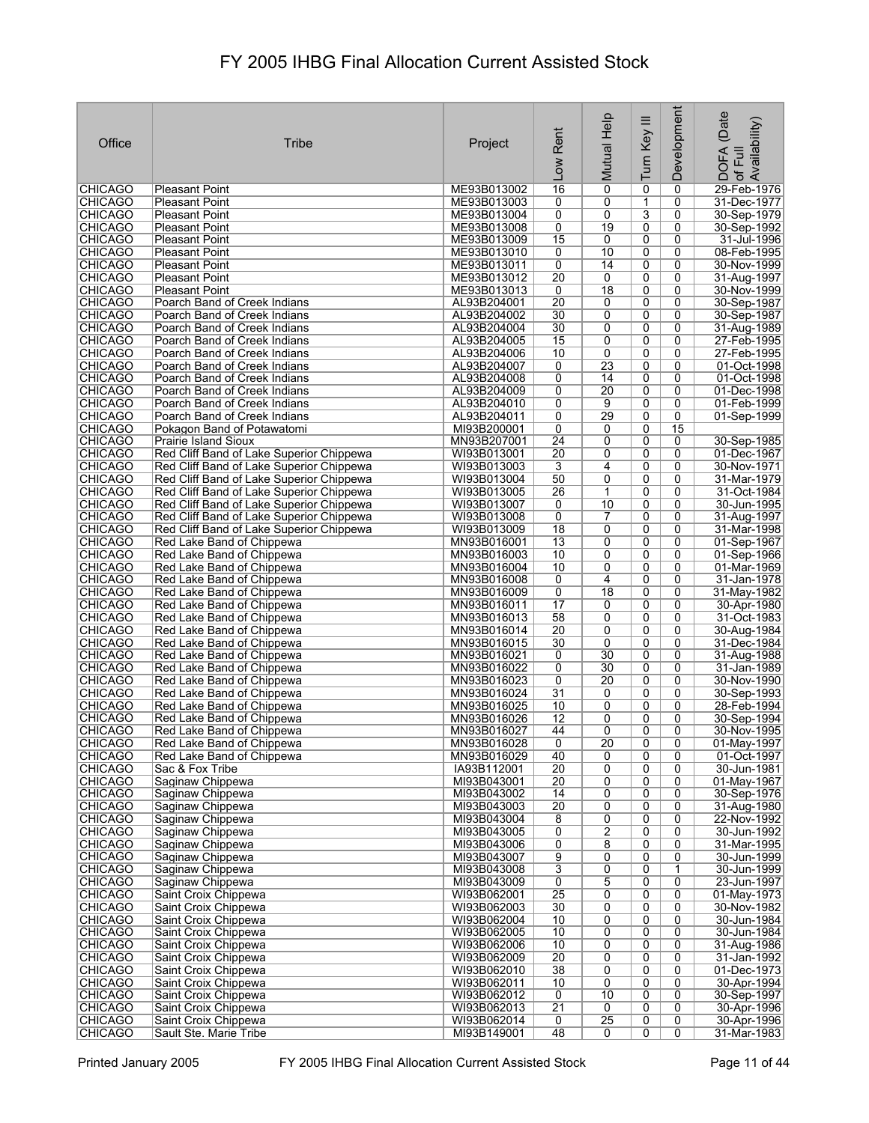| Office                           | Tribe                                                                   | Project                    | Rent<br>Low           | Mutual Help         | Turn Key III        | Development         | (Date<br>: DOFA (Date<br>! of Full<br>.Availability) |
|----------------------------------|-------------------------------------------------------------------------|----------------------------|-----------------------|---------------------|---------------------|---------------------|------------------------------------------------------|
| <b>CHICAGO</b>                   | <b>Pleasant Point</b>                                                   | ME93B013002                | 16                    | $\overline{0}$      | 0                   | $\mathbf 0$         | 29-Feb-1976                                          |
| <b>CHICAGO</b>                   | <b>Pleasant Point</b>                                                   | ME93B013003                | 0                     | 0                   | $\mathbf{1}$        | 0                   | 31-Dec-1977                                          |
| <b>CHICAGO</b>                   | <b>Pleasant Point</b>                                                   | ME93B013004                | 0                     | 0                   | 3                   | 0                   | 30-Sep-1979                                          |
| <b>CHICAGO</b>                   | <b>Pleasant Point</b>                                                   | ME93B013008                | 0                     | 19                  | 0                   | 0                   | 30-Sep-1992                                          |
| <b>CHICAGO</b>                   | <b>Pleasant Point</b>                                                   | ME93B013009                | 15                    | 0                   | 0                   | 0                   | 31-Jul-1996                                          |
| <b>CHICAGO</b><br><b>CHICAGO</b> | <b>Pleasant Point</b><br><b>Pleasant Point</b>                          | ME93B013010<br>ME93B013011 | 0<br>0                | 10<br>14            | 0<br>0              | 0<br>0              | 08-Feb-1995<br>30-Nov-1999                           |
| <b>CHICAGO</b>                   | <b>Pleasant Point</b>                                                   | ME93B013012                | $\overline{20}$       | 0                   | 0                   | 0                   | 31-Aug-1997                                          |
| <b>CHICAGO</b>                   | Pleasant Point                                                          | ME93B013013                | 0                     | $\overline{18}$     | 0                   | 0                   | 30-Nov-1999                                          |
| <b>CHICAGO</b>                   | Poarch Band of Creek Indians                                            | AL93B204001                | $\overline{20}$       | 0                   | 0                   | 0                   | 30-Sep-1987                                          |
| <b>CHICAGO</b>                   | Poarch Band of Creek Indians                                            | AL93B204002                | 30                    | 0                   | $\overline{0}$      | 0                   | 30-Sep-1987                                          |
| <b>CHICAGO</b>                   | Poarch Band of Creek Indians                                            | AL93B204004                | 30                    | 0                   | 0<br>$\overline{0}$ | 0<br>0              | 31-Aug-1989                                          |
| <b>CHICAGO</b><br><b>CHICAGO</b> | Poarch Band of Creek Indians<br>Poarch Band of Creek Indians            | AL93B204005<br>AL93B204006 | 15<br>10              | 0<br>0              | 0                   | 0                   | 27-Feb-1995<br>27-Feb-1995                           |
| <b>CHICAGO</b>                   | Poarch Band of Creek Indians                                            | AL93B204007                | 0                     | 23                  | $\overline{0}$      | 0                   | 01-Oct-1998                                          |
| <b>CHICAGO</b>                   | Poarch Band of Creek Indians                                            | AL93B204008                | 0                     | 14                  | 0                   | 0                   | 01-Oct-1998                                          |
| <b>CHICAGO</b>                   | Poarch Band of Creek Indians                                            | AL93B204009                | 0                     | 20                  | 0                   | 0                   | 01-Dec-1998                                          |
| <b>CHICAGO</b>                   | Poarch Band of Creek Indians                                            | AL93B204010                | 0                     | 9                   | 0                   | 0                   | 01-Feb-1999                                          |
| <b>CHICAGO</b>                   | Poarch Band of Creek Indians                                            | AL93B204011                | 0                     | 29                  | 0                   | $\overline{0}$      | 01-Sep-1999                                          |
| <b>CHICAGO</b><br><b>CHICAGO</b> | Pokagon Band of Potawatomi                                              | MI93B200001                | 0<br>$\overline{24}$  | 0<br>0              | 0<br>0              | 15<br>0             |                                                      |
| <b>CHICAGO</b>                   | <b>Prairie Island Sioux</b><br>Red Cliff Band of Lake Superior Chippewa | MN93B207001<br>WI93B013001 | $\overline{20}$       | 0                   | 0                   | 0                   | 30-Sep-1985<br>01-Dec-1967                           |
| <b>CHICAGO</b>                   | Red Cliff Band of Lake Superior Chippewa                                | WI93B013003                | $\overline{3}$        | 4                   | 0                   | 0                   | 30-Nov-1971                                          |
| <b>CHICAGO</b>                   | Red Cliff Band of Lake Superior Chippewa                                | WI93B013004                | 50                    | 0                   | 0                   | 0                   | 31-Mar-1979                                          |
| <b>CHICAGO</b>                   | Red Cliff Band of Lake Superior Chippewa                                | WI93B013005                | 26                    | $\mathbf 1$         | $\overline{0}$      | 0                   | 31-Oct-1984                                          |
| <b>CHICAGO</b>                   | Red Cliff Band of Lake Superior Chippewa                                | WI93B013007                | 0                     | 10                  | 0                   | 0                   | 30-Jun-1995                                          |
| <b>CHICAGO</b>                   | Red Cliff Band of Lake Superior Chippewa                                | WI93B013008                | 0                     | 7                   | 0                   | 0                   | 31-Aug-1997                                          |
| <b>CHICAGO</b>                   | Red Cliff Band of Lake Superior Chippewa                                | WI93B013009                | $\overline{18}$       | 0                   | 0                   | 0<br>0              | 31-Mar-1998                                          |
| <b>CHICAGO</b><br><b>CHICAGO</b> | Red Lake Band of Chippewa<br>Red Lake Band of Chippewa                  | MN93B016001<br>MN93B016003 | 13<br>10              | 0<br>0              | 0<br>0              | 0                   | 01-Sep-1967<br>01-Sep-1966                           |
| <b>CHICAGO</b>                   | Red Lake Band of Chippewa                                               | MN93B016004                | 10                    | 0                   | 0                   | 0                   | 01-Mar-1969                                          |
| <b>CHICAGO</b>                   | Red Lake Band of Chippewa                                               | MN93B016008                | 0                     | 4                   | 0                   | 0                   | 31-Jan-1978                                          |
| <b>CHICAGO</b>                   | Red Lake Band of Chippewa                                               | MN93B016009                | 0                     | 18                  | 0                   | 0                   | 31-May-1982                                          |
| <b>CHICAGO</b>                   | Red Lake Band of Chippewa                                               | MN93B016011                | 17                    | 0                   | 0                   | 0                   | 30-Apr-1980                                          |
| <b>CHICAGO</b>                   | Red Lake Band of Chippewa                                               | MN93B016013                | 58                    | 0                   | 0                   | 0                   | 31-Oct-1983                                          |
| <b>CHICAGO</b><br><b>CHICAGO</b> | Red Lake Band of Chippewa<br>Red Lake Band of Chippewa                  | MN93B016014<br>MN93B016015 | $\overline{20}$<br>30 | 0<br>0              | 0<br>0              | 0<br>0              | 30-Aug-1984<br>31-Dec-1984                           |
| <b>CHICAGO</b>                   | Red Lake Band of Chippewa                                               | MN93B016021                | 0                     | 30                  | $\overline{0}$      | 0                   | 31-Aug-1988                                          |
| <b>CHICAGO</b>                   | Red Lake Band of Chippewa                                               | MN93B016022                | 0                     | 30                  | 0                   | 0                   | 31-Jan-1989                                          |
| <b>CHICAGO</b>                   | Red Lake Band of Chippewa                                               | MN93B016023                | 0                     | 20                  | 0                   | 0                   | 30-Nov-1990                                          |
| <b>CHICAGO</b>                   | Red Lake Band of Chippewa                                               | MN93B016024                | 31                    | 0                   | 0                   | 0                   | 30-Sep-1993                                          |
| <b>CHICAGO</b>                   | Red Lake Band of Chippewa                                               | MN93B016025                | 10                    | 0                   | 0                   | 0                   | 28-Feb-1994                                          |
| <b>CHICAGO</b><br><b>CHICAGO</b> | Red Lake Band of Chippewa<br>Red Lake Band of Chippewa                  | MN93B016026<br>MN93B016027 | $\overline{12}$<br>44 | 0<br>0              | 0<br>$\overline{0}$ | 0<br>0              | 30-Sep-1994<br>30-Nov-1995                           |
| <b>CHICAGO</b>                   | Red Lake Band of Chippewa                                               | MN93B016028                | $\overline{0}$        | 20                  | 0                   | 0                   | 01-May-1997                                          |
| <b>CHICAGO</b>                   | Red Lake Band of Chippewa                                               | MN93B016029                | 40                    | 0                   | 0                   | 0                   | 01-Oct-1997                                          |
| <b>CHICAGO</b>                   | Sac & Fox Tribe                                                         | IA93B112001                | 20                    | $\overline{0}$      | $\overline{0}$      | 0                   | 30-Jun-1981                                          |
| <b>CHICAGO</b>                   | Saginaw Chippewa                                                        | MI93B043001                | 20                    | 0                   | 0                   | 0                   | 01-May-1967                                          |
| <b>CHICAGO</b>                   | Saginaw Chippewa                                                        | MI93B043002                | 14                    | 0                   | 0                   | 0                   | 30-Sep-1976                                          |
| <b>CHICAGO</b><br><b>CHICAGO</b> | Saginaw Chippewa<br>Saginaw Chippewa                                    | MI93B043003<br>MI93B043004 | 20<br>8               | $\overline{0}$<br>0 | $\overline{0}$<br>0 | $\overline{0}$<br>0 | 31-Aug-1980<br>22-Nov-1992                           |
| <b>CHICAGO</b>                   | Saginaw Chippewa                                                        | MI93B043005                | 0                     | $\overline{2}$      | 0                   | 0                   | 30-Jun-1992                                          |
| <b>CHICAGO</b>                   | Saginaw Chippewa                                                        | MI93B043006                | 0                     | $\overline{8}$      | 0                   | 0                   | 31-Mar-1995                                          |
| <b>CHICAGO</b>                   | Saginaw Chippewa                                                        | MI93B043007                | 9                     | 0                   | 0                   | 0                   | 30-Jun-1999                                          |
| <b>CHICAGO</b>                   | Saginaw Chippewa                                                        | MI93B043008                | $\overline{3}$        | 0                   | 0                   | 1                   | 30-Jun-1999                                          |
| <b>CHICAGO</b>                   | Saginaw Chippewa                                                        | MI93B043009                | 0<br>$\overline{25}$  | 5<br>0              | 0<br>0              | 0<br>0              | 23-Jun-1997                                          |
| <b>CHICAGO</b><br><b>CHICAGO</b> | Saint Croix Chippewa<br>Saint Croix Chippewa                            | WI93B062001<br>WI93B062003 | 30                    | 0                   | 0                   | 0                   | 01-May-1973<br>30-Nov-1982                           |
| <b>CHICAGO</b>                   | Saint Croix Chippewa                                                    | WI93B062004                | 10                    | 0                   | 0                   | 0                   | 30-Jun-1984                                          |
| <b>CHICAGO</b>                   | Saint Croix Chippewa                                                    | WI93B062005                | 10                    | 0                   | 0                   | 0                   | 30-Jun-1984                                          |
| <b>CHICAGO</b>                   | Saint Croix Chippewa                                                    | WI93B062006                | 10                    | 0                   | 0                   | 0                   | 31-Aug-1986                                          |
| <b>CHICAGO</b>                   | Saint Croix Chippewa                                                    | WI93B062009                | $\overline{20}$       | 0                   | 0                   | 0                   | 31-Jan-1992                                          |
| <b>CHICAGO</b>                   | Saint Croix Chippewa                                                    | WI93B062010                | 38                    | 0                   | $\overline{0}$      | 0                   | 01-Dec-1973                                          |
| <b>CHICAGO</b><br><b>CHICAGO</b> | Saint Croix Chippewa<br>Saint Croix Chippewa                            | WI93B062011<br>WI93B062012 | 10<br>0               | 0<br>10             | 0<br>0              | 0<br>0              | 30-Apr-1994<br>30-Sep-1997                           |
| <b>CHICAGO</b>                   | Saint Croix Chippewa                                                    | WI93B062013                | $\overline{21}$       | 0                   | 0                   | 0                   | 30-Apr-1996                                          |
| <b>CHICAGO</b>                   | Saint Croix Chippewa                                                    | WI93B062014                | $\overline{0}$        | $\overline{25}$     | 0                   | 0                   | 30-Apr-1996                                          |
| <b>CHICAGO</b>                   | Sault Ste. Marie Tribe                                                  | MI93B149001                | 48                    | 0                   | 0                   | $\overline{0}$      | 31-Mar-1983                                          |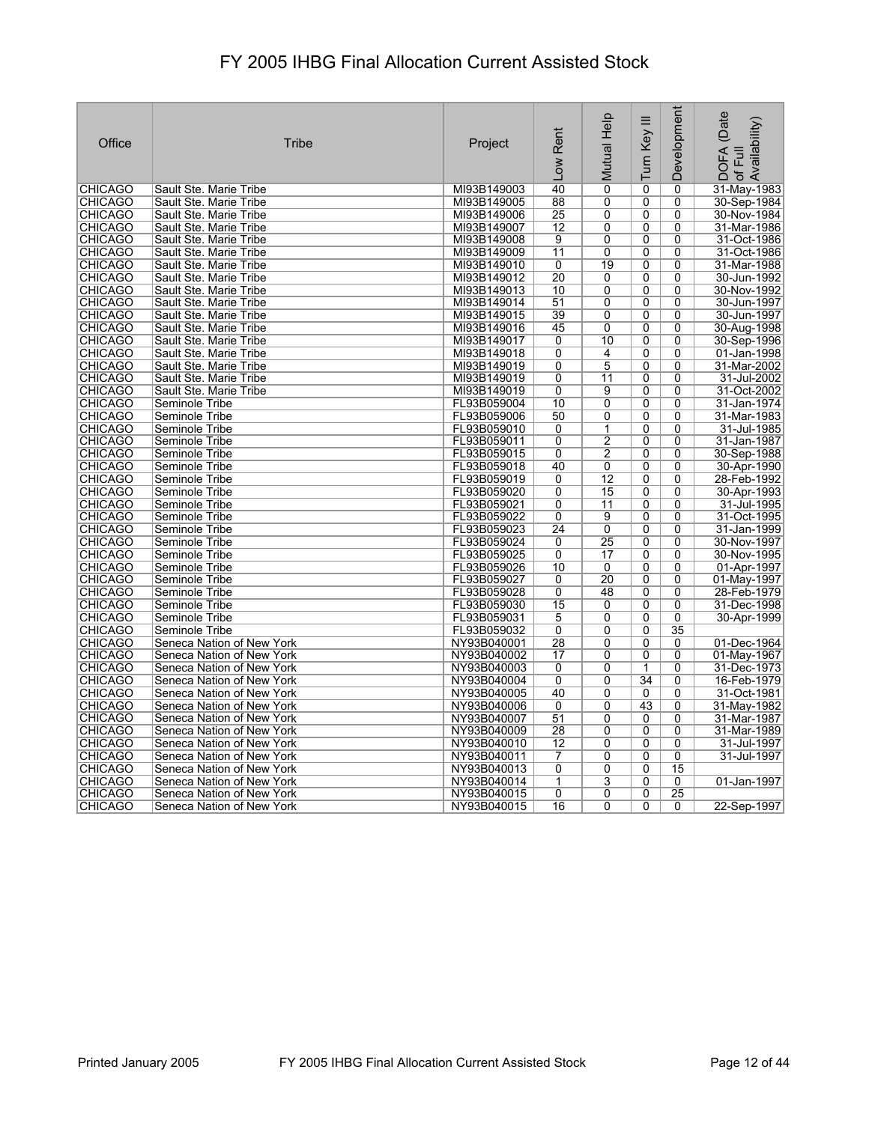| Office                           | Tribe                            | Project                    | Rent<br>Low     | Mutual Help     | Turn Key III        | Development    | (Date<br>Availability)<br><b>DOFA</b><br>ー<br>トー<br>$\overline{\sigma}$ |
|----------------------------------|----------------------------------|----------------------------|-----------------|-----------------|---------------------|----------------|-------------------------------------------------------------------------|
| <b>CHICAGO</b>                   | Sault Ste. Marie Tribe           | MI93B149003                | 40              | $\overline{0}$  | $\overline{0}$      | 0              | 31-May-1983                                                             |
| <b>CHICAGO</b>                   | Sault Ste. Marie Tribe           | MI93B149005                | 88              | 0               | 0                   | 0              | 30-Sep-1984                                                             |
| <b>CHICAGO</b>                   | Sault Ste. Marie Tribe           | MI93B149006                | $\overline{25}$ | 0               | 0                   | 0              | 30-Nov-1984                                                             |
| <b>CHICAGO</b>                   | Sault Ste. Marie Tribe           | MI93B149007                | $\overline{12}$ | $\overline{0}$  | $\overline{0}$      | $\overline{0}$ | 31-Mar-1986                                                             |
| CHICAGO                          | Sault Ste. Marie Tribe           | MI93B149008                | 9               | 0               | 0                   | 0              | 31-Oct-1986                                                             |
| <b>CHICAGO</b>                   | Sault Ste. Marie Tribe           | MI93B149009                | 11              | 0               | 0                   | 0              | 31-Oct-1986                                                             |
| <b>CHICAGO</b>                   | Sault Ste. Marie Tribe           | MI93B149010                | 0               | 19              | 0                   | 0              | 31-Mar-1988                                                             |
| <b>CHICAGO</b>                   | Sault Ste. Marie Tribe           | MI93B149012                | 20              | $\overline{0}$  | $\overline{0}$      | 0              | 30-Jun-1992                                                             |
| <b>CHICAGO</b>                   | Sault Ste. Marie Tribe           | MI93B149013                | 10              | 0               | 0                   | 0              | 30-Nov-1992                                                             |
| <b>CHICAGO</b>                   | Sault Ste. Marie Tribe           | MI93B149014                | 51              | 0               | 0                   | 0              | 30-Jun-1997                                                             |
| <b>CHICAGO</b>                   | Sault Ste. Marie Tribe           | MI93B149015                | 39              | 0               | 0                   | 0              | 30-Jun-1997                                                             |
| <b>CHICAGO</b>                   | Sault Ste. Marie Tribe           | MI93B149016                | 45              | 0               | 0                   | 0              | 30-Aug-1998                                                             |
| <b>CHICAGO</b>                   | Sault Ste. Marie Tribe           | MI93B149017                | 0               | 10              | 0                   | $\mathbf{0}$   | 30-Sep-1996                                                             |
| <b>CHICAGO</b>                   | Sault Ste. Marie Tribe           | MI93B149018                | 0               | 4               | 0                   | 0              | 01-Jan-1998                                                             |
| <b>CHICAGO</b>                   | Sault Ste. Marie Tribe           | MI93B149019                | $\overline{0}$  | 5               | $\overline{0}$      | $\overline{0}$ | 31-Mar-2002                                                             |
| <b>CHICAGO</b>                   | Sault Ste. Marie Tribe           | MI93B149019                | 0               | 11              | 0                   | 0              | 31-Jul-2002                                                             |
| <b>CHICAGO</b>                   | Sault Ste. Marie Tribe           | MI93B149019                | 0               | 9               | 0                   | $\mathbf{0}$   | 31-Oct-2002                                                             |
| <b>CHICAGO</b>                   | Seminole Tribe                   | FL93B059004                | 10              | $\overline{0}$  | $\overline{0}$      | $\mathbf{0}$   | 31-Jan-1974                                                             |
| <b>CHICAGO</b>                   | Seminole Tribe                   | FL93B059006                | 50              | $\overline{0}$  | $\overline{0}$      | $\overline{0}$ | 31-Mar-1983                                                             |
| <b>CHICAGO</b>                   | Seminole Tribe                   | FL93B059010                | 0               | 1               | 0                   | 0              | 31-Jul-1985                                                             |
| <b>CHICAGO</b>                   | Seminole Tribe                   | FL93B059011                | 0               | $\overline{2}$  | 0                   | 0              | 31-Jan-1987                                                             |
| <b>CHICAGO</b>                   | Seminole Tribe                   | FL93B059015                | 0               | $\overline{2}$  | $\overline{0}$      | 0              | 30-Sep-1988                                                             |
| <b>CHICAGO</b>                   | Seminole Tribe                   | FL93B059018                | 40              | 0               | 0                   | 0              | 30-Apr-1990                                                             |
| <b>CHICAGO</b>                   | Seminole Tribe                   | FL93B059019                | 0               | 12              | 0                   | 0              | 28-Feb-1992                                                             |
| <b>CHICAGO</b>                   | Seminole Tribe                   | FL93B059020                | $\overline{0}$  | $\overline{15}$ | $\overline{0}$      | $\overline{0}$ | 30-Apr-1993                                                             |
| <b>CHICAGO</b>                   | Seminole Tribe                   | FL93B059021                | $\overline{0}$  | 11              | 0                   | $\overline{0}$ | 31-Jul-1995                                                             |
| CHICAGO                          | Seminole Tribe                   | FL93B059022                | $\Omega$        | $\overline{9}$  | $\overline{0}$      | 0              | 31-Oct-1995                                                             |
| <b>CHICAGO</b>                   | Seminole Tribe                   | FL93B059023                | $\overline{24}$ | 0               | 0                   | 0              | 31-Jan-1999                                                             |
| <b>CHICAGO</b>                   | Seminole Tribe                   | FL93B059024                | $\Omega$        | 25              | 0                   | $\mathbf{0}$   | 30-Nov-1997                                                             |
| <b>CHICAGO</b>                   | Seminole Tribe                   | FL93B059025                | 0               | 17              | $\overline{0}$      | 0              | 30-Nov-1995                                                             |
| <b>CHICAGO</b>                   | Seminole Tribe                   | FL93B059026                | 10              | 0               | 0                   | 0              | 01-Apr-1997                                                             |
| <b>CHICAGO</b>                   | Seminole Tribe                   | FL93B059027                | 0               | 20<br>48        | 0<br>$\overline{0}$ | $\mathbf{0}$   | 01-May-1997                                                             |
| <b>CHICAGO</b><br><b>CHICAGO</b> | Seminole Tribe                   | FL93B059028                | 0<br>15         |                 |                     | 0              | 28-Feb-1979<br>31-Dec-1998                                              |
| <b>CHICAGO</b>                   | Seminole Tribe<br>Seminole Tribe | FL93B059030<br>FL93B059031 | 5               | 0<br>0          | 0<br>0              | 0<br>0         | 30-Apr-1999                                                             |
| <b>CHICAGO</b>                   | Seminole Tribe                   | FL93B059032                | 0               | 0               | 0                   | 35             |                                                                         |
| <b>CHICAGO</b>                   | Seneca Nation of New York        | NY93B040001                | 28              | $\overline{0}$  | 0                   | 0              | 01-Dec-1964                                                             |
| <b>CHICAGO</b>                   | Seneca Nation of New York        | NY93B040002                | 17              | 0               | 0                   | 0              | 01-May-1967                                                             |
| <b>CHICAGO</b>                   | Seneca Nation of New York        | NY93B040003                | $\overline{0}$  | 0               | 1                   | 0              | 31-Dec-1973                                                             |
| <b>CHICAGO</b>                   | Seneca Nation of New York        | NY93B040004                | 0               | $\overline{0}$  | 34                  | 0              | 16-Feb-1979                                                             |
| <b>CHICAGO</b>                   | Seneca Nation of New York        | NY93B040005                | 40              | 0               | 0                   | 0              | 31-Oct-1981                                                             |
| <b>CHICAGO</b>                   | Seneca Nation of New York        | NY93B040006                | 0               | 0               | 43                  | 0              | 31-May-1982                                                             |
| <b>CHICAGO</b>                   | Seneca Nation of New York        | NY93B040007                | 51              | 0               | 0                   | 0              | 31-Mar-1987                                                             |
| <b>CHICAGO</b>                   | Seneca Nation of New York        | NY93B040009                | 28              | $\overline{0}$  | $\overline{0}$      | $\overline{0}$ | 31-Mar-1989                                                             |
| <b>CHICAGO</b>                   | Seneca Nation of New York        | NY93B040010                | 12              | 0               | 0                   | 0              | 31-Jul-1997                                                             |
| <b>CHICAGO</b>                   | Seneca Nation of New York        | NY93B040011                | $\overline{7}$  | 0               | 0                   | $\Omega$       | 31-Jul-1997                                                             |
| <b>CHICAGO</b>                   | Seneca Nation of New York        | NY93B040013                | $\overline{0}$  | $\overline{0}$  | $\overline{0}$      | 15             |                                                                         |
| <b>CHICAGO</b>                   | Seneca Nation of New York        | NY93B040014                | $\mathbf{1}$    | 3               | 0                   | 0              | 01-Jan-1997                                                             |
| <b>CHICAGO</b>                   | Seneca Nation of New York        | NY93B040015                | $\mathbf{0}$    | 0               | 0                   | 25             |                                                                         |
| <b>CHICAGO</b>                   | Seneca Nation of New York        | NY93B040015                | 16              | 0               | 0                   | 0              | 22-Sep-1997                                                             |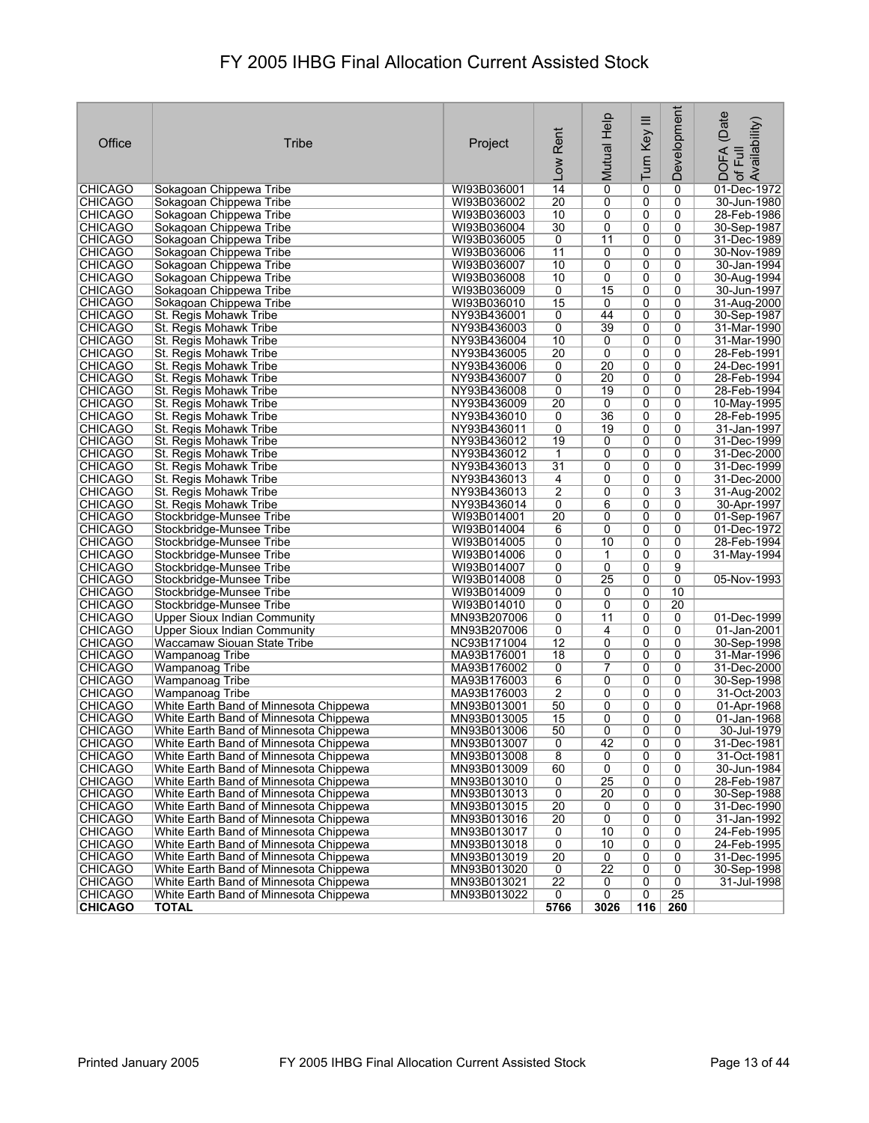| Office                           | Tribe                                                                            | Project                    | Rent<br>Low         | Mutual Help     | Turn Key III   | Development     | (Date<br>of Full<br>Availability)<br><b>DOFA</b> |
|----------------------------------|----------------------------------------------------------------------------------|----------------------------|---------------------|-----------------|----------------|-----------------|--------------------------------------------------|
| <b>CHICAGO</b>                   | Sokagoan Chippewa Tribe                                                          | WI93B036001                | 14                  | 0               | 0              | 0               | 01-Dec-1972                                      |
| <b>CHICAGO</b>                   | Sokagoan Chippewa Tribe                                                          | WI93B036002                | $\overline{20}$     | 0               | 0              | 0               | 30-Jun-1980                                      |
| <b>CHICAGO</b>                   | Sokagoan Chippewa Tribe                                                          | WI93B036003                | 10                  | 0               | 0              | 0               | 28-Feb-1986                                      |
| <b>CHICAGO</b>                   | Sokagoan Chippewa Tribe                                                          | WI93B036004                | 30                  | 0               | 0              | 0               | 30-Sep-1987                                      |
| <b>CHICAGO</b>                   | Sokagoan Chippewa Tribe                                                          | WI93B036005                | 0                   | $\overline{11}$ | 0              | $\Omega$        | 31-Dec-1989                                      |
| <b>CHICAGO</b>                   | Sokagoan Chippewa Tribe                                                          | WI93B036006                | 11                  | 0               | 0              | 0               | 30-Nov-1989                                      |
| <b>CHICAGO</b>                   | Sokagoan Chippewa Tribe                                                          | WI93B036007                | 10                  | 0               | 0              | 0               | 30-Jan-1994                                      |
| <b>CHICAGO</b>                   | Sokagoan Chippewa Tribe                                                          | WI93B036008                | 10                  | 0               | 0              | 0               | 30-Aug-1994                                      |
| <b>CHICAGO</b>                   | Sokagoan Chippewa Tribe                                                          | WI93B036009                | 0                   | 15              | 0              | 0               | 30-Jun-1997                                      |
| <b>CHICAGO</b>                   | Sokagoan Chippewa Tribe                                                          | WI93B036010                | 15                  | 0               | 0              | 0               | 31-Aug-2000                                      |
| <b>CHICAGO</b>                   | St. Regis Mohawk Tribe                                                           | NY93B436001                | 0                   | 44              | $\overline{0}$ | 0               | 30-Sep-1987                                      |
| <b>CHICAGO</b>                   | St. Regis Mohawk Tribe                                                           | NY93B436003                | 0                   | 39              | 0              | 0               | 31-Mar-1990                                      |
| <b>CHICAGO</b>                   | St. Regis Mohawk Tribe                                                           | NY93B436004                | 10                  | 0               | 0              | 0               | 31-Mar-1990                                      |
| <b>CHICAGO</b>                   | St. Regis Mohawk Tribe                                                           | NY93B436005                | $\overline{20}$     | 0               | 0              | 0               | 28-Feb-1991                                      |
| <b>CHICAGO</b>                   | St. Regis Mohawk Tribe                                                           | NY93B436006                | 0                   | 20              | 0              | 0               | 24-Dec-1991                                      |
| <b>CHICAGO</b>                   | St. Regis Mohawk Tribe                                                           | NY93B436007                | 0                   | 20              | 0              | 0               | 28-Feb-1994                                      |
| <b>CHICAGO</b>                   | St. Regis Mohawk Tribe                                                           | NY93B436008                | 0                   | $\overline{19}$ | 0              | 0               | 28-Feb-1994                                      |
| CHICAGO                          | St. Regis Mohawk Tribe                                                           | NY93B436009                | 20                  | 0               | 0              | $\Omega$        | 10-May-1995                                      |
| <b>CHICAGO</b>                   | St. Regis Mohawk Tribe                                                           | NY93B436010                | 0                   | 36              | $\overline{0}$ | 0               | 28-Feb-1995                                      |
| <b>CHICAGO</b>                   | St. Regis Mohawk Tribe                                                           | NY93B436011                | 0                   | 19              | 0              | 0               | 31-Jan-1997                                      |
| <b>CHICAGO</b>                   | St. Regis Mohawk Tribe                                                           | NY93B436012                | 19                  | 0               | 0              | 0               | 31-Dec-1999                                      |
| <b>CHICAGO</b>                   | St. Regis Mohawk Tribe                                                           | NY93B436012                | $\mathbf{1}$        | $\overline{0}$  | $\overline{0}$ | $\overline{0}$  | 31-Dec-2000                                      |
| <b>CHICAGO</b>                   | St. Regis Mohawk Tribe                                                           | NY93B436013                | 31                  | 0               | 0              | 0               | 31-Dec-1999                                      |
| <b>CHICAGO</b>                   | St. Regis Mohawk Tribe                                                           | NY93B436013                | 4                   | 0               | 0              | 0               | 31-Dec-2000                                      |
| <b>CHICAGO</b>                   | St. Regis Mohawk Tribe                                                           | NY93B436013                | $\overline{2}$      | 0               | 0              | 3               | 31-Aug-2002                                      |
| <b>CHICAGO</b>                   | St. Regis Mohawk Tribe                                                           | NY93B436014                | 0                   | 6               | 0              | 0               | 30-Apr-1997                                      |
| <b>CHICAGO</b>                   | Stockbridge-Munsee Tribe                                                         | WI93B014001                | $\overline{20}$     | 0               | 0              | 0               | 01-Sep-1967                                      |
| <b>CHICAGO</b><br><b>CHICAGO</b> | Stockbridge-Munsee Tribe<br>Stockbridge-Munsee Tribe                             | WI93B014004<br>WI93B014005 | 6<br>0              | 0<br>10         | 0<br>0         | 0<br>0          | 01-Dec-1972<br>28-Feb-1994                       |
| <b>CHICAGO</b>                   | Stockbridge-Munsee Tribe                                                         | WI93B014006                | 0                   | $\mathbf 1$     | 0              | 0               | 31-May-1994                                      |
| <b>CHICAGO</b>                   | Stockbridge-Munsee Tribe                                                         | WI93B014007                | 0                   | 0               | 0              | 9               |                                                  |
| <b>CHICAGO</b>                   | Stockbridge-Munsee Tribe                                                         | WI93B014008                | 0                   | $\overline{25}$ | 0              | 0               | 05-Nov-1993                                      |
| <b>CHICAGO</b>                   | Stockbridge-Munsee Tribe                                                         | WI93B014009                | 0                   | 0               | 0              | 10              |                                                  |
| <b>CHICAGO</b>                   | Stockbridge-Munsee Tribe                                                         | WI93B014010                | 0                   | 0               | $\overline{0}$ | $\overline{20}$ |                                                  |
| <b>CHICAGO</b>                   | Upper Sioux Indian Community                                                     | MN93B207006                | 0                   | 11              | 0              | 0               | 01-Dec-1999                                      |
| <b>CHICAGO</b>                   | Upper Sioux Indian Community                                                     | MN93B207006                | 0                   | 4               | 0              | 0               | 01-Jan-2001                                      |
| <b>CHICAGO</b>                   | Waccamaw Siouan State Tribe                                                      | NC93B171004                | $\overline{12}$     | 0               | 0              | 0               | 30-Sep-1998                                      |
| <b>CHICAGO</b>                   | Wampanoag Tribe                                                                  | MA93B176001                | $\overline{18}$     | 0               | 0              | 0               | 31-Mar-1996                                      |
| <b>CHICAGO</b>                   | Wampanoag Tribe                                                                  | MA93B176002                | 0                   | 7               | 0              | 0               | 31-Dec-2000                                      |
| <b>CHICAGO</b>                   | Wampanoag Tribe                                                                  | MA93B176003                | 6                   | 0               | 0              | 0               | 30-Sep-1998                                      |
| <b>CHICAGO</b>                   | Wampanoag Tribe                                                                  | MA93B176003                | 2                   | 0               | 0              | 0               | 31-Oct-2003                                      |
| <b>CHICAGO</b>                   | White Earth Band of Minnesota Chippewa                                           | MN93B013001                | 50                  | 0               | 0              | 0               | 01-Apr-1968                                      |
| <b>CHICAGO</b>                   | White Earth Band of Minnesota Chippewa                                           | MN93B013005                | $\overline{15}$     | 0               | 0              | $\Omega$        | 01-Jan-1968                                      |
| CHICAGO                          | White Earth Band of Minnesota Chippewa                                           | MN93B013006                | 50                  | 0               | $\overline{0}$ | 0               | 30-Jul-1979                                      |
| <b>CHICAGO</b>                   | White Earth Band of Minnesota Chippewa                                           | MN93B013007                | 0                   | 42              | 0              | 0               | 31-Dec-1981                                      |
| <b>CHICAGO</b>                   | White Earth Band of Minnesota Chippewa                                           | MN93B013008                | 8                   | 0               | 0              | 0               | 31-Oct-1981                                      |
| <b>CHICAGO</b>                   | White Earth Band of Minnesota Chippewa                                           | MN93B013009                | 60                  | $\overline{0}$  | $\overline{0}$ | $\overline{0}$  | 30-Jun-1984                                      |
| <b>CHICAGO</b>                   | White Earth Band of Minnesota Chippewa                                           | MN93B013010                | 0                   | 25              | 0              | 0               | 28-Feb-1987                                      |
| <b>CHICAGO</b>                   | White Earth Band of Minnesota Chippewa                                           | MN93B013013                | 0                   | 20              | 0              | 0               | 30-Sep-1988                                      |
| <b>CHICAGO</b>                   | White Earth Band of Minnesota Chippewa                                           | MN93B013015                | 20                  | 0               | 0              | $\overline{0}$  | 31-Dec-1990                                      |
| <b>CHICAGO</b>                   | White Earth Band of Minnesota Chippewa                                           | MN93B013016                | 20                  | 0               | 0              | 0               | 31-Jan-1992                                      |
| <b>CHICAGO</b><br><b>CHICAGO</b> | White Earth Band of Minnesota Chippewa                                           | MN93B013017<br>MN93B013018 | 0<br>$\overline{0}$ | 10<br>10        | 0              | 0<br>0          | 24-Feb-1995<br>24-Feb-1995                       |
| <b>CHICAGO</b>                   | White Earth Band of Minnesota Chippewa                                           | MN93B013019                | 20                  | 0               | 0<br>0         | 0               | 31-Dec-1995                                      |
| <b>CHICAGO</b>                   | White Earth Band of Minnesota Chippewa<br>White Earth Band of Minnesota Chippewa | MN93B013020                | $\overline{0}$      | $\overline{22}$ | 0              | 0               | 30-Sep-1998                                      |
| <b>CHICAGO</b>                   | White Earth Band of Minnesota Chippewa                                           | MN93B013021                | $\overline{22}$     | 0               | 0              | 0               | 31-Jul-1998                                      |
| <b>CHICAGO</b>                   | White Earth Band of Minnesota Chippewa                                           | MN93B013022                | 0                   | 0               | 0              | 25              |                                                  |
| <b>CHICAGO</b>                   | <b>TOTAL</b>                                                                     |                            | 5766                | 3026            | 116            | 260             |                                                  |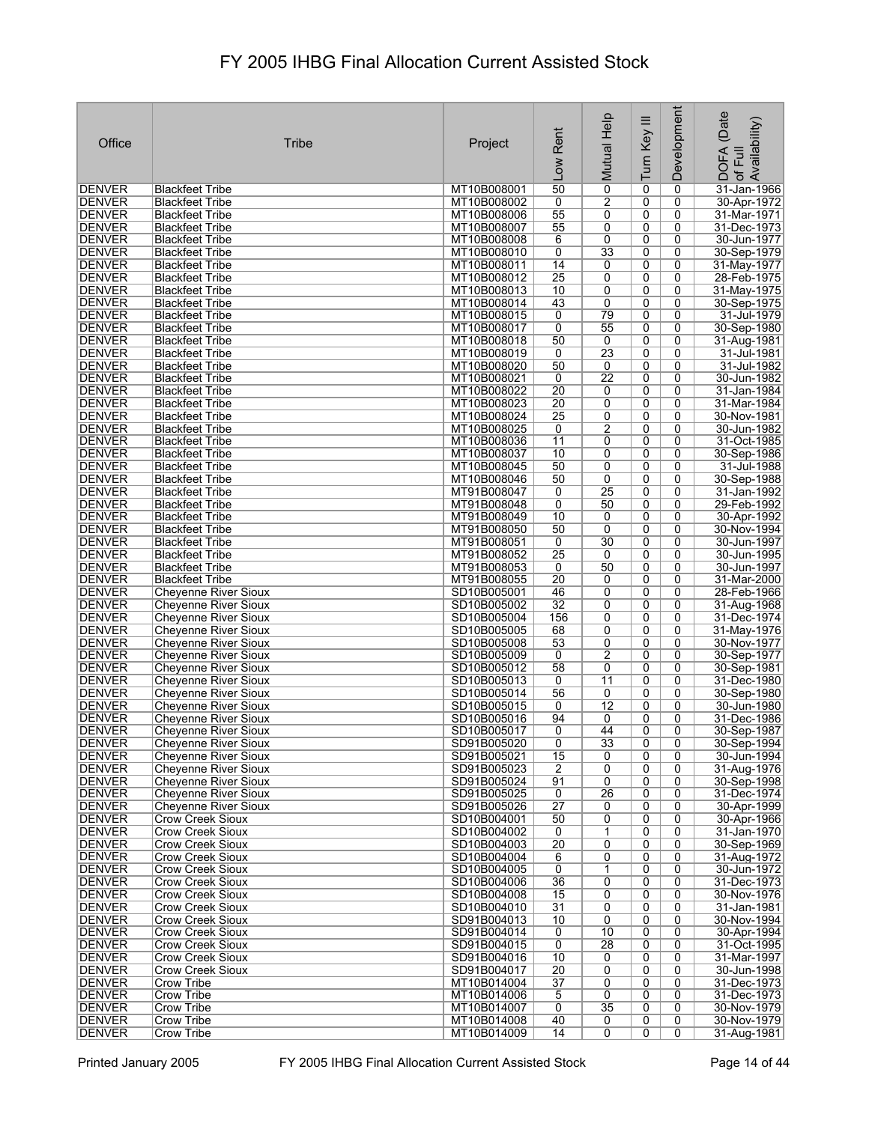| Office                         | Tribe                                               | Project                    | Rent                 | Mutual Help         | Turn Key III        | Development         | (Date<br>of Full<br>Availability) |
|--------------------------------|-----------------------------------------------------|----------------------------|----------------------|---------------------|---------------------|---------------------|-----------------------------------|
|                                |                                                     |                            | Low                  |                     |                     |                     | <b>DOFA</b>                       |
| DENVER                         | Blackfeet Tribe                                     | MT10B008001                | 50                   | $\overline{0}$      | 0                   | 0                   | 31-Jan-1966                       |
| DENVER                         | <b>Blackfeet Tribe</b>                              | MT10B008002                | 0                    | $\overline{2}$      | 0                   | 0                   | 30-Apr-1972                       |
| <b>DENVER</b>                  | <b>Blackfeet Tribe</b>                              | MT10B008006                | $\overline{55}$      | 0                   | 0                   | 0                   | 31-Mar-1971                       |
| <b>DENVER</b>                  | <b>Blackfeet Tribe</b>                              | MT10B008007                | 55                   | 0                   | 0                   | 0                   | 31-Dec-1973                       |
| <b>DENVER</b>                  | <b>Blackfeet Tribe</b>                              | MT10B008008                | 6                    | 0                   | 0                   | 0                   | 30-Jun-1977                       |
| <b>DENVER</b>                  | <b>Blackfeet Tribe</b>                              | MT10B008010                | 0<br>14              | 33                  | 0                   | 0<br>0              | 30-Sep-1979                       |
| <b>DENVER</b><br><b>DENVER</b> | <b>Blackfeet Tribe</b><br><b>Blackfeet Tribe</b>    | MT10B008011<br>MT10B008012 | $\overline{25}$      | 0<br>0              | 0<br>0              | 0                   | 31-May-1977<br>28-Feb-1975        |
| <b>DENVER</b>                  | <b>Blackfeet Tribe</b>                              | MT10B008013                | 10                   | 0                   | 0                   | 0                   | 31-May-1975                       |
| <b>DENVER</b>                  | <b>Blackfeet Tribe</b>                              | MT10B008014                | 43                   | 0                   | 0                   | 0                   | 30-Sep-1975                       |
| <b>DENVER</b>                  | <b>Blackfeet Tribe</b>                              | MT10B008015                | 0                    | 79                  | $\overline{0}$      | 0                   | 31-Jul-1979                       |
| <b>DENVER</b>                  | <b>Blackfeet Tribe</b>                              | MT10B008017                | 0                    | 55                  | 0                   | 0                   | 30-Sep-1980                       |
| <b>DENVER</b>                  | <b>Blackfeet Tribe</b>                              | MT10B008018                | 50                   | 0                   | 0                   | 0                   | 31-Aug-1981                       |
| <b>DENVER</b>                  | <b>Blackfeet Tribe</b>                              | MT10B008019                | 0                    | $\overline{23}$     | 0                   | 0                   | 31-Jul-1981                       |
| <b>DENVER</b>                  | <b>Blackfeet Tribe</b>                              | MT10B008020                | 50                   | 0                   | 0                   | 0                   | 31-Jul-1982                       |
| DENVER                         | <b>Blackfeet Tribe</b>                              | MT10B008021                | 0                    | $\overline{22}$     | 0                   | 0                   | 30-Jun-1982                       |
| <b>DENVER</b>                  | <b>Blackfeet Tribe</b>                              | MT10B008022                | 20                   | 0                   | 0                   | 0                   | 31-Jan-1984                       |
| <b>DENVER</b>                  | <b>Blackfeet Tribe</b>                              | MT10B008023                | $\overline{20}$      | 0                   | 0                   | 0                   | 31-Mar-1984                       |
| <b>DENVER</b>                  | <b>Blackfeet Tribe</b>                              | MT10B008024                | 25                   | 0                   | 0                   | 0                   | 30-Nov-1981                       |
| <b>DENVER</b>                  | <b>Blackfeet Tribe</b><br><b>Blackfeet Tribe</b>    | MT10B008025                | 0                    | $\overline{2}$      | 0                   | 0                   | 30-Jun-1982                       |
| DENVER<br><b>DENVER</b>        | <b>Blackfeet Tribe</b>                              | MT10B008036<br>MT10B008037 | 11<br>10             | 0<br>$\overline{0}$ | 0<br>$\overline{0}$ | 0<br>$\overline{0}$ | 31-Oct-1985<br>30-Sep-1986        |
| <b>DENVER</b>                  | <b>Blackfeet Tribe</b>                              | MT10B008045                | 50                   | 0                   | 0                   | 0                   | 31-Jul-1988                       |
| <b>DENVER</b>                  | <b>Blackfeet Tribe</b>                              | MT10B008046                | 50                   | 0                   | 0                   | 0                   | 30-Sep-1988                       |
| <b>DENVER</b>                  | Blackfeet Tribe                                     | MT91B008047                | 0                    | 25                  | $\overline{0}$      | $\overline{0}$      | 31-Jan-1992                       |
| <b>DENVER</b>                  | <b>Blackfeet Tribe</b>                              | MT91B008048                | $\overline{0}$       | 50                  | 0                   | 0                   | 29-Feb-1992                       |
| <b>DENVER</b>                  | <b>Blackfeet Tribe</b>                              | MT91B008049                | 10                   | 0                   | 0                   | 0                   | 30-Apr-1992                       |
| <b>DENVER</b>                  | <b>Blackfeet Tribe</b>                              | MT91B008050                | 50                   | 0                   | 0                   | 0                   | 30-Nov-1994                       |
| DENVER                         | <b>Blackfeet Tribe</b>                              | MT91B008051                | 0                    | 30                  | 0                   | 0                   | 30-Jun-1997                       |
| <b>DENVER</b>                  | <b>Blackfeet Tribe</b>                              | MT91B008052                | $\overline{25}$      | 0                   | 0                   | 0                   | 30-Jun-1995                       |
| <b>DENVER</b>                  | <b>Blackfeet Tribe</b>                              | MT91B008053                | 0                    | 50                  | 0                   | 0                   | 30-Jun-1997                       |
| <b>DENVER</b>                  | <b>Blackfeet Tribe</b>                              | MT91B008055                | $\overline{20}$      | 0                   | 0                   | 0                   | 31-Mar-2000                       |
| <b>DENVER</b>                  | <b>Cheyenne River Sioux</b>                         | SD10B005001                | 46                   | 0                   | 0                   | 0                   | 28-Feb-1966                       |
| <b>DENVER</b>                  | <b>Chevenne River Sioux</b>                         | SD10B005002                | 32                   | 0                   | 0                   | 0<br>0              | 31-Aug-1968                       |
| DENVER<br><b>DENVER</b>        | Cheyenne River Sioux<br><b>Cheyenne River Sioux</b> | SD10B005004<br>SD10B005005 | 156<br>68            | 0<br>0              | 0<br>0              | 0                   | 31-Dec-1974<br>31-May-1976        |
| <b>DENVER</b>                  | <b>Chevenne River Sioux</b>                         | SD10B005008                | 53                   | 0                   | 0                   | 0                   | 30-Nov-1977                       |
| <b>DENVER</b>                  | Cheyenne River Sioux                                | SD10B005009                | 0                    | 2                   | 0                   | 0                   | 30-Sep-1977                       |
| <b>DENVER</b>                  | <b>Cheyenne River Sioux</b>                         | SD10B005012                | 58                   | 0                   | 0                   | 0                   | 30-Sep-1981                       |
| <b>DENVER</b>                  | <b>Cheyenne River Sioux</b>                         | SD10B005013                | 0                    | 11                  | 0                   | 0                   | 31-Dec-1980                       |
| <b>DENVER</b>                  | <b>Cheyenne River Sioux</b>                         | SD10B005014                | 56                   | 0                   | 0                   | 0                   | 30-Sep-1980                       |
| <b>DENVER</b>                  | <b>Cheyenne River Sioux</b>                         | SD10B005015                | 0                    | $\overline{12}$     | 0                   | 0                   | 30-Jun-1980                       |
| <b>DENVER</b>                  | <b>Cheyenne River Sioux</b>                         | SD10B005016                | 94                   | 0                   | 0                   | 0                   | 31-Dec-1986                       |
| <b>DENVER</b>                  | <b>Cheyenne River Sioux</b>                         | SD10B005017                | 0                    | 44                  | $\overline{0}$      | 0                   | 30-Sep-1987                       |
| DENVER                         | <b>Cheyenne River Sioux</b>                         | SD91B005020                | 0                    | 33                  | 0                   | 0                   | 30-Sep-1994                       |
| <b>DENVER</b><br><b>DENVER</b> | Chevenne River Sioux<br><b>Cheyenne River Sioux</b> | SD91B005021<br>SD91B005023 | 15<br>$\overline{2}$ | 0<br>$\overline{0}$ | 0<br>$\overline{0}$ | 0<br>$\overline{0}$ | 30-Jun-1994<br>31-Aug-1976        |
| DENVER                         | Chevenne River Sioux                                | SD91B005024                | 91                   | 0                   | 0                   | 0                   | 30-Sep-1998                       |
| <b>DENVER</b>                  | <b>Chevenne River Sioux</b>                         | SD91B005025                | 0                    | 26                  | 0                   | 0                   | 31-Dec-1974                       |
| <b>DENVER</b>                  | <b>Cheyenne River Sioux</b>                         | SD91B005026                | $\overline{27}$      | 0                   | 0                   | 0                   | 30-Apr-1999                       |
| DENVER                         | Crow Creek Sioux                                    | SD10B004001                | 50                   | 0                   | 0                   | 0                   | 30-Apr-1966                       |
| <b>DENVER</b>                  | <b>Crow Creek Sioux</b>                             | SD10B004002                | 0                    | 1                   | 0                   | 0                   | 31-Jan-1970                       |
| <b>DENVER</b>                  | Crow Creek Sioux                                    | SD10B004003                | $\overline{20}$      | 0                   | 0                   | 0                   | 30-Sep-1969                       |
| DENVER                         | Crow Creek Sioux                                    | SD10B004004                | 6                    | 0                   | 0                   | 0                   | 31-Aug-1972                       |
| <b>DENVER</b>                  | <b>Crow Creek Sioux</b>                             | SD10B004005                | 0                    | 1                   | 0                   | 0                   | 30-Jun-1972                       |
| <b>DENVER</b>                  | Crow Creek Sioux                                    | SD10B004006                | 36                   | 0                   | 0                   | 0                   | 31-Dec-1973                       |
| DENVER                         | Crow Creek Sioux<br>Crow Creek Sioux                | SD10B004008                | 15                   | 0                   | 0                   | 0                   | 30-Nov-1976                       |
| DENVER<br><b>DENVER</b>        | Crow Creek Sioux                                    | SD10B004010<br>SD91B004013 | 31<br>10             | 0<br>0              | 0<br>0              | 0<br>0              | 31-Jan-1981<br>30-Nov-1994        |
| DENVER                         | Crow Creek Sioux                                    | SD91B004014                | 0                    | 10                  | 0                   | 0                   | 30-Apr-1994                       |
| <b>DENVER</b>                  | Crow Creek Sioux                                    | SD91B004015                | $\overline{0}$       | $\overline{28}$     | 0                   | 0                   | 31-Oct-1995                       |
| <b>DENVER</b>                  | Crow Creek Sioux                                    | SD91B004016                | 10                   | 0                   | 0                   | 0                   | 31-Mar-1997                       |
| DENVER                         | Crow Creek Sioux                                    | SD91B004017                | 20                   | 0                   | 0                   | 0                   | 30-Jun-1998                       |
| <b>DENVER</b>                  | <b>Crow Tribe</b>                                   | MT10B014004                | 37                   | 0                   | 0                   | 0                   | 31-Dec-1973                       |
| <b>DENVER</b>                  | <b>Crow Tribe</b>                                   | MT10B014006                | 5                    | 0                   | 0                   | 0                   | 31-Dec-1973                       |
| DENVER                         | Crow Tribe                                          | MT10B014007                | 0                    | 35                  | 0                   | 0                   | 30-Nov-1979                       |
| <b>DENVER</b>                  | <b>Crow Tribe</b>                                   | MT10B014008                | 40                   | 0                   | 0                   | 0                   | 30-Nov-1979                       |
| <b>DENVER</b>                  | Crow Tribe                                          | MT10B014009                | 14                   | 0                   | 0                   | 0                   | 31-Aug-1981                       |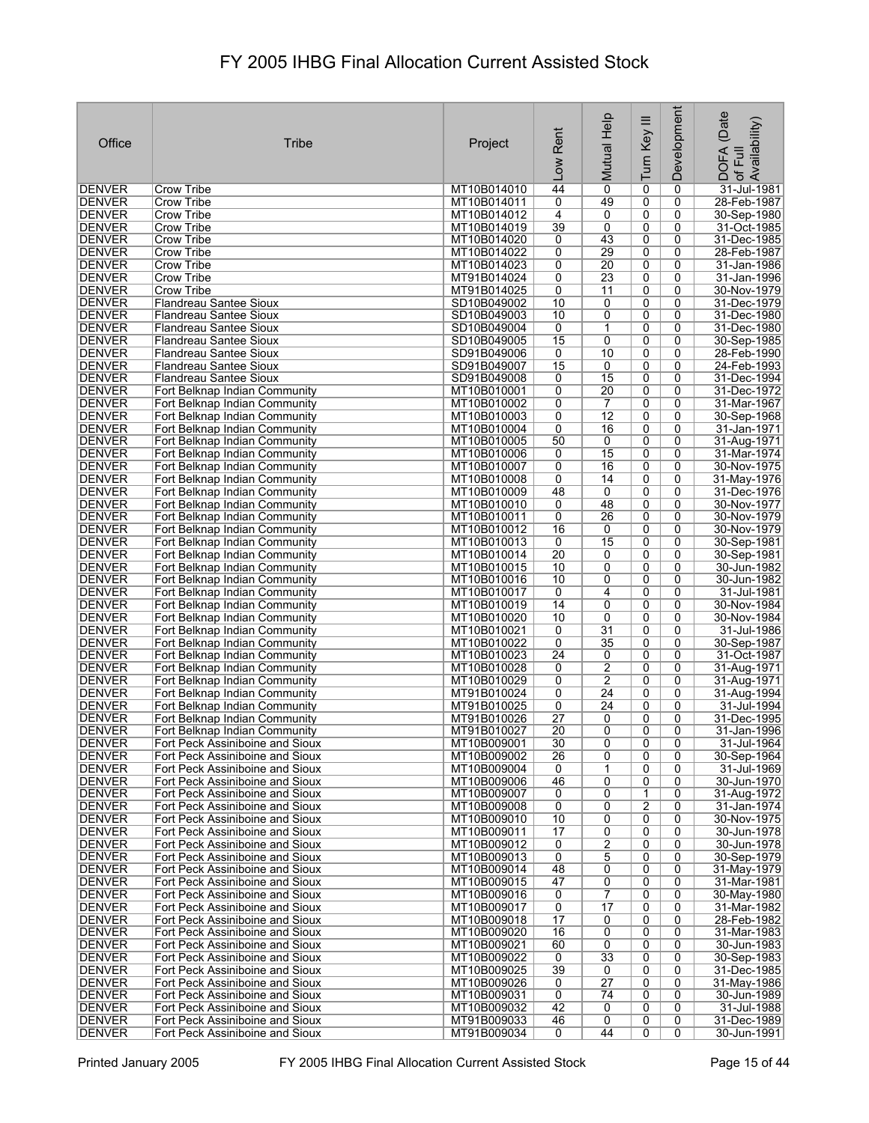| Office                         | Tribe                                                              | Project                    | Rent                 | Mutual Help     | Turn Key III   | Development    | (Date<br>DOFA (Date<br>of Full<br>Availability) |
|--------------------------------|--------------------------------------------------------------------|----------------------------|----------------------|-----------------|----------------|----------------|-------------------------------------------------|
|                                |                                                                    |                            | Low                  |                 |                |                |                                                 |
| <b>DENVER</b>                  | Crow Tribe                                                         | MT10B014010                | 44                   | 0               | 0              | 0              | 31-Jul-1981                                     |
| DENVER                         | Crow Tribe                                                         | MT10B014011                | 0                    | 49              | 0              | 0              | 28-Feb-1987                                     |
| <b>DENVER</b>                  | Crow Tribe                                                         | MT10B014012                | 4                    | 0               | 0              | 0              | 30-Sep-1980                                     |
| DENVER                         | <b>Crow Tribe</b>                                                  | MT10B014019                | 39                   | 0               | 0              | 0              | 31-Oct-1985                                     |
| <b>DENVER</b>                  | Crow Tribe                                                         | MT10B014020                | 0                    | 43              | 0              | 0              | 31-Dec-1985                                     |
| <b>DENVER</b><br>DENVER        | Crow Tribe<br>Crow Tribe                                           | MT10B014022<br>MT10B014023 | 0<br>0               | 29<br>20        | 0<br>0         | 0<br>0         | 28-Feb-1987<br>31-Jan-1986                      |
| <b>DENVER</b>                  | Crow Tribe                                                         | MT91B014024                | 0                    | 23              | 0              | 0              | 31-Jan-1996                                     |
| <b>DENVER</b>                  | Crow Tribe                                                         | MT91B014025                | 0                    | 11              | 0              | 0              | 30-Nov-1979                                     |
| DENVER                         | Flandreau Santee Sioux                                             | SD10B049002                | 10                   | 0               | 0              | 0              | 31-Dec-1979                                     |
| <b>DENVER</b>                  | Flandreau Santee Sioux                                             | SD10B049003                | 10                   | 0               | 0              | 0              | 31-Dec-1980                                     |
| <b>DENVER</b>                  | <b>Flandreau Santee Sioux</b>                                      | SD10B049004                | 0                    | 1               | 0              | 0              | 31-Dec-1980                                     |
| <b>DENVER</b>                  | Flandreau Santee Sioux                                             | SD10B049005                | 15                   | 0               | 0              | 0              | 30-Sep-1985                                     |
| <b>DENVER</b>                  | Flandreau Santee Sioux                                             | SD91B049006                | 0                    | 10              | 0              | 0              | 28-Feb-1990                                     |
| <b>DENVER</b>                  | <b>Flandreau Santee Sioux</b>                                      | SD91B049007                | 15                   | 0               | 0              | 0              | 24-Feb-1993                                     |
| DENVER                         | Flandreau Santee Sioux                                             | SD91B049008                | 0                    | 15<br>20        | 0<br>0         | 0<br>0         | 31-Dec-1994<br>31-Dec-1972                      |
| <b>DENVER</b><br><b>DENVER</b> | Fort Belknap Indian Community<br>Fort Belknap Indian Community     | MT10B010001<br>MT10B010002 | 0<br>0               | $\overline{7}$  | 0              | 0              | 31-Mar-1967                                     |
| <b>DENVER</b>                  | Fort Belknap Indian Community                                      | MT10B010003                | 0                    | $\overline{12}$ | 0              | 0              | 30-Sep-1968                                     |
| <b>DENVER</b>                  | Fort Belknap Indian Community                                      | MT10B010004                | 0                    | 16              | 0              | 0              | 31-Jan-1971                                     |
| <b>DENVER</b>                  | Fort Belknap Indian Community                                      | MT10B010005                | 50                   | 0               | 0              | 0              | 31-Aug-1971                                     |
| <b>DENVER</b>                  | Fort Belknap Indian Community                                      | MT10B010006                | 0                    | $\overline{15}$ | 0              | 0              | 31-Mar-1974                                     |
| <b>DENVER</b>                  | Fort Belknap Indian Community                                      | MT10B010007                | 0                    | 16              | 0              | 0              | 30-Nov-1975                                     |
| <b>DENVER</b>                  | Fort Belknap Indian Community                                      | MT10B010008                | 0                    | 14              | 0              | 0              | 31-May-1976                                     |
| <b>DENVER</b>                  | Fort Belknap Indian Community                                      | MT10B010009                | 48                   | 0               | 0              | 0              | 31-Dec-1976                                     |
| <b>DENVER</b>                  | Fort Belknap Indian Community                                      | MT10B010010                | 0                    | 48              | 0              | 0              | 30-Nov-1977                                     |
| <b>DENVER</b>                  | Fort Belknap Indian Community                                      | MT10B010011                | 0                    | 26              | 0              | 0              | 30-Nov-1979                                     |
| <b>DENVER</b><br>DENVER        | Fort Belknap Indian Community                                      | MT10B010012<br>MT10B010013 | 16<br>0              | 0<br>15         | 0<br>0         | 0<br>0         | 30-Nov-1979<br>30-Sep-1981                      |
| <b>DENVER</b>                  | Fort Belknap Indian Community<br>Fort Belknap Indian Community     | MT10B010014                | $\overline{20}$      | 0               | 0              | 0              | 30-Sep-1981                                     |
| <b>DENVER</b>                  | Fort Belknap Indian Community                                      | MT10B010015                | 10                   | 0               | 0              | 0              | 30-Jun-1982                                     |
| <b>DENVER</b>                  | Fort Belknap Indian Community                                      | MT10B010016                | 10                   | 0               | 0              | 0              | 30-Jun-1982                                     |
| <b>DENVER</b>                  | Fort Belknap Indian Community                                      | MT10B010017                | 0                    | 4               | 0              | 0              | 31-Jul-1981                                     |
| <b>DENVER</b>                  | Fort Belknap Indian Community                                      | MT10B010019                | 14                   | 0               | 0              | 0              | 30-Nov-1984                                     |
| DENVER                         | Fort Belknap Indian Community                                      | MT10B010020                | 10                   | 0               | 0              | 0              | 30-Nov-1984                                     |
| <b>DENVER</b>                  | Fort Belknap Indian Community                                      | MT10B010021                | 0                    | $\overline{31}$ | 0              | 0              | 31-Jul-1986                                     |
| <b>DENVER</b>                  | Fort Belknap Indian Community                                      | MT10B010022                | 0                    | $\overline{35}$ | 0              | 0              | 30-Sep-1987                                     |
| <b>DENVER</b><br><b>DENVER</b> | Fort Belknap Indian Community<br>Fort Belknap Indian Community     | MT10B010023<br>MT10B010028 | $\overline{24}$<br>0 | 0<br>2          | 0<br>0         | 0<br>0         | 31-Oct-1987<br>31-Aug-1971                      |
| <b>DENVER</b>                  | Fort Belknap Indian Community                                      | MT10B010029                | 0                    | 2               | 0              | 0              | 31-Aug-1971                                     |
| DENVER                         | Fort Belknap Indian Community                                      | MT91B010024                | 0                    | $\overline{24}$ | 0              | 0              | 31-Aug-1994                                     |
| <b>DENVER</b>                  | Fort Belknap Indian Community                                      | MT91B010025                | 0                    | 24              | 0              | 0              | 31-Jul-1994                                     |
| <b>DENVER</b>                  | Fort Belknap Indian Community                                      | MT91B010026                | $\overline{27}$      | 0               | 0              | 0              | 31-Dec-1995                                     |
| DENVER                         | Fort Belknap Indian Community                                      | MT91B010027                | $\overline{20}$      | 0               | 0              | 0              | 31-Jan-1996                                     |
| DENVER                         | Fort Peck Assiniboine and Sioux                                    | MT10B009001                | 30                   | 0               | 0              | 0              | 31-Jul-1964                                     |
| DENVER                         | Fort Peck Assiniboine and Sioux                                    | MT10B009002                | 26                   | 0               | 0              | 0              | 30-Sep-1964                                     |
| DENVER                         | Fort Peck Assiniboine and Sioux                                    | MT10B009004                | 0                    | $\overline{1}$  | $\overline{0}$ | $\overline{0}$ | 31-Jul-1969                                     |
| DENVER<br><b>DENVER</b>        | Fort Peck Assiniboine and Sioux<br>Fort Peck Assiniboine and Sioux | MT10B009006<br>MT10B009007 | 46<br>0              | 0<br>0          | 0<br>1         | 0<br>0         | 30-Jun-1970<br>31-Aug-1972                      |
| <b>DENVER</b>                  | Fort Peck Assiniboine and Sioux                                    | MT10B009008                | 0                    | 0               | $\overline{2}$ | $\overline{0}$ | 31-Jan-1974                                     |
| DENVER                         | Fort Peck Assiniboine and Sioux                                    | MT10B009010                | 10                   | 0               | 0              | 0              | 30-Nov-1975                                     |
| DENVER                         | Fort Peck Assiniboine and Sioux                                    | MT10B009011                | 17                   | 0               | 0              | 0              | 30-Jun-1978                                     |
| <b>DENVER</b>                  | Fort Peck Assiniboine and Sioux                                    | MT10B009012                | 0                    | 2               | 0              | 0              | 30-Jun-1978                                     |
| DENVER                         | Fort Peck Assiniboine and Sioux                                    | MT10B009013                | $\overline{0}$       | 5               | 0              | 0              | 30-Sep-1979                                     |
| <b>DENVER</b>                  | Fort Peck Assiniboine and Sioux                                    | MT10B009014                | 48                   | 0               | 0              | 0              | 31-May-1979                                     |
| <b>DENVER</b>                  | Fort Peck Assiniboine and Sioux                                    | MT10B009015                | 47                   | 0               | 0              | 0              | 31-Mar-1981                                     |
| DENVER                         | Fort Peck Assiniboine and Sioux                                    | MT10B009016                | 0                    | 7               | 0              | 0              | 30-May-1980                                     |
| DENVER                         | Fort Peck Assiniboine and Sioux                                    | MT10B009017                | $\overline{0}$       | 17              | 0              | 0              | 31-Mar-1982                                     |
| DENVER<br><b>DENVER</b>        | Fort Peck Assiniboine and Sioux<br>Fort Peck Assiniboine and Sioux | MT10B009018<br>MT10B009020 | 17<br>16             | 0<br>0          | 0<br>0         | 0<br>0         | 28-Feb-1982<br>31-Mar-1983                      |
| <b>DENVER</b>                  | Fort Peck Assiniboine and Sioux                                    | MT10B009021                | 60                   | 0               | 0              | 0              | 30-Jun-1983                                     |
| <b>DENVER</b>                  | Fort Peck Assiniboine and Sioux                                    | MT10B009022                | $\mathbf 0$          | $\overline{33}$ | 0              | 0              | 30-Sep-1983                                     |
| DENVER                         | Fort Peck Assiniboine and Sioux                                    | MT10B009025                | 39                   | 0               | 0              | 0              | 31-Dec-1985                                     |
| <b>DENVER</b>                  | Fort Peck Assiniboine and Sioux                                    | MT10B009026                | 0                    | $\overline{27}$ | 0              | 0              | 31-May-1986                                     |
| <b>DENVER</b>                  | Fort Peck Assiniboine and Sioux                                    | MT10B009031                | $\overline{0}$       | 74              | 0              | 0              | 30-Jun-1989                                     |
| DENVER                         | Fort Peck Assiniboine and Sioux                                    | MT10B009032                | 42                   | 0               | 0              | 0              | 31-Jul-1988                                     |
| <b>DENVER</b>                  | Fort Peck Assiniboine and Sioux                                    | MT91B009033                | 46                   | 0               | 0              | 0              | 31-Dec-1989                                     |
| <b>DENVER</b>                  | Fort Peck Assiniboine and Sioux                                    | MT91B009034                | 0                    | 44              | 0              | 0              | 30-Jun-1991                                     |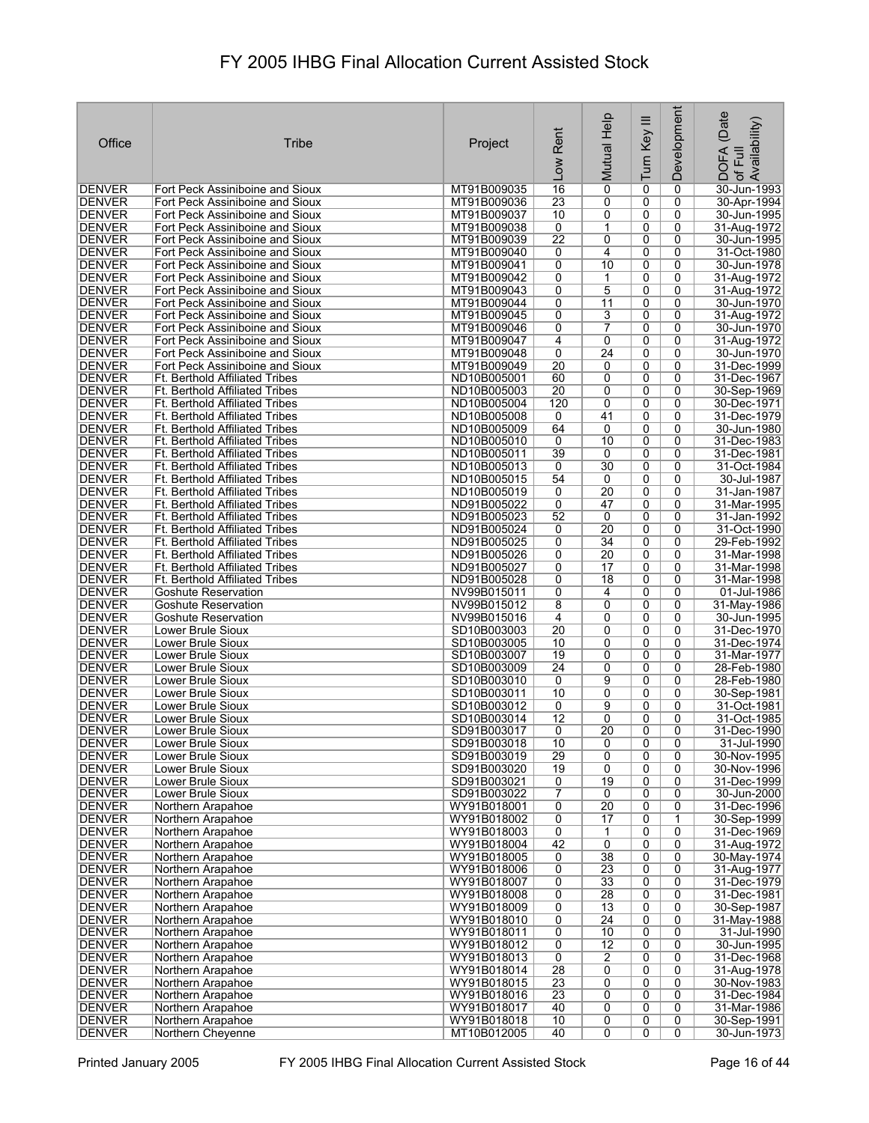|                                 |                                                                                |                            |                       | Mutual Help           | Turn Key III   | Development         | (Date<br>Availability)       |
|---------------------------------|--------------------------------------------------------------------------------|----------------------------|-----------------------|-----------------------|----------------|---------------------|------------------------------|
| Office                          | Tribe                                                                          | Project                    | Rent                  |                       |                |                     | Full                         |
|                                 |                                                                                |                            | <b>NOT</b>            |                       |                |                     | <b>DOFA</b><br>$\mathcal{P}$ |
| DENVER                          | Fort Peck Assiniboine and Sioux                                                | MT91B009035                | 16                    | $\overline{0}$        | 0              | 0                   | 30-Jun-1993                  |
| <b>DENVER</b>                   | Fort Peck Assiniboine and Sioux                                                | MT91B009036                | 23                    | 0                     | 0              | 0                   | 30-Apr-1994                  |
| DENVER<br><b>DENVER</b>         | Fort Peck Assiniboine and Sioux<br>Fort Peck Assiniboine and Sioux             | MT91B009037<br>MT91B009038 | 10<br>0               | 0<br>1                | 0<br>0         | 0<br>0              | 30-Jun-1995<br>31-Aug-1972   |
| DENVER                          | Fort Peck Assiniboine and Sioux                                                | MT91B009039                | $\overline{22}$       | 0                     | 0              | 0                   | 30-Jun-1995                  |
| DENVER<br><b>DENVER</b>         | Fort Peck Assiniboine and Sioux<br>Fort Peck Assiniboine and Sioux             | MT91B009040<br>MT91B009041 | 0<br>0                | 4<br>10               | 0<br>0         | 0<br>0              | 31-Oct-1980<br>30-Jun-1978   |
| <b>DENVER</b>                   | Fort Peck Assiniboine and Sioux                                                | MT91B009042                | 0                     | 1                     | 0              | 0                   | 31-Aug-1972                  |
| <b>DENVER</b><br>DENVER         | Fort Peck Assiniboine and Sioux<br>Fort Peck Assiniboine and Sioux             | MT91B009043<br>MT91B009044 | 0<br>0                | 5<br>11               | 0<br>0         | 0<br>0              | 31-Aug-1972<br>30-Jun-1970   |
| <b>DENVER</b>                   | Fort Peck Assiniboine and Sioux                                                | MT91B009045                | 0                     | 3                     | 0              | 0                   | 31-Aug-1972                  |
| <b>DENVER</b>                   | Fort Peck Assiniboine and Sioux                                                | MT91B009046                | 0                     | 7                     | 0              | 0                   | 30-Jun-1970                  |
| <b>DENVER</b><br>DENVER         | Fort Peck Assiniboine and Sioux<br>Fort Peck Assiniboine and Sioux             | MT91B009047<br>MT91B009048 | 4<br>0                | 0<br>24               | 0<br>0         | 0<br>0              | 31-Aug-1972<br>30-Jun-1970   |
| <b>DENVER</b>                   | Fort Peck Assiniboine and Sioux                                                | MT91B009049                | $\overline{20}$       | 0                     | 0              | 0                   | 31-Dec-1999                  |
| <b>DENVER</b><br><b>DENVER</b>  | <b>Ft. Berthold Affiliated Tribes</b><br><b>Ft. Berthold Affiliated Tribes</b> | ND10B005001<br>ND10B005003 | 60<br>$\overline{20}$ | 0<br>0                | 0<br>0         | 0<br>0              | 31-Dec-1967<br>30-Sep-1969   |
| <b>DENVER</b>                   | <b>Ft. Berthold Affiliated Tribes</b>                                          | ND10B005004                | 120                   | 0                     | 0              | 0                   | 30-Dec-1971                  |
| <b>DENVER</b>                   | <b>Ft. Berthold Affiliated Tribes</b>                                          | ND10B005008                | 0                     | 41                    | 0              | $\overline{0}$      | 31-Dec-1979                  |
| <b>DENVER</b><br><b>DENVER</b>  | <b>Ft. Berthold Affiliated Tribes</b><br>Ft. Berthold Affiliated Tribes        | ND10B005009<br>ND10B005010 | 64<br>0               | 0<br>10               | 0<br>0         | 0<br>0              | 30-Jun-1980<br>31-Dec-1983   |
| <b>DENVER</b>                   | Ft. Berthold Affiliated Tribes                                                 | ND10B005011                | 39                    | 0                     | 0              | 0                   | 31-Dec-1981                  |
| <b>DENVER</b><br><b>DENVER</b>  | <b>Ft. Berthold Affiliated Tribes</b><br><b>Ft. Berthold Affiliated Tribes</b> | ND10B005013<br>ND10B005015 | 0<br>54               | 30<br>0               | 0<br>0         | 0<br>0              | 31-Oct-1984<br>30-Jul-1987   |
| <b>DENVER</b>                   | <b>Ft. Berthold Affiliated Tribes</b>                                          | ND10B005019                | 0                     | 20                    | 0              | 0                   | 31-Jan-1987                  |
| DENVER                          | <b>Ft. Berthold Affiliated Tribes</b>                                          | ND91B005022                | 0                     | 47                    | 0              | 0                   | 31-Mar-1995                  |
| DENVER<br>DENVER                | <b>Ft. Berthold Affiliated Tribes</b><br><b>Ft. Berthold Affiliated Tribes</b> | ND91B005023<br>ND91B005024 | 52<br>0               | 0<br>20               | 0<br>0         | 0<br>0              | 31-Jan-1992<br>31-Oct-1990   |
| <b>DENVER</b>                   | Ft. Berthold Affiliated Tribes                                                 | ND91B005025                | 0                     | 34                    | 0              | 0                   | 29-Feb-1992                  |
| DENVER<br><b>DENVER</b>         | <b>Ft. Berthold Affiliated Tribes</b><br><b>Ft. Berthold Affiliated Tribes</b> | ND91B005026<br>ND91B005027 | 0<br>0                | 20<br>17              | 0<br>0         | 0<br>0              | 31-Mar-1998<br>31-Mar-1998   |
| <b>DENVER</b>                   | <b>Ft. Berthold Affiliated Tribes</b>                                          | ND91B005028                | 0                     | 18                    | 0              | 0                   | 31-Mar-1998                  |
| <b>DENVER</b>                   | <b>Goshute Reservation</b>                                                     | NV99B015011                | 0                     | 4                     | 0              | 0                   | 01-Jul-1986                  |
| <b>DENVER</b><br><b>DENVER</b>  | <b>Goshute Reservation</b><br><b>Goshute Reservation</b>                       | NV99B015012<br>NV99B015016 | 8<br>4                | 0<br>0                | 0<br>0         | 0<br>0              | 31-May-1986<br>30-Jun-1995   |
| <b>DENVER</b>                   | Lower Brule Sioux                                                              | SD10B003003                | $\overline{20}$       | 0                     | 0              | 0                   | 31-Dec-1970                  |
| DENVER<br><b>DENVER</b>         | Lower Brule Sioux<br>Lower Brule Sioux                                         | SD10B003005<br>SD10B003007 | 10<br>19              | 0<br>0                | 0<br>0         | 0<br>0              | 31-Dec-1974<br>31-Mar-1977   |
| <b>DENVER</b>                   | Lower Brule Sioux                                                              | SD10B003009                | $\overline{24}$       | 0                     | 0              | 0                   | 28-Feb-1980                  |
| <b>DENVER</b>                   | Lower Brule Sioux                                                              | SD10B003010                | 0                     | 9                     | 0              | 0                   | 28-Feb-1980                  |
| <b>DENVER</b><br><b>DENVER</b>  | Lower Brule Sioux<br>Lower Brule Sioux                                         | SD10B003011<br>SD10B003012 | 10<br>0               | 0<br>9                | 0<br>0         | 0<br>0              | 30-Sep-1981<br>31-Oct-1981   |
| DENVER                          | Lower Brule Sioux                                                              | SD10B003014                | $\overline{12}$       | 0                     | 0              | 0                   | 31-Oct-1985                  |
| <b>IDENVER</b><br><b>DENVER</b> | Lower Brule Sioux<br><b>Lower Brule Sioux</b>                                  | SD91B003017<br>SD91B003018 | 0<br>10               | 20<br>0               | 0<br>0         | $\overline{0}$<br>0 | 31-Dec-1990  <br>31-Jul-1990 |
| <b>DENVER</b>                   | Lower Brule Sioux                                                              | SD91B003019                | 29                    | 0                     | 0              | 0                   | 30-Nov-1995                  |
| <b>DENVER</b><br><b>DENVER</b>  | Lower Brule Sioux<br>Lower Brule Sioux                                         | SD91B003020<br>SD91B003021 | $\overline{19}$<br>0  | 0<br>$\overline{19}$  | 0<br>0         | 0<br>0              | 30-Nov-1996<br>31-Dec-1999   |
| <b>DENVER</b>                   | Lower Brule Sioux                                                              | SD91B003022                | $\overline{7}$        | 0                     | 0              | 0                   | 30-Jun-2000                  |
| <b>DENVER</b>                   | Northern Arapahoe                                                              | WY91B018001                | 0                     | $\overline{20}$       | $\overline{0}$ | 0                   | 31-Dec-1996                  |
| DENVER<br><b>DENVER</b>         | Northern Arapahoe<br>Northern Arapahoe                                         | WY91B018002<br>WY91B018003 | 0<br>0                | 17<br>1               | 0<br>0         | 1<br>0              | 30-Sep-1999<br>31-Dec-1969   |
| DENVER                          | Northern Arapahoe                                                              | WY91B018004                | 42                    | 0                     | 0              | 0                   | 31-Aug-1972                  |
| <b>DENVER</b><br>DENVER         | Northern Arapahoe<br>Northern Arapahoe                                         | WY91B018005<br>WY91B018006 | 0<br>$\overline{0}$   | $\overline{38}$<br>23 | 0<br>0         | 0<br>0              | 30-May-1974<br>31-Aug-1977   |
| <b>DENVER</b>                   | Northern Arapahoe                                                              | WY91B018007                | 0                     | 33                    | 0              | 0                   | 31-Dec-1979                  |
| <b>DENVER</b>                   | Northern Arapahoe                                                              | WY91B018008                | 0                     | 28                    | 0              | 0                   | 31-Dec-1981                  |
| <b>DENVER</b><br><b>DENVER</b>  | Northern Arapahoe<br>Northern Arapahoe                                         | WY91B018009<br>WY91B018010 | 0<br>0                | 13<br>$\overline{24}$ | 0<br>0         | 0<br>0              | 30-Sep-1987<br>31-May-1988   |
| DENVER                          | Northern Arapahoe                                                              | WY91B018011                | 0                     | 10                    | 0              | 0                   | 31-Jul-1990                  |
| <b>DENVER</b><br><b>DENVER</b>  | Northern Arapahoe<br>Northern Arapahoe                                         | WY91B018012<br>WY91B018013 | 0<br>0                | $\overline{12}$<br>2  | 0<br>0         | 0<br>0              | 30-Jun-1995<br>31-Dec-1968   |
| DENVER                          | Northern Arapahoe                                                              | WY91B018014                | 28                    | 0                     | 0              | 0                   | 31-Aug-1978                  |
| <b>DENVER</b>                   | Northern Arapahoe                                                              | WY91B018015<br>WY91B018016 | 23<br>$\overline{23}$ | 0                     | 0              | 0                   | 30-Nov-1983                  |
| <b>DENVER</b><br>DENVER         | Northern Arapahoe<br>Northern Arapahoe                                         | WY91B018017                | 40                    | 0<br>0                | 0<br>0         | 0<br>0              | 31-Dec-1984<br>31-Mar-1986   |
| <b>DENVER</b>                   | Northern Arapahoe                                                              | WY91B018018                | 10                    | 0                     | 0              | 0                   | 30-Sep-1991                  |
| DENVER                          | Northern Cheyenne                                                              | MT10B012005                | 40                    | $\overline{0}$        | 0              | $\overline{0}$      | 30-Jun-1973                  |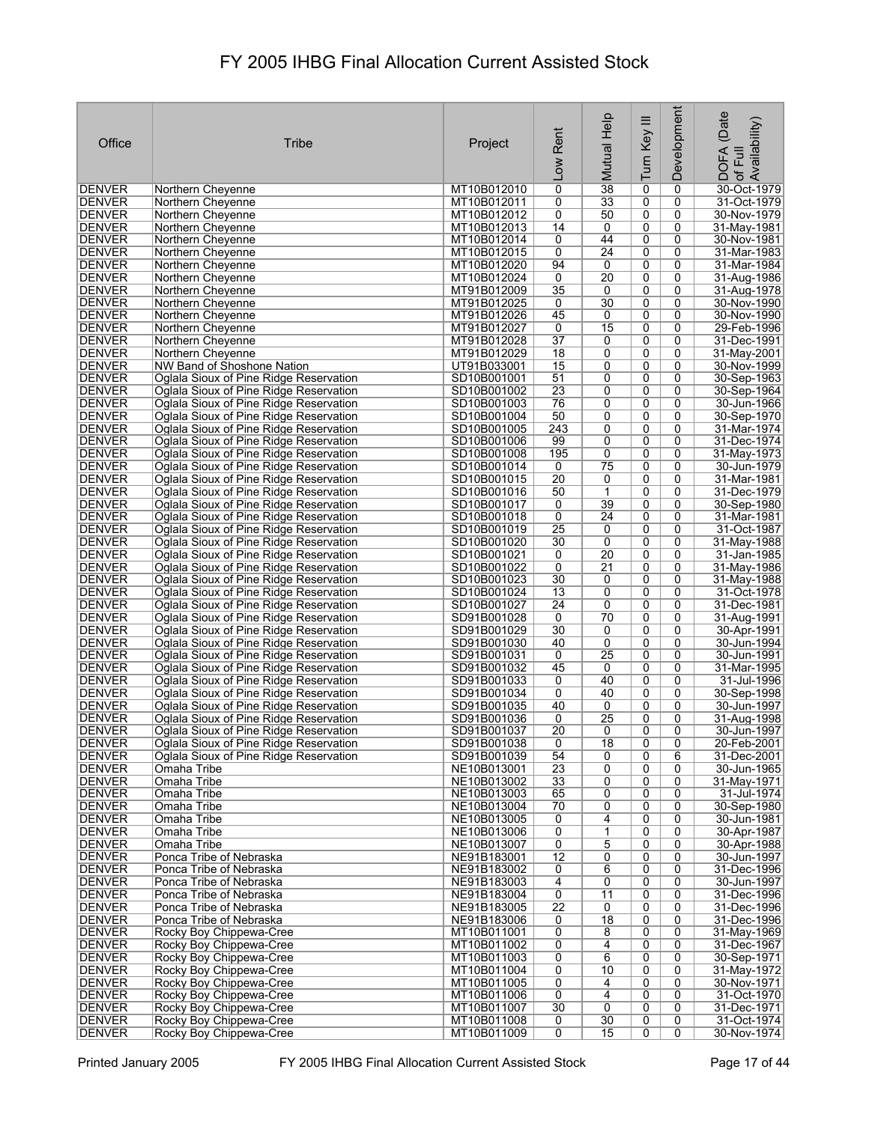|                                |                                                                                  |                            |                                   |                       |                     | Development         |                                                     |
|--------------------------------|----------------------------------------------------------------------------------|----------------------------|-----------------------------------|-----------------------|---------------------|---------------------|-----------------------------------------------------|
| Office                         | Tribe                                                                            |                            | Rent                              | Mutual Help           | Turn Key III        |                     | (Date<br>: DOFA (Date<br>∘of Full<br>.Availability) |
|                                |                                                                                  | Project                    |                                   |                       |                     |                     |                                                     |
|                                |                                                                                  |                            | Low                               |                       |                     |                     |                                                     |
| <b>DENVER</b>                  | Northern Cheyenne                                                                | MT10B012010                | 0                                 | 38                    | 0                   | 0                   | 30-Oct-1979                                         |
| DENVER                         | Northern Cheyenne                                                                | MT10B012011                | 0                                 | $\overline{33}$       | 0                   | 0                   | 31-Oct-1979                                         |
| DENVER<br><b>DENVER</b>        | Northern Cheyenne                                                                | MT10B012012<br>MT10B012013 | 0<br>14                           | 50<br>0               | 0<br>0              | 0<br>0              | 30-Nov-1979                                         |
| <b>DENVER</b>                  | Northern Cheyenne<br>Northern Cheyenne                                           | MT10B012014                | 0                                 | 44                    | 0                   | 0                   | 31-May-1981<br>30-Nov-1981                          |
| DENVER                         | Northern Cheyenne                                                                | MT10B012015                | 0                                 | 24                    | 0                   | 0                   | 31-Mar-1983                                         |
| DENVER                         | Northern Chevenne                                                                | MT10B012020                | 94                                | 0                     | 0                   | 0                   | 31-Mar-1984                                         |
| <b>DENVER</b><br><b>DENVER</b> | Northern Cheyenne<br>Northern Cheyenne                                           | MT10B012024<br>MT91B012009 | 0<br>35                           | 20<br>0               | 0<br>0              | 0<br>0              | 31-Aug-1986<br>31-Aug-1978                          |
| <b>DENVER</b>                  | Northern Chevenne                                                                | MT91B012025                | 0                                 | $\overline{30}$       | 0                   | 0                   | 30-Nov-1990                                         |
| <b>DENVER</b>                  | Northern Cheyenne                                                                | MT91B012026                | 45                                | 0                     | $\overline{0}$      | 0                   | 30-Nov-1990                                         |
| <b>DENVER</b><br>DENVER        | Northern Cheyenne<br>Northern Cheyenne                                           | MT91B012027<br>MT91B012028 | $\overline{0}$<br>$\overline{37}$ | 15<br>0               | 0<br>0              | 0<br>0              | 29-Feb-1996<br>31-Dec-1991                          |
| DENVER                         | Northern Cheyenne                                                                | MT91B012029                | $\overline{18}$                   | 0                     | 0                   | 0                   | 31-May-2001                                         |
| <b>DENVER</b>                  | NW Band of Shoshone Nation                                                       | UT91B033001                | 15                                | 0                     | 0                   | 0                   | 30-Nov-1999                                         |
| <b>DENVER</b><br><b>DENVER</b> | Oglala Sioux of Pine Ridge Reservation<br>Oglala Sioux of Pine Ridge Reservation | SD10B001001<br>SD10B001002 | 51<br>23                          | 0<br>0                | 0<br>0              | 0<br>0              | 30-Sep-1963<br>30-Sep-1964                          |
| <b>DENVER</b>                  | Oglala Sioux of Pine Ridge Reservation                                           | SD10B001003                | 76                                | 0                     | 0                   | $\mathbf{0}$        | 30-Jun-1966                                         |
| <b>DENVER</b>                  | Oglala Sioux of Pine Ridge Reservation                                           | SD10B001004                | 50                                | 0                     | 0                   | 0                   | 30-Sep-1970                                         |
| <b>DENVER</b>                  | Oglala Sioux of Pine Ridge Reservation                                           | SD10B001005                | 243                               | 0                     | 0                   | 0                   | 31-Mar-1974                                         |
| DENVER<br><b>DENVER</b>        | Oglala Sioux of Pine Ridge Reservation<br>Oglala Sioux of Pine Ridge Reservation | SD10B001006<br>SD10B001008 | 99<br>195                         | 0<br>$\overline{0}$   | 0<br>$\overline{0}$ | 0<br>$\overline{0}$ | 31-Dec-1974<br>31-May-1973                          |
| <b>DENVER</b>                  | Oglala Sioux of Pine Ridge Reservation                                           | SD10B001014                | 0                                 | 75                    | 0                   | 0                   | 30-Jun-1979                                         |
| DENVER                         | Oglala Sioux of Pine Ridge Reservation                                           | SD10B001015                | $\overline{20}$                   | 0                     | 0                   | 0                   | 31-Mar-1981                                         |
| <b>DENVER</b>                  | Oglala Sioux of Pine Ridge Reservation                                           | SD10B001016                | 50                                | 1                     | 0                   | 0                   | 31-Dec-1979                                         |
| <b>DENVER</b><br><b>DENVER</b> | Oglala Sioux of Pine Ridge Reservation<br>Oglala Sioux of Pine Ridge Reservation | SD10B001017<br>SD10B001018 | 0<br>0                            | 39<br>$\overline{24}$ | 0<br>0              | 0<br>0              | 30-Sep-1980<br>31-Mar-1981                          |
| <b>DENVER</b>                  | Oglala Sioux of Pine Ridge Reservation                                           | SD10B001019                | $\overline{25}$                   | 0                     | 0                   | 0                   | 31-Oct-1987                                         |
| DENVER                         | Oglala Sioux of Pine Ridge Reservation                                           | SD10B001020                | 30                                | 0                     | 0                   | 0                   | 31-May-1988                                         |
| <b>DENVER</b>                  | Oglala Sioux of Pine Ridge Reservation                                           | SD10B001021                | 0                                 | 20<br>$\overline{21}$ | 0                   | $\Omega$<br>0       | 31-Jan-1985                                         |
| <b>DENVER</b><br>DENVER        | Oglala Sioux of Pine Ridge Reservation<br>Oglala Sioux of Pine Ridge Reservation | SD10B001022<br>SD10B001023 | 0<br>30                           | 0                     | 0<br>0              | 0                   | 31-May-1986<br>31-May-1988                          |
| <b>DENVER</b>                  | Oglala Sioux of Pine Ridge Reservation                                           | SD10B001024                | $\overline{13}$                   | 0                     | 0                   | 0                   | 31-Oct-1978                                         |
| <b>DENVER</b>                  | Oglala Sioux of Pine Ridge Reservation                                           | SD10B001027                | $\overline{24}$                   | 0                     | 0                   | 0                   | 31-Dec-1981                                         |
| DENVER<br><b>DENVER</b>        | Oglala Sioux of Pine Ridge Reservation<br>Oglala Sioux of Pine Ridge Reservation | SD91B001028<br>SD91B001029 | 0<br>30                           | 70<br>0               | 0<br>0              | 0<br>0              | 31-Aug-1991<br>30-Apr-1991                          |
| <b>DENVER</b>                  | Oglala Sioux of Pine Ridge Reservation                                           | SD91B001030                | 40                                | 0                     | 0                   | 0                   | 30-Jun-1994                                         |
| DENVER                         | Oglala Sioux of Pine Ridge Reservation                                           | SD91B001031                | 0                                 | 25                    | 0                   | 0                   | 30-Jun-1991                                         |
| DENVER<br><b>DENVER</b>        | Oglala Sioux of Pine Ridge Reservation<br>Oglala Sioux of Pine Ridge Reservation | SD91B001032<br>SD91B001033 | 45<br>0                           | 0<br>40               | 0<br>0              | 0<br>0              | 31-Mar-1995<br>31-Jul-1996                          |
| DENVER                         | Oglala Sioux of Pine Ridge Reservation                                           | SD91B001034                | 0                                 | 40                    | 0                   | 0                   | 30-Sep-1998                                         |
| <b>DENVER</b>                  | Oglala Sioux of Pine Ridge Reservation                                           | SD91B001035                | 40                                | 0                     | 0                   | 0                   | 30-Jun-1997                                         |
| DENVER                         | Oglala Sioux of Pine Ridge Reservation                                           | SD91B001036                | 0                                 | 25                    | 0                   | $\mathbf{0}$        | 31-Aug-1998                                         |
| <b>DENVER</b><br>DENVER        | Oglala Sioux of Pine Ridge Reservation<br>Oglala Sioux of Pine Ridge Reservation | SD91B001037<br>SD91B001038 | $\overline{20}$<br>0              | 0<br>18               | $\overline{0}$<br>0 | 0<br>0              | 30-Jun-1997<br>20-Feb-2001                          |
| <b>DENVER</b>                  | Oglala Sioux of Pine Ridge Reservation                                           | SD91B001039                | 54                                | 0                     | 0                   | 6                   | 31-Dec-2001                                         |
| <b>DENVER</b>                  | Omaha Tribe                                                                      | NE10B013001                | $\overline{23}$                   | $\overline{0}$        | $\overline{0}$      | $\overline{0}$      | 30-Jun-1965                                         |
| DENVER<br><b>DENVER</b>        | Omaha Tribe<br>Omaha Tribe                                                       | NE10B013002<br>NE10B013003 | 33<br>65                          | 0<br>0                | 0<br>0              | 0<br>0              | 31-May-1971<br>31-Jul-1974                          |
| <b>DENVER</b>                  | Omaha Tribe                                                                      | NE10B013004                | 70                                | 0                     | 0                   | $\overline{0}$      | 30-Sep-1980                                         |
| DENVER                         | Omaha Tribe                                                                      | NE10B013005                | 0                                 | 4                     | 0                   | 0                   | 30-Jun-1981                                         |
| <b>DENVER</b>                  | Omaha Tribe                                                                      | NE10B013006                | $\overline{0}$                    | 1                     | 0                   | 0                   | 30-Apr-1987                                         |
| <b>DENVER</b><br>DENVER        | Omaha Tribe<br>Ponca Tribe of Nebraska                                           | NE10B013007<br>NE91B183001 | $\overline{0}$<br>$\overline{12}$ | 5<br>0                | 0<br>0              | 0<br>0              | 30-Apr-1988<br>30-Jun-1997                          |
| <b>DENVER</b>                  | Ponca Tribe of Nebraska                                                          | NE91B183002                | 0                                 | 6                     | 0                   | 0                   | 31-Dec-1996                                         |
| <b>DENVER</b>                  | Ponca Tribe of Nebraska                                                          | NE91B183003                | $\overline{4}$                    | 0                     | 0                   | 0                   | 30-Jun-1997                                         |
| DENVER<br>DENVER               | Ponca Tribe of Nebraska<br>Ponca Tribe of Nebraska                               | NE91B183004<br>NE91B183005 | $\overline{0}$<br>$\overline{22}$ | 11<br>0               | 0<br>0              | 0<br>0              | 31-Dec-1996<br>31-Dec-1996                          |
| <b>DENVER</b>                  | Ponca Tribe of Nebraska                                                          | NE91B183006                | 0                                 | 18                    | 0                   | 0                   | 31-Dec-1996                                         |
| DENVER                         | Rocky Boy Chippewa-Cree                                                          | MT10B011001                | $\overline{0}$                    | 8                     | 0                   | 0                   | 31-May-1969                                         |
| <b>DENVER</b>                  | Rocky Boy Chippewa-Cree                                                          | MT10B011002                | 0                                 | 4                     | 0                   | 0                   | 31-Dec-1967                                         |
| <b>DENVER</b><br><b>DENVER</b> | Rocky Boy Chippewa-Cree<br>Rocky Boy Chippewa-Cree                               | MT10B011003<br>MT10B011004 | $\overline{0}$<br>0               | 6<br>10               | 0<br>0              | 0<br>0              | 30-Sep-1971<br>31-May-1972                          |
| <b>DENVER</b>                  | Rocky Boy Chippewa-Cree                                                          | MT10B011005                | $\overline{0}$                    | 4                     | 0                   | 0                   | 30-Nov-1971                                         |
| <b>DENVER</b>                  | Rocky Boy Chippewa-Cree                                                          | MT10B011006                | 0                                 | 4                     | 0                   | 0                   | 31-Oct-1970                                         |
| DENVER<br><b>DENVER</b>        | Rocky Boy Chippewa-Cree<br>Rocky Boy Chippewa-Cree                               | MT10B011007<br>MT10B011008 | 30<br>0                           | 0<br>30               | 0<br>0              | 0<br>0              | 31-Dec-1971<br>31-Oct-1974                          |
| <b>DENVER</b>                  | Rocky Boy Chippewa-Cree                                                          | MT10B011009                | $\overline{0}$                    | 15                    | 0                   | 0                   | 30-Nov-1974                                         |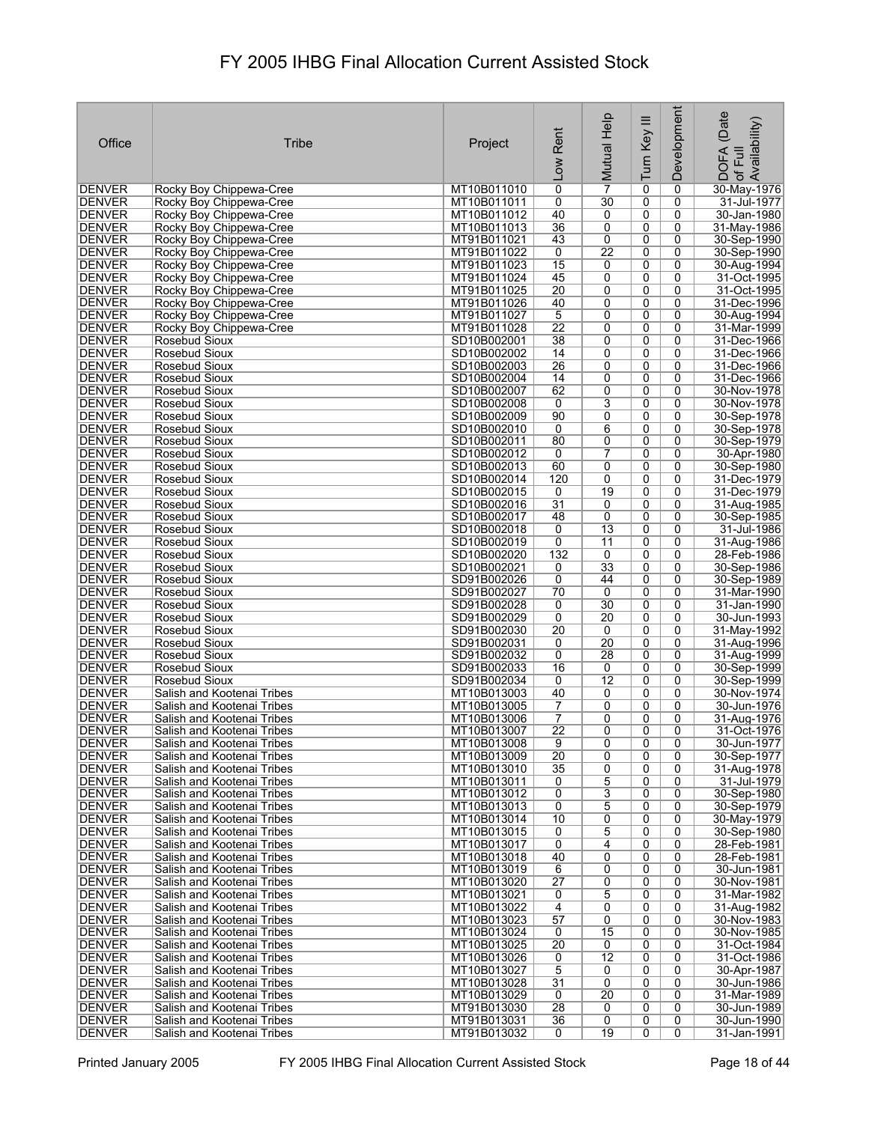|                                |                                                          |                            |                          |                           |                |                | (Date                                                 |
|--------------------------------|----------------------------------------------------------|----------------------------|--------------------------|---------------------------|----------------|----------------|-------------------------------------------------------|
| Office                         | <b>Tribe</b>                                             | Project                    | Rent<br>$\overline{100}$ | Mutual Help               | Turn Key III   | Development    | Availability)<br><b>DOFA</b><br>Full<br>$\mathcal{P}$ |
| DENVER                         | Rocky Boy Chippewa-Cree                                  | MT10B011010                | 0                        | $\overline{7}$            | 0              | 0              | 30-May-1976                                           |
| DENVER                         | Rocky Boy Chippewa-Cree                                  | MT10B011011                | 0                        | 30                        | 0              | 0              | 31-Jul-1977                                           |
| DENVER                         | Rocky Boy Chippewa-Cree                                  | MT10B011012                | 40                       | 0                         | 0              | 0              | 30-Jan-1980                                           |
| DENVER                         | Rocky Boy Chippewa-Cree                                  | MT10B011013                | $\overline{36}$          | 0                         | 0              | 0              | 31-May-1986                                           |
| DENVER<br>DENVER               | Rocky Boy Chippewa-Cree<br>Rocky Boy Chippewa-Cree       | MT91B011021<br>MT91B011022 | 43<br>0                  | 0<br>22                   | 0<br>0         | 0<br>0         | 30-Sep-1990<br>30-Sep-1990                            |
| <b>DENVER</b>                  | Rocky Boy Chippewa-Cree                                  | MT91B011023                | 15                       | 0                         | 0              | 0              | 30-Aug-1994                                           |
| <b>DENVER</b>                  | Rocky Boy Chippewa-Cree                                  | MT91B011024                | 45                       | 0                         | 0              | 0              | 31-Oct-1995                                           |
| <b>DENVER</b>                  | Rocky Boy Chippewa-Cree                                  | MT91B011025                | $\overline{20}$          | 0                         | 0              | 0              | 31-Oct-1995                                           |
| <b>DENVER</b>                  | Rocky Boy Chippewa-Cree                                  | MT91B011026                | 40                       | 0                         | 0              | 0              | 31-Dec-1996                                           |
| <b>DENVER</b>                  | Rocky Boy Chippewa-Cree                                  | MT91B011027                | 5                        | 0                         | 0              | 0              | 30-Aug-1994                                           |
| <b>DENVER</b><br><b>DENVER</b> | Rocky Boy Chippewa-Cree                                  | MT91B011028                | 22<br>$\overline{38}$    | 0                         | 0              | 0              | 31-Mar-1999                                           |
| <b>DENVER</b>                  | Rosebud Sioux<br>Rosebud Sioux                           | SD10B002001<br>SD10B002002 | 14                       | 0<br>0                    | 0<br>0         | 0<br>0         | 31-Dec-1966<br>31-Dec-1966                            |
| <b>DENVER</b>                  | Rosebud Sioux                                            | SD10B002003                | $\overline{26}$          | 0                         | $\overline{0}$ | 0              | 31-Dec-1966                                           |
| <b>DENVER</b>                  | Rosebud Sioux                                            | SD10B002004                | 14                       | 0                         | 0              | 0              | 31-Dec-1966                                           |
| <b>DENVER</b>                  | Rosebud Sioux                                            | SD10B002007                | 62                       | 0                         | $\overline{0}$ | 0              | 30-Nov-1978                                           |
| <b>DENVER</b>                  | Rosebud Sioux                                            | SD10B002008                | 0                        | $\overline{3}$            | 0              | 0              | 30-Nov-1978                                           |
| <b>DENVER</b>                  | Rosebud Sioux                                            | SD10B002009                | 90                       | $\overline{0}$            | 0              | $\overline{0}$ | 30-Sep-1978                                           |
| <b>DENVER</b>                  | Rosebud Sioux                                            | SD10B002010                | 0                        | 6                         | 0              | 0              | 30-Sep-1978                                           |
| <b>DENVER</b><br><b>DENVER</b> | Rosebud Sioux<br><b>Rosebud Sioux</b>                    | SD10B002011<br>SD10B002012 | 80<br>0                  | 0<br>$\overline{7}$       | 0<br>0         | 0<br>0         | 30-Sep-1979<br>30-Apr-1980                            |
| <b>DENVER</b>                  | Rosebud Sioux                                            | SD10B002013                | 60                       | 0                         | 0              | 0              | 30-Sep-1980                                           |
| DENVER                         | Rosebud Sioux                                            | SD10B002014                | 120                      | 0                         | 0              | 0              | 31-Dec-1979                                           |
| <b>DENVER</b>                  | Rosebud Sioux                                            | SD10B002015                | 0                        | 19                        | 0              | 0              | 31-Dec-1979                                           |
| DENVER                         | Rosebud Sioux                                            | SD10B002016                | $\overline{31}$          | 0                         | 0              | 0              | 31-Aug-1985                                           |
| <b>DENVER</b>                  | Rosebud Sioux                                            | SD10B002017                | 48                       | 0                         | 0              | 0              | 30-Sep-1985                                           |
| DENVER                         | Rosebud Sioux                                            | SD10B002018                | 0                        | 13                        | 0              | 0              | 31-Jul-1986                                           |
| <b>DENVER</b>                  | Rosebud Sioux                                            | SD10B002019                | 0<br>132                 | 11                        | 0<br>0         | 0<br>0         | 31-Aug-1986<br>28-Feb-1986                            |
| DENVER<br><b>DENVER</b>        | Rosebud Sioux<br>Rosebud Sioux                           | SD10B002020<br>SD10B002021 | 0                        | 0<br>33                   | 0              | 0              | 30-Sep-1986                                           |
| <b>DENVER</b>                  | Rosebud Sioux                                            | SD91B002026                | 0                        | 44                        | 0              | 0              | 30-Sep-1989                                           |
| <b>DENVER</b>                  | Rosebud Sioux                                            | SD91B002027                | 70                       | 0                         | 0              | 0              | 31-Mar-1990                                           |
| <b>DENVER</b>                  | Rosebud Sioux                                            | SD91B002028                | 0                        | 30                        | 0              | 0              | 31-Jan-1990                                           |
| <b>DENVER</b>                  | Rosebud Sioux                                            | SD91B002029                | 0                        | 20                        | 0              | 0              | 30-Jun-1993                                           |
| <b>DENVER</b>                  | Rosebud Sioux                                            | SD91B002030                | $\overline{20}$          | 0                         | 0              | 0              | 31-May-1992                                           |
| DENVER<br><b>DENVER</b>        | Rosebud Sioux<br>Rosebud Sioux                           | SD91B002031<br>SD91B002032 | 0<br>0                   | 20<br>28                  | 0<br>0         | 0<br>0         | 31-Aug-1996<br>31-Aug-1999                            |
| <b>DENVER</b>                  | Rosebud Sioux                                            | SD91B002033                | 16                       | 0                         | 0              | 0              | 30-Sep-1999                                           |
| <b>DENVER</b>                  | Rosebud Sioux                                            | SD91B002034                | 0                        | 12                        | 0              | 0              | 30-Sep-1999                                           |
| <b>DENVER</b>                  | Salish and Kootenai Tribes                               | MT10B013003                | 40                       | 0                         | 0              | 0              | 30-Nov-1974                                           |
| <b>DENVER</b>                  | Salish and Kootenai Tribes                               | MT10B013005                | 7                        | 0                         | 0              | 0              | 30-Jun-1976                                           |
| DENVER                         | Salish and Kootenai Tribes                               | MT10B013006                | 7                        | 0                         | 0              | 0              | 31-Aug-1976                                           |
| <b>IDENVER</b>                 | Salish and Kootenai Tribes<br>Salish and Kootenai Tribes | MT10B013007                | $\overline{22}$          | 0                         | 0              | 0              | 31-Oct-1976                                           |
| <b>DENVER</b><br><b>DENVER</b> | Salish and Kootenai Tribes                               | MT10B013008<br>MT10B013009 | 9<br>$\overline{20}$     | 0<br>0                    | 0<br>0         | 0<br>0         | 30-Jun-1977<br>30-Sep-1977                            |
| <b>DENVER</b>                  | Salish and Kootenai Tribes                               | MT10B013010                | 35                       | 0                         | 0              | 0              | 31-Aug-1978                                           |
| <b>DENVER</b>                  | Salish and Kootenai Tribes                               | MT10B013011                | 0                        | 5                         | 0              | 0              | 31-Jul-1979                                           |
| <b>DENVER</b>                  | Salish and Kootenai Tribes                               | MT10B013012                | 0                        | $\overline{\overline{3}}$ | 0              | 0              | 30-Sep-1980                                           |
| <b>DENVER</b>                  | Salish and Kootenai Tribes                               | MT10B013013                | 0                        | $\overline{5}$            | $\overline{0}$ | 0              | 30-Sep-1979                                           |
| DENVER                         | Salish and Kootenai Tribes                               | MT10B013014                | 10                       | 0                         | 0              | 0              | 30-May-1979                                           |
| <b>DENVER</b><br>DENVER        | Salish and Kootenai Tribes<br>Salish and Kootenai Tribes | MT10B013015<br>MT10B013017 | 0<br>0                   | 5<br>4                    | 0<br>0         | 0<br>0         | 30-Sep-1980<br>28-Feb-1981                            |
| <b>DENVER</b>                  | Salish and Kootenai Tribes                               | MT10B013018                | 40                       | 0                         | 0              | 0              | 28-Feb-1981                                           |
| <b>DENVER</b>                  | Salish and Kootenai Tribes                               | MT10B013019                | 6                        | 0                         | 0              | 0              | 30-Jun-1981                                           |
| <b>DENVER</b>                  | Salish and Kootenai Tribes                               | MT10B013020                | $\overline{27}$          | 0                         | 0              | 0              | 30-Nov-1981                                           |
| DENVER                         | Salish and Kootenai Tribes                               | MT10B013021                | 0                        | 5                         | 0              | 0              | 31-Mar-1982                                           |
| <b>DENVER</b>                  | Salish and Kootenai Tribes                               | MT10B013022                | 4                        | 0                         | 0              | 0              | 31-Aug-1982                                           |
| <b>DENVER</b><br>DENVER        | Salish and Kootenai Tribes<br>Salish and Kootenai Tribes | MT10B013023<br>MT10B013024 | 57<br>0                  | 0<br>15                   | 0<br>0         | 0<br>0         | 30-Nov-1983<br>30-Nov-1985                            |
| <b>DENVER</b>                  | Salish and Kootenai Tribes                               | MT10B013025                | 20                       | 0                         | 0              | 0              | 31-Oct-1984                                           |
| <b>DENVER</b>                  | Salish and Kootenai Tribes                               | MT10B013026                | 0                        | $\overline{12}$           | 0              | 0              | 31-Oct-1986                                           |
| DENVER                         | Salish and Kootenai Tribes                               | MT10B013027                | 5                        | 0                         | 0              | 0              | 30-Apr-1987                                           |
| DENVER                         | Salish and Kootenai Tribes                               | MT10B013028                | 31                       | 0                         | 0              | 0              | 30-Jun-1986                                           |
| <b>DENVER</b>                  | Salish and Kootenai Tribes                               | MT10B013029                | 0                        | $\overline{20}$           | 0              | 0              | 31-Mar-1989                                           |
| DENVER<br><b>DENVER</b>        | Salish and Kootenai Tribes<br>Salish and Kootenai Tribes | MT91B013030<br>MT91B013031 | 28<br>$\overline{36}$    | 0<br>0                    | 0<br>0         | 0<br>0         | 30-Jun-1989<br>30-Jun-1990                            |
| <b>DENVER</b>                  | Salish and Kootenai Tribes                               | MT91B013032                | 0                        | 19                        | 0              | $\overline{0}$ | 31-Jan-1991                                           |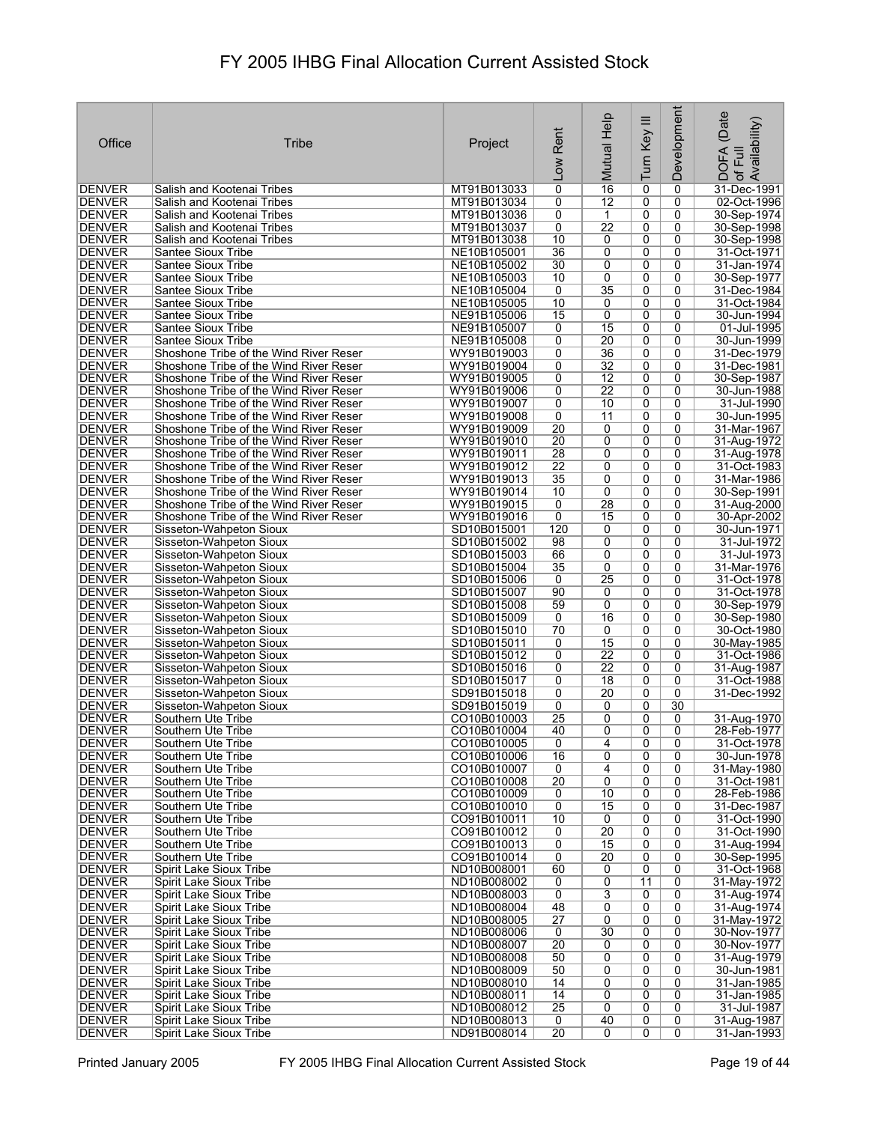| Office                         | Tribe                                                                            | Project                    | Rent<br><b>MOT</b>    | Mutual Help                        | Turn Key III        | Development  | (Date<br>Availability)<br>DOFA<br>of Full |
|--------------------------------|----------------------------------------------------------------------------------|----------------------------|-----------------------|------------------------------------|---------------------|--------------|-------------------------------------------|
| DENVER                         | Salish and Kootenai Tribes                                                       | MT91B013033                | $\overline{0}$        | 16                                 | 0                   | 0            | 31-Dec-1991                               |
| DENVER                         | Salish and Kootenai Tribes                                                       | MT91B013034                | 0                     | $\overline{12}$                    | 0                   | 0            | 02-Oct-1996                               |
| DENVER                         | Salish and Kootenai Tribes                                                       | MT91B013036                | 0                     | $\mathbf 1$                        | 0                   | 0            | 30-Sep-1974                               |
| DENVER<br><b>DENVER</b>        | Salish and Kootenai Tribes                                                       | MT91B013037                | 0<br>10               | $\overline{22}$                    | 0                   | 0            | 30-Sep-1998                               |
| <b>DENVER</b>                  | Salish and Kootenai Tribes<br>Santee Sioux Tribe                                 | MT91B013038<br>NE10B105001 | $\overline{36}$       | 0<br>0                             | 0<br>0              | 0<br>0       | 30-Sep-1998<br>31-Oct-1971                |
| <b>DENVER</b>                  | Santee Sioux Tribe                                                               | NE10B105002                | 30                    | 0                                  | 0                   | 0            | 31-Jan-1974                               |
| DENVER                         | Santee Sioux Tribe                                                               | NE10B105003                | 10                    | 0                                  | 0                   | 0            | 30-Sep-1977                               |
| <b>DENVER</b>                  | Santee Sioux Tribe                                                               | NE10B105004                | 0                     | 35                                 | 0                   | $\mathbf{0}$ | 31-Dec-1984                               |
| <b>DENVER</b>                  | Santee Sioux Tribe                                                               | NE10B105005                | 10                    | 0                                  | 0                   | 0            | 31-Oct-1984                               |
| <b>DENVER</b><br><b>DENVER</b> | Santee Sioux Tribe<br>Santee Sioux Tribe                                         | NE91B105006<br>NE91B105007 | 15<br>0               | 0<br>15                            | 0<br>0              | 0<br>0       | 30-Jun-1994<br>01-Jul-1995                |
| <b>DENVER</b>                  | Santee Sioux Tribe                                                               | NE91B105008                | 0                     | 20                                 | 0                   | 0            | 30-Jun-1999                               |
| <b>DENVER</b>                  | Shoshone Tribe of the Wind River Reser                                           | WY91B019003                | 0                     | $\overline{36}$                    | 0                   | 0            | 31-Dec-1979                               |
| <b>DENVER</b>                  | Shoshone Tribe of the Wind River Reser                                           | WY91B019004                | 0                     | $\overline{32}$                    | 0                   | 0            | 31-Dec-1981                               |
| DENVER                         | Shoshone Tribe of the Wind River Reser                                           | WY91B019005                | 0                     | $\overline{12}$                    | 0                   | 0            | 30-Sep-1987                               |
| <b>DENVER</b>                  | Shoshone Tribe of the Wind River Reser                                           | WY91B019006                | 0                     | $\overline{22}$                    | 0                   | 0            | 30-Jun-1988                               |
| <b>DENVER</b><br><b>DENVER</b> | Shoshone Tribe of the Wind River Reser<br>Shoshone Tribe of the Wind River Reser | WY91B019007<br>WY91B019008 | 0<br>0                | 10<br>11                           | 0<br>0              | 0<br>0       | 31-Jul-1990<br>30-Jun-1995                |
| <b>DENVER</b>                  | Shoshone Tribe of the Wind River Reser                                           | WY91B019009                | $\overline{20}$       | 0                                  | 0                   | 0            | 31-Mar-1967                               |
| <b>DENVER</b>                  | Shoshone Tribe of the Wind River Reser                                           | WY91B019010                | 20                    | 0                                  | 0                   | 0            | 31-Aug-1972                               |
| <b>DENVER</b>                  | Shoshone Tribe of the Wind River Reser                                           | WY91B019011                | 28                    | 0                                  | 0                   | 0            | 31-Aug-1978                               |
| DENVER                         | Shoshone Tribe of the Wind River Reser                                           | WY91B019012                | $\overline{22}$       | 0                                  | 0                   | 0            | 31-Oct-1983                               |
| <b>DENVER</b>                  | Shoshone Tribe of the Wind River Reser                                           | WY91B019013                | 35                    | 0                                  | 0                   | 0            | 31-Mar-1986                               |
| <b>DENVER</b><br>DENVER        | Shoshone Tribe of the Wind River Reser<br>Shoshone Tribe of the Wind River Reser | WY91B019014<br>WY91B019015 | 10<br>0               | 0<br>28                            | $\overline{0}$<br>0 | 0<br>0       | 30-Sep-1991<br>31-Aug-2000                |
| DENVER                         | Shoshone Tribe of the Wind River Reser                                           | WY91B019016                | $\overline{0}$        | 15                                 | 0                   | 0            | 30-Apr-2002                               |
| <b>DENVER</b>                  | Sisseton-Wahpeton Sioux                                                          | SD10B015001                | 120                   | 0                                  | 0                   | 0            | 30-Jun-1971                               |
| DENVER                         | Sisseton-Wahpeton Sioux                                                          | SD10B015002                | 98                    | 0                                  | 0                   | 0            | 31-Jul-1972                               |
| DENVER                         | Sisseton-Wahpeton Sioux                                                          | SD10B015003                | 66                    | 0                                  | 0                   | 0            | 31-Jul-1973                               |
| <b>DENVER</b>                  | Sisseton-Wahpeton Sioux                                                          | SD10B015004                | $\overline{35}$       | 0                                  | 0                   | 0            | 31-Mar-1976                               |
| DENVER<br>DENVER               | Sisseton-Wahpeton Sioux<br>Sisseton-Wahpeton Sioux                               | SD10B015006<br>SD10B015007 | 0<br>90               | 25<br>0                            | 0<br>0              | 0<br>0       | 31-Oct-1978<br>31-Oct-1978                |
| <b>DENVER</b>                  | Sisseton-Wahpeton Sioux                                                          | SD10B015008                | 59                    | 0                                  | 0                   | 0            | 30-Sep-1979                               |
| <b>DENVER</b>                  | Sisseton-Wahpeton Sioux                                                          | SD10B015009                | 0                     | 16                                 | 0                   | 0            | 30-Sep-1980                               |
| <b>DENVER</b>                  | Sisseton-Wahpeton Sioux                                                          | SD10B015010                | 70                    | 0                                  | 0                   | 0            | 30-Oct-1980                               |
| <b>DENVER</b>                  | Sisseton-Wahpeton Sioux                                                          | SD10B015011                | 0                     | 15                                 | 0                   | 0            | 30-May-1985                               |
| DENVER<br><b>DENVER</b>        | Sisseton-Wahpeton Sioux<br>Sisseton-Wahpeton Sioux                               | SD10B015012<br>SD10B015016 | 0<br>$\overline{0}$   | $\overline{22}$<br>$\overline{22}$ | 0<br>0              | 0<br>0       | 31-Oct-1986<br>31-Aug-1987                |
| <b>DENVER</b>                  | Sisseton-Wahpeton Sioux                                                          | SD10B015017                | 0                     | $\overline{18}$                    | 0                   | 0            | 31-Oct-1988                               |
| <b>DENVER</b>                  | Sisseton-Wahpeton Sioux                                                          | SD91B015018                | 0                     | 20                                 | 0                   | 0            | 31-Dec-1992                               |
| <b>DENVER</b>                  | Sisseton-Wahpeton Sioux                                                          | SD91B015019                | 0                     | 0                                  | 0                   | 30           |                                           |
| <b>DENVER</b>                  | Southern Ute Tribe                                                               | CO10B010003                | $\overline{25}$       | 0                                  | 0                   | 0            | 31-Aug-1970                               |
| <b>DENVER</b>                  | Southern Ute Tribe                                                               | CO10B010004                | 40                    | 0                                  | $\overline{0}$      | 0            | 28-Feb-1977                               |
| <b>DENVER</b><br><b>DENVER</b> | Southern Ute Tribe<br>Southern Ute Tribe                                         | CO10B010005<br>CO10B010006 | 0<br>16               | 4<br>0                             | 0<br>0              | 0<br>0       | 31-Oct-1978<br>30-Jun-1978                |
| DENVER                         | Southern Ute Tribe                                                               | CO10B010007                | 0                     | $\overline{4}$                     | 0                   | 0            | 31-May-1980                               |
| DENVER                         | Southern Ute Tribe                                                               | CO10B010008                | $\overline{20}$       | 0                                  | 0                   | 0            | 31-Oct-1981                               |
| DENVER                         | Southern Ute Tribe                                                               | CO10B010009                | 0                     | 10                                 | 0                   | 0            | 28-Feb-1986                               |
| <b>DENVER</b>                  | Southern Ute Tribe                                                               | CO10B010010                | 0                     | $\overline{15}$                    | $\overline{0}$      | 0            | 31-Dec-1987                               |
| DENVER<br><b>DENVER</b>        | Southern Ute Tribe<br>Southern Ute Tribe                                         | CO91B010011<br>CO91B010012 | 10<br>0               | 0<br>20                            | 0<br>0              | 0<br>0       | 31-Oct-1990<br>31-Oct-1990                |
| <b>DENVER</b>                  | Southern Ute Tribe                                                               | CO91B010013                | 0                     | 15                                 | 0                   | 0            | 31-Aug-1994                               |
| <b>DENVER</b>                  | Southern Ute Tribe                                                               | CO91B010014                | 0                     | $\overline{20}$                    | 0                   | 0            | 30-Sep-1995                               |
| <b>DENVER</b>                  | Spirit Lake Sioux Tribe                                                          | ND10B008001                | 60                    | 0                                  | 0                   | 0            | 31-Oct-1968                               |
| <b>DENVER</b>                  | Spirit Lake Sioux Tribe                                                          | ND10B008002                | 0                     | 0                                  | 11                  | 0            | 31-May-1972                               |
| <b>DENVER</b>                  | Spirit Lake Sioux Tribe                                                          | ND10B008003                | $\overline{0}$        | 3                                  | 0                   | 0            | 31-Aug-1974                               |
| <b>DENVER</b><br><b>DENVER</b> | Spirit Lake Sioux Tribe<br>Spirit Lake Sioux Tribe                               | ND10B008004<br>ND10B008005 | 48<br>$\overline{27}$ | 0<br>0                             | 0<br>0              | 0<br>0       | 31-Aug-1974<br>31-May-1972                |
| DENVER                         | Spirit Lake Sioux Tribe                                                          | ND10B008006                | 0                     | 30                                 | 0                   | 0            | 30-Nov-1977                               |
| <b>DENVER</b>                  | Spirit Lake Sioux Tribe                                                          | ND10B008007                | 20                    | 0                                  | 0                   | 0            | 30-Nov-1977                               |
| <b>DENVER</b>                  | Spirit Lake Sioux Tribe                                                          | ND10B008008                | 50                    | 0                                  | 0                   | 0            | 31-Aug-1979                               |
| DENVER                         | Spirit Lake Sioux Tribe                                                          | ND10B008009                | 50                    | 0                                  | 0                   | 0            | 30-Jun-1981                               |
| <b>DENVER</b><br><b>DENVER</b> | Spirit Lake Sioux Tribe                                                          | ND10B008010<br>ND10B008011 | 14<br>14              | 0                                  | 0                   | 0<br>0       | 31-Jan-1985<br>31-Jan-1985                |
| DENVER                         | Spirit Lake Sioux Tribe<br>Spirit Lake Sioux Tribe                               | ND10B008012                | 25                    | 0<br>0                             | 0<br>0              | 0            | 31-Jul-1987                               |
| <b>DENVER</b>                  | Spirit Lake Sioux Tribe                                                          | ND10B008013                | $\overline{0}$        | 40                                 | 0                   | 0            | 31-Aug-1987                               |
| <b>DENVER</b>                  | Spirit Lake Sioux Tribe                                                          | ND91B008014                | 20                    | 0                                  | 0                   | 0            | 31-Jan-1993                               |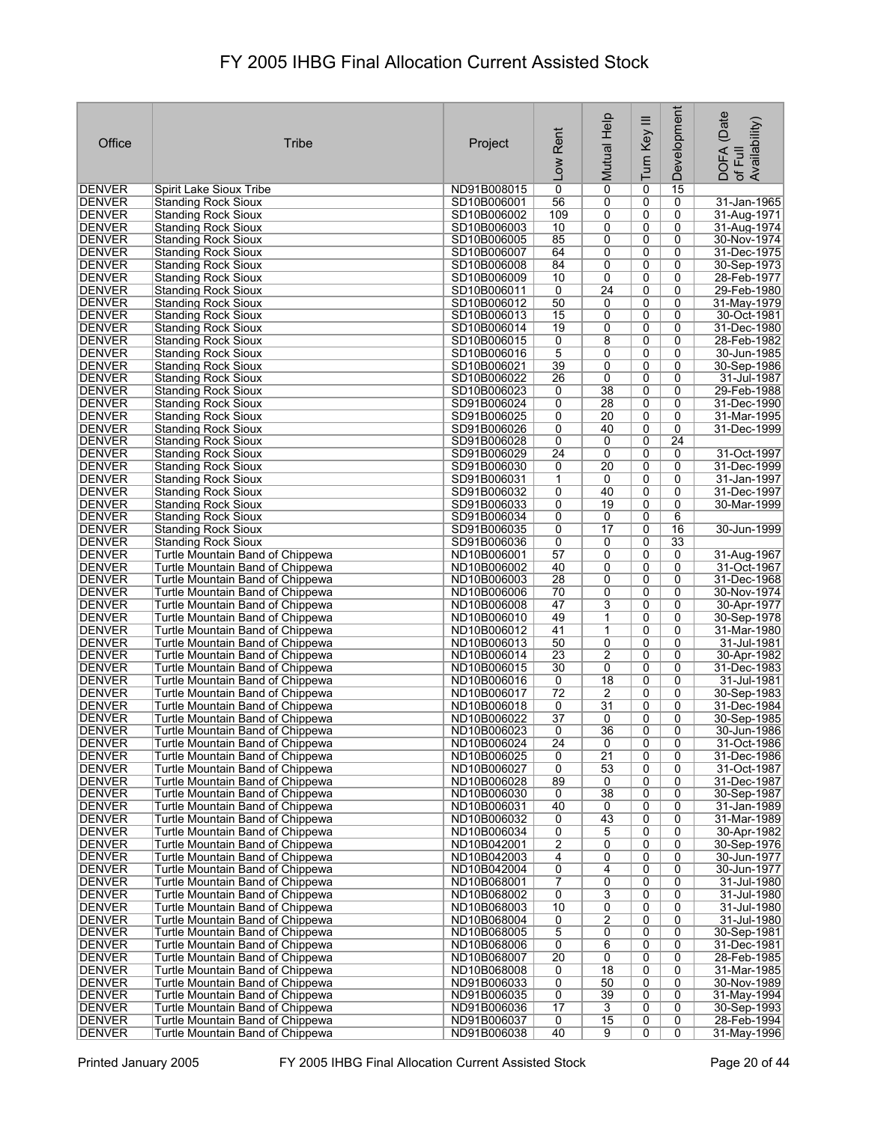| Office                         | Tribe                                                                | Project                    | Rent<br>Low          | Mutual Help           | Turn Key III   | Development       | (Date<br>of Full<br>Availability)<br>DOFA |
|--------------------------------|----------------------------------------------------------------------|----------------------------|----------------------|-----------------------|----------------|-------------------|-------------------------------------------|
| <b>DENVER</b>                  | Spirit Lake Sioux Tribe                                              | ND91B008015                | $\overline{0}$       | $\overline{0}$        | 0              | 15                |                                           |
| DENVER                         | <b>Standing Rock Sioux</b>                                           | SD10B006001                | 56                   | 0                     | 0              | 0                 | 31-Jan-1965                               |
| <b>DENVER</b>                  | <b>Standing Rock Sioux</b>                                           | SD10B006002                | 109                  | 0                     | 0              | 0                 | 31-Aug-1971                               |
| DENVER                         | <b>Standing Rock Sioux</b>                                           | SD10B006003                | 10                   | 0                     | 0              | 0                 | 31-Aug-1974                               |
| <b>DENVER</b>                  | <b>Standing Rock Sioux</b>                                           | SD10B006005                | 85                   | 0                     | 0              | 0<br>$\mathbf{0}$ | 30-Nov-1974                               |
| DENVER<br>DENVER               | Standing Rock Sioux<br><b>Standing Rock Sioux</b>                    | SD10B006007<br>SD10B006008 | 64<br>84             | 0<br>0                | 0<br>0         | 0                 | 31-Dec-1975<br>30-Sep-1973                |
| DENVER                         | <b>Standing Rock Sioux</b>                                           | SD10B006009                | 10                   | 0                     | 0              | 0                 | 28-Feb-1977                               |
| <b>DENVER</b>                  | <b>Standing Rock Sioux</b>                                           | SD10B006011                | 0                    | $\overline{24}$       | 0              | $\mathbf{0}$      | 29-Feb-1980                               |
| <b>DENVER</b>                  | <b>Standing Rock Sioux</b>                                           | SD10B006012                | 50                   | 0                     | 0              | 0                 | 31-May-1979                               |
| <b>DENVER</b>                  | <b>Standing Rock Sioux</b>                                           | SD10B006013                | 15                   | 0                     | 0              | $\Omega$          | 30-Oct-1981                               |
| <b>DENVER</b>                  | <b>Standing Rock Sioux</b>                                           | SD10B006014                | 19                   | 0                     | 0              | 0                 | 31-Dec-1980                               |
| DENVER                         | <b>Standing Rock Sioux</b>                                           | SD10B006015                | 0                    | 8                     | 0              | 0                 | 28-Feb-1982                               |
| DENVER                         | <b>Standing Rock Sioux</b>                                           | SD10B006016                | 5                    | 0                     | 0              | 0                 | 30-Jun-1985                               |
| <b>DENVER</b><br>DENVER        | <b>Standing Rock Sioux</b><br><b>Standing Rock Sioux</b>             | SD10B006021<br>SD10B006022 | 39<br>26             | 0<br>0                | 0<br>0         | 0<br>0            | 30-Sep-1986<br>31-Jul-1987                |
| <b>DENVER</b>                  | <b>Standing Rock Sioux</b>                                           | SD10B006023                | 0                    | 38                    | 0              | 0                 | 29-Feb-1988                               |
| <b>DENVER</b>                  | <b>Standing Rock Sioux</b>                                           | SD91B006024                | 0                    | 28                    | 0              | 0                 | 31-Dec-1990                               |
| <b>DENVER</b>                  | <b>Standing Rock Sioux</b>                                           | SD91B006025                | 0                    | 20                    | 0              | $\overline{0}$    | 31-Mar-1995                               |
| <b>DENVER</b>                  | <b>Standing Rock Sioux</b>                                           | SD91B006026                | 0                    | 40                    | 0              | 0                 | 31-Dec-1999                               |
| <b>DENVER</b>                  | <b>Standing Rock Sioux</b>                                           | SD91B006028                | 0                    | 0                     | 0              | $\overline{24}$   |                                           |
| <b>DENVER</b>                  | <b>Standing Rock Sioux</b>                                           | SD91B006029                | $\overline{24}$      | $\overline{0}$        | 0              | 0                 | 31-Oct-1997                               |
| <b>DENVER</b>                  | <b>Standing Rock Sioux</b>                                           | SD91B006030                | 0                    | 20                    | 0              | 0                 | 31-Dec-1999                               |
| <b>DENVER</b>                  | <b>Standing Rock Sioux</b>                                           | SD91B006031                | 1                    | 0                     | 0              | 0                 | 31-Jan-1997                               |
| <b>DENVER</b>                  | <b>Standing Rock Sioux</b>                                           | SD91B006032<br>SD91B006033 | 0<br>0               | 40<br>19              | 0<br>0         | 0<br>0            | 31-Dec-1997                               |
| <b>DENVER</b><br>DENVER        | <b>Standing Rock Sioux</b><br><b>Standing Rock Sioux</b>             | SD91B006034                | 0                    | 0                     | 0              | 6                 | 30-Mar-1999                               |
| <b>DENVER</b>                  | <b>Standing Rock Sioux</b>                                           | SD91B006035                | 0                    | 17                    | 0              | 16                | 30-Jun-1999                               |
| DENVER                         | <b>Standing Rock Sioux</b>                                           | SD91B006036                | 0                    | 0                     | 0              | 33                |                                           |
| DENVER                         | Turtle Mountain Band of Chippewa                                     | ND10B006001                | 57                   | 0                     | 0              | 0                 | 31-Aug-1967                               |
| DENVER                         | Turtle Mountain Band of Chippewa                                     | ND10B006002                | 40                   | 0                     | 0              | 0                 | 31-Oct-1967                               |
| <b>DENVER</b>                  | Turtle Mountain Band of Chippewa                                     | ND10B006003                | 28                   | 0                     | 0              | 0                 | 31-Dec-1968                               |
| <b>DENVER</b>                  | Turtle Mountain Band of Chippewa                                     | ND10B006006                | 70                   | 0                     | 0              | 0                 | 30-Nov-1974                               |
| DENVER                         | Turtle Mountain Band of Chippewa                                     | ND10B006008                | 47                   | 3                     | 0              | 0                 | 30-Apr-1977                               |
| DENVER                         | Turtle Mountain Band of Chippewa                                     | ND10B006010                | 49<br>41             | 1<br>$\mathbf{1}$     | 0<br>0         | 0<br>$\Omega$     | 30-Sep-1978                               |
| <b>DENVER</b><br>DENVER        | Turtle Mountain Band of Chippewa<br>Turtle Mountain Band of Chippewa | ND10B006012<br>ND10B006013 | 50                   | 0                     | 0              | $\Omega$          | 31-Mar-1980<br>31-Jul-1981                |
| DENVER                         | Turtle Mountain Band of Chippewa                                     | ND10B006014                | $\overline{23}$      | $\overline{2}$        | 0              | 0                 | 30-Apr-1982                               |
| DENVER                         | <b>Turtle Mountain Band of Chippewa</b>                              | ND10B006015                | 30                   | 0                     | 0              | 0                 | 31-Dec-1983                               |
| <b>DENVER</b>                  | Turtle Mountain Band of Chippewa                                     | ND10B006016                | 0                    | 18                    | 0              | 0                 | 31-Jul-1981                               |
| DENVER                         | Turtle Mountain Band of Chippewa                                     | ND10B006017                | $\overline{72}$      | 2                     | 0              | 0                 | 30-Sep-1983                               |
| <b>DENVER</b>                  | Turtle Mountain Band of Chippewa                                     | ND10B006018                | $\overline{0}$       | $\overline{31}$       | 0              | 0                 | 31-Dec-1984                               |
| <b>DENVER</b>                  | Turtle Mountain Band of Chippewa                                     | ND10B006022                | $\overline{37}$      | 0                     | 0              | 0                 | 30-Sep-1985                               |
| <b>DENVER</b>                  | Turtle Mountain Band of Chippewa                                     | ND10B006023                | 0                    | 36                    | 0              | $\overline{0}$    | 30-Jun-1986                               |
| <b>DENVER</b><br><b>DENVER</b> | Turtle Mountain Band of Chippewa<br>Turtle Mountain Band of Chippewa | ND10B006024<br>ND10B006025 | $\overline{24}$<br>0 | 0<br>$\overline{21}$  | 0<br>0         | 0<br>0            | 31-Oct-1986<br>31-Dec-1986                |
| <b>DENVER</b>                  | Turtle Mountain Band of Chippewa                                     | ND10B006027                | 0                    | 53                    | 0              | 0                 | 31-Oct-1987                               |
| <b>DENVER</b>                  | Turtle Mountain Band of Chippewa                                     | ND10B006028                | 89                   | 0                     | 0              | 0                 | 31-Dec-1987                               |
| <b>DENVER</b>                  | Turtle Mountain Band of Chippewa                                     | ND10B006030                | 0                    | 38                    | 0              | 0                 | 30-Sep-1987                               |
| <b>DENVER</b>                  | Turtle Mountain Band of Chippewa                                     | ND10B006031                | 40                   | 0                     | 0              | 0                 | 31-Jan-1989                               |
| DENVER                         | Turtle Mountain Band of Chippewa                                     | ND10B006032                | 0                    | 43                    | 0              | 0                 | 31-Mar-1989                               |
| <b>DENVER</b>                  | Turtle Mountain Band of Chippewa                                     | ND10B006034                | 0                    | 5                     | 0              | 0                 | 30-Apr-1982                               |
| <b>DENVER</b>                  | Turtle Mountain Band of Chippewa                                     | ND10B042001                | 2                    | 0                     | 0              | 0                 | 30-Sep-1976                               |
| <b>DENVER</b><br>DENVER        | Turtle Mountain Band of Chippewa<br>Turtle Mountain Band of Chippewa | ND10B042003<br>ND10B042004 | 4<br>$\overline{0}$  | 0<br>4                | 0<br>0         | 0<br>0            | 30-Jun-1977<br>30-Jun-1977                |
| <b>DENVER</b>                  | Turtle Mountain Band of Chippewa                                     | ND10B068001                | 7                    | 0                     | 0              | 0                 | 31-Jul-1980                               |
| DENVER                         | Turtle Mountain Band of Chippewa                                     | ND10B068002                | $\overline{0}$       | 3                     | 0              | 0                 | 31-Jul-1980                               |
| <b>DENVER</b>                  | Turtle Mountain Band of Chippewa                                     | ND10B068003                | 10                   | 0                     | 0              | 0                 | 31-Jul-1980                               |
| <b>DENVER</b>                  | Turtle Mountain Band of Chippewa                                     | ND10B068004                | 0                    | $\overline{2}$        | 0              | 0                 | 31-Jul-1980                               |
| DENVER                         | Turtle Mountain Band of Chippewa                                     | ND10B068005                | 5                    | 0                     | 0              | 0                 | 30-Sep-1981                               |
| <b>DENVER</b>                  | Turtle Mountain Band of Chippewa                                     | ND10B068006                | 0                    | 6                     | 0              | 0                 | 31-Dec-1981                               |
| <b>DENVER</b>                  | Turtle Mountain Band of Chippewa                                     | ND10B068007                | 20                   | 0                     | 0              | 0                 | 28-Feb-1985                               |
| DENVER<br>DENVER               | Turtle Mountain Band of Chippewa<br>Turtle Mountain Band of Chippewa | ND10B068008<br>ND91B006033 | 0<br>$\overline{0}$  | $\overline{18}$<br>50 | 0<br>0         | 0<br>0            | 31-Mar-1985<br>30-Nov-1989                |
| DENVER                         | Turtle Mountain Band of Chippewa                                     | ND91B006035                | 0                    | 39                    | 0              | 0                 | 31-May-1994                               |
| <b>DENVER</b>                  | Turtle Mountain Band of Chippewa                                     | ND91B006036                | 17                   | 3                     | 0              | 0                 | 30-Sep-1993                               |
| <b>DENVER</b>                  | Turtle Mountain Band of Chippewa                                     | ND91B006037                | $\overline{0}$       | 15                    | $\overline{0}$ | $\overline{0}$    | 28-Feb-1994                               |
| <b>DENVER</b>                  | Turtle Mountain Band of Chippewa                                     | ND91B006038                | 40                   | $\overline{9}$        | 0              | $\overline{0}$    | 31-May-1996                               |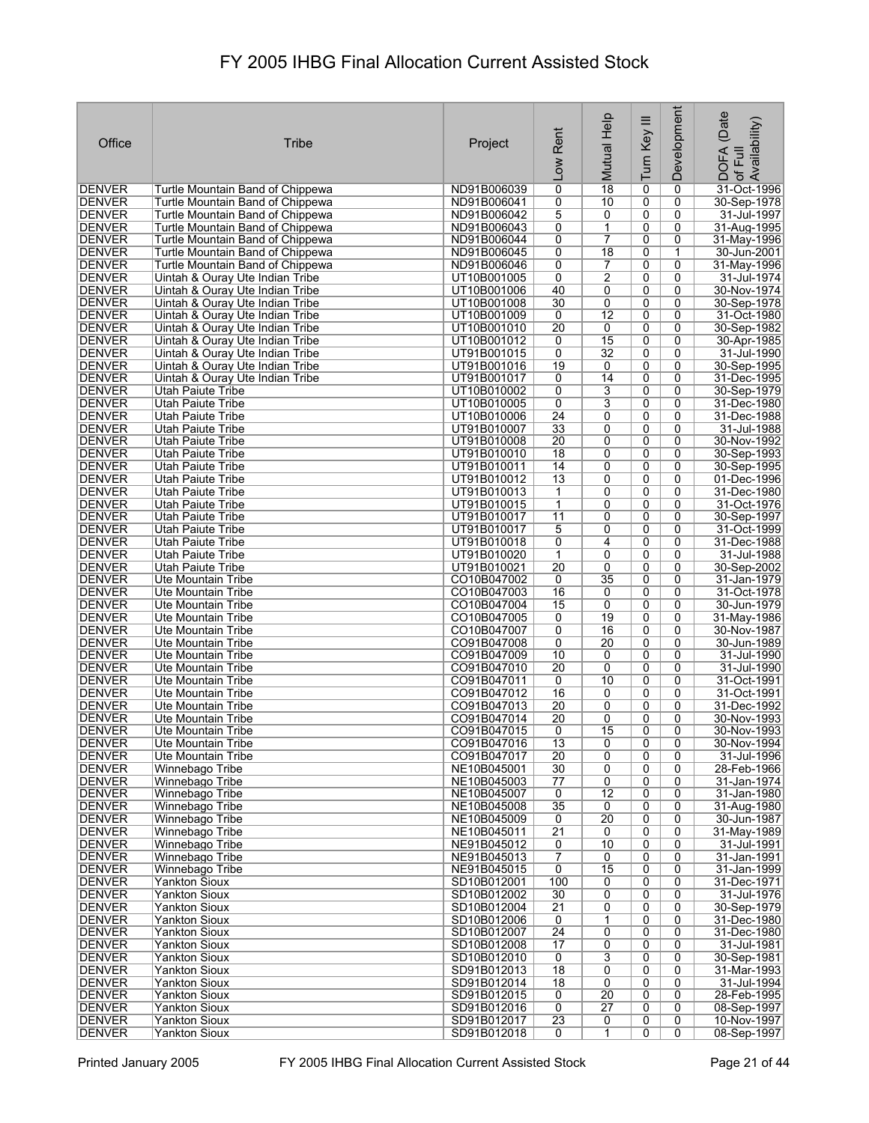| Office                         | Tribe                                                                | Project                    | Rent                               | Mutual Help          | Turn Key III        | Development         | (Date<br>of Full<br>Availability)<br><b>DOFA</b> |
|--------------------------------|----------------------------------------------------------------------|----------------------------|------------------------------------|----------------------|---------------------|---------------------|--------------------------------------------------|
|                                |                                                                      |                            | Low                                |                      |                     |                     |                                                  |
| DENVER                         | Turtle Mountain Band of Chippewa                                     | ND91B006039                | 0                                  | $\overline{18}$      | 0                   | 0                   | 31-Oct-1996                                      |
| DENVER<br><b>DENVER</b>        | Turtle Mountain Band of Chippewa                                     | ND91B006041<br>ND91B006042 | 0<br>5                             | 10<br>0              | 0<br>0              | 0<br>0              | 30-Sep-1978                                      |
| <b>DENVER</b>                  | Turtle Mountain Band of Chippewa<br>Turtle Mountain Band of Chippewa | ND91B006043                | 0                                  | $\mathbf 1$          | 0                   | 0                   | 31-Jul-1997<br>31-Aug-1995                       |
| <b>DENVER</b>                  | Turtle Mountain Band of Chippewa                                     | ND91B006044                | 0                                  | $\overline{7}$       | 0                   | 0                   | 31-May-1996                                      |
| <b>DENVER</b><br><b>DENVER</b> | Turtle Mountain Band of Chippewa<br>Turtle Mountain Band of Chippewa | ND91B006045<br>ND91B006046 | 0<br>0                             | 18<br>7              | 0<br>0              | 1<br>0              | 30-Jun-2001<br>31-May-1996                       |
| <b>DENVER</b>                  | Uintah & Ouray Ute Indian Tribe                                      | UT10B001005                | 0                                  | 2                    | 0                   | 0                   | 31-Jul-1974                                      |
| <b>DENVER</b>                  | Uintah & Ouray Ute Indian Tribe                                      | UT10B001006                | 40                                 | 0                    | 0                   | 0                   | 30-Nov-1974                                      |
| <b>DENVER</b>                  | Uintah & Ouray Ute Indian Tribe                                      | UT10B001008                | 30                                 | 0<br>$\overline{12}$ | 0<br>$\overline{0}$ | 0<br>0              | 30-Sep-1978<br>31-Oct-1980                       |
| <b>DENVER</b><br><b>DENVER</b> | Uintah & Ouray Ute Indian Tribe<br>Uintah & Ouray Ute Indian Tribe   | UT10B001009<br>UT10B001010 | 0<br>$\overline{20}$               | 0                    | 0                   | 0                   | 30-Sep-1982                                      |
| <b>DENVER</b>                  | Uintah & Ouray Ute Indian Tribe                                      | UT10B001012                | 0                                  | 15                   | 0                   | 0                   | 30-Apr-1985                                      |
| <b>DENVER</b>                  | Uintah & Ouray Ute Indian Tribe                                      | UT91B001015                | 0                                  | $\overline{32}$      | 0                   | 0                   | 31-Jul-1990                                      |
| <b>DENVER</b><br><b>DENVER</b> | Uintah & Ouray Ute Indian Tribe<br>Uintah & Ouray Ute Indian Tribe   | UT91B001016<br>UT91B001017 | 19<br>0                            | 0<br>14              | 0<br>0              | 0<br>0              | 30-Sep-1995<br>31-Dec-1995                       |
| <b>DENVER</b>                  | <b>Utah Paiute Tribe</b>                                             | UT10B010002                | 0                                  | 3                    | 0                   | 0                   | 30-Sep-1979                                      |
| <b>DENVER</b>                  | Utah Paiute Tribe                                                    | UT10B010005                | 0                                  | $\overline{3}$       | 0                   | 0                   | 31-Dec-1980                                      |
| <b>DENVER</b><br>DENVER        | <b>Utah Paiute Tribe</b><br>Utah Paiute Tribe                        | UT10B010006<br>UT91B010007 | $\overline{24}$<br>33              | 0<br>0               | $\overline{0}$<br>0 | 0<br>0              | 31-Dec-1988<br>31-Jul-1988                       |
| <b>DENVER</b>                  | Utah Paiute Tribe                                                    | UT91B010008                | $\overline{20}$                    | 0                    | 0                   | 0                   | 30-Nov-1992                                      |
| DENVER                         | Utah Paiute Tribe                                                    | UT91B010010                | $\overline{18}$                    | $\overline{0}$       | $\overline{0}$      | $\overline{0}$      | 30-Sep-1993                                      |
| <b>DENVER</b>                  | Utah Paiute Tribe                                                    | UT91B010011                | 14                                 | 0                    | 0                   | 0                   | 30-Sep-1995                                      |
| <b>DENVER</b><br><b>DENVER</b> | Utah Paiute Tribe<br><b>Utah Paiute Tribe</b>                        | UT91B010012<br>UT91B010013 | 13<br>1                            | 0<br>0               | 0<br>0              | 0<br>$\overline{0}$ | 01-Dec-1996<br>31-Dec-1980                       |
| <b>DENVER</b>                  | <b>Utah Paiute Tribe</b>                                             | UT91B010015                | 1                                  | 0                    | 0                   | 0                   | 31-Oct-1976                                      |
| <b>DENVER</b>                  | Utah Paiute Tribe                                                    | UT91B010017                | 11                                 | 0                    | 0                   | 0                   | 30-Sep-1997                                      |
| <b>DENVER</b><br><b>DENVER</b> | Utah Paiute Tribe<br>Utah Paiute Tribe                               | UT91B010017<br>UT91B010018 | 5<br>0                             | 0<br>4               | 0<br>0              | 0<br>0              | 31-Oct-1999<br>31-Dec-1988                       |
| <b>DENVER</b>                  | Utah Paiute Tribe                                                    | UT91B010020                | 1                                  | 0                    | 0                   | 0                   | 31-Jul-1988                                      |
| <b>DENVER</b>                  | <b>Utah Paiute Tribe</b>                                             | UT91B010021                | $\overline{20}$                    | 0                    | 0                   | 0                   | 30-Sep-2002                                      |
| <b>DENVER</b>                  | Ute Mountain Tribe                                                   | CO10B047002                | 0                                  | $\overline{35}$      | 0                   | 0                   | 31-Jan-1979                                      |
| <b>DENVER</b><br><b>DENVER</b> | Ute Mountain Tribe<br>Ute Mountain Tribe                             | CO10B047003<br>CO10B047004 | 16<br>15                           | 0<br>0               | 0<br>0              | 0<br>0              | 31-Oct-1978<br>30-Jun-1979                       |
| DENVER                         | Ute Mountain Tribe                                                   | CO10B047005                | 0                                  | $\overline{19}$      | 0                   | 0                   | 31-May-1986                                      |
| <b>DENVER</b>                  | Ute Mountain Tribe                                                   | CO10B047007                | 0                                  | 16                   | 0                   | 0                   | 30-Nov-1987                                      |
| <b>DENVER</b><br><b>DENVER</b> | Ute Mountain Tribe<br>Ute Mountain Tribe                             | CO91B047008<br>CO91B047009 | 0<br>10                            | 20<br>0              | 0<br>0              | 0<br>0              | 30-Jun-1989<br>31-Jul-1990                       |
| <b>DENVER</b>                  | Ute Mountain Tribe                                                   | CO91B047010                | $\overline{20}$                    | 0                    | 0                   | 0                   | 31-Jul-1990                                      |
| <b>DENVER</b>                  | Ute Mountain Tribe                                                   | CO91B047011                | 0                                  | 10                   | 0                   | 0                   | 31-Oct-1991                                      |
| <b>DENVER</b><br><b>DENVER</b> | Ute Mountain Tribe<br>Ute Mountain Tribe                             | CO91B047012<br>CO91B047013 | 16<br>$\overline{20}$              | 0<br>0               | 0<br>0              | 0<br>0              | 31-Oct-1991<br>31-Dec-1992                       |
| <b>DENVER</b>                  | Ute Mountain Tribe                                                   | CO91B047014                | $\overline{20}$                    | 0                    | 0                   | 0                   | 30-Nov-1993                                      |
| <b>DENVER</b>                  | Ute Mountain Tribe                                                   | CO91B047015                | 0                                  | 15                   | $\overline{0}$      | 0                   | 30-Nov-1993                                      |
| <b>DENVER</b>                  | Ute Mountain Tribe                                                   | CO91B047016                | 13                                 | 0                    | 0                   | 0                   | 30-Nov-1994                                      |
| <b>DENVER</b><br><b>DENVER</b> | Ute Mountain Tribe<br>Winnebago Tribe                                | CO91B047017<br>NE10B045001 | $\overline{20}$<br>30              | 0<br>$\overline{0}$  | 0<br>$\overline{0}$ | 0<br>$\overline{0}$ | 31-Jul-1996<br>28-Feb-1966                       |
| <b>DENVER</b>                  | Winnebago Tribe                                                      | NE10B045003                | 77                                 | 0                    | 0                   | 0                   | 31-Jan-1974                                      |
| <b>DENVER</b>                  | Winnebago Tribe                                                      | NE10B045007                | 0                                  | $\overline{12}$      | 0                   | 0                   | 31-Jan-1980                                      |
| <b>DENVER</b><br><b>DENVER</b> | Winnebago Tribe<br>Winnebago Tribe                                   | NE10B045008<br>NE10B045009 | 35<br>0                            | 0<br>20              | 0<br>0              | $\overline{0}$<br>0 | 31-Aug-1980<br>30-Jun-1987                       |
| <b>DENVER</b>                  | Winnebago Tribe                                                      | NE10B045011                | $\overline{21}$                    | 0                    | 0                   | 0                   | 31-May-1989                                      |
| <b>DENVER</b>                  | Winnebago Tribe                                                      | NE91B045012                | 0                                  | 10                   | 0                   | 0                   | 31-Jul-1991                                      |
| <b>DENVER</b><br><b>DENVER</b> | Winnebago Tribe<br>Winnebago Tribe                                   | NE91B045013<br>NE91B045015 | 7<br>$\mathbf 0$                   | 0<br>15              | 0<br>0              | 0<br>0              | 31-Jan-1991<br>31-Jan-1999                       |
| <b>DENVER</b>                  | <b>Yankton Sioux</b>                                                 | SD10B012001                | 100                                | 0                    | 0                   | 0                   | 31-Dec-1971                                      |
| <b>DENVER</b>                  | <b>Yankton Sioux</b>                                                 | SD10B012002                | 30                                 | 0                    | 0                   | 0                   | 31-Jul-1976                                      |
| DENVER                         | <b>Yankton Sioux</b>                                                 | SD10B012004                | $\overline{21}$                    | 0                    | 0                   | 0                   | 30-Sep-1979                                      |
| <b>DENVER</b><br>DENVER        | <b>Yankton Sioux</b><br><b>Yankton Sioux</b>                         | SD10B012006<br>SD10B012007 | 0<br>$\overline{24}$               | 1<br>0               | 0<br>0              | 0<br>0              | 31-Dec-1980<br>31-Dec-1980                       |
| <b>DENVER</b>                  | <b>Yankton Sioux</b>                                                 | SD10B012008                | 17                                 | 0                    | 0                   | 0                   | 31-Jul-1981                                      |
| <b>DENVER</b>                  | <b>Yankton Sioux</b>                                                 | SD10B012010                | $\overline{0}$                     | $\overline{3}$       | 0                   | 0                   | 30-Sep-1981                                      |
| <b>DENVER</b><br><b>DENVER</b> | <b>Yankton Sioux</b><br><b>Yankton Sioux</b>                         | SD91B012013<br>SD91B012014 | $\overline{18}$<br>$\overline{18}$ | 0<br>0               | 0<br>0              | 0<br>0              | 31-Mar-1993<br>31-Jul-1994                       |
| <b>DENVER</b>                  | <b>Yankton Sioux</b>                                                 | SD91B012015                | 0                                  | $\overline{20}$      | 0                   | 0                   | 28-Feb-1995                                      |
| DENVER                         | <b>Yankton Sioux</b>                                                 | SD91B012016                | 0                                  | $\overline{27}$      | 0                   | 0                   | 08-Sep-1997                                      |
| <b>DENVER</b><br><b>DENVER</b> | <b>Yankton Sioux</b><br><b>Yankton Sioux</b>                         | SD91B012017<br>SD91B012018 | $\overline{23}$<br>0               | 0<br>1               | 0<br>0              | 0<br>0              | 10-Nov-1997<br>08-Sep-1997                       |
|                                |                                                                      |                            |                                    |                      |                     |                     |                                                  |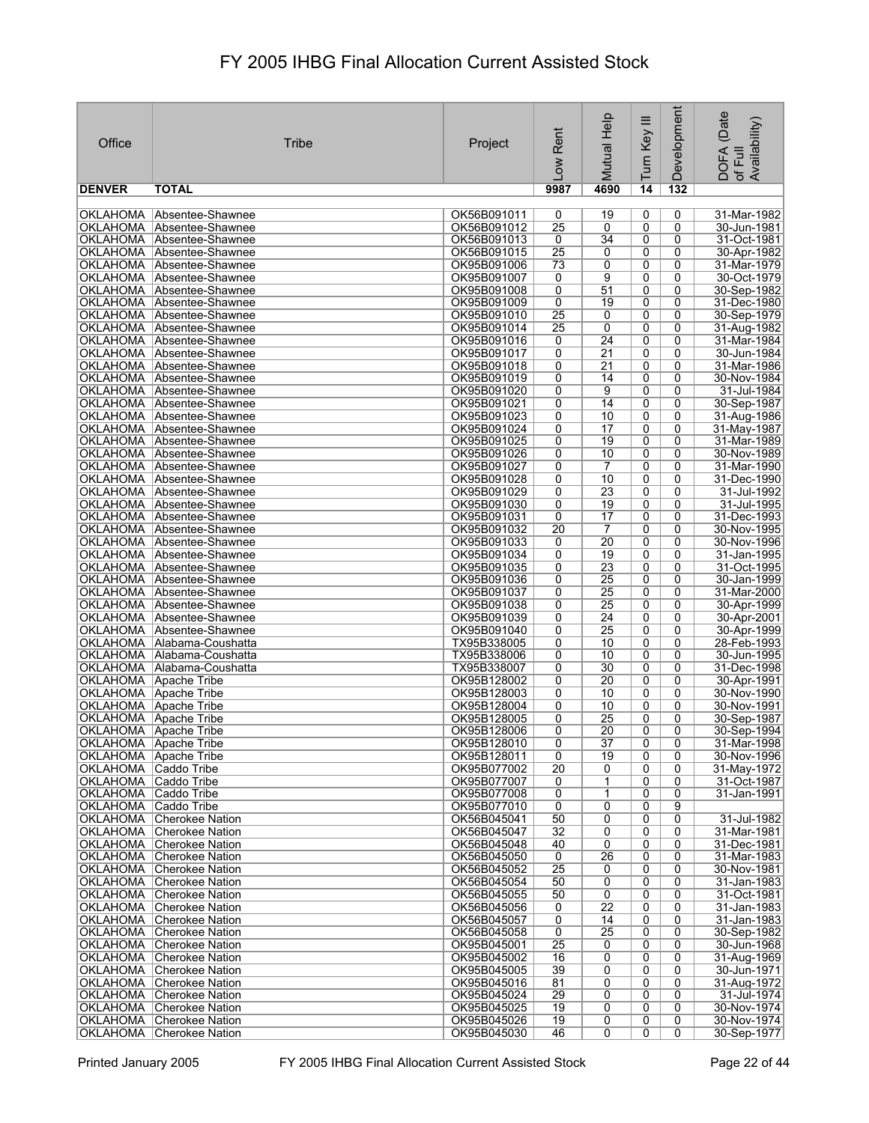| Office                                         | Tribe                                                    | Project                    | Rent<br>$\sim$        | Mutual Help                        | Turn Key III   | Development         | (Date<br>Availability)<br>DOFA<br>Full<br>$\mathcal{P}$ |
|------------------------------------------------|----------------------------------------------------------|----------------------------|-----------------------|------------------------------------|----------------|---------------------|---------------------------------------------------------|
| <b>DENVER</b>                                  | <b>TOTAL</b>                                             |                            | 9987                  | 4690                               | 14             | 132                 |                                                         |
|                                                | OKLAHOMA Absentee-Shawnee                                | OK56B091011                | 0                     | 19                                 | 0              | 0                   | 31-Mar-1982                                             |
|                                                | OKLAHOMA Absentee-Shawnee                                | OK56B091012                | $\overline{25}$       | 0                                  | 0              | 0                   | 30-Jun-1981                                             |
|                                                | OKLAHOMA Absentee-Shawnee                                | OK56B091013                | $\mathbf 0$           | $\overline{34}$                    | 0              | 0                   | 31-Oct-1981                                             |
|                                                | OKLAHOMA Absentee-Shawnee<br>OKLAHOMA Absentee-Shawnee   | OK56B091015<br>OK95B091006 | $\overline{25}$<br>73 | 0<br>0                             | 0<br>0         | 0<br>0              | 30-Apr-1982<br>31-Mar-1979                              |
| OKLAHOMA                                       | Absentee-Shawnee                                         | OK95B091007                | 0                     | 9                                  | 0              | 0                   | 30-Oct-1979                                             |
|                                                | OKLAHOMA Absentee-Shawnee                                | OK95B091008                | 0                     | 51                                 | 0              | 0                   | 30-Sep-1982                                             |
|                                                | OKLAHOMA Absentee-Shawnee                                | OK95B091009                | 0                     | 19                                 | 0              | 0                   | 31-Dec-1980                                             |
|                                                | OKLAHOMA Absentee-Shawnee                                | OK95B091010                | $\overline{25}$       | 0                                  | 0              | 0                   | 30-Sep-1979                                             |
|                                                | OKLAHOMA Absentee-Shawnee                                | OK95B091014                | $\overline{25}$       | 0                                  | 0              | 0                   | 31-Aug-1982                                             |
|                                                | OKLAHOMA Absentee-Shawnee<br>OKLAHOMA Absentee-Shawnee   | OK95B091016<br>OK95B091017 | 0<br>0                | $\overline{24}$<br>$\overline{21}$ | 0<br>0         | 0<br>0              | 31-Mar-1984<br>30-Jun-1984                              |
|                                                | OKLAHOMA Absentee-Shawnee                                | OK95B091018                | 0                     | $\overline{21}$                    | $\overline{0}$ | 0                   | 31-Mar-1986                                             |
|                                                | OKLAHOMA Absentee-Shawnee                                | OK95B091019                | 0                     | 14                                 | 0              | 0                   | 30-Nov-1984                                             |
| <b>OKLAHOMA</b>                                | Absentee-Shawnee                                         | OK95B091020                | 0                     | $\overline{9}$                     | 0              | 0                   | 31-Jul-1984                                             |
| OKLAHOMA                                       | Absentee-Shawnee                                         | OK95B091021                | 0                     | 14                                 | 0              | 0                   | 30-Sep-1987                                             |
|                                                | OKLAHOMA Absentee-Shawnee<br>OKLAHOMA Absentee-Shawnee   | OK95B091023<br>OK95B091024 | $\overline{0}$<br>0   | $\overline{10}$<br>17              | 0<br>0         | $\overline{0}$<br>0 | 31-Aug-1986<br>31-May-1987                              |
| <b>OKLAHOMA</b>                                | Absentee-Shawnee                                         | OK95B091025                | 0                     | 19                                 | 0              | 0                   | 31-Mar-1989                                             |
|                                                | OKLAHOMA Absentee-Shawnee                                | OK95B091026                | 0                     | $\overline{10}$                    | 0              | 0                   | 30-Nov-1989                                             |
|                                                | OKLAHOMA Absentee-Shawnee                                | OK95B091027                | 0                     | 7                                  | 0              | 0                   | 31-Mar-1990                                             |
|                                                | OKLAHOMA Absentee-Shawnee                                | OK95B091028                | 0                     | 10                                 | 0              | 0                   | 31-Dec-1990                                             |
|                                                | OKLAHOMA Absentee-Shawnee                                | OK95B091029                | 0                     | $\overline{23}$                    | $\overline{0}$ | 0                   | 31-Jul-1992                                             |
|                                                | OKLAHOMA   Absentee-Shawnee<br>OKLAHOMA Absentee-Shawnee | OK95B091030<br>OK95B091031 | 0<br>0                | 19<br>17                           | 0<br>0         | 0<br>0              | 31-Jul-1995<br>31-Dec-1993                              |
|                                                | OKLAHOMA Absentee-Shawnee                                | OK95B091032                | 20                    | $\overline{7}$                     | 0              | 0                   | 30-Nov-1995                                             |
|                                                | OKLAHOMA Absentee-Shawnee                                | OK95B091033                | 0                     | 20                                 | 0              | 0                   | 30-Nov-1996                                             |
|                                                | OKLAHOMA Absentee-Shawnee                                | OK95B091034                | 0                     | 19                                 | 0              | 0                   | 31-Jan-1995                                             |
|                                                | OKLAHOMA Absentee-Shawnee                                | OK95B091035                | 0                     | 23                                 | 0              | 0                   | 31-Oct-1995                                             |
|                                                | OKLAHOMA Absentee-Shawnee                                | OK95B091036                | 0                     | 25                                 | 0              | 0                   | 30-Jan-1999                                             |
| OKLAHOMA                                       | Absentee-Shawnee<br>OKLAHOMA Absentee-Shawnee            | OK95B091037<br>OK95B091038 | 0<br>0                | $\overline{25}$<br>25              | 0<br>0         | $\mathbf{0}$<br>0   | 31-Mar-2000<br>30-Apr-1999                              |
|                                                | OKLAHOMA Absentee-Shawnee                                | OK95B091039                | 0                     | $\overline{24}$                    | 0              | 0                   | 30-Apr-2001                                             |
|                                                | OKLAHOMA Absentee-Shawnee                                | OK95B091040                | 0                     | $\overline{25}$                    | 0              | 0                   | 30-Apr-1999                                             |
|                                                | OKLAHOMA Alabama-Coushatta                               | TX95B338005                | 0                     | 10                                 | 0              | 0                   | 28-Feb-1993                                             |
|                                                | OKLAHOMA Alabama-Coushatta                               | TX95B338006                | 0                     | 10                                 | 0              | 0                   | 30-Jun-1995                                             |
|                                                | OKLAHOMA Alabama-Coushatta                               | TX95B338007                | 0                     | 30                                 | 0              | 0                   | 31-Dec-1998                                             |
|                                                | OKLAHOMA Apache Tribe<br>OKLAHOMA Apache Tribe           | OK95B128002<br>OK95B128003 | 0<br>0                | 20<br>10                           | 0<br>0         | 0<br>0              | 30-Apr-1991<br>30-Nov-1990                              |
|                                                | <b>OKLAHOMA</b> Apache Tribe                             | OK95B128004                | 0                     | 10                                 | 0              | 0                   | 30-Nov-1991                                             |
|                                                | OKLAHOMA Apache Tribe                                    | OK95B128005                | 0                     | $\overline{25}$                    | 0              | 0                   | 30-Sep-1987                                             |
|                                                | OKLAHOMA Apache Tribe                                    | OK95B128006                | 0                     | 20                                 | 0              | $\overline{0}$      | 30-Sep-1994                                             |
|                                                | <b>OKLAHOMA</b> Apache Tribe                             | OK95B128010                | 0                     | $\overline{37}$                    | 0              | 0                   | 31-Mar-1998                                             |
|                                                | OKLAHOMA Apache Tribe                                    | OK95B128011                | 0                     | 19                                 | 0              | 0                   | 30-Nov-1996                                             |
| OKLAHOMA Caddo Tribe<br>OKLAHOMA   Caddo Tribe |                                                          | OK95B077002<br>OK95B077007 | $\overline{20}$<br>0  | 0<br>1                             | 0<br>0         | 0<br>0              | 31-May-1972<br>31-Oct-1987                              |
| OKLAHOMA Caddo Tribe                           |                                                          | OK95B077008                | 0                     | 1                                  | 0              | 0                   | 31-Jan-1991                                             |
| OKLAHOMA Caddo Tribe                           |                                                          | OK95B077010                | 0                     | 0                                  | 0              | $\overline{9}$      |                                                         |
|                                                | OKLAHOMA Cherokee Nation                                 | OK56B045041                | 50                    | 0                                  | 0              | 0                   | 31-Jul-1982                                             |
|                                                | OKLAHOMA Cherokee Nation                                 | OK56B045047                | 32                    | 0                                  | 0              | 0                   | 31-Mar-1981                                             |
|                                                | OKLAHOMA Cherokee Nation                                 | OK56B045048                | 40                    | 0                                  | 0              | 0                   | 31-Dec-1981                                             |
|                                                | OKLAHOMA Cherokee Nation<br>OKLAHOMA Cherokee Nation     | OK56B045050<br>OK56B045052 | 0<br>$\overline{25}$  | 26<br>0                            | 0<br>0         | 0<br>0              | 31-Mar-1983<br>30-Nov-1981                              |
|                                                | OKLAHOMA Cherokee Nation                                 | OK56B045054                | 50                    | 0                                  | 0              | 0                   | 31-Jan-1983                                             |
|                                                | OKLAHOMA Cherokee Nation                                 | OK56B045055                | 50                    | 0                                  | 0              | 0                   | 31-Oct-1981                                             |
|                                                | OKLAHOMA Cherokee Nation                                 | OK56B045056                | 0                     | $\overline{22}$                    | 0              | 0                   | 31-Jan-1983                                             |
|                                                | OKLAHOMA Cherokee Nation                                 | OK56B045057                | 0                     | 14                                 | 0              | 0                   | 31-Jan-1983                                             |
|                                                | OKLAHOMA Cherokee Nation                                 | OK56B045058                | 0                     | $\overline{25}$                    | 0              | 0                   | 30-Sep-1982                                             |
|                                                | OKLAHOMA Cherokee Nation<br>OKLAHOMA Cherokee Nation     | OK95B045001<br>OK95B045002 | 25<br>16              | 0<br>0                             | 0<br>0         | 0<br>0              | 30-Jun-1968<br>31-Aug-1969                              |
|                                                | OKLAHOMA Cherokee Nation                                 | OK95B045005                | 39                    | 0                                  | 0              | 0                   | 30-Jun-1971                                             |
|                                                | OKLAHOMA Cherokee Nation                                 | OK95B045016                | 81                    | 0                                  | 0              | 0                   | 31-Aug-1972                                             |
|                                                | OKLAHOMA Cherokee Nation                                 | OK95B045024                | 29                    | 0                                  | 0              | 0                   | 31-Jul-1974                                             |
|                                                | OKLAHOMA Cherokee Nation                                 | OK95B045025                | 19                    | 0                                  | 0              | 0                   | 30-Nov-1974                                             |
|                                                | OKLAHOMA Cherokee Nation<br>OKLAHOMA Cherokee Nation     | OK95B045026<br>OK95B045030 | 19<br>46              | 0<br>0                             | 0<br>0         | 0<br>0              | 30-Nov-1974<br>30-Sep-1977                              |
|                                                |                                                          |                            |                       |                                    |                |                     |                                                         |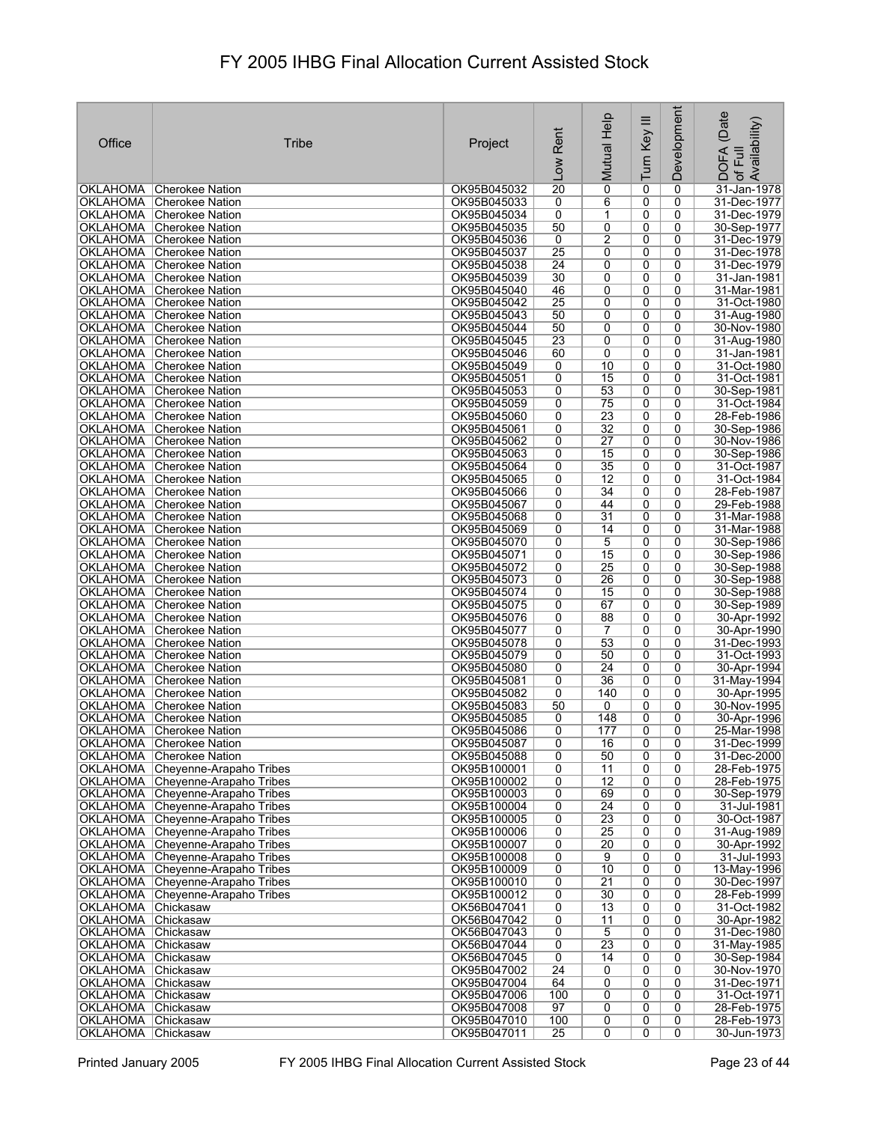| Office                                   | <b>Tribe</b>                                                         | Project                    | Rent<br>Low           | Mutual Help                        | Turn Key III        | Development                   | (Date<br>Availability)<br>DOFA<br>of Full |
|------------------------------------------|----------------------------------------------------------------------|----------------------------|-----------------------|------------------------------------|---------------------|-------------------------------|-------------------------------------------|
|                                          | OKLAHOMA Cherokee Nation                                             | OK95B045032                | $\overline{20}$       | $\overline{0}$                     | 0                   | $\mathbf 0$                   | 31-Jan-1978                               |
|                                          | OKLAHOMA Cherokee Nation                                             | OK95B045033                | 0                     | 6                                  | 0                   | 0                             | 31-Dec-1977                               |
|                                          | OKLAHOMA Cherokee Nation                                             | OK95B045034                | 0                     | 1                                  | 0                   | $\mathbf 0$                   | 31-Dec-1979                               |
|                                          | OKLAHOMA Cherokee Nation                                             | OK95B045035                | 50                    | 0                                  | 0                   | 0                             | 30-Sep-1977                               |
|                                          | OKLAHOMA Cherokee Nation<br>OKLAHOMA Cherokee Nation                 | OK95B045036<br>OK95B045037 | 0<br>$\overline{25}$  | 2<br>0                             | 0<br>0              | $\mathbf 0$<br>0              | 31-Dec-1979<br>31-Dec-1978                |
|                                          | OKLAHOMA Cherokee Nation                                             | OK95B045038                | $\overline{24}$       | 0                                  | 0                   | 0                             | 31-Dec-1979                               |
|                                          | OKLAHOMA Cherokee Nation                                             | OK95B045039                | 30                    | 0                                  | 0                   | 0                             | 31-Jan-1981                               |
|                                          | OKLAHOMA Cherokee Nation                                             | OK95B045040                | 46                    | 0                                  | 0                   | 0                             | 31-Mar-1981                               |
|                                          | OKLAHOMA Cherokee Nation                                             | OK95B045042                | 25                    | 0                                  | 0                   | 0                             | 31-Oct-1980                               |
|                                          | OKLAHOMA Cherokee Nation                                             | OK95B045043                | 50                    | 0                                  | $\overline{0}$      | 0                             | 31-Aug-1980                               |
|                                          | OKLAHOMA Cherokee Nation<br>OKLAHOMA Cherokee Nation                 | OK95B045044<br>OK95B045045 | 50<br>$\overline{23}$ | 0<br>0                             | 0<br>$\overline{0}$ | 0<br>0                        | 30-Nov-1980<br>31-Aug-1980                |
|                                          | OKLAHOMA Cherokee Nation                                             | OK95B045046                | 60                    | 0                                  | 0                   | 0                             | 31-Jan-1981                               |
|                                          | OKLAHOMA Cherokee Nation                                             | OK95B045049                | 0                     | 10                                 | $\overline{0}$      | 0                             | 31-Oct-1980                               |
|                                          | OKLAHOMA Cherokee Nation                                             | OK95B045051                | 0                     | 15                                 | 0                   | $\mathbf 0$                   | 31-Oct-1981                               |
|                                          | OKLAHOMA Cherokee Nation                                             | OK95B045053                | 0                     | 53                                 | 0                   | 0                             | 30-Sep-1981                               |
|                                          | OKLAHOMA   Cherokee Nation                                           | OK95B045059                | 0                     | 75                                 | 0                   | $\mathbf 0$                   | 31-Oct-1984                               |
|                                          | <b>OKLAHOMA</b> Cherokee Nation<br>OKLAHOMA Cherokee Nation          | OK95B045060<br>OK95B045061 | 0<br>0                | 23<br>$\overline{32}$              | $\overline{0}$<br>0 | $\overline{0}$<br>$\mathbf 0$ | 28-Feb-1986<br>30-Sep-1986                |
|                                          | OKLAHOMA Cherokee Nation                                             | OK95B045062                | 0                     | $\overline{27}$                    | 0                   | 0                             | 30-Nov-1986                               |
|                                          | OKLAHOMA   Cherokee Nation                                           | OK95B045063                | 0                     | $\overline{15}$                    | $\overline{0}$      | $\overline{0}$                | 30-Sep-1986                               |
|                                          | OKLAHOMA Cherokee Nation                                             | OK95B045064                | 0                     | 35                                 | 0                   | $\mathbf 0$                   | 31-Oct-1987                               |
|                                          | OKLAHOMA Cherokee Nation                                             | OK95B045065                | 0                     | 12                                 | 0                   | $\mathbf 0$                   | 31-Oct-1984                               |
|                                          | OKLAHOMA Cherokee Nation                                             | OK95B045066                | 0                     | $\overline{34}$                    | $\overline{0}$      | $\overline{0}$                | 28-Feb-1987                               |
|                                          | OKLAHOMA Cherokee Nation<br>OKLAHOMA Cherokee Nation                 | OK95B045067<br>OK95B045068 | 0<br>0                | 44<br>31                           | $\overline{0}$<br>0 | $\mathbf 0$<br>$\mathbf 0$    | 29-Feb-1988<br>31-Mar-1988                |
|                                          | OKLAHOMA Cherokee Nation                                             | OK95B045069                | 0                     | 14                                 | 0                   | $\mathbf 0$                   | 31-Mar-1988                               |
|                                          | OKLAHOMA Cherokee Nation                                             | OK95B045070                | 0                     | 5                                  | 0                   | 0                             | 30-Sep-1986                               |
|                                          | OKLAHOMA Cherokee Nation                                             | OK95B045071                | 0                     | 15                                 | 0                   | 0                             | 30-Sep-1986                               |
|                                          | OKLAHOMA Cherokee Nation                                             | OK95B045072                | 0                     | $\overline{25}$                    | 0                   | 0                             | 30-Sep-1988                               |
|                                          | OKLAHOMA Cherokee Nation                                             | OK95B045073                | 0                     | 26                                 | 0                   | 0                             | 30-Sep-1988                               |
|                                          | OKLAHOMA Cherokee Nation<br>OKLAHOMA Cherokee Nation                 | OK95B045074<br>OK95B045075 | 0<br>0                | 15<br>67                           | 0<br>0              | 0<br>0                        | 30-Sep-1988<br>30-Sep-1989                |
|                                          | OKLAHOMA Cherokee Nation                                             | OK95B045076                | 0                     | 88                                 | 0                   | 0                             | 30-Apr-1992                               |
|                                          | OKLAHOMA Cherokee Nation                                             | OK95B045077                | 0                     | $\overline{7}$                     | 0                   | 0                             | 30-Apr-1990                               |
|                                          | OKLAHOMA Cherokee Nation                                             | OK95B045078                | 0                     | 53                                 | 0                   | 0                             | 31-Dec-1993                               |
|                                          | OKLAHOMA Cherokee Nation                                             | OK95B045079                | 0                     | 50                                 | $\overline{0}$      | 0                             | 31-Oct-1993                               |
|                                          | OKLAHOMA Cherokee Nation<br>OKLAHOMA Cherokee Nation                 | OK95B045080<br>OK95B045081 | 0<br>0                | $\overline{24}$<br>36              | 0<br>0              | 0<br>0                        | 30-Apr-1994<br>31-May-1994                |
|                                          | OKLAHOMA Cherokee Nation                                             | OK95B045082                | 0                     | 140                                | 0                   | 0                             | 30-Apr-1995                               |
|                                          | OKLAHOMA Cherokee Nation                                             | OK95B045083                | 50                    | 0                                  | 0                   | 0                             | 30-Nov-1995                               |
|                                          | OKLAHOMA Cherokee Nation                                             | OK95B045085                | 0                     | 148                                | 0                   | 0                             | 30-Apr-1996                               |
|                                          | OKLAHOMA Cherokee Nation                                             | OK95B045086                | 0                     | 177                                | $\overline{0}$      | $\overline{0}$                | 25-Mar-1998                               |
|                                          | <b>OKLAHOMA</b> Cherokee Nation                                      | OK95B045087                | 0<br>0                | 16<br>50                           | 0<br>0              | 0<br>0                        | 31-Dec-1999<br>31-Dec-2000                |
|                                          | OKLAHOMA Cherokee Nation<br>OKLAHOMA Cheyenne-Arapaho Tribes         | OK95B045088<br>OK95B100001 | 0                     | 11                                 | 0                   | 0                             | 28-Feb-1975                               |
|                                          | OKLAHOMA Cheyenne-Arapaho Tribes                                     | OK95B100002                | 0                     | $\overline{12}$                    | 0                   | 0                             | 28-Feb-1975                               |
|                                          | OKLAHOMA Cheyenne-Arapaho Tribes                                     | OK95B100003                | 0                     | 69                                 | 0                   | 0                             | 30-Sep-1979                               |
|                                          | OKLAHOMA Cheyenne-Arapaho Tribes                                     | OK95B100004                | 0                     | $\overline{24}$                    | $\overline{0}$      | $\overline{0}$                | 31-Jul-1981                               |
|                                          | OKLAHOMA Cheyenne-Arapaho Tribes                                     | OK95B100005                | 0                     | 23                                 | 0                   | 0                             | 30-Oct-1987                               |
|                                          | OKLAHOMA Cheyenne-Arapaho Tribes<br>OKLAHOMA Cheyenne-Arapaho Tribes | OK95B100006<br>OK95B100007 | 0<br>0                | $\overline{25}$<br>$\overline{20}$ | 0<br>0              | 0<br>$\mathbf 0$              | 31-Aug-1989<br>30-Apr-1992                |
|                                          | OKLAHOMA Cheyenne-Arapaho Tribes                                     | OK95B100008                | 0                     | 9                                  | 0                   | 0                             | 31-Jul-1993                               |
|                                          | OKLAHOMA Cheyenne-Arapaho Tribes                                     | OK95B100009                | 0                     | 10                                 | 0                   | 0                             | 13-May-1996                               |
|                                          | OKLAHOMA Cheyenne-Arapaho Tribes                                     | OK95B100010                | 0                     | $\overline{21}$                    | 0                   | 0                             | 30-Dec-1997                               |
|                                          | OKLAHOMA Cheyenne-Arapaho Tribes                                     | OK95B100012                | 0                     | 30                                 | 0                   | 0                             | 28-Feb-1999                               |
| OKLAHOMA Chickasaw                       |                                                                      | OK56B047041                | 0                     | 13                                 | 0                   | 0                             | 31-Oct-1982                               |
| OKLAHOMA Chickasaw<br>OKLAHOMA Chickasaw |                                                                      | OK56B047042<br>OK56B047043 | 0<br>0                | 11<br>5                            | 0<br>0              | 0<br>0                        | 30-Apr-1982<br>31-Dec-1980                |
| OKLAHOMA Chickasaw                       |                                                                      | OK56B047044                | 0                     | 23                                 | 0                   | 0                             | 31-May-1985                               |
| OKLAHOMA Chickasaw                       |                                                                      | OK56B047045                | $\overline{0}$        | 14                                 | 0                   | 0                             | 30-Sep-1984                               |
| OKLAHOMA Chickasaw                       |                                                                      | OK95B047002                | $\overline{24}$       | 0                                  | $\overline{0}$      | 0                             | 30-Nov-1970                               |
| OKLAHOMA Chickasaw                       |                                                                      | OK95B047004                | 64                    | 0                                  | 0                   | 0                             | 31-Dec-1971                               |
| OKLAHOMA Chickasaw<br>OKLAHOMA Chickasaw |                                                                      | OK95B047006<br>OK95B047008 | 100<br>97             | 0<br>0                             | 0<br>0              | 0<br>0                        | 31-Oct-1971<br>28-Feb-1975                |
| OKLAHOMA Chickasaw                       |                                                                      | OK95B047010                | 100                   | 0                                  | 0                   | 0                             | 28-Feb-1973                               |
| OKLAHOMA Chickasaw                       |                                                                      | OK95B047011                | 25                    | 0                                  | 0                   | 0                             | 30-Jun-1973                               |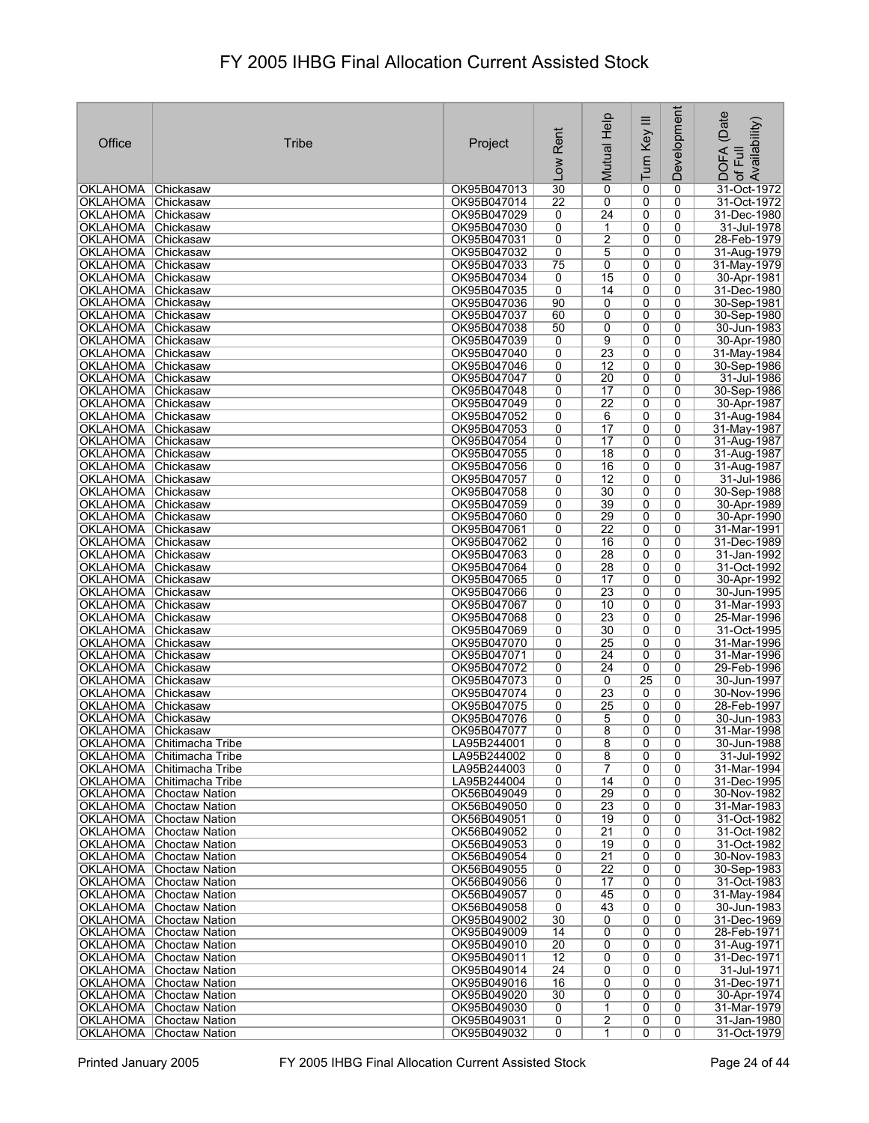| Office                                | <b>Tribe</b>                                       | Project                    | Rent                               |                       |                           | Development         | (Date                                                 |
|---------------------------------------|----------------------------------------------------|----------------------------|------------------------------------|-----------------------|---------------------------|---------------------|-------------------------------------------------------|
|                                       |                                                    |                            | <b>MOT</b>                         | Mutual Help           | Turn Key III              |                     | Availability)<br><b>DOFA</b><br>Full<br>$\mathcal{P}$ |
| <b>OKLAHOMA</b>                       | Chickasaw                                          | OK95B047013                | 30                                 | $\mathbf 0$           | 0                         | $\mathbf 0$         | 31-Oct-1972                                           |
| OKLAHOMA                              | Chickasaw                                          | OK95B047014                | $\overline{22}$                    | 0                     | 0                         | 0                   | 31-Oct-1972                                           |
| OKLAHOMA                              | Chickasaw                                          | OK95B047029                | 0                                  | $\overline{24}$       | 0                         | 0                   | 31-Dec-1980                                           |
| <b>OKLAHOMA</b>                       | <b>Chickasaw</b>                                   | OK95B047030                | 0                                  | 1                     | 0                         | 0                   | 31-Jul-1978                                           |
| <b>OKLAHOMA</b>                       | Chickasaw                                          | OK95B047031                | $\overline{0}$                     | $\overline{2}$        | 0                         | 0                   | 28-Feb-1979                                           |
| <b>OKLAHOMA</b><br>OKLAHOMA Chickasaw | <b>Chickasaw</b>                                   | OK95B047032<br>OK95B047033 | 0<br>75                            | 5                     | 0                         | 0<br>0              | 31-Aug-1979                                           |
| <b>OKLAHOMA</b>                       | <b>Chickasaw</b>                                   | OK95B047034                | 0                                  | 0<br>15               | 0<br>0                    | 0                   | 31-May-1979<br>30-Apr-1981                            |
| OKLAHOMA Chickasaw                    |                                                    | OK95B047035                | 0                                  | 14                    | 0                         | 0                   | 31-Dec-1980                                           |
| <b>OKLAHOMA</b>                       | Chickasaw                                          | OK95B047036                | 90                                 | 0                     | 0                         | 0                   | 30-Sep-1981                                           |
| <b>OKLAHOMA</b>                       | Chickasaw                                          | OK95B047037                | 60                                 | 0                     | $\overline{0}$            | $\overline{0}$      | 30-Sep-1980                                           |
| <b>OKLAHOMA</b>                       | Chickasaw                                          | OK95B047038                | 50                                 | 0                     | 0                         | 0                   | 30-Jun-1983                                           |
| <b>OKLAHOMA</b>                       | Chickasaw                                          | OK95B047039                | 0                                  | 9                     | 0                         | 0                   | 30-Apr-1980                                           |
| <b>OKLAHOMA</b>                       | Chickasaw                                          | OK95B047040                | 0                                  | 23                    | 0                         | 0                   | 31-May-1984                                           |
| <b>OKLAHOMA</b>                       | <b>Chickasaw</b>                                   | OK95B047046                | 0                                  | $\overline{12}$       | 0                         | 0                   | 30-Sep-1986                                           |
| OKLAHOMA                              | Chickasaw                                          | OK95B047047                | 0                                  | $\overline{20}$       | 0                         | 0                   | 31-Jul-1986                                           |
| <b>OKLAHOMA</b>                       | Chickasaw                                          | OK95B047048                | 0                                  | 17                    | 0                         | 0                   | 30-Sep-1986                                           |
| <b>OKLAHOMA</b><br>OKLAHOMA Chickasaw | Chickasaw                                          | OK95B047049                | 0<br>$\overline{0}$                | $\overline{22}$       | 0                         | 0<br>$\overline{0}$ | 30-Apr-1987                                           |
| OKLAHOMA Chickasaw                    |                                                    | OK95B047052<br>OK95B047053 | 0                                  | 6<br>17               | $\overline{0}$<br>0       | $\mathbf 0$         | 31-Aug-1984<br>31-May-1987                            |
| OKLAHOMA Chickasaw                    |                                                    | OK95B047054                | 0                                  | 17                    | 0                         | 0                   | 31-Aug-1987                                           |
| OKLAHOMA Chickasaw                    |                                                    | OK95B047055                | $\overline{0}$                     | $\overline{18}$       | $\overline{\mathfrak{o}}$ | $\overline{0}$      | 31-Aug-1987                                           |
| OKLAHOMA Chickasaw                    |                                                    | OK95B047056                | 0                                  | 16                    | 0                         | 0                   | 31-Aug-1987                                           |
| OKLAHOMA Chickasaw                    |                                                    | OK95B047057                | $\overline{0}$                     | $\overline{12}$       | 0                         | 0                   | 31-Jul-1986                                           |
| OKLAHOMA Chickasaw                    |                                                    | OK95B047058                | $\overline{0}$                     | 30                    | $\overline{0}$            | $\overline{0}$      | 30-Sep-1988                                           |
| <b>OKLAHOMA</b>                       | <b>Chickasaw</b>                                   | OK95B047059                | 0                                  | 39                    | 0                         | 0                   | 30-Apr-1989                                           |
| <b>OKLAHOMA</b>                       | Chickasaw                                          | OK95B047060                | 0                                  | 29                    | 0                         | 0                   | 30-Apr-1990                                           |
| <b>OKLAHOMA</b>                       | <b>Chickasaw</b>                                   | OK95B047061                | 0                                  | $\overline{22}$       | 0                         | 0                   | 31-Mar-1991                                           |
| OKLAHOMA                              | Chickasaw                                          | OK95B047062                | 0                                  | 16                    | 0                         | 0                   | 31-Dec-1989                                           |
| <b>OKLAHOMA</b>                       | Chickasaw                                          | OK95B047063                | 0                                  | 28                    | 0                         | 0                   | 31-Jan-1992                                           |
| OKLAHOMA                              | Chickasaw                                          | OK95B047064<br>OK95B047065 | 0<br>0                             | 28<br>17              | 0<br>0                    | 0<br>0              | 31-Oct-1992                                           |
| <b>OKLAHOMA</b><br><b>OKLAHOMA</b>    | Chickasaw<br> Chickasaw                            | OK95B047066                | 0                                  | $\overline{23}$       | 0                         | 0                   | 30-Apr-1992<br>30-Jun-1995                            |
| OKLAHOMA Chickasaw                    |                                                    | OK95B047067                | 0                                  | 10                    | $\overline{0}$            | 0                   | 31-Mar-1993                                           |
| <b>OKLAHOMA</b>                       | Chickasaw                                          | OK95B047068                | 0                                  | $\overline{23}$       | 0                         | 0                   | 25-Mar-1996                                           |
| <b>OKLAHOMA</b>                       | <b>Chickasaw</b>                                   | OK95B047069                | $\overline{0}$                     | 30                    | 0                         | 0                   | 31-Oct-1995                                           |
| <b>OKLAHOMA</b>                       | Chickasaw                                          | OK95B047070                | 0                                  | $\overline{25}$       | 0                         | 0                   | 31-Mar-1996                                           |
| <b>OKLAHOMA</b>                       | Chickasaw                                          | OK95B047071                | 0                                  | $\overline{24}$       | 0                         | 0                   | 31-Mar-1996                                           |
| <b>OKLAHOMA</b>                       | Chickasaw                                          | OK95B047072                | 0                                  | $\overline{24}$       | 0                         | 0                   | 29-Feb-1996                                           |
| <b>OKLAHOMA</b><br>OKLAHOMA           | Chickasaw<br>Chickasaw                             | OK95B047073<br>OK95B047074 | 0<br>0                             | 0<br>23               | $\overline{25}$<br>0      | 0<br>0              | 30-Jun-1997<br>30-Nov-1996                            |
| OKLAHOMA Chickasaw                    |                                                    | OK95B047075                | 0                                  | 25                    | 0                         | 0                   | 28-Feb-1997                                           |
| OKLAHOMA Chickasaw                    |                                                    | OK95B047076                | 0                                  | 5                     | 0                         | 0                   | 30-Jun-1983                                           |
| OKLAHOMA Chickasaw                    |                                                    | OK95B047077                | 0                                  | 8                     | $\overline{0}$            | 0                   | 31-Mar-1998                                           |
|                                       | OKLAHOMA Chitimacha Tribe                          | LA95B244001                | 0                                  | 8                     | 0                         | 0                   | 30-Jun-1988                                           |
|                                       | OKLAHOMA Chitimacha Tribe                          | LA95B244002                | 0                                  | 8                     | 0                         | 0                   | 31-Jul-1992                                           |
|                                       | OKLAHOMA   Chitimacha Tribe                        | LA95B244003                | $\overline{0}$                     | $\overline{7}$        | $\overline{0}$            | 0                   | 31-Mar-1994                                           |
|                                       | OKLAHOMA Chitimacha Tribe                          | LA95B244004                | 0                                  | 14                    | 0                         | 0                   | 31-Dec-1995                                           |
|                                       | <b>OKLAHOMA</b> Choctaw Nation                     | OK56B049049                | 0                                  | 29                    | 0                         | $\mathbf 0$         | 30-Nov-1982                                           |
|                                       | <b>OKLAHOMA</b> Choctaw Nation                     | OK56B049050                | 0<br>0                             | 23<br>$\overline{19}$ | 0                         | 0<br>0              | 31-Mar-1983                                           |
|                                       | OKLAHOMA Choctaw Nation<br>OKLAHOMA Choctaw Nation | OK56B049051<br>OK56B049052 | 0                                  | $\overline{21}$       | 0<br>0                    | 0                   | 31-Oct-1982<br>31-Oct-1982                            |
|                                       | <b>OKLAHOMA</b> Choctaw Nation                     | OK56B049053                | 0                                  | $\overline{19}$       | 0                         | 0                   | 31-Oct-1982                                           |
|                                       | OKLAHOMA Choctaw Nation                            | OK56B049054                | 0                                  | $\overline{21}$       | 0                         | 0                   | 30-Nov-1983                                           |
|                                       | <b>OKLAHOMA</b> Choctaw Nation                     | OK56B049055                | 0                                  | $\overline{22}$       | 0                         | 0                   | 30-Sep-1983                                           |
|                                       | <b>OKLAHOMA</b> Choctaw Nation                     | OK56B049056                | 0                                  | 17                    | 0                         | 0                   | 31-Oct-1983                                           |
|                                       | <b>OKLAHOMA</b> Choctaw Nation                     | OK56B049057                | 0                                  | 45                    | 0                         | 0                   | 31-May-1984                                           |
|                                       | <b>OKLAHOMA</b> Choctaw Nation                     | OK56B049058                | 0                                  | 43                    | 0                         | 0                   | 30-Jun-1983                                           |
|                                       | OKLAHOMA Choctaw Nation                            | OK95B049002                | 30                                 | 0                     | 0                         | 0                   | 31-Dec-1969                                           |
|                                       | OKLAHOMA Choctaw Nation                            | OK95B049009                | 14                                 | 0                     | 0                         | 0                   | 28-Feb-1971                                           |
|                                       | OKLAHOMA Choctaw Nation                            | OK95B049010                | $\overline{20}$                    | 0                     | 0                         | 0                   | 31-Aug-1971                                           |
|                                       | OKLAHOMA Choctaw Nation<br>OKLAHOMA Choctaw Nation | OK95B049011<br>OK95B049014 | $\overline{12}$<br>$\overline{24}$ | 0<br>0                | 0<br>0                    | 0<br>0              | 31-Dec-1971<br>31-Jul-1971                            |
| OKLAHOMA                              | Choctaw Nation                                     | OK95B049016                | 16                                 | 0                     | 0                         | 0                   | 31-Dec-1971                                           |
|                                       | <b>OKLAHOMA</b> Choctaw Nation                     | OK95B049020                | 30                                 | 0                     | 0                         | 0                   | 30-Apr-1974                                           |
|                                       | OKLAHOMA Choctaw Nation                            | OK95B049030                | 0                                  | 1                     | 0                         | 0                   | 31-Mar-1979                                           |
|                                       | OKLAHOMA Choctaw Nation                            | OK95B049031                | 0                                  | $\overline{2}$        | 0                         | 0                   | 31-Jan-1980                                           |
|                                       | <b>OKLAHOMA</b> Choctaw Nation                     | OK95B049032                | 0                                  | 1                     | 0                         | 0                   | 31-Oct-1979                                           |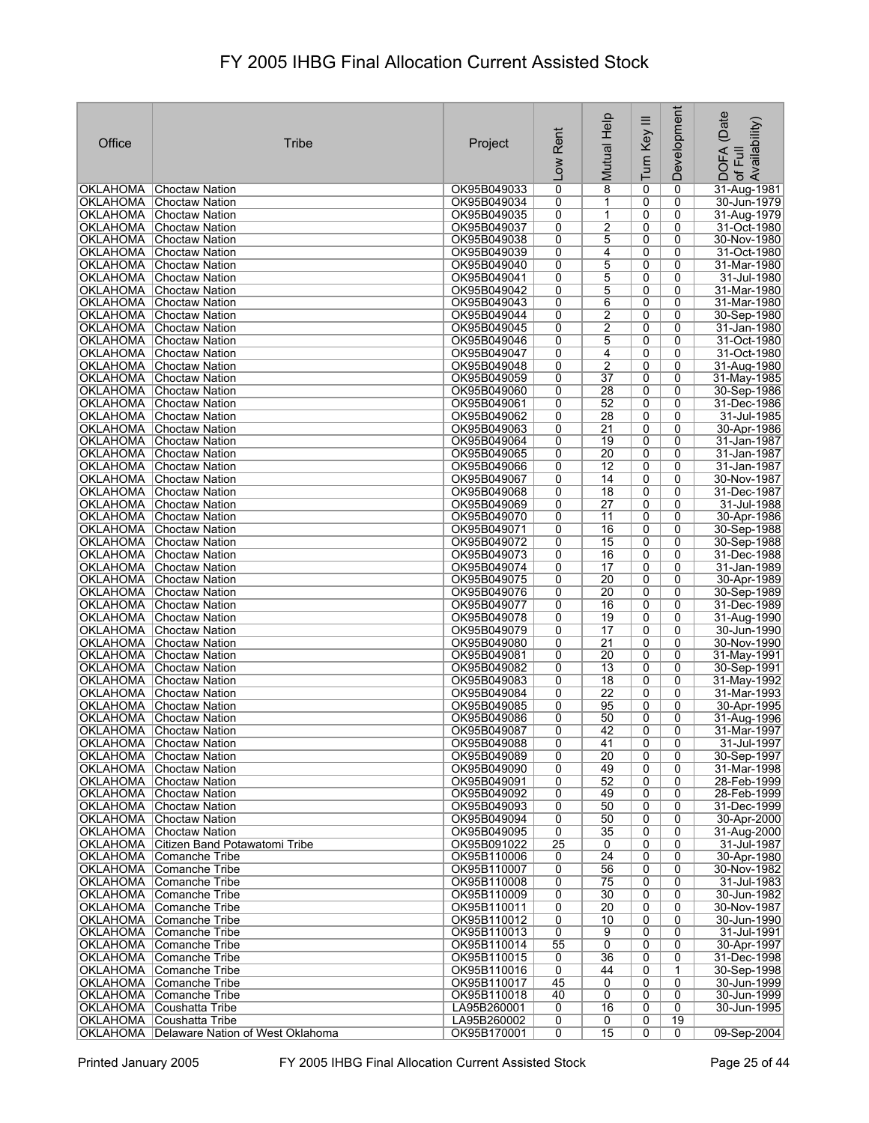| Office                             | Tribe                                                            | Project                    | Rent<br>Low         | Mutual Help                        | Ξ<br>Turn Key  | Development         | (Date<br>Availability)<br><b>DOFA</b><br>Full<br>$\overline{\sigma}$ |
|------------------------------------|------------------------------------------------------------------|----------------------------|---------------------|------------------------------------|----------------|---------------------|----------------------------------------------------------------------|
| OKLAHOMA                           | Choctaw Nation                                                   | OK95B049033                | $\overline{0}$      | 8                                  | 0              | 0                   | 31-Aug-1981                                                          |
| OKLAHOMA                           | Choctaw Nation                                                   | OK95B049034                | 0                   | 1                                  | 0              | 0                   | 30-Jun-1979                                                          |
| OKLAHOMA                           | Choctaw Nation                                                   | OK95B049035                | 0                   | $\mathbf{1}$                       | 0              | 0                   | 31-Aug-1979                                                          |
| OKLAHOMA                           | Choctaw Nation                                                   | OK95B049037<br>OK95B049038 | 0                   | 2                                  | 0              | 0                   | 31-Oct-1980                                                          |
| <b>OKLAHOMA</b><br><b>OKLAHOMA</b> | Choctaw Nation<br>Choctaw Nation                                 | OK95B049039                | 0<br>0              | 5<br>4                             | 0<br>0         | 0<br>0              | 30-Nov-1980<br>31-Oct-1980                                           |
|                                    | OKLAHOMA Choctaw Nation                                          | OK95B049040                | 0                   | 5                                  | 0              | 0                   | 31-Mar-1980                                                          |
|                                    | OKLAHOMA Choctaw Nation                                          | OK95B049041                | 0                   | 5                                  | 0              | 0                   | 31-Jul-1980                                                          |
|                                    | <b>OKLAHOMA</b> Choctaw Nation                                   | OK95B049042                | 0                   | 5                                  | 0              | 0                   | 31-Mar-1980                                                          |
| OKLAHOMA                           | Choctaw Nation                                                   | OK95B049043                | 0                   | 6                                  | 0              | 0                   | 31-Mar-1980                                                          |
| <b>OKLAHOMA</b>                    | Choctaw Nation                                                   | OK95B049044                | 0                   | $\overline{2}$                     | 0              | 0                   | 30-Sep-1980                                                          |
| <b>OKLAHOMA</b><br>OKLAHOMA        | Choctaw Nation<br>Choctaw Nation                                 | OK95B049045<br>OK95B049046 | 0<br>0              | $\overline{2}$<br>5                | 0<br>0         | 0<br>0              | 31-Jan-1980<br>31-Oct-1980                                           |
| OKLAHOMA                           | Choctaw Nation                                                   | OK95B049047                | 0                   | 4                                  | 0              | 0                   | 31-Oct-1980                                                          |
| <b>OKLAHOMA</b>                    | Choctaw Nation                                                   | OK95B049048                | 0                   | $\overline{2}$                     | 0              | 0                   | 31-Aug-1980                                                          |
|                                    | OKLAHOMA Choctaw Nation                                          | OK95B049059                | 0                   | $\overline{37}$                    | 0              | 0                   | 31-May-1985                                                          |
| <b>OKLAHOMA</b>                    | Choctaw Nation                                                   | OK95B049060                | 0                   | 28                                 | 0              | 0                   | 30-Sep-1986                                                          |
| OKLAHOMA                           | Choctaw Nation                                                   | OK95B049061                | 0                   | 52                                 | 0              | $\mathbf{0}$        | 31-Dec-1986                                                          |
|                                    | OKLAHOMA Choctaw Nation                                          | OK95B049062                | 0                   | 28                                 | 0              | $\overline{0}$      | 31-Jul-1985                                                          |
|                                    | <b>OKLAHOMA</b> Choctaw Nation<br>OKLAHOMA Choctaw Nation        | OK95B049063<br>OK95B049064 | 0<br>0              | $\overline{21}$<br>$\overline{19}$ | 0<br>0         | 0<br>0              | 30-Apr-1986<br>31-Jan-1987                                           |
|                                    | OKLAHOMA Choctaw Nation                                          | OK95B049065                | $\overline{0}$      | $\overline{20}$                    | $\overline{0}$ | $\overline{0}$      | 31-Jan-1987                                                          |
|                                    | OKLAHOMA Choctaw Nation                                          | OK95B049066                | 0                   | $\overline{12}$                    | 0              | 0                   | 31-Jan-1987                                                          |
|                                    | <b>OKLAHOMA</b> Choctaw Nation                                   | OK95B049067                | 0                   | 14                                 | 0              | 0                   | 30-Nov-1987                                                          |
|                                    | <b>OKLAHOMA</b> Choctaw Nation                                   | OK95B049068                | $\overline{0}$      | $\overline{18}$                    | 0              | $\overline{0}$      | 31-Dec-1987                                                          |
| OKLAHOMA                           | Choctaw Nation                                                   | OK95B049069                | 0                   | 27                                 | 0              | 0                   | 31-Jul-1988                                                          |
| <b>OKLAHOMA</b>                    | Choctaw Nation                                                   | OK95B049070                | 0                   | $\overline{11}$                    | 0              | 0                   | 30-Apr-1986                                                          |
| <b>OKLAHOMA</b><br>OKLAHOMA        | Choctaw Nation<br>Choctaw Nation                                 | OK95B049071<br>OK95B049072 | 0<br>0              | 16<br>15                           | 0<br>0         | 0<br>0              | 30-Sep-1988<br>30-Sep-1988                                           |
|                                    | <b>OKLAHOMA</b> Choctaw Nation                                   | OK95B049073                | 0                   | 16                                 | 0              | 0                   | 31-Dec-1988                                                          |
| <b>OKLAHOMA</b>                    | Choctaw Nation                                                   | OK95B049074                | 0                   | 17                                 | 0              | 0                   | 31-Jan-1989                                                          |
|                                    | OKLAHOMA Choctaw Nation                                          | OK95B049075                | 0                   | $\overline{20}$                    | 0              | 0                   | 30-Apr-1989                                                          |
| OKLAHOMA                           | Choctaw Nation                                                   | OK95B049076                | 0                   | $\overline{20}$                    | 0              | 0                   | 30-Sep-1989                                                          |
|                                    | <b>OKLAHOMA</b> Choctaw Nation                                   | OK95B049077                | 0                   | 16                                 | 0              | 0                   | 31-Dec-1989                                                          |
| OKLAHOMA<br><b>OKLAHOMA</b>        | Choctaw Nation<br>Choctaw Nation                                 | OK95B049078<br>OK95B049079 | 0<br>0              | $\overline{19}$<br>17              | 0<br>0         | 0<br>0              | 31-Aug-1990<br>30-Jun-1990                                           |
| OKLAHOMA                           | Choctaw Nation                                                   | OK95B049080                | 0                   | $\overline{21}$                    | 0              | 0                   | 30-Nov-1990                                                          |
| OKLAHOMA                           | Choctaw Nation                                                   | OK95B049081                | 0                   | 20                                 | 0              | 0                   | 31-May-1991                                                          |
| OKLAHOMA                           | Choctaw Nation                                                   | OK95B049082                | 0                   | $\overline{13}$                    | 0              | 0                   | 30-Sep-1991                                                          |
| OKLAHOMA                           | Choctaw Nation                                                   | OK95B049083                | 0                   | $\overline{18}$                    | 0              | 0                   | 31-May-1992                                                          |
| OKLAHOMA                           | Choctaw Nation                                                   | OK95B049084                | 0                   | $\overline{22}$                    | 0              | 0                   | 31-Mar-1993                                                          |
| OKLAHOMA                           | Choctaw Nation<br><b>OKLAHOMA</b> Choctaw Nation                 | OK95B049085<br>OK95B049086 | 0<br>0              | 95<br>50                           | 0<br>0         | $\mathbf{0}$<br>0   | 30-Apr-1995<br>31-Aug-1996                                           |
|                                    | OKLAHOMA Choctaw Nation                                          | OK95B049087                | 0                   | 42                                 | 0              | $\overline{0}$      | 31-Mar-1997                                                          |
|                                    | OKLAHOMA Choctaw Nation                                          | OK95B049088                | 0                   | 41                                 | 0              | 0                   | 31-Jul-1997                                                          |
|                                    | OKLAHOMA Choctaw Nation                                          | OK95B049089                | 0                   | $\overline{20}$                    | 0              | 0                   | 30-Sep-1997                                                          |
|                                    | <b>OKLAHOMA</b> Choctaw Nation                                   | OK95B049090                | $\overline{0}$      | 49                                 | $\overline{0}$ | $\overline{0}$      | 31-Mar-1998                                                          |
|                                    | OKLAHOMA Choctaw Nation                                          | OK95B049091                | 0                   | 52                                 | 0              | 0                   | 28-Feb-1999                                                          |
|                                    | <b>OKLAHOMA</b> Choctaw Nation<br><b>OKLAHOMA</b> Choctaw Nation | OK95B049092<br>OK95B049093 | 0<br>$\overline{0}$ | 49<br>50                           | 0<br>0         | 0<br>$\overline{0}$ | 28-Feb-1999<br>31-Dec-1999                                           |
|                                    | OKLAHOMA Choctaw Nation                                          | OK95B049094                | 0                   | 50                                 | 0              | 0                   | 30-Apr-2000                                                          |
|                                    | OKLAHOMA Choctaw Nation                                          | OK95B049095                | 0                   | 35                                 | 0              | 0                   | 31-Aug-2000                                                          |
|                                    | <b>OKLAHOMA</b> Citizen Band Potawatomi Tribe                    | OK95B091022                | $\overline{25}$     | 0                                  | 0              | 0                   | 31-Jul-1987                                                          |
|                                    | OKLAHOMA Comanche Tribe                                          | OK95B110006                | 0                   | $\overline{24}$                    | 0              | 0                   | 30-Apr-1980                                                          |
|                                    | OKLAHOMA Comanche Tribe                                          | OK95B110007                | 0                   | 56                                 | 0              | 0                   | 30-Nov-1982                                                          |
|                                    | OKLAHOMA Comanche Tribe<br>OKLAHOMA Comanche Tribe               | OK95B110008<br>OK95B110009 | 0<br>0              | 75<br>30                           | 0<br>0         | 0<br>0              | 31-Jul-1983<br>30-Jun-1982                                           |
|                                    | OKLAHOMA Comanche Tribe                                          | OK95B110011                | 0                   | $\overline{20}$                    | 0              | 0                   | 30-Nov-1987                                                          |
|                                    | OKLAHOMA Comanche Tribe                                          | OK95B110012                | 0                   | 10                                 | 0              | 0                   | 30-Jun-1990                                                          |
|                                    | OKLAHOMA Comanche Tribe                                          | OK95B110013                | 0                   | 9                                  | 0              | 0                   | 31-Jul-1991                                                          |
|                                    | OKLAHOMA Comanche Tribe                                          | OK95B110014                | 55                  | 0                                  | 0              | 0                   | 30-Apr-1997                                                          |
|                                    | OKLAHOMA Comanche Tribe                                          | OK95B110015                | 0                   | 36                                 | 0              | 0                   | 31-Dec-1998                                                          |
|                                    | OKLAHOMA Comanche Tribe<br>OKLAHOMA Comanche Tribe               | OK95B110016<br>OK95B110017 | 0<br>45             | 44<br>0                            | 0<br>0         | 1<br>0              | 30-Sep-1998<br>30-Jun-1999                                           |
|                                    | OKLAHOMA Comanche Tribe                                          | OK95B110018                | 40                  | 0                                  | 0              | 0                   | 30-Jun-1999                                                          |
|                                    | OKLAHOMA Coushatta Tribe                                         | LA95B260001                | 0                   | 16                                 | 0              | 0                   | 30-Jun-1995                                                          |
|                                    | OKLAHOMA Coushatta Tribe                                         | LA95B260002                | 0                   | 0                                  | 0              | 19                  |                                                                      |
|                                    | OKLAHOMA   Delaware Nation of West Oklahoma                      | OK95B170001                | 0                   | 15                                 | 0              | 0                   | 09-Sep-2004                                                          |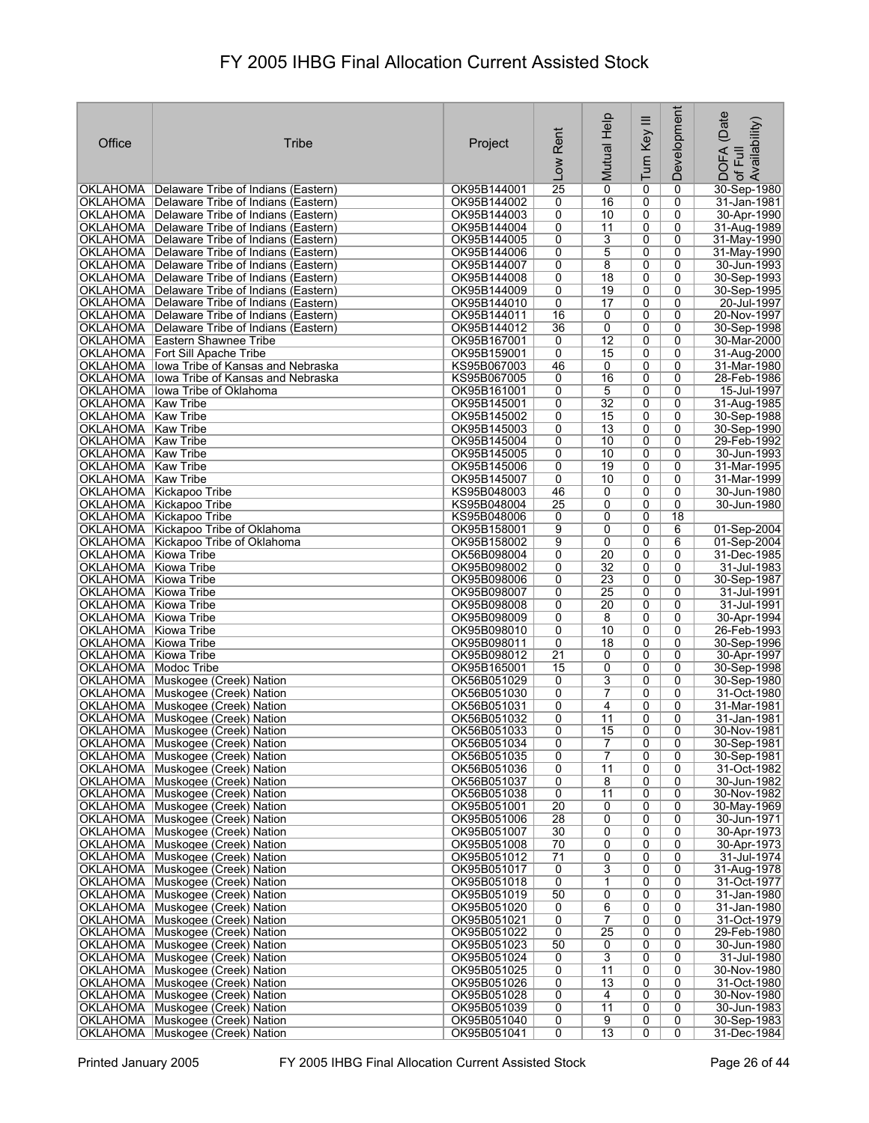| Office                                       | Tribe                                                                                  | Project                    | Rent<br>Low         | Help<br>Mutual        | Ξ<br>Turn Key                    | Development    | (Date<br>of Full<br>Availability)<br><b>DOFA</b> |
|----------------------------------------------|----------------------------------------------------------------------------------------|----------------------------|---------------------|-----------------------|----------------------------------|----------------|--------------------------------------------------|
|                                              | OKLAHOMA   Delaware Tribe of Indians (Eastern)                                         | OK95B144001                | $\overline{25}$     | $\overline{0}$        | 0                                | 0              | 30-Sep-1980                                      |
|                                              | OKLAHOMA   Delaware Tribe of Indians (Eastern)                                         | OK95B144002                | 0                   | 16                    | 0                                | 0              | 31-Jan-1981                                      |
|                                              | OKLAHOMA   Delaware Tribe of Indians (Eastern)                                         | OK95B144003                | 0                   | 10                    | 0                                | 0              | 30-Apr-1990                                      |
|                                              | OKLAHOMA   Delaware Tribe of Indians (Eastern)                                         | OK95B144004                | 0                   | 11                    | 0                                | 0              | 31-Aug-1989                                      |
|                                              | OKLAHOMA   Delaware Tribe of Indians (Eastern)                                         | OK95B144005                | 0                   | 3                     | 0                                | 0              | 31-May-1990                                      |
|                                              | OKLAHOMA   Delaware Tribe of Indians (Eastern)                                         | OK95B144006                | 0                   | 5                     | 0                                | 0              | 31-Mav-1990                                      |
|                                              | OKLAHOMA   Delaware Tribe of Indians (Eastern)                                         | OK95B144007                | 0                   | 8                     | 0                                | 0              | 30-Jun-1993                                      |
|                                              | OKLAHOMA Delaware Tribe of Indians (Eastern)                                           | OK95B144008                | 0                   | $\overline{18}$       | 0                                | 0              | 30-Sep-1993                                      |
|                                              | OKLAHOMA   Delaware Tribe of Indians (Eastern)                                         | OK95B144009                | 0                   | 19                    | 0                                | $\Omega$       | 30-Sep-1995                                      |
|                                              | OKLAHOMA   Delaware Tribe of Indians (Eastern)                                         | OK95B144010                | 0                   | 17                    | 0                                | 0              | 20-Jul-1997                                      |
|                                              | OKLAHOMA   Delaware Tribe of Indians (Eastern)                                         | OK95B144011                | 16                  | 0                     | 0                                | 0              | 20-Nov-1997                                      |
|                                              | OKLAHOMA   Delaware Tribe of Indians (Eastern)                                         | OK95B144012                | $\overline{36}$     | 0                     | 0                                | 0              | 30-Sep-1998                                      |
|                                              | <b>OKLAHOMA</b> Eastern Shawnee Tribe                                                  | OK95B167001                | 0<br>0              | 12<br>15              | 0<br>0                           | 0<br>0         | 30-Mar-2000                                      |
|                                              | <b>OKLAHOMA</b> Fort Sill Apache Tribe<br>OKLAHOMA   lowa Tribe of Kansas and Nebraska | OK95B159001<br>KS95B067003 | 46                  | 0                     | 0                                | 0              | 31-Aug-2000<br>31-Mar-1980                       |
|                                              | OKLAHOMA lowa Tribe of Kansas and Nebraska                                             | KS95B067005                | 0                   | 16                    | 0                                | 0              | 28-Feb-1986                                      |
|                                              | OKLAHOMA   lowa Tribe of Oklahoma                                                      | OK95B161001                | 0                   | 5                     | 0                                | 0              | 15-Jul-1997                                      |
| OKLAHOMA   Kaw Tribe                         |                                                                                        | OK95B145001                | 0                   | 32                    | 0                                | 0              | 31-Aug-1985                                      |
| OKLAHOMA Kaw Tribe                           |                                                                                        | OK95B145002                | 0                   | 15                    | $\overline{0}$                   | $\overline{0}$ | 30-Sep-1988                                      |
| OKLAHOMA   Kaw Tribe                         |                                                                                        | OK95B145003                | $\overline{0}$      | $\overline{13}$       | 0                                | 0              | 30-Sep-1990                                      |
| OKLAHOMA   Kaw Tribe                         |                                                                                        | OK95B145004                | 0                   | 10                    | 0                                | 0              | 29-Feb-1992                                      |
| OKLAHOMA   Kaw Tribe                         |                                                                                        | OK95B145005                | $\overline{0}$      | $\overline{10}$       | 0                                | $\overline{0}$ | 30-Jun-1993                                      |
| <b>OKLAHOMA</b> Kaw Tribe                    |                                                                                        | OK95B145006                | 0                   | 19                    | 0                                | 0              | 31-Mar-1995                                      |
| OKLAHOMA   Kaw Tribe                         |                                                                                        | OK95B145007                | 0                   | 10                    | 0                                | 0              | 31-Mar-1999                                      |
|                                              | OKLAHOMA Kickapoo Tribe                                                                | KS95B048003                | 46                  | 0                     | 0                                | 0              | 30-Jun-1980                                      |
|                                              | OKLAHOMA Kickapoo Tribe                                                                | KS95B048004                | $\overline{25}$     | 0                     | 0                                | 0              | 30-Jun-1980                                      |
|                                              | OKLAHOMA Kickapoo Tribe                                                                | KS95B048006                | 0                   | 0                     | 0                                | 18             |                                                  |
|                                              | OKLAHOMA Kickapoo Tribe of Oklahoma                                                    | OK95B158001                | $\overline{9}$      | 0                     | 0                                | 6              | 01-Sep-2004                                      |
|                                              | OKLAHOMA Kickapoo Tribe of Oklahoma                                                    | OK95B158002                | 9                   | 0                     | 0                                | 6              | 01-Sep-2004                                      |
| OKLAHOMA Kiowa Tribe                         |                                                                                        | OK56B098004                | 0                   | 20                    | 0                                | 0              | 31-Dec-1985                                      |
| OKLAHOMA Kiowa Tribe<br>OKLAHOMA Kiowa Tribe |                                                                                        | OK95B098002<br>OK95B098006 | 0<br>0              | 32<br>$\overline{23}$ | 0<br>0                           | 0<br>0         | 31-Jul-1983                                      |
| OKLAHOMA Kiowa Tribe                         |                                                                                        | OK95B098007                | 0                   | 25                    | 0                                | 0              | 30-Sep-1987<br>31-Jul-1991                       |
| OKLAHOMA Kiowa Tribe                         |                                                                                        | OK95B098008                | 0                   | 20                    | 0                                | 0              | 31-Jul-1991                                      |
| OKLAHOMA Kiowa Tribe                         |                                                                                        | OK95B098009                | 0                   | 8                     | 0                                | 0              | 30-Apr-1994                                      |
| OKLAHOMA Kiowa Tribe                         |                                                                                        | OK95B098010                | 0                   | 10                    | 0                                | 0              | 26-Feb-1993                                      |
| OKLAHOMA Kiowa Tribe                         |                                                                                        | OK95B098011                | 0                   | 18                    | 0                                | 0              | 30-Sep-1996                                      |
| OKLAHOMA Kiowa Tribe                         |                                                                                        | OK95B098012                | $\overline{21}$     | 0                     | 0                                | 0              | 30-Apr-1997                                      |
| OKLAHOMA   Modoc Tribe                       |                                                                                        | OK95B165001                | 15                  | 0                     | 0                                | 0              | 30-Sep-1998                                      |
|                                              | OKLAHOMA Muskogee (Creek) Nation                                                       | OK56B051029                | 0                   | 3                     | 0                                | 0              | 30-Sep-1980                                      |
|                                              | OKLAHOMA   Muskogee (Creek) Nation                                                     | OK56B051030                | 0                   | 7                     | 0                                | 0              | 31-Oct-1980                                      |
|                                              | OKLAHOMA Muskogee (Creek) Nation                                                       | OK56B051031                | 0                   | 4                     | 0                                | 0              | 31-Mar-1981                                      |
|                                              | OKLAHOMA Muskogee (Creek) Nation                                                       | OK56B051032                | 0                   | 11                    | 0                                | 0              | 31-Jan-1981                                      |
|                                              | OKLAHOMA Muskogee (Creek) Nation<br>OKLAHOMA Muskogee (Creek) Nation                   | OK56B051033                | 0<br>$\overline{0}$ | 15                    | $\overline{0}$<br>$\overline{0}$ | $\overline{0}$ | 30-Nov-1981                                      |
|                                              | OKLAHOMA Muskogee (Creek) Nation                                                       | OK56B051034<br>OK56B051035 | 0                   | 7<br>7                | 0                                | 0<br>0         | 30-Sep-1981<br>30-Sep-1981                       |
|                                              | OKLAHOMA Muskogee (Creek) Nation                                                       | OK56B051036                | 0                   | $\overline{11}$       | $\overline{0}$                   | $\overline{0}$ | 31-Oct-1982                                      |
|                                              | OKLAHOMA Muskogee (Creek) Nation                                                       | OK56B051037                | 0                   | 8                     | 0                                | 0              | 30-Jun-1982                                      |
|                                              | OKLAHOMA Muskogee (Creek) Nation                                                       | OK56B051038                | $\overline{0}$      | 11                    | 0                                | 0              | 30-Nov-1982                                      |
|                                              | OKLAHOMA Muskogee (Creek) Nation                                                       | OK95B051001                | $\overline{20}$     | 0                     | 0                                | 0              | 30-May-1969                                      |
|                                              | OKLAHOMA Muskogee (Creek) Nation                                                       | OK95B051006                | 28                  | 0                     | 0                                | 0              | 30-Jun-1971                                      |
|                                              | OKLAHOMA Muskogee (Creek) Nation                                                       | OK95B051007                | 30                  | 0                     | 0                                | 0              | 30-Apr-1973                                      |
|                                              | OKLAHOMA Muskogee (Creek) Nation                                                       | OK95B051008                | 70                  | 0                     | 0                                | 0              | 30-Apr-1973                                      |
|                                              | OKLAHOMA Muskogee (Creek) Nation                                                       | OK95B051012                | 71                  | 0                     | 0                                | 0              | 31-Jul-1974                                      |
|                                              | OKLAHOMA Muskogee (Creek) Nation                                                       | OK95B051017                | 0                   | 3                     | 0                                | 0              | 31-Aug-1978                                      |
|                                              | OKLAHOMA Muskogee (Creek) Nation                                                       | OK95B051018                | 0                   | 1                     | 0                                | 0              | 31-Oct-1977                                      |
|                                              | OKLAHOMA Muskogee (Creek) Nation                                                       | OK95B051019                | 50                  | 0                     | 0                                | 0              | 31-Jan-1980                                      |
|                                              | OKLAHOMA Muskogee (Creek) Nation                                                       | OK95B051020                | 0                   | 6                     | 0                                | 0              | 31-Jan-1980                                      |
|                                              | OKLAHOMA Muskogee (Creek) Nation                                                       | OK95B051021                | $\overline{0}$      | $\overline{7}$        | 0                                | 0              | 31-Oct-1979                                      |
|                                              | OKLAHOMA Muskogee (Creek) Nation<br>OKLAHOMA Muskogee (Creek) Nation                   | OK95B051022<br>OK95B051023 | 0<br>50             | 25<br>0               | 0<br>0                           | 0<br>0         | 29-Feb-1980<br>30-Jun-1980                       |
|                                              | OKLAHOMA Muskogee (Creek) Nation                                                       | OK95B051024                | 0                   | 3                     | 0                                | 0              | 31-Jul-1980                                      |
|                                              | OKLAHOMA Muskogee (Creek) Nation                                                       | OK95B051025                | 0                   | 11                    | 0                                | 0              | 30-Nov-1980                                      |
|                                              | OKLAHOMA Muskogee (Creek) Nation                                                       | OK95B051026                | 0                   | $\overline{13}$       | 0                                | 0              | 31-Oct-1980                                      |
|                                              | OKLAHOMA Muskogee (Creek) Nation                                                       | OK95B051028                | 0                   | 4                     | 0                                | 0              | 30-Nov-1980                                      |
|                                              | OKLAHOMA Muskogee (Creek) Nation                                                       | OK95B051039                | 0                   | 11                    | 0                                | 0              | 30-Jun-1983                                      |
|                                              | OKLAHOMA Muskogee (Creek) Nation                                                       | OK95B051040                | 0                   | $\overline{9}$        | 0                                | $\overline{0}$ | 30-Sep-1983                                      |
|                                              | OKLAHOMA Muskogee (Creek) Nation                                                       | OK95B051041                | 0                   | 13                    | 0                                | 0              | 31-Dec-1984                                      |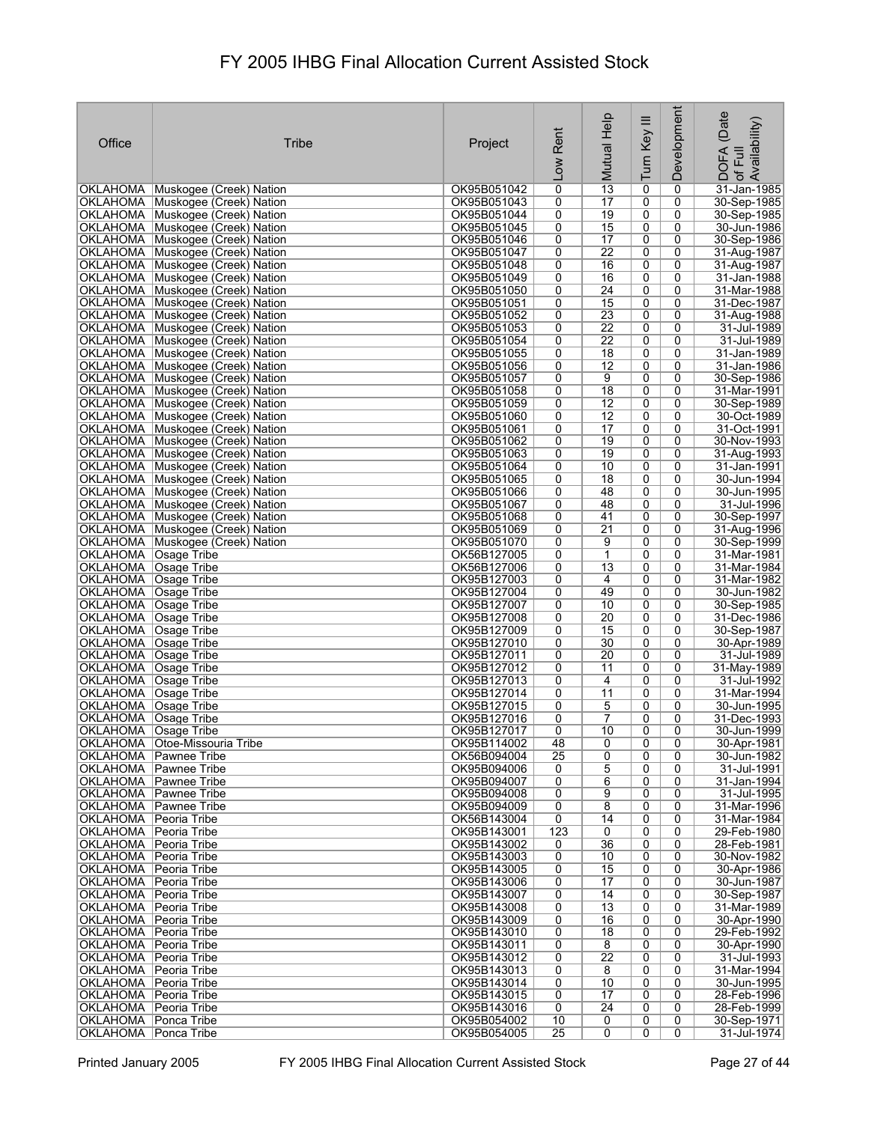| Office                                             | <b>Tribe</b>                                                           | Project                    | Rent<br>Low          | Mutual Help           | Turn Key III        | Development         | (Date<br>DOFA (Date<br>of Full<br>Availability) |
|----------------------------------------------------|------------------------------------------------------------------------|----------------------------|----------------------|-----------------------|---------------------|---------------------|-------------------------------------------------|
|                                                    | OKLAHOMA   Muskogee (Creek) Nation                                     | OK95B051042                | $\overline{0}$       | $\overline{13}$       | 0                   | $\mathbf 0$         | 31-Jan-1985                                     |
|                                                    | OKLAHOMA Muskogee (Creek) Nation                                       | OK95B051043                | 0                    | 17                    | 0                   | 0                   | 30-Sep-1985                                     |
|                                                    | OKLAHOMA Muskogee (Creek) Nation                                       | OK95B051044                | 0                    | $\overline{19}$       | 0                   | 0                   | 30-Sep-1985                                     |
|                                                    | OKLAHOMA Muskogee (Creek) Nation                                       | OK95B051045                | 0                    | 15                    | 0                   | 0                   | 30-Jun-1986                                     |
|                                                    | OKLAHOMA Muskogee (Creek) Nation                                       | OK95B051046                | 0                    | $\overline{17}$       | 0                   | 0                   | 30-Sep-1986                                     |
|                                                    | OKLAHOMA Muskogee (Creek) Nation<br>OKLAHOMA Muskogee (Creek) Nation   | OK95B051047<br>OK95B051048 | 0<br>0               | $\overline{22}$<br>16 | 0<br>$\overline{0}$ | 0<br>0              | 31-Aug-1987<br>31-Aug-1987                      |
|                                                    | OKLAHOMA Muskogee (Creek) Nation                                       | OK95B051049                | 0                    | 16                    | 0                   | 0                   | 31-Jan-1988                                     |
|                                                    | OKLAHOMA Muskogee (Creek) Nation                                       | OK95B051050                | $\overline{0}$       | $\overline{24}$       | $\overline{0}$      | 0                   | 31-Mar-1988                                     |
|                                                    | OKLAHOMA Muskogee (Creek) Nation                                       | OK95B051051                | 0                    | 15                    | 0                   | 0                   | 31-Dec-1987                                     |
|                                                    | OKLAHOMA Muskogee (Creek) Nation                                       | OK95B051052                | 0                    | $\overline{23}$       | 0                   | 0                   | 31-Aug-1988                                     |
|                                                    | OKLAHOMA Muskogee (Creek) Nation                                       | OK95B051053                | 0                    | $\overline{22}$       | 0                   | 0                   | 31-Jul-1989                                     |
|                                                    | OKLAHOMA Muskogee (Creek) Nation                                       | OK95B051054                | 0                    | $\overline{22}$       | 0                   | 0                   | 31-Jul-1989                                     |
|                                                    | OKLAHOMA Muskogee (Creek) Nation                                       | OK95B051055                | 0                    | $\overline{18}$       | 0                   | 0                   | 31-Jan-1989                                     |
|                                                    | OKLAHOMA Muskogee (Creek) Nation                                       | OK95B051056<br>OK95B051057 | 0<br>0               | $\overline{12}$<br>9  | 0<br>0              | 0<br>0              | 31-Jan-1986<br>30-Sep-1986                      |
|                                                    | OKLAHOMA   Muskogee (Creek) Nation<br>OKLAHOMA Muskogee (Creek) Nation | OK95B051058                | 0                    | $\overline{18}$       | 0                   | 0                   | 31-Mar-1991                                     |
|                                                    | OKLAHOMA Muskogee (Creek) Nation                                       | OK95B051059                | 0                    | 12                    | 0                   | $\mathbf 0$         | 30-Sep-1989                                     |
|                                                    | OKLAHOMA Muskogee (Creek) Nation                                       | OK95B051060                | $\overline{0}$       | $\overline{12}$       | $\overline{0}$      | $\overline{0}$      | 30-Oct-1989                                     |
|                                                    | OKLAHOMA Muskogee (Creek) Nation                                       | OK95B051061                | 0                    | $\overline{17}$       | 0                   | 0                   | 31-Oct-1991                                     |
|                                                    | OKLAHOMA Muskogee (Creek) Nation                                       | OK95B051062                | 0                    | 19                    | 0                   | 0                   | 30-Nov-1993                                     |
|                                                    | OKLAHOMA Muskogee (Creek) Nation                                       | OK95B051063                | $\overline{0}$       | 19                    | $\overline{0}$      | $\overline{0}$      | 31-Aug-1993                                     |
|                                                    | OKLAHOMA Muskogee (Creek) Nation                                       | OK95B051064                | 0                    | 10                    | 0                   | 0                   | 31-Jan-1991                                     |
|                                                    | OKLAHOMA Muskogee (Creek) Nation                                       | OK95B051065                | 0                    | $\overline{18}$       | 0                   | 0                   | 30-Jun-1994                                     |
|                                                    | OKLAHOMA Muskogee (Creek) Nation                                       | OK95B051066                | 0                    | 48                    | $\overline{0}$      | 0                   | 30-Jun-1995                                     |
|                                                    | OKLAHOMA Muskogee (Creek) Nation<br>OKLAHOMA Muskogee (Creek) Nation   | OK95B051067<br>OK95B051068 | 0<br>0               | 48<br>41              | 0<br>0              | 0<br>0              | 31-Jul-1996<br>30-Sep-1997                      |
|                                                    | OKLAHOMA Muskogee (Creek) Nation                                       | OK95B051069                | 0                    | $\overline{21}$       | 0                   | 0                   | 31-Aug-1996                                     |
|                                                    | OKLAHOMA Muskogee (Creek) Nation                                       | OK95B051070                | 0                    | 9                     | 0                   | 0                   | 30-Sep-1999                                     |
| OKLAHOMA Osage Tribe                               |                                                                        | OK56B127005                | 0                    | $\mathbf{1}$          | $\overline{0}$      | 0                   | 31-Mar-1981                                     |
| OKLAHOMA   Osage Tribe                             |                                                                        | OK56B127006                | 0                    | $\overline{13}$       | 0                   | 0                   | 31-Mar-1984                                     |
| OKLAHOMA   Osage Tribe                             |                                                                        | OK95B127003                | 0                    | 4                     | 0                   | 0                   | 31-Mar-1982                                     |
| OKLAHOMA   Osage Tribe                             |                                                                        | OK95B127004                | 0                    | 49                    | 0                   | 0                   | 30-Jun-1982                                     |
| OKLAHOMA   Osage Tribe                             |                                                                        | OK95B127007                | $\overline{0}$       | 10                    | $\overline{0}$      | 0                   | 30-Sep-1985                                     |
| OKLAHOMA   Osage Tribe<br>OKLAHOMA Osage Tribe     |                                                                        | OK95B127008                | 0<br>0               | 20<br>15              | 0<br>0              | 0<br>0              | 31-Dec-1986                                     |
| OKLAHOMA  Osage Tribe                              |                                                                        | OK95B127009<br>OK95B127010 | 0                    | 30                    | 0                   | 0                   | 30-Sep-1987<br>30-Apr-1989                      |
| OKLAHOMA   Osage Tribe                             |                                                                        | OK95B127011                | 0                    | 20                    | 0                   | 0                   | 31-Jul-1989                                     |
| OKLAHOMA   Osage Tribe                             |                                                                        | OK95B127012                | 0                    | 11                    | 0                   | 0                   | 31-May-1989                                     |
| OKLAHOMA   Osage Tribe                             |                                                                        | OK95B127013                | 0                    | 4                     | 0                   | 0                   | 31-Jul-1992                                     |
| OKLAHOMA  Osage Tribe                              |                                                                        | OK95B127014                | 0                    | 11                    | 0                   | $\mathbf 0$         | 31-Mar-1994                                     |
| OKLAHOMA   Osage Tribe                             |                                                                        | OK95B127015                | 0                    | 5                     | 0                   | 0                   | 30-Jun-1995                                     |
| OKLAHOMA   Osage Tribe                             |                                                                        | OK95B127016                | 0                    | $\overline{7}$        | 0                   | 0                   | 31-Dec-1993                                     |
| OKLAHOMA   Osage Tribe                             | OKLAHOMA   Otoe-Missouria Tribe                                        | OK95B127017<br>OK95B114002 | $\overline{0}$<br>48 | 10<br>0               | $\overline{0}$<br>0 | $\overline{0}$<br>0 | 30-Jun-1999<br>30-Apr-1981                      |
|                                                    | OKLAHOMA   Pawnee Tribe                                                | OK56B094004                | $\overline{25}$      | 0                     | 0                   | 0                   | 30-Jun-1982                                     |
|                                                    | OKLAHOMA   Pawnee Tribe                                                | OK95B094006                | 0                    | $\overline{5}$        | $\overline{0}$      | 0                   | 31-Jul-1991                                     |
|                                                    | OKLAHOMA   Pawnee Tribe                                                | OK95B094007                | 0                    | 6                     | 0                   | 0                   | 31-Jan-1994                                     |
|                                                    | OKLAHOMA Pawnee Tribe                                                  | OK95B094008                | 0                    | 9                     | 0                   | 0                   | 31-Jul-1995                                     |
|                                                    | OKLAHOMA   Pawnee Tribe                                                | OK95B094009                | 0                    | 8                     | 0                   | 0                   | 31-Mar-1996                                     |
| OKLAHOMA Peoria Tribe                              |                                                                        | OK56B143004                | 0                    | 14                    | 0                   | 0                   | 31-Mar-1984                                     |
| OKLAHOMA   Peoria Tribe                            |                                                                        | OK95B143001                | 123                  | 0                     | 0                   | 0                   | 29-Feb-1980                                     |
| OKLAHOMA Peoria Tribe<br>OKLAHOMA   Peoria Tribe   |                                                                        | OK95B143002<br>OK95B143003 | 0<br>0               | 36<br>10              | 0<br>0              | 0<br>0              | 28-Feb-1981<br>30-Nov-1982                      |
| OKLAHOMA   Peoria Tribe                            |                                                                        | OK95B143005                | 0                    | 15                    | 0                   | 0                   | 30-Apr-1986                                     |
| OKLAHOMA   Peoria Tribe                            |                                                                        | OK95B143006                | 0                    | 17                    | 0                   | 0                   | 30-Jun-1987                                     |
| OKLAHOMA   Peoria Tribe                            |                                                                        | OK95B143007                | 0                    | 14                    | 0                   | 0                   | 30-Sep-1987                                     |
| OKLAHOMA   Peoria Tribe                            |                                                                        | OK95B143008                | 0                    | $\overline{13}$       | 0                   | 0                   | 31-Mar-1989                                     |
| OKLAHOMA Peoria Tribe                              |                                                                        | OK95B143009                | 0                    | 16                    | 0                   | 0                   | 30-Apr-1990                                     |
| OKLAHOMA   Peoria Tribe                            |                                                                        | OK95B143010                | 0                    | 18                    | 0                   | 0                   | 29-Feb-1992                                     |
| OKLAHOMA   Peoria Tribe                            |                                                                        | OK95B143011                | 0                    | 8                     | 0                   | 0                   | 30-Apr-1990                                     |
| OKLAHOMA   Peoria Tribe<br>OKLAHOMA   Peoria Tribe |                                                                        | OK95B143012<br>OK95B143013 | 0<br>0               | $\overline{22}$<br>8  | 0<br>0              | 0<br>0              | 31-Jul-1993<br>31-Mar-1994                      |
| OKLAHOMA   Peoria Tribe                            |                                                                        | OK95B143014                | 0                    | 10                    | 0                   | 0                   | 30-Jun-1995                                     |
| OKLAHOMA   Peoria Tribe                            |                                                                        | OK95B143015                | 0                    | 17                    | 0                   | 0                   | 28-Feb-1996                                     |
| OKLAHOMA   Peoria Tribe                            |                                                                        | OK95B143016                | 0                    | $\overline{24}$       | 0                   | 0                   | 28-Feb-1999                                     |
| OKLAHOMA   Ponca Tribe                             |                                                                        | OK95B054002                | 10                   | 0                     | 0                   | 0                   | 30-Sep-1971                                     |
| OKLAHOMA   Ponca Tribe                             |                                                                        | OK95B054005                | $\overline{25}$      | $\overline{0}$        | 0                   | $\overline{0}$      | 31-Jul-1974                                     |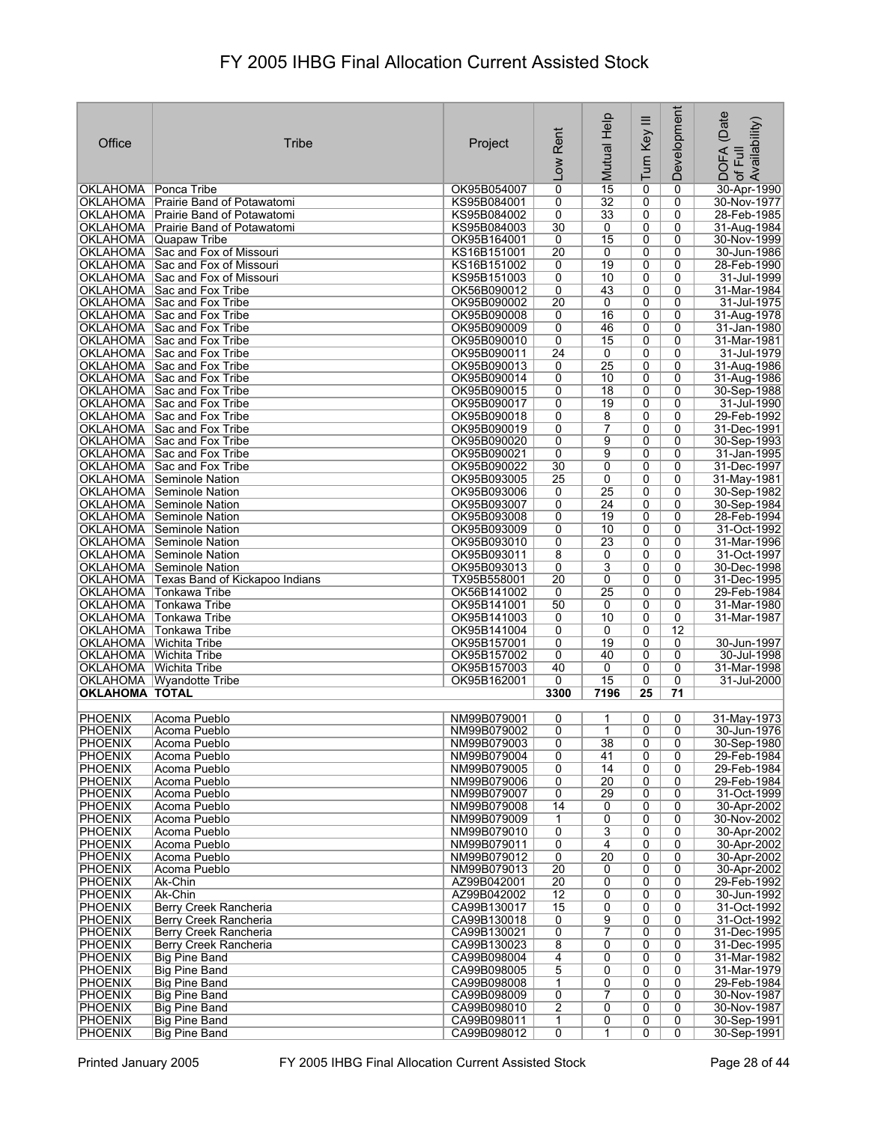| Office                           | Tribe                                                                | Project                    | Rent<br>$\overline{\text{v}}$    | Mutual Help          | Turn Key III        | Development         | (Date<br>, DOFA (Date<br>·of Full<br>.Availability) |
|----------------------------------|----------------------------------------------------------------------|----------------------------|----------------------------------|----------------------|---------------------|---------------------|-----------------------------------------------------|
| <b>OKLAHOMA</b> Ponca Tribe      |                                                                      | OK95B054007                | $\overline{0}$                   | $\overline{15}$      | 0                   | 0                   | 30-Apr-1990                                         |
|                                  | OKLAHOMA   Prairie Band of Potawatomi                                | KS95B084001                | 0                                | $\overline{32}$      | 0                   | 0                   | 30-Nov-1977                                         |
|                                  | OKLAHOMA   Prairie Band of Potawatomi                                | KS95B084002                | 0                                | $\overline{33}$      | 0                   | 0                   | 28-Feb-1985                                         |
|                                  | OKLAHOMA   Prairie Band of Potawatomi                                | KS95B084003                | 30                               | 0                    | $\overline{0}$      | 0                   | 31-Aug-1984                                         |
|                                  | OKLAHOMA Quapaw Tribe                                                | OK95B164001                | $\overline{0}$                   | 15                   | 0<br>$\overline{0}$ | 0                   | 30-Nov-1999                                         |
|                                  | OKLAHOMA Sac and Fox of Missouri<br>OKLAHOMA Sac and Fox of Missouri | KS16B151001<br>KS16B151002 | 20<br>0                          | 0<br>$\overline{19}$ | 0                   | 0<br>0              | 30-Jun-1986<br>28-Feb-1990                          |
|                                  | OKLAHOMA Sac and Fox of Missouri                                     | KS95B151003                | 0                                | 10                   | 0                   | 0                   | 31-Jul-1999                                         |
|                                  | OKLAHOMA Sac and Fox Tribe                                           | OK56B090012                | 0                                | 43                   | 0                   | 0                   | 31-Mar-1984                                         |
|                                  | OKLAHOMA Sac and Fox Tribe                                           | OK95B090002                | $\overline{20}$                  | 0                    | 0                   | 0                   | 31-Jul-1975                                         |
|                                  | OKLAHOMA Sac and Fox Tribe                                           | OK95B090008                | 0                                | 16                   | 0                   | 0                   | 31-Aug-1978                                         |
|                                  | OKLAHOMA Sac and Fox Tribe                                           | OK95B090009                | 0                                | 46                   | 0                   | 0                   | 31-Jan-1980                                         |
|                                  | OKLAHOMA Sac and Fox Tribe                                           | OK95B090010                | $\overline{0}$                   | 15                   | $\overline{0}$      | 0                   | 31-Mar-1981                                         |
|                                  | OKLAHOMA Sac and Fox Tribe                                           | OK95B090011<br>OK95B090013 | $\overline{24}$<br>0             | 0<br>$\overline{25}$ | 0<br>$\overline{0}$ | 0<br>0              | 31-Jul-1979<br>31-Aug-1986                          |
|                                  | OKLAHOMA Sac and Fox Tribe<br>OKLAHOMA Sac and Fox Tribe             | OK95B090014                | 0                                | 10                   | 0                   | 0                   | 31-Aug-1986                                         |
|                                  | <b>OKLAHOMA</b> Sac and Fox Tribe                                    | OK95B090015                | $\overline{0}$                   | $\overline{18}$      | $\overline{0}$      | $\overline{0}$      | 30-Sep-1988                                         |
|                                  | OKLAHOMA Sac and Fox Tribe                                           | OK95B090017                | $\overline{0}$                   | 19                   | 0                   | 0                   | 31-Jul-1990                                         |
|                                  | <b>OKLAHOMA</b>   Sac and Fox Tribe                                  | OK95B090018                | $\overline{0}$                   | 8                    | $\overline{0}$      | $\overline{0}$      | 29-Feb-1992                                         |
|                                  | OKLAHOMA Sac and Fox Tribe                                           | OK95B090019                | 0                                | $\overline{7}$       | 0                   | 0                   | 31-Dec-1991                                         |
|                                  | OKLAHOMA Sac and Fox Tribe                                           | OK95B090020                | 0                                | 9                    | 0                   | 0                   | 30-Sep-1993                                         |
|                                  | OKLAHOMA Sac and Fox Tribe                                           | OK95B090021                | $\overline{0}$                   | $\overline{9}$       | $\overline{0}$      | $\overline{0}$      | 31-Jan-1995                                         |
|                                  | OKLAHOMA Sac and Fox Tribe                                           | OK95B090022                | 30                               | 0                    | 0                   | $\mathbf{0}$        | 31-Dec-1997                                         |
|                                  | <b>OKLAHOMA</b> Seminole Nation<br><b>OKLAHOMA</b> Seminole Nation   | OK95B093005<br>OK95B093006 | $\overline{25}$<br>0             | 0<br>$\overline{25}$ | 0<br>$\overline{0}$ | 0<br>$\overline{0}$ | 31-May-1981<br>30-Sep-1982                          |
|                                  | <b>OKLAHOMA</b> Seminole Nation                                      | OK95B093007                | $\overline{0}$                   | 24                   | $\overline{0}$      | 0                   | 30-Sep-1984                                         |
|                                  | <b>OKLAHOMA</b> Seminole Nation                                      | OK95B093008                | 0                                | $\overline{19}$      | $\overline{0}$      | 0                   | 28-Feb-1994                                         |
|                                  | <b>OKLAHOMA</b> Seminole Nation                                      | OK95B093009                | 0                                | 10                   | 0                   | 0                   | 31-Oct-1992                                         |
|                                  | <b>OKLAHOMA</b> Seminole Nation                                      | OK95B093010                | 0                                | $\overline{23}$      | 0                   | 0                   | 31-Mar-1996                                         |
|                                  | <b>OKLAHOMA</b> Seminole Nation                                      | OK95B093011                | $\overline{8}$                   | 0                    | $\overline{0}$      | 0                   | 31-Oct-1997                                         |
|                                  | <b>OKLAHOMA</b> Seminole Nation                                      | OK95B093013                | 0                                | $\overline{3}$       | 0                   | 0                   | 30-Dec-1998                                         |
|                                  | OKLAHOMA Texas Band of Kickapoo Indians                              | TX95B558001                | 20                               | 0                    | 0                   | 0                   | 31-Dec-1995                                         |
|                                  | OKLAHOMA Tonkawa Tribe                                               | OK56B141002                | 0<br>50                          | 25                   | 0                   | 0                   | 29-Feb-1984                                         |
|                                  | <b>OKLAHOMA</b> Tonkawa Tribe<br>OKLAHOMA   Tonkawa Tribe            | OK95B141001<br>OK95B141003 | 0                                | 0<br>10              | 0<br>0              | 0<br>0              | 31-Mar-1980<br>31-Mar-1987                          |
|                                  | OKLAHOMA Tonkawa Tribe                                               | OK95B141004                | $\overline{0}$                   | 0                    | 0                   | 12                  |                                                     |
| OKLAHOMA Wichita Tribe           |                                                                      | OK95B157001                | 0                                | 19                   | 0                   | 0                   | 30-Jun-1997                                         |
| OKLAHOMA   Wichita Tribe         |                                                                      | OK95B157002                | 0                                | 40                   | 0                   | 0                   | 30-Jul-1998                                         |
| OKLAHOMA   Wichita Tribe         |                                                                      | OK95B157003                | 40                               | 0                    | 0                   | 0                   | 31-Mar-1998                                         |
|                                  | <b>OKLAHOMA</b> Wvandotte Tribe                                      | OK95B162001                | 0                                | 15                   | $\overline{0}$      | $\overline{0}$      | 31-Jul-2000                                         |
| <b>OKLAHOMA TOTAL</b>            |                                                                      |                            | 3300                             | 7196                 | 25                  | 71                  |                                                     |
| <b>PHOENIX</b>                   | Acoma Pueblo                                                         | NM99B079001                | 0                                | 1                    | 0                   | 0                   | 31-May-1973                                         |
| <b>PHOENIX</b>                   | Acoma Pueblo                                                         | NM99B079002                | 0                                | 1                    | $\overline{0}$      | $\overline{0}$      | 30-Jun-1976                                         |
| <b>PHOENIX</b>                   | <b>Acoma Pueblo</b>                                                  | NM99B079003                | 0                                | 38                   | 0                   | 0                   | 30-Sep-1980                                         |
| <b>PHOENIX</b>                   | Acoma Pueblo                                                         | NM99B079004                | 0                                | 41                   | 0                   | 0                   | 29-Feb-1984                                         |
| <b>PHOENIX</b>                   | Acoma Pueblo                                                         | NM99B079005                | 0                                | 14                   | 0                   | 0                   | 29-Feb-1984                                         |
| <b>PHOENIX</b>                   | Acoma Pueblo                                                         | NM99B079006                | 0                                | 20                   | 0                   | 0                   | 29-Feb-1984                                         |
| <b>PHOENIX</b>                   | Acoma Pueblo                                                         | NM99B079007                | 0                                | 29                   | 0                   | 0                   | 31-Oct-1999                                         |
| <b>PHOENIX</b>                   | Acoma Pueblo                                                         | NM99B079008                | $\overline{14}$                  | 0                    | $\overline{0}$      | 0                   | 30-Apr-2002                                         |
| PHOENIX<br><b>PHOENIX</b>        | Acoma Pueblo<br>Acoma Pueblo                                         | NM99B079009<br>NM99B079010 | 1<br>$\overline{0}$              | 0<br>$\overline{3}$  | 0<br>0              | 0<br>0              | 30-Nov-2002<br>30-Apr-2002                          |
| PHOENIX                          | Acoma Pueblo                                                         | NM99B079011                | 0                                | $\overline{4}$       | 0                   | 0                   | 30-Apr-2002                                         |
| <b>PHOENIX</b>                   | Acoma Pueblo                                                         | NM99B079012                | 0                                | $\overline{20}$      | 0                   | 0                   | 30-Apr-2002                                         |
| <b>PHOENIX</b>                   | Acoma Pueblo                                                         | NM99B079013                | $\overline{20}$                  | 0                    | 0                   | 0                   | 30-Apr-2002                                         |
| <b>PHOENIX</b>                   | Ak-Chin                                                              | AZ99B042001                | $\overline{20}$                  | 0                    | 0                   | 0                   | 29-Feb-1992                                         |
| <b>PHOENIX</b>                   | Ak-Chin                                                              | AZ99B042002                | $\overline{12}$                  | 0                    | 0                   | 0                   | 30-Jun-1992                                         |
| <b>PHOENIX</b>                   | Berry Creek Rancheria                                                | CA99B130017                | 15                               | 0                    | 0                   | 0                   | 31-Oct-1992                                         |
| <b>PHOENIX</b>                   | Berry Creek Rancheria                                                | CA99B130018                | 0                                | 9                    | 0                   | 0                   | 31-Oct-1992                                         |
| <b>PHOENIX</b><br><b>PHOENIX</b> | Berry Creek Rancheria<br>Berry Creek Rancheria                       | CA99B130021<br>CA99B130023 | $\overline{0}$<br>$\overline{8}$ | 7<br>0               | 0<br>0              | 0<br>0              | 31-Dec-1995<br>31-Dec-1995                          |
| <b>PHOENIX</b>                   |                                                                      |                            | $\overline{4}$                   | 0                    | 0                   | 0                   | 31-Mar-1982                                         |
|                                  |                                                                      |                            |                                  |                      |                     |                     |                                                     |
| PHOENIX                          | <b>Big Pine Band</b>                                                 | CA99B098004<br>CA99B098005 | 5                                |                      |                     | 0                   |                                                     |
| <b>PHOENIX</b>                   | <b>Big Pine Band</b><br><b>Big Pine Band</b>                         | CA99B098008                | 1                                | 0<br>0               | 0<br>0              | 0                   | 31-Mar-1979<br>29-Feb-1984                          |
| <b>PHOENIX</b>                   | <b>Big Pine Band</b>                                                 | CA99B098009                | $\overline{0}$                   | $\overline{7}$       | 0                   | 0                   | 30-Nov-1987                                         |
| <b>PHOENIX</b>                   | <b>Big Pine Band</b>                                                 | CA99B098010                | $\overline{2}$                   | 0                    | 0                   | 0                   | 30-Nov-1987                                         |
| PHOENIX<br>PHOENIX               | <b>Big Pine Band</b><br><b>Big Pine Band</b>                         | CA99B098011<br>CA99B098012 | 1<br>$\overline{0}$              | 0<br>1               | $\overline{0}$<br>0 | 0<br>0              | 30-Sep-1991<br>30-Sep-1991                          |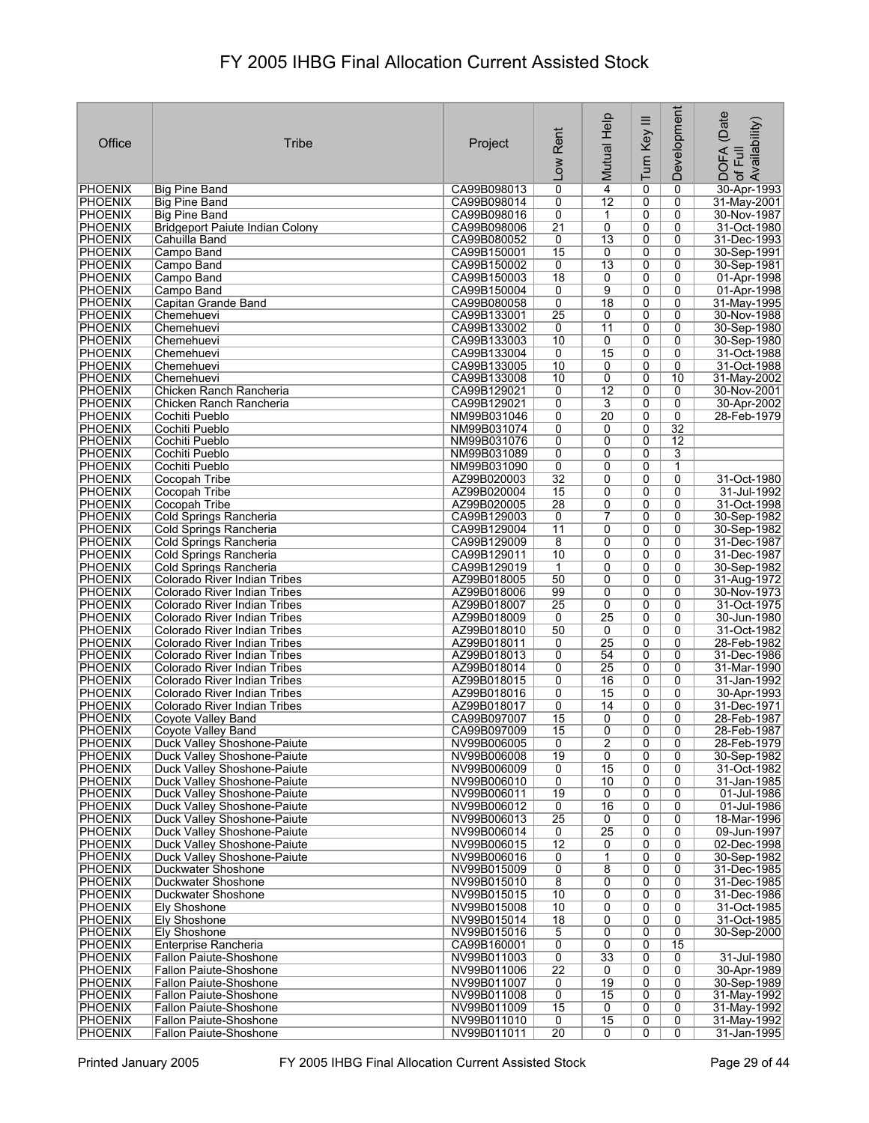| Office                           | Tribe                                                        | Project                    | Rent<br>Low                       | Mutual Help          | Turn Key III        | Development         | (Date<br>: DOFA (Date<br>·of Full<br>.Availability) |
|----------------------------------|--------------------------------------------------------------|----------------------------|-----------------------------------|----------------------|---------------------|---------------------|-----------------------------------------------------|
| <b>PHOENIX</b>                   | Big Pine Band                                                | CA99B098013                | $\overline{0}$                    | $\overline{4}$       | 0                   | 0                   | 30-Apr-1993                                         |
| PHOENIX                          | <b>Big Pine Band</b>                                         | CA99B098014                | 0                                 | 12                   | 0                   | 0                   | 31-May-2001                                         |
| <b>PHOENIX</b>                   | <b>Big Pine Band</b>                                         | CA99B098016                | 0                                 | 1                    | 0                   | 0                   | 30-Nov-1987                                         |
| PHOENIX                          | <b>Bridgeport Paiute Indian Colony</b>                       | CA99B098006                | $\overline{21}$                   | 0                    | 0                   | 0                   | 31-Oct-1980                                         |
| <b>PHOENIX</b><br><b>PHOENIX</b> | Cahuilla Band                                                | CA99B080052                | 0<br>15                           | $\overline{13}$      | 0<br>0              | 0<br>0              | 31-Dec-1993<br>30-Sep-1991                          |
| <b>PHOENIX</b>                   | Campo Band<br>Campo Band                                     | CA99B150001<br>CA99B150002 | 0                                 | 0<br>$\overline{13}$ | 0                   | $\mathbf{0}$        | 30-Sep-1981                                         |
| <b>PHOENIX</b>                   | Campo Band                                                   | CA99B150003                | $\overline{18}$                   | 0                    | 0                   | 0                   | 01-Apr-1998                                         |
| <b>PHOENIX</b>                   | Campo Band                                                   | CA99B150004                | 0                                 | 9                    | 0                   | $\mathbf{0}$        | 01-Apr-1998                                         |
| <b>PHOENIX</b>                   | Capitan Grande Band                                          | CA99B080058                | 0                                 | 18                   | 0                   | 0                   | 31-May-1995                                         |
| <b>PHOENIX</b>                   | Chemehuevi                                                   | CA99B133001                | $\overline{25}$                   | 0                    | 0                   | 0                   | 30-Nov-1988                                         |
| <b>PHOENIX</b>                   | Chemehuevi                                                   | CA99B133002                | 0                                 | 11                   | 0                   | 0                   | 30-Sep-1980                                         |
| <b>PHOENIX</b>                   | Chemehuevi                                                   | CA99B133003                | 10                                | 0                    | 0                   | 0                   | 30-Sep-1980                                         |
| <b>PHOENIX</b>                   | Chemehuevi                                                   | CA99B133004                | $\overline{0}$                    | 15                   | 0                   | 0                   | 31-Oct-1988                                         |
| <b>PHOENIX</b><br>PHOENIX        | Chemehuevi<br>Chemehuevi                                     | CA99B133005<br>CA99B133008 | 10<br>10                          | 0<br>0               | 0<br>0              | 0<br>10             | 31-Oct-1988<br>31-May-2002                          |
| PHOENIX                          | Chicken Ranch Rancheria                                      | CA99B129021                | 0                                 | $\overline{12}$      | 0                   | 0                   | 30-Nov-2001                                         |
| <b>PHOENIX</b>                   | Chicken Ranch Rancheria                                      | CA99B129021                | 0                                 | 3                    | 0                   | 0                   | 30-Apr-2002                                         |
| <b>PHOENIX</b>                   | Cochiti Pueblo                                               | NM99B031046                | 0                                 | $\overline{20}$      | $\overline{0}$      | $\overline{0}$      | 28-Feb-1979                                         |
| <b>PHOENIX</b>                   | Cochiti Pueblo                                               | NM99B031074                | 0                                 | 0                    | 0                   | 32                  |                                                     |
| <b>PHOENIX</b>                   | Cochiti Pueblo                                               | NM99B031076                | 0                                 | 0                    | 0                   | $\overline{12}$     |                                                     |
| <b>PHOENIX</b>                   | Cochiti Pueblo                                               | NM99B031089                | 0                                 | 0                    | 0                   | 3                   |                                                     |
| <b>PHOENIX</b>                   | Cochiti Pueblo                                               | NM99B031090                | 0                                 | 0                    | 0                   | 1                   |                                                     |
| <b>PHOENIX</b>                   | Cocopah Tribe                                                | AZ99B020003                | $\overline{32}$                   | 0                    | 0                   | 0                   | 31-Oct-1980                                         |
| <b>PHOENIX</b>                   | Cocopah Tribe                                                | AZ99B020004                | 15<br>28                          | 0                    | $\overline{0}$<br>0 | $\overline{0}$<br>0 | 31-Jul-1992<br>31-Oct-1998                          |
| <b>PHOENIX</b><br>PHOENIX        | Cocopah Tribe<br>Cold Springs Rancheria                      | AZ99B020005<br>CA99B129003 | 0                                 | 0<br>7               | 0                   | 0                   | 30-Sep-1982                                         |
| <b>PHOENIX</b>                   | Cold Springs Rancheria                                       | CA99B129004                | 11                                | 0                    | 0                   | 0                   | 30-Sep-1982                                         |
| PHOENIX                          | Cold Springs Rancheria                                       | CA99B129009                | 8                                 | 0                    | 0                   | 0                   | 31-Dec-1987                                         |
| <b>PHOENIX</b>                   | Cold Springs Rancheria                                       | CA99B129011                | 10                                | 0                    | 0                   | 0                   | 31-Dec-1987                                         |
| <b>PHOENIX</b>                   | Cold Springs Rancheria                                       | CA99B129019                | $\mathbf{1}$                      | 0                    | 0                   | 0                   | 30-Sep-1982                                         |
| <b>PHOENIX</b>                   | Colorado River Indian Tribes                                 | AZ99B018005                | 50                                | 0                    | 0                   | 0                   | 31-Aug-1972                                         |
| <b>PHOENIX</b>                   | Colorado River Indian Tribes                                 | AZ99B018006                | 99                                | 0                    | 0                   | 0                   | 30-Nov-1973                                         |
| <b>PHOENIX</b>                   | Colorado River Indian Tribes                                 | AZ99B018007                | $\overline{25}$                   | 0                    | 0                   | 0                   | 31-Oct-1975                                         |
| <b>PHOENIX</b>                   | Colorado River Indian Tribes                                 | AZ99B018009<br>AZ99B018010 | 0<br>50                           | $\overline{25}$<br>0 | 0<br>0              | 0<br>0              | 30-Jun-1980<br>31-Oct-1982                          |
| <b>PHOENIX</b><br><b>PHOENIX</b> | Colorado River Indian Tribes<br>Colorado River Indian Tribes | AZ99B018011                | $\overline{0}$                    | $\overline{25}$      | 0                   | 0                   | 28-Feb-1982                                         |
| <b>PHOENIX</b>                   | Colorado River Indian Tribes                                 | AZ99B018013                | 0                                 | 54                   | 0                   | 0                   | 31-Dec-1986                                         |
| <b>PHOENIX</b>                   | Colorado River Indian Tribes                                 | AZ99B018014                | 0                                 | 25                   | 0                   | 0                   | 31-Mar-1990                                         |
| <b>PHOENIX</b>                   | Colorado River Indian Tribes                                 | AZ99B018015                | 0                                 | 16                   | 0                   | 0                   | 31-Jan-1992                                         |
| PHOENIX                          | Colorado River Indian Tribes                                 | AZ99B018016                | 0                                 | 15                   | 0                   | 0                   | 30-Apr-1993                                         |
| PHOENIX                          | Colorado River Indian Tribes                                 | AZ99B018017                | 0                                 | 14                   | 0                   | 0                   | 31-Dec-1971                                         |
| <b>PHOENIX</b>                   | <b>Coyote Valley Band</b>                                    | CA99B097007                | 15                                | 0                    | 0                   | 0                   | 28-Feb-1987                                         |
| <b>PHOENIX</b><br><b>PHOENIX</b> | Coyote Valley Band<br>Duck Valley Shoshone-Paiute            | CA99B097009<br>NV99B006005 | 15<br>$\overline{0}$              | 0<br>$\overline{2}$  | 0<br>0              | 0<br>0              | 28-Feb-1987<br>28-Feb-1979                          |
| <b>PHOENIX</b>                   | Duck Valley Shoshone-Paiute                                  | NV99B006008                | 19                                | 0                    | 0                   | 0                   | 30-Sep-1982                                         |
| PHOENIX                          | Duck Valley Shoshone-Paiute                                  | NV99B006009                | 0                                 | $\overline{15}$      | 0                   | 0                   | 31-Oct-1982                                         |
| <b>PHOENIX</b>                   | Duck Valley Shoshone-Paiute                                  | NV99B006010                | 0                                 | 10                   | 0                   | 0                   | 31-Jan-1985                                         |
| <b>PHOENIX</b>                   | Duck Valley Shoshone-Paiute                                  | NV99B006011                | 19                                | 0                    | 0                   | 0                   | 01-Jul-1986                                         |
| <b>PHOENIX</b>                   | Duck Valley Shoshone-Paiute                                  | NV99B006012                | $\overline{0}$                    | $\overline{16}$      | $\overline{0}$      | $\overline{0}$      | 01-Jul-1986                                         |
| PHOENIX                          | Duck Valley Shoshone-Paiute                                  | NV99B006013                | $\overline{25}$                   | 0                    | $\overline{0}$      | 0                   | 18-Mar-1996                                         |
| <b>PHOENIX</b>                   | Duck Valley Shoshone-Paiute                                  | NV99B006014                | $\overline{0}$                    | $\overline{25}$      | 0                   | 0                   | 09-Jun-1997                                         |
| <b>PHOENIX</b><br><b>PHOENIX</b> | Duck Valley Shoshone-Paiute<br>Duck Valley Shoshone-Paiute   | NV99B006015<br>NV99B006016 | $\overline{12}$<br>0              | 0<br>1               | 0<br>0              | 0<br>0              | 02-Dec-1998<br>30-Sep-1982                          |
| <b>PHOENIX</b>                   | Duckwater Shoshone                                           | NV99B015009                | $\overline{0}$                    | 8                    | 0                   | 0                   | 31-Dec-1985                                         |
| <b>PHOENIX</b>                   | Duckwater Shoshone                                           | NV99B015010                | $\overline{8}$                    | 0                    | 0                   | 0                   | 31-Dec-1985                                         |
| <b>PHOENIX</b>                   | Duckwater Shoshone                                           | NV99B015015                | 10                                | 0                    | 0                   | 0                   | 31-Dec-1986                                         |
| <b>PHOENIX</b>                   | <b>Ely Shoshone</b>                                          | NV99B015008                | 10                                | 0                    | 0                   | 0                   | 31-Oct-1985                                         |
| <b>PHOENIX</b>                   | Ely Shoshone                                                 | NV99B015014                | $\overline{18}$                   | 0                    | 0                   | 0                   | 31-Oct-1985                                         |
| PHOENIX                          | <b>Ely Shoshone</b>                                          | NV99B015016                | $\overline{5}$                    | 0                    | 0                   | 0                   | 30-Sep-2000                                         |
| <b>PHOENIX</b>                   | Enterprise Rancheria                                         | CA99B160001                | 0                                 | 0                    | 0                   | 15                  |                                                     |
| <b>PHOENIX</b>                   | Fallon Paiute-Shoshone                                       | NV99B011003                | $\overline{0}$<br>$\overline{22}$ | $\overline{33}$      | 0<br>0              | 0<br>0              | 31-Jul-1980                                         |
| <b>PHOENIX</b><br><b>PHOENIX</b> | Fallon Paiute-Shoshone<br>Fallon Paiute-Shoshone             | NV99B011006<br>NV99B011007 | $\overline{0}$                    | 0<br>19              | 0                   | 0                   | 30-Apr-1989<br>30-Sep-1989                          |
| <b>PHOENIX</b>                   | <b>Fallon Paiute-Shoshone</b>                                | NV99B011008                | $\overline{0}$                    | 15                   | 0                   | 0                   | 31-May-1992                                         |
| <b>PHOENIX</b>                   | Fallon Paiute-Shoshone                                       | NV99B011009                | 15                                | 0                    | 0                   | 0                   | 31-May-1992                                         |
| <b>PHOENIX</b>                   | <b>Fallon Paiute-Shoshone</b>                                | NV99B011010                | $\overline{0}$                    | 15                   | 0                   | 0                   | 31-May-1992                                         |
| <b>PHOENIX</b>                   | Fallon Paiute-Shoshone                                       | NV99B011011                | $\overline{20}$                   | $\overline{0}$       | 0                   | 0                   | 31-Jan-1995                                         |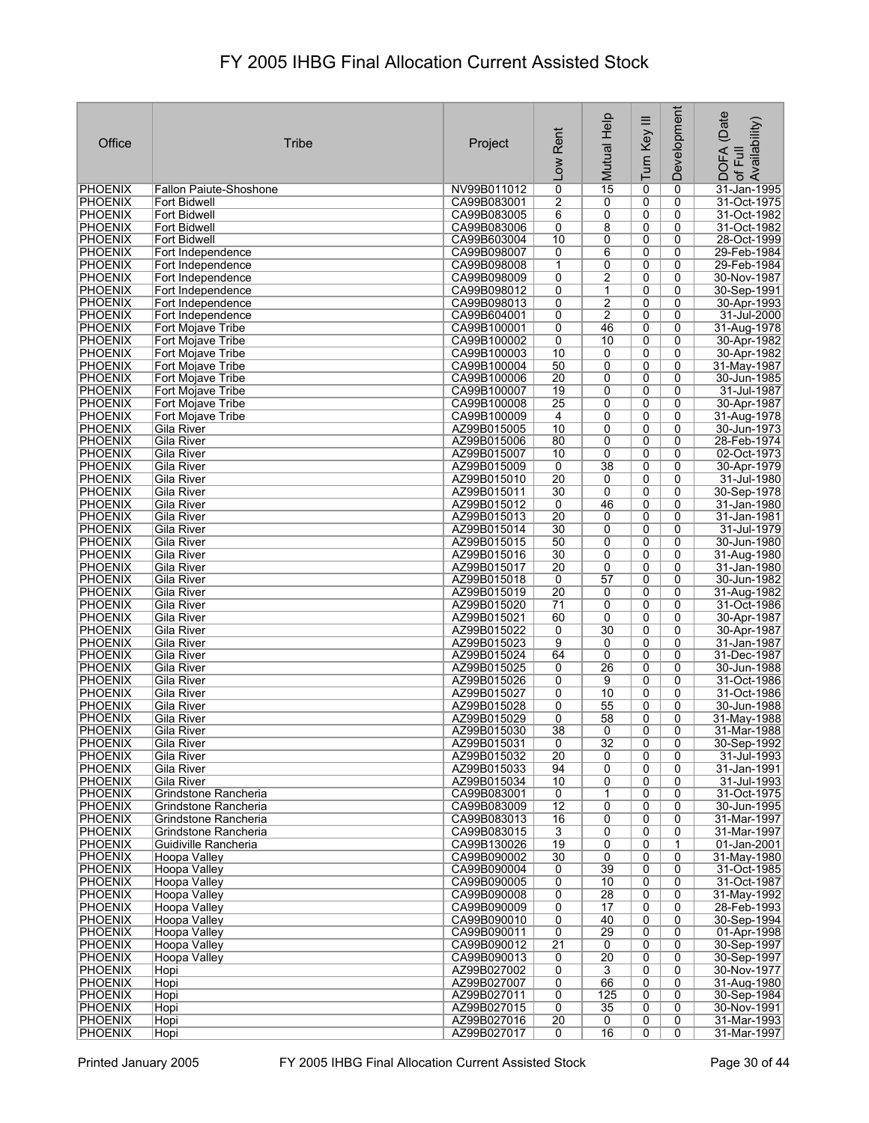| Office                           | <b>Tribe</b>                                 | Project                    | Rent<br><b>NOT</b>               | Mutual Help          | Turn Key III        | Development         | (Date<br>Availability)<br>DOFA<br>of Full |
|----------------------------------|----------------------------------------------|----------------------------|----------------------------------|----------------------|---------------------|---------------------|-------------------------------------------|
| <b>PHOENIX</b>                   | <b>Fallon Paiute-Shoshone</b>                | NV99B011012                | $\overline{0}$                   | $\overline{15}$      | 0                   | 0                   | 31-Jan-1995                               |
| PHOENIX                          | Fort Bidwell                                 | CA99B083001                | 2                                | 0                    | 0                   | 0                   | 31-Oct-1975                               |
| <b>PHOENIX</b>                   | Fort Bidwell                                 | CA99B083005                | $\overline{6}$                   | 0                    | 0                   | 0                   | 31-Oct-1982                               |
| <b>PHOENIX</b>                   | Fort Bidwell                                 | CA99B083006                | 0                                | 8                    | 0                   | 0                   | 31-Oct-1982                               |
| <b>PHOENIX</b>                   | Fort Bidwell                                 | CA99B603004                | 10                               | 0                    | 0                   | 0                   | 28-Oct-1999                               |
| <b>PHOENIX</b><br><b>PHOENIX</b> | Fort Independence<br>Fort Independence       | CA99B098007<br>CA99B098008 | 0<br>$\mathbf{1}$                | 6<br>0               | 0<br>0              | 0<br>0              | 29-Feb-1984<br>29-Feb-1984                |
| <b>PHOENIX</b>                   | Fort Independence                            | CA99B098009                | 0                                | $\overline{2}$       | 0                   | 0                   | 30-Nov-1987                               |
| <b>PHOENIX</b>                   | Fort Independence                            | CA99B098012                | 0                                | 1                    | 0                   | 0                   | 30-Sep-1991                               |
| <b>PHOENIX</b>                   | Fort Independence                            | CA99B098013                | $\overline{0}$                   | $\overline{2}$       | 0                   | 0                   | 30-Apr-1993                               |
| <b>PHOENIX</b>                   | Fort Independence                            | CA99B604001                | 0                                | $\overline{2}$       | $\overline{0}$      | 0                   | 31-Jul-2000                               |
| <b>PHOENIX</b>                   | Fort Mojave Tribe                            | CA99B100001                | $\overline{0}$                   | 46                   | 0                   | 0                   | 31-Aug-1978                               |
| <b>PHOENIX</b><br><b>PHOENIX</b> | Fort Mojave Tribe<br>Fort Mojave Tribe       | CA99B100002<br>CA99B100003 | 0<br>10                          | 10<br>0              | $\overline{0}$<br>0 | 0<br>0              | 30-Apr-1982<br>30-Apr-1982                |
| <b>PHOENIX</b>                   | Fort Mojave Tribe                            | CA99B100004                | 50                               | $\overline{0}$       | $\overline{0}$      | 0                   | 31-May-1987                               |
| <b>PHOENIX</b>                   | Fort Mojave Tribe                            | CA99B100006                | 20                               | 0                    | 0                   | 0                   | 30-Jun-1985                               |
| PHOENIX                          | Fort Mojave Tribe                            | CA99B100007                | 19                               | 0                    | 0                   | 0                   | 31-Jul-1987                               |
| <b>PHOENIX</b>                   | Fort Mojave Tribe                            | CA99B100008                | 25                               | 0                    | 0                   | 0                   | 30-Apr-1987                               |
| <b>PHOENIX</b>                   | Fort Mojave Tribe                            | CA99B100009                | 4                                | 0                    | 0                   | $\overline{0}$      | 31-Aug-1978                               |
| <b>PHOENIX</b>                   | <b>Gila River</b>                            | AZ99B015005                | 10                               | 0                    | 0                   | 0                   | 30-Jun-1973                               |
| <b>PHOENIX</b><br><b>PHOENIX</b> | Gila River<br>Gila River                     | AZ99B015006<br>AZ99B015007 | 80<br>10                         | 0<br>$\overline{0}$  | 0<br>$\overline{0}$ | 0<br>$\overline{0}$ | 28-Feb-1974<br>02-Oct-1973                |
| <b>PHOENIX</b>                   | Gila River                                   | AZ99B015009                | 0                                | 38                   | 0                   | 0                   | 30-Apr-1979                               |
| <b>PHOENIX</b>                   | Gila River                                   | AZ99B015010                | 20                               | 0                    | 0                   | 0                   | 31-Jul-1980                               |
| <b>PHOENIX</b>                   | Gila River                                   | AZ99B015011                | 30                               | $\overline{0}$       | $\overline{0}$      | $\overline{0}$      | 30-Sep-1978                               |
| <b>PHOENIX</b>                   | Gila River                                   | AZ99B015012                | 0                                | 46                   | 0                   | 0                   | 31-Jan-1980                               |
| PHOENIX                          | Gila River                                   | AZ99B015013                | 20                               | 0                    | 0                   | 0                   | 31-Jan-1981                               |
| <b>PHOENIX</b>                   | Gila River                                   | AZ99B015014                | 30                               | 0                    | 0                   | 0                   | 31-Jul-1979                               |
| <b>PHOENIX</b><br><b>PHOENIX</b> | Gila River<br>Gila River                     | AZ99B015015<br>AZ99B015016 | 50<br>30                         | 0<br>0               | 0<br>0              | 0<br>0              | 30-Jun-1980<br>31-Aug-1980                |
| <b>PHOENIX</b>                   | Gila River                                   | AZ99B015017                | 20                               | 0                    | 0                   | 0                   | 31-Jan-1980                               |
| <b>PHOENIX</b>                   | Gila River                                   | AZ99B015018                | 0                                | 57                   | 0                   | 0                   | 30-Jun-1982                               |
| <b>PHOENIX</b>                   | Gila River                                   | AZ99B015019                | $\overline{20}$                  | 0                    | 0                   | 0                   | 31-Aug-1982                               |
| <b>PHOENIX</b>                   | Gila River                                   | AZ99B015020                | 71                               | 0                    | 0                   | 0                   | 31-Oct-1986                               |
| <b>PHOENIX</b>                   | Gila River                                   | AZ99B015021                | 60                               | 0                    | 0                   | 0                   | 30-Apr-1987                               |
| <b>PHOENIX</b><br><b>PHOENIX</b> | Gila River<br>Gila River                     | AZ99B015022<br>AZ99B015023 | $\overline{0}$<br>$\overline{9}$ | $\overline{30}$<br>0 | 0<br>0              | 0<br>0              | 30-Apr-1987<br>31-Jan-1987                |
| <b>PHOENIX</b>                   | Gila River                                   | AZ99B015024                | 64                               | $\overline{0}$       | 0                   | 0                   | 31-Dec-1987                               |
| <b>PHOENIX</b>                   | Gila River                                   | AZ99B015025                | 0                                | 26                   | 0                   | 0                   | 30-Jun-1988                               |
| <b>PHOENIX</b>                   | Gila River                                   | AZ99B015026                | 0                                | 9                    | 0                   | 0                   | 31-Oct-1986                               |
| PHOENIX                          | Gila River                                   | AZ99B015027                | 0                                | 10                   | 0                   | 0                   | 31-Oct-1986                               |
| <b>PHOENIX</b>                   | Gila River                                   | AZ99B015028                | 0                                | 55                   | 0                   | 0                   | 30-Jun-1988                               |
| <b>PHOENIX</b><br><b>PHOENIX</b> | Gila River<br>Gila River                     | AZ99B015029<br>AZ99B015030 | 0<br>38                          | 58<br>0              | 0<br>$\overline{0}$ | 0<br>$\overline{0}$ | 31-May-1988<br>31-Mar-1988                |
| <b>PHOENIX</b>                   | <b>Gila River</b>                            | AZ99B015031                | 0                                | $\overline{32}$      | 0                   | 0                   | 30-Sep-1992                               |
| <b>PHOENIX</b>                   | Gila River                                   | AZ99B015032                | $\overline{20}$                  | 0                    | 0                   | 0                   | 31-Jul-1993                               |
| <b>PHOENIX</b>                   | Gila River                                   | AZ99B015033                | 94                               | $\overline{0}$       | 0                   | 0                   | 31-Jan-1991                               |
| <b>PHOENIX</b>                   | Gila River                                   | AZ99B015034                | 10                               | 0                    | 0                   | 0                   | 31-Jul-1993                               |
| PHOENIX                          | Grindstone Rancheria                         | CA99B083001                | 0                                | 1                    | 0                   | 0                   | 31-Oct-1975                               |
| <b>PHOENIX</b><br>PHOENIX        | Grindstone Rancheria<br>Grindstone Rancheria | CA99B083009<br>CA99B083013 | $\overline{12}$<br>16            | 0<br>0               | $\overline{0}$<br>0 | $\overline{0}$<br>0 | 30-Jun-1995<br>31-Mar-1997                |
| <b>PHOENIX</b>                   | Grindstone Rancheria                         | CA99B083015                | $\overline{3}$                   | 0                    | 0                   | 0                   | 31-Mar-1997                               |
| <b>PHOENIX</b>                   | Guidiville Rancheria                         | CA99B130026                | $\overline{19}$                  | 0                    | 0                   | $\mathbf{1}$        | 01-Jan-2001                               |
| <b>PHOENIX</b>                   | Hoopa Valley                                 | CA99B090002                | 30                               | 0                    | 0                   | 0                   | 31-May-1980                               |
| <b>PHOENIX</b>                   | Hoopa Valley                                 | CA99B090004                | 0                                | 39                   | 0                   | 0                   | 31-Oct-1985                               |
| <b>PHOENIX</b>                   | <b>Hoopa Valley</b>                          | CA99B090005                | 0                                | 10                   | 0                   | 0                   | 31-Oct-1987                               |
| <b>PHOENIX</b><br><b>PHOENIX</b> | Hoopa Valley                                 | CA99B090008                | $\overline{0}$                   | 28                   | 0                   | 0                   | 31-May-1992                               |
| <b>PHOENIX</b>                   | Hoopa Valley<br>Hoopa Valley                 | CA99B090009<br>CA99B090010 | 0<br>0                           | 17<br>40             | 0<br>0              | 0<br>0              | 28-Feb-1993<br>30-Sep-1994                |
| PHOENIX                          | Hoopa Valley                                 | CA99B090011                | 0                                | 29                   | 0                   | 0                   | 01-Apr-1998                               |
| <b>PHOENIX</b>                   | Hoopa Valley                                 | CA99B090012                | $\overline{21}$                  | 0                    | 0                   | 0                   | 30-Sep-1997                               |
| <b>PHOENIX</b>                   | Hoopa Valley                                 | CA99B090013                | 0                                | $\overline{20}$      | 0                   | 0                   | 30-Sep-1997                               |
| <b>PHOENIX</b>                   | Hopi                                         | AZ99B027002                | $\overline{0}$                   | 3                    | 0                   | 0                   | 30-Nov-1977                               |
| <b>PHOENIX</b>                   | Hopi                                         | AZ99B027007                | $\overline{0}$                   | 66                   | $\overline{0}$      | 0                   | 31-Aug-1980                               |
| <b>PHOENIX</b><br><b>PHOENIX</b> | Hopi<br>Hopi                                 | AZ99B027011<br>AZ99B027015 | 0<br>$\overline{0}$              | 125<br>35            | 0<br>0              | 0<br>0              | 30-Sep-1984<br>30-Nov-1991                |
| PHOENIX                          | Hopi                                         | AZ99B027016                | 20                               | 0                    | 0                   | 0                   | 31-Mar-1993                               |
| <b>PHOENIX</b>                   | Hopi                                         | AZ99B027017                | 0                                | 16                   | 0                   | 0                   | 31-Mar-1997                               |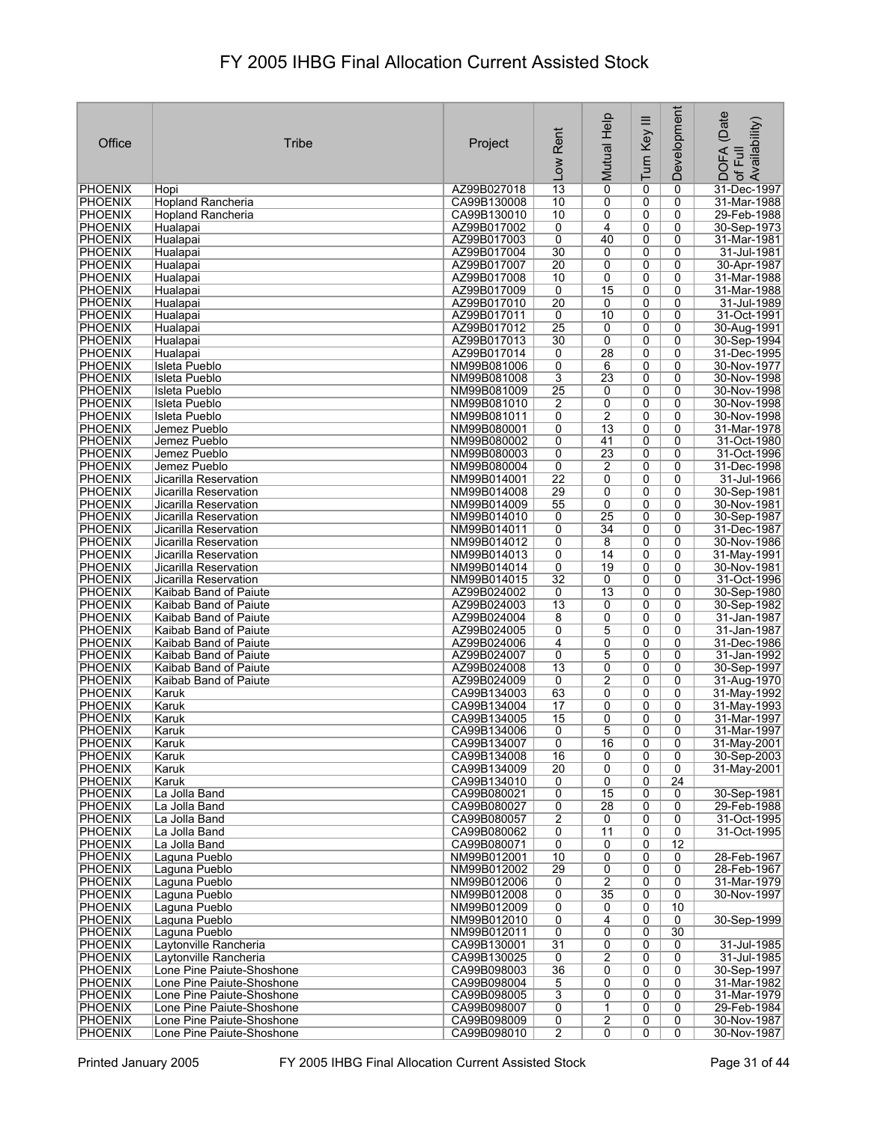|                                  |                                                        |                            | Rent                             | Mutual Help                        | Turn Key III   | Development          | (Date<br>Availability)       |
|----------------------------------|--------------------------------------------------------|----------------------------|----------------------------------|------------------------------------|----------------|----------------------|------------------------------|
| Office                           | Tribe                                                  | Project                    |                                  |                                    |                |                      | Full                         |
|                                  |                                                        |                            | Low                              |                                    |                |                      | <b>DOFA</b><br>$\mathcal{P}$ |
| <b>PHOENIX</b>                   | Hopi                                                   | AZ99B027018                | 13                               | $\overline{0}$                     | 0              | 0                    | 31-Dec-1997                  |
| <b>PHOENIX</b>                   | <b>Hopland Rancheria</b>                               | CA99B130008                | 10                               | 0                                  | 0              | 0                    | 31-Mar-1988                  |
| PHOENIX<br><b>PHOENIX</b>        | <b>Hopland Rancheria</b><br>Hualapai                   | CA99B130010<br>AZ99B017002 | 10<br>0                          | 0<br>4                             | 0<br>0         | 0<br>0               | 29-Feb-1988<br>30-Sep-1973   |
| <b>PHOENIX</b>                   | Hualapai                                               | AZ99B017003                | 0                                | 40                                 | 0              | 0                    | 31-Mar-1981                  |
| <b>PHOENIX</b>                   | Hualapai                                               | AZ99B017004                | 30                               | 0                                  | 0              | 0                    | 31-Jul-1981                  |
| <b>PHOENIX</b><br><b>PHOENIX</b> | Hualapai<br>Hualapai                                   | AZ99B017007<br>AZ99B017008 | $\overline{20}$<br>10            | 0<br>0                             | 0<br>0         | 0<br>0               | 30-Apr-1987<br>31-Mar-1988   |
| <b>PHOENIX</b>                   | Hualapai                                               | AZ99B017009                | 0                                | 15                                 | 0              | 0                    | 31-Mar-1988                  |
| <b>PHOENIX</b>                   | Hualapai                                               | AZ99B017010                | $\overline{20}$                  | 0                                  | 0              | 0                    | 31-Jul-1989                  |
| <b>PHOENIX</b>                   | Hualapai                                               | AZ99B017011<br>AZ99B017012 | 0<br>$\overline{25}$             | 10                                 | 0<br>0         | 0<br>0               | 31-Oct-1991                  |
| <b>PHOENIX</b><br><b>PHOENIX</b> | Hualapai<br>Hualapai                                   | AZ99B017013                | 30                               | 0<br>0                             | 0              | 0                    | 30-Aug-1991<br>30-Sep-1994   |
| <b>PHOENIX</b>                   | Hualapai                                               | AZ99B017014                | 0                                | 28                                 | 0              | 0                    | 31-Dec-1995                  |
| <b>PHOENIX</b>                   | Isleta Pueblo                                          | NM99B081006                | 0<br>$\overline{3}$              | 6<br>23                            | $\overline{0}$ | 0                    | 30-Nov-1977                  |
| PHOENIX<br><b>PHOENIX</b>        | <b>Isleta Pueblo</b><br><b>Isleta Pueblo</b>           | NM99B081008<br>NM99B081009 | 25                               | 0                                  | 0<br>0         | 0<br>0               | 30-Nov-1998<br>30-Nov-1998   |
| <b>PHOENIX</b>                   | <b>Isleta Pueblo</b>                                   | NM99B081010                | $\overline{2}$                   | 0                                  | 0              | 0                    | 30-Nov-1998                  |
| <b>PHOENIX</b>                   | Isleta Pueblo                                          | NM99B081011                | $\overline{0}$                   | $\overline{2}$                     | 0              | $\overline{0}$       | 30-Nov-1998                  |
| PHOENIX<br><b>PHOENIX</b>        | Jemez Pueblo<br>Jemez Pueblo                           | NM99B080001<br>NM99B080002 | 0<br>0                           | $\overline{13}$<br>$\overline{41}$ | 0<br>0         | 0<br>0               | 31-Mar-1978<br>31-Oct-1980   |
| <b>PHOENIX</b>                   | Jemez Pueblo                                           | NM99B080003                | 0                                | 23                                 | $\overline{0}$ | 0                    | 31-Oct-1996                  |
| <b>PHOENIX</b>                   | Jemez Pueblo                                           | NM99B080004                | 0                                | 2                                  | 0              | 0                    | 31-Dec-1998                  |
| <b>PHOENIX</b><br><b>PHOENIX</b> | Jicarilla Reservation<br>Jicarilla Reservation         | NM99B014001<br>NM99B014008 | $\overline{22}$<br>29            | 0<br>0                             | 0<br>0         | 0<br>0               | 31-Jul-1966<br>30-Sep-1981   |
| <b>PHOENIX</b>                   | Jicarilla Reservation                                  | NM99B014009                | 55                               | 0                                  | 0              | 0                    | 30-Nov-1981                  |
| <b>PHOENIX</b>                   | Jicarilla Reservation                                  | NM99B014010                | 0                                | 25                                 | 0              | 0                    | 30-Sep-1987                  |
| <b>PHOENIX</b><br><b>PHOENIX</b> | Jicarilla Reservation<br>Jicarilla Reservation         | NM99B014011<br>NM99B014012 | 0<br>0                           | 34<br>8                            | 0<br>0         | 0<br>0               | 31-Dec-1987<br>30-Nov-1986   |
| <b>PHOENIX</b>                   | Jicarilla Reservation                                  | NM99B014013                | 0                                | 14                                 | 0              | 0                    | 31-May-1991                  |
| <b>PHOENIX</b>                   | Jicarilla Reservation                                  | NM99B014014                | $\overline{0}$                   | 19                                 | 0              | 0                    | 30-Nov-1981                  |
| <b>PHOENIX</b><br>PHOENIX        | Jicarilla Reservation<br>Kaibab Band of Paiute         | NM99B014015<br>AZ99B024002 | $\overline{32}$<br>0             | 0<br>$\overline{13}$               | 0<br>0         | 0<br>0               | 31-Oct-1996<br>30-Sep-1980   |
| <b>PHOENIX</b>                   | Kaibab Band of Paiute                                  | AZ99B024003                | $\overline{13}$                  | 0                                  | 0              | 0                    | 30-Sep-1982                  |
| PHOENIX                          | Kaibab Band of Paiute                                  | AZ99B024004                | 8                                | 0                                  | 0              | 0                    | 31-Jan-1987                  |
| <b>PHOENIX</b><br><b>PHOENIX</b> | Kaibab Band of Paiute<br>Kaibab Band of Paiute         | AZ99B024005<br>AZ99B024006 | 0<br>4                           | 5<br>0                             | 0<br>0         | 0<br>0               | 31-Jan-1987<br>31-Dec-1986   |
| <b>PHOENIX</b>                   | Kaibab Band of Paiute                                  | AZ99B024007                | $\overline{0}$                   | 5                                  | 0              | 0                    | 31-Jan-1992                  |
| <b>PHOENIX</b>                   | Kaibab Band of Paiute                                  | AZ99B024008                | $\overline{13}$                  | 0                                  | 0              | 0                    | 30-Sep-1997                  |
| PHOENIX<br>PHOENIX               | Kaibab Band of Paiute<br>Karuk                         | AZ99B024009<br>CA99B134003 | $\overline{0}$<br>63             | $\overline{2}$<br>0                | 0<br>0         | 0<br>0               | 31-Aug-1970<br>31-May-1992   |
| <b>PHOENIX</b>                   | Karuk                                                  | CA99B134004                | 17                               | 0                                  | 0              | 0                    | 31-May-1993                  |
| <b>PHOENIX</b>                   | Karuk                                                  | CA99B134005                | 15                               | 0                                  | 0              | 0                    | 31-Mar-1997                  |
| PHOENIX                          | Karuk                                                  | CA99B134006                | $\overline{0}$<br>$\overline{0}$ | 5<br>16                            | 0              | 0                    | 31-Mar-1997<br>31-May-2001   |
| <b>PHOENIX</b><br><b>PHOENIX</b> | Karuk<br>Karuk                                         | CA99B134007<br>CA99B134008 | 16                               | 0                                  | 0<br>0         | 0<br>0               | 30-Sep-2003                  |
| <b>PHOENIX</b>                   | Karuk                                                  | CA99B134009                | 20                               | 0                                  | 0              | $\overline{0}$       | 31-May-2001                  |
| <b>PHOENIX</b><br><b>PHOENIX</b> | Karuk<br>La Jolla Band                                 | CA99B134010<br>CA99B080021 | 0<br>$\overline{0}$              | 0<br>15                            | 0<br>0         | $\overline{24}$<br>0 | 30-Sep-1981                  |
| <b>PHOENIX</b>                   | La Jolla Band                                          | CA99B080027                | 0                                | 28                                 | $\overline{0}$ | 0                    | 29-Feb-1988                  |
| PHOENIX                          | La Jolla Band                                          | CA99B080057                | $\overline{2}$                   | 0                                  | 0              | 0                    | 31-Oct-1995                  |
| <b>PHOENIX</b><br><b>PHOENIX</b> | La Jolla Band                                          | CA99B080062                | 0                                | 11<br>0                            | 0              | 0<br>$\overline{12}$ | 31-Oct-1995                  |
| <b>PHOENIX</b>                   | La Jolla Band<br>Laguna Pueblo                         | CA99B080071<br>NM99B012001 | 0<br>10                          | 0                                  | 0<br>0         | 0                    | 28-Feb-1967                  |
| <b>PHOENIX</b>                   | Laguna Pueblo                                          | NM99B012002                | 29                               | 0                                  | 0              | 0                    | 28-Feb-1967                  |
| <b>PHOENIX</b>                   | Laguna Pueblo<br>Laguna Pueblo                         | NM99B012006                | $\overline{0}$<br>$\overline{0}$ | $\overline{2}$                     | 0              | 0<br>0               | 31-Mar-1979<br>30-Nov-1997   |
| PHOENIX<br><b>PHOENIX</b>        | Laguna Pueblo                                          | NM99B012008<br>NM99B012009 | 0                                | 35<br>0                            | 0<br>0         | 10                   |                              |
| <b>PHOENIX</b>                   | Laguna Pueblo                                          | NM99B012010                | $\overline{0}$                   | 4                                  | 0              | 0                    | 30-Sep-1999                  |
| <b>PHOENIX</b><br><b>PHOENIX</b> | Laguna Pueblo<br>Laytonville Rancheria                 | NM99B012011<br>CA99B130001 | $\overline{0}$<br>31             | 0<br>0                             | 0<br>0         | 30<br>0              | 31-Jul-1985                  |
| <b>PHOENIX</b>                   | Laytonville Rancheria                                  | CA99B130025                | 0                                | $\overline{2}$                     | 0              | 0                    | 31-Jul-1985                  |
| <b>PHOENIX</b>                   | Lone Pine Paiute-Shoshone                              | CA99B098003                | $\overline{36}$                  | 0                                  | 0              | 0                    | 30-Sep-1997                  |
| <b>PHOENIX</b><br><b>PHOENIX</b> | Lone Pine Paiute-Shoshone<br>Lone Pine Paiute-Shoshone | CA99B098004<br>CA99B098005 | 5<br>$\overline{3}$              | 0<br>0                             | 0<br>0         | 0<br>0               | 31-Mar-1982<br>31-Mar-1979   |
| <b>PHOENIX</b>                   | Lone Pine Paiute-Shoshone                              | CA99B098007                | 0                                | 1                                  | 0              | 0                    | 29-Feb-1984                  |
| <b>PHOENIX</b>                   | Lone Pine Paiute-Shoshone                              | CA99B098009                | 0                                | $\overline{2}$                     | 0              | 0                    | 30-Nov-1987                  |
| <b>PHOENIX</b>                   | Lone Pine Paiute-Shoshone                              | CA99B098010                | 2                                | $\overline{0}$                     | 0              | 0                    | 30-Nov-1987                  |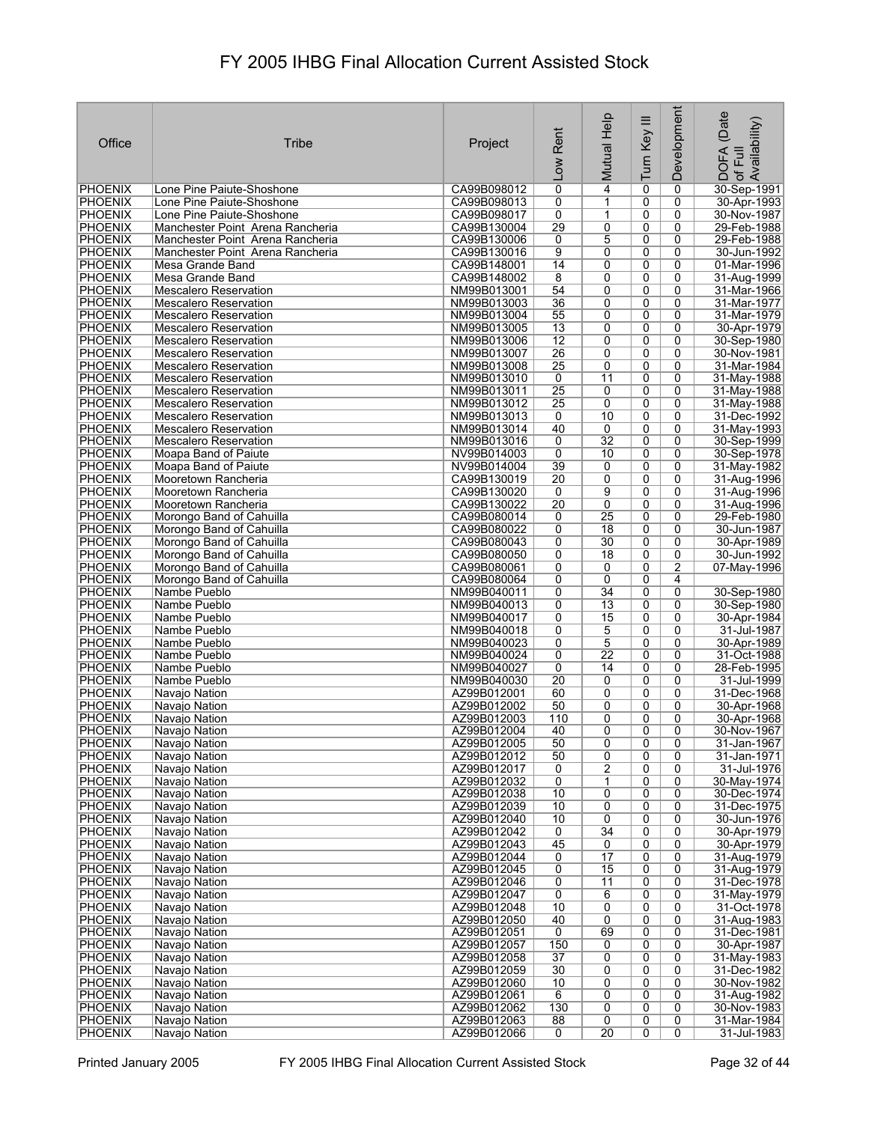| Office                           | <b>Tribe</b>                                                 | Project                    | Rent<br>Low           | Mutual Help           | Turn Key III        | <b>Development</b> | (Date<br>of Full<br>Availability)<br><b>DOFA</b> |
|----------------------------------|--------------------------------------------------------------|----------------------------|-----------------------|-----------------------|---------------------|--------------------|--------------------------------------------------|
| <b>PHOENIX</b>                   | Lone Pine Paiute-Shoshone                                    | CA99B098012                | 0                     | $\overline{4}$        | 0                   | 0                  | 30-Sep-1991                                      |
| <b>PHOENIX</b>                   | Lone Pine Paiute-Shoshone                                    | CA99B098013                | 0                     | 1                     | 0                   | $\mathbf{0}$       | 30-Apr-1993                                      |
| <b>PHOENIX</b>                   | Lone Pine Paiute-Shoshone                                    | CA99B098017                | 0                     | 1                     | 0                   | $\mathbf{0}$       | 30-Nov-1987                                      |
| PHOENIX                          | Manchester Point Arena Rancheria                             | CA99B130004                | 29                    | 0                     | 0                   | 0                  | 29-Feb-1988                                      |
| <b>PHOENIX</b>                   | Manchester Point Arena Rancheria                             | CA99B130006                | 0                     | 5                     | 0                   | 0                  | 29-Feb-1988                                      |
| <b>PHOENIX</b><br><b>PHOENIX</b> | Manchester Point Arena Rancheria                             | CA99B130016<br>CA99B148001 | 9<br>14               | 0<br>0                | 0<br>$\overline{0}$ | 0<br>0             | 30-Jun-1992<br>01-Mar-1996                       |
| <b>PHOENIX</b>                   | Mesa Grande Band<br>Mesa Grande Band                         | CA99B148002                | 8                     | 0                     | 0                   | 0                  | 31-Aug-1999                                      |
| <b>PHOENIX</b>                   | <b>Mescalero Reservation</b>                                 | NM99B013001                | 54                    | 0                     | $\overline{0}$      | 0                  | 31-Mar-1966                                      |
| PHOENIX                          | <b>Mescalero Reservation</b>                                 | NM99B013003                | 36                    | 0                     | 0                   | 0                  | 31-Mar-1977                                      |
| <b>PHOENIX</b>                   | <b>Mescalero Reservation</b>                                 | NM99B013004                | 55                    | 0                     | 0                   | 0                  | 31-Mar-1979                                      |
| <b>PHOENIX</b>                   | <b>Mescalero Reservation</b>                                 | NM99B013005                | 13                    | 0                     | 0                   | 0                  | 30-Apr-1979                                      |
| <b>PHOENIX</b>                   | <b>Mescalero Reservation</b>                                 | NM99B013006                | $\overline{12}$       | 0                     | 0                   | 0                  | 30-Sep-1980                                      |
| <b>PHOENIX</b>                   | <b>Mescalero Reservation</b>                                 | NM99B013007                | 26                    | 0                     | 0                   | 0                  | 30-Nov-1981                                      |
| <b>PHOENIX</b>                   | <b>Mescalero Reservation</b>                                 | NM99B013008                | 25                    | 0                     | 0                   | 0                  | 31-Mar-1984                                      |
| <b>PHOENIX</b>                   | <b>Mescalero Reservation</b>                                 | NM99B013010                | 0                     | 11                    | 0                   | 0                  | 31-May-1988                                      |
| <b>PHOENIX</b>                   | <b>Mescalero Reservation</b>                                 | NM99B013011                | $\overline{25}$<br>25 | 0<br>0                | 0<br>0              | 0<br>0             | 31-May-1988                                      |
| PHOENIX<br><b>PHOENIX</b>        | <b>Mescalero Reservation</b><br><b>Mescalero Reservation</b> | NM99B013012<br>NM99B013013 | 0                     | 10                    | $\overline{0}$      | $\overline{0}$     | 31-May-1988<br>31-Dec-1992                       |
| <b>PHOENIX</b>                   | <b>Mescalero Reservation</b>                                 | NM99B013014                | 40                    | 0                     | 0                   | 0                  | 31-May-1993                                      |
| <b>PHOENIX</b>                   | <b>Mescalero Reservation</b>                                 | NM99B013016                | 0                     | $\overline{32}$       | 0                   | 0                  | 30-Sep-1999                                      |
| <b>PHOENIX</b>                   | Moapa Band of Paiute                                         | NV99B014003                | $\overline{0}$        | 10                    | $\overline{0}$      | $\overline{0}$     | 30-Sep-1978                                      |
| <b>PHOENIX</b>                   | Moapa Band of Paiute                                         | NV99B014004                | 39                    | 0                     | 0                   | 0                  | 31-May-1982                                      |
| <b>PHOENIX</b>                   | Mooretown Rancheria                                          | CA99B130019                | $\overline{20}$       | 0                     | 0                   | 0                  | 31-Aug-1996                                      |
| <b>PHOENIX</b>                   | Mooretown Rancheria                                          | CA99B130020                | 0                     | $\overline{9}$        | 0                   | 0                  | 31-Aug-1996                                      |
| <b>PHOENIX</b>                   | Mooretown Rancheria                                          | CA99B130022                | 20                    | $\overline{0}$        | 0                   | 0                  | 31-Aug-1996                                      |
| <b>PHOENIX</b>                   | Morongo Band of Cahuilla                                     | CA99B080014                | 0                     | 25                    | 0                   | 0                  | 29-Feb-1980                                      |
| <b>PHOENIX</b>                   | Morongo Band of Cahuilla                                     | CA99B080022                | 0                     | $\overline{18}$       | 0                   | $\mathbf{0}$       | 30-Jun-1987                                      |
| PHOENIX<br><b>PHOENIX</b>        | Morongo Band of Cahuilla<br>Morongo Band of Cahuilla         | CA99B080043<br>CA99B080050 | 0<br>0                | 30<br>$\overline{18}$ | 0<br>$\overline{0}$ | 0<br>0             | 30-Apr-1989<br>30-Jun-1992                       |
| <b>PHOENIX</b>                   | Morongo Band of Cahuilla                                     | CA99B080061                | 0                     | 0                     | 0                   | $\overline{2}$     | 07-May-1996                                      |
| <b>PHOENIX</b>                   | Morongo Band of Cahuilla                                     | CA99B080064                | 0                     | 0                     | 0                   | 4                  |                                                  |
| <b>PHOENIX</b>                   | Nambe Pueblo                                                 | NM99B040011                | 0                     | 34                    | 0                   | 0                  | 30-Sep-1980                                      |
| PHOENIX                          | Nambe Pueblo                                                 | NM99B040013                | 0                     | $\overline{13}$       | $\overline{0}$      | 0                  | 30-Sep-1980                                      |
| PHOENIX                          | Nambe Pueblo                                                 | NM99B040017                | 0                     | 15                    | 0                   | 0                  | 30-Apr-1984                                      |
| PHOENIX                          | Nambe Pueblo                                                 | NM99B040018                | 0                     | 5                     | 0                   | 0                  | 31-Jul-1987                                      |
| <b>PHOENIX</b>                   | Nambe Pueblo                                                 | NM99B040023                | 0                     | 5                     | 0                   | 0                  | 30-Apr-1989                                      |
| <b>PHOENIX</b>                   | Nambe Pueblo                                                 | NM99B040024                | 0                     | 22                    | 0                   | 0                  | 31-Oct-1988                                      |
| <b>PHOENIX</b><br><b>PHOENIX</b> | Nambe Pueblo<br>Nambe Pueblo                                 | NM99B040027<br>NM99B040030 | 0<br>$\overline{20}$  | 14<br>0               | 0<br>0              | 0<br>0             | 28-Feb-1995<br>31-Jul-1999                       |
| <b>PHOENIX</b>                   | Navajo Nation                                                | AZ99B012001                | 60                    | 0                     | 0                   | 0                  | 31-Dec-1968                                      |
| PHOENIX                          | Navajo Nation                                                | AZ99B012002                | 50                    | 0                     | 0                   | 0                  | 30-Apr-1968                                      |
| PHOENIX                          | Navajo Nation                                                | AZ99B012003                | 110                   | 0                     | 0                   | 0                  | 30-Apr-1968                                      |
| PHOENIX                          | Navajo Nation                                                | AZ99B012004                | 40                    | $\overline{0}$        | $\overline{0}$      | $\overline{0}$     | 30-Nov-1967                                      |
| <b>PHOENIX</b>                   | Navajo Nation                                                | AZ99B012005                | 50                    | 0                     | 0                   | 0                  | 31-Jan-1967                                      |
| <b>PHOENIX</b>                   | Navajo Nation                                                | AZ99B012012                | 50                    | 0                     | 0                   | 0                  | 31-Jan-1971                                      |
| <b>PHOENIX</b>                   | Navajo Nation                                                | AZ99B012017                | 0                     | $\overline{2}$        | $\overline{0}$      | $\overline{0}$     | 31-Jul-1976                                      |
| <b>PHOENIX</b>                   | Navajo Nation                                                | AZ99B012032                | 0                     | 1                     | 0                   | 0                  | 30-May-1974                                      |
| <b>PHOENIX</b><br><b>PHOENIX</b> | Navajo Nation<br>Navajo Nation                               | AZ99B012038<br>AZ99B012039 | 10<br>10              | 0<br>0                | 0<br>0              | 0<br>0             | 30-Dec-1974<br>31-Dec-1975                       |
| <b>PHOENIX</b>                   | Navajo Nation                                                | AZ99B012040                | 10                    | 0                     | 0                   | 0                  | 30-Jun-1976                                      |
| <b>PHOENIX</b>                   | Navajo Nation                                                | AZ99B012042                | 0                     | $\overline{34}$       | 0                   | 0                  | 30-Apr-1979                                      |
| <b>PHOENIX</b>                   | Navajo Nation                                                | AZ99B012043                | $\overline{45}$       | 0                     | 0                   | 0                  | 30-Apr-1979                                      |
| <b>PHOENIX</b>                   | Navajo Nation                                                | AZ99B012044                | 0                     | 17                    | 0                   | 0                  | 31-Aug-1979                                      |
| <b>PHOENIX</b>                   | Navajo Nation                                                | AZ99B012045                | $\overline{0}$        | 15                    | 0                   | 0                  | 31-Aug-1979                                      |
| <b>PHOENIX</b>                   | Navajo Nation                                                | AZ99B012046                | 0                     | 11                    | 0                   | 0                  | 31-Dec-1978                                      |
| <b>PHOENIX</b>                   | Navajo Nation                                                | AZ99B012047                | 0                     | 6                     | 0                   | 0                  | 31-May-1979                                      |
| <b>PHOENIX</b>                   | Navajo Nation                                                | AZ99B012048                | 10                    | 0                     | $\overline{0}$      | 0                  | 31-Oct-1978                                      |
| <b>PHOENIX</b><br>PHOENIX        | Navajo Nation<br>Navajo Nation                               | AZ99B012050<br>AZ99B012051 | 40<br>0               | $\overline{0}$<br>69  | $\overline{0}$<br>0 | 0<br>0             | 31-Aug-1983<br>31-Dec-1981                       |
| <b>PHOENIX</b>                   | Navajo Nation                                                | AZ99B012057                | 150                   | 0                     | 0                   | 0                  | 30-Apr-1987                                      |
| <b>PHOENIX</b>                   | Navajo Nation                                                | AZ99B012058                | $\overline{37}$       | 0                     | 0                   | 0                  | 31-May-1983                                      |
| <b>PHOENIX</b>                   | Navajo Nation                                                | AZ99B012059                | 30                    | 0                     | 0                   | 0                  | 31-Dec-1982                                      |
| <b>PHOENIX</b>                   | Navajo Nation                                                | AZ99B012060                | 10                    | 0                     | 0                   | 0                  | 30-Nov-1982                                      |
| <b>PHOENIX</b>                   | Navajo Nation                                                | AZ99B012061                | 6                     | 0                     | 0                   | 0                  | 31-Aug-1982                                      |
| PHOENIX                          | Navajo Nation                                                | AZ99B012062                | 130                   | 0                     | 0                   | 0                  | 30-Nov-1983                                      |
| <b>PHOENIX</b>                   | Navajo Nation                                                | AZ99B012063                | 88                    | 0                     | 0                   | 0                  | 31-Mar-1984                                      |
| <b>PHOENIX</b>                   | Navajo Nation                                                | AZ99B012066                | 0                     | 20                    | 0                   | 0                  | 31-Jul-1983                                      |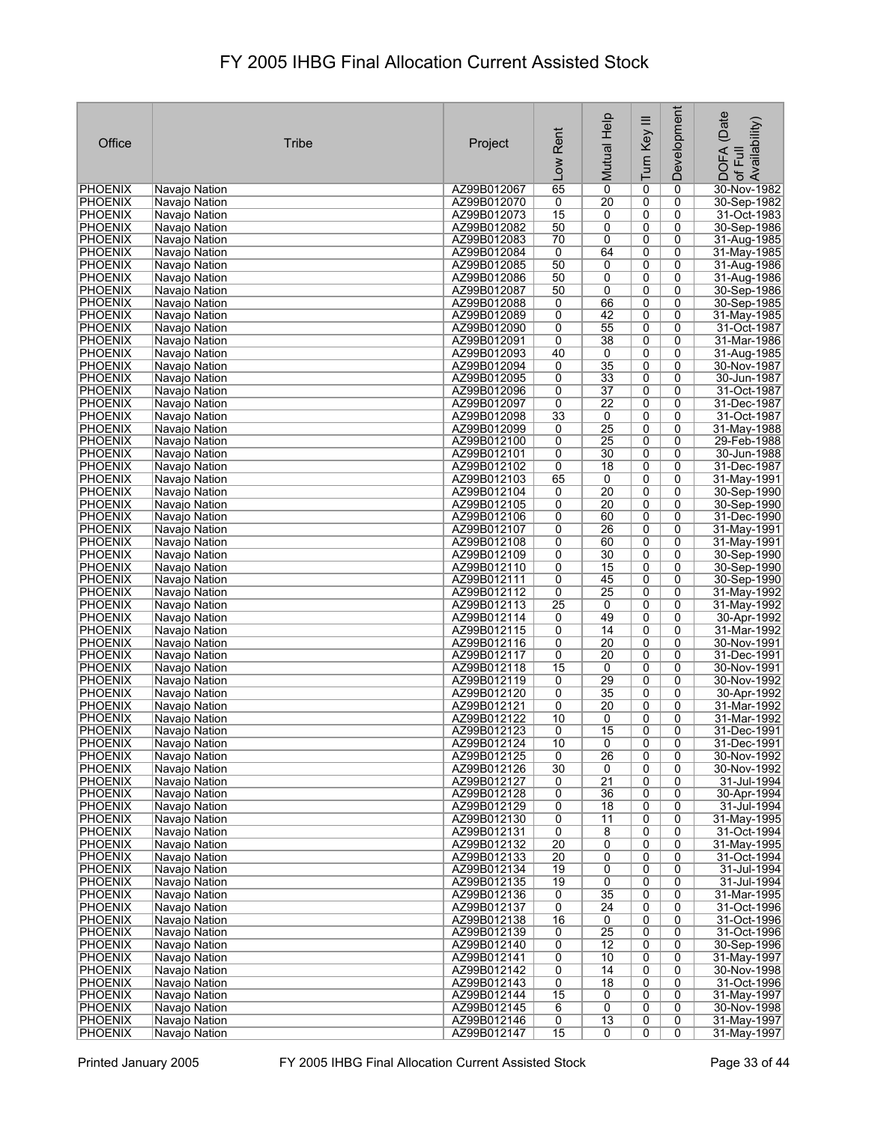| Office                           | Tribe                          | Project                    | Rent<br>Low     | Mutual Help           | Turn Key III        | Development    | (Date<br>Availability)<br><b>DOFA</b><br>Full<br>$\mathcal{P}$ |
|----------------------------------|--------------------------------|----------------------------|-----------------|-----------------------|---------------------|----------------|----------------------------------------------------------------|
| <b>PHOENIX</b>                   | Navajo Nation                  | AZ99B012067                | 65              | $\mathbf 0$           | 0                   | 0              | 30-Nov-1982                                                    |
| <b>PHOENIX</b>                   | Navajo Nation                  | AZ99B012070                | 0               | 20                    | 0                   | 0              | 30-Sep-1982                                                    |
| <b>PHOENIX</b>                   | Navajo Nation                  | AZ99B012073                | $\overline{15}$ | 0                     | 0                   | 0              | 31-Oct-1983                                                    |
| PHOENIX                          | Navajo Nation                  | AZ99B012082                | 50              | 0                     | 0                   | 0              | 30-Sep-1986                                                    |
| <b>PHOENIX</b>                   | Navajo Nation                  | AZ99B012083                | 70              | 0                     | 0                   | 0              | 31-Aug-1985                                                    |
| <b>PHOENIX</b><br><b>PHOENIX</b> | Navajo Nation                  | AZ99B012084<br>AZ99B012085 | 0<br>50         | 64<br>0               | 0<br>$\overline{0}$ | 0<br>0         | 31-May-1985<br>31-Aug-1986                                     |
| <b>PHOENIX</b>                   | Navajo Nation<br>Navajo Nation | AZ99B012086                | 50              | 0                     | 0                   | 0              | 31-Aug-1986                                                    |
| <b>PHOENIX</b>                   | Navajo Nation                  | AZ99B012087                | 50              | $\overline{0}$        | $\overline{0}$      | 0              | 30-Sep-1986                                                    |
| <b>PHOENIX</b>                   | Navajo Nation                  | AZ99B012088                | 0               | 66                    | 0                   | 0              | 30-Sep-1985                                                    |
| PHOENIX                          | Navajo Nation                  | AZ99B012089                | 0               | 42                    | 0                   | 0              | 31-May-1985                                                    |
| <b>PHOENIX</b>                   | Navajo Nation                  | AZ99B012090                | 0               | 55                    | 0                   | 0              | 31-Oct-1987                                                    |
| <b>PHOENIX</b>                   | Navajo Nation                  | AZ99B012091                | 0               | 38                    | 0                   | 0              | 31-Mar-1986                                                    |
| <b>PHOENIX</b>                   | Navajo Nation                  | AZ99B012093                | 40              | 0                     | 0                   | 0              | 31-Aug-1985                                                    |
| <b>PHOENIX</b>                   | Navajo Nation                  | AZ99B012094                | 0               | $\overline{35}$       | 0                   | 0              | 30-Nov-1987                                                    |
| <b>PHOENIX</b><br><b>PHOENIX</b> | Navajo Nation<br>Navajo Nation | AZ99B012095<br>AZ99B012096 | 0<br>0          | 33<br>$\overline{37}$ | 0<br>0              | 0<br>0         | 30-Jun-1987<br>31-Oct-1987                                     |
| <b>PHOENIX</b>                   | Navaio Nation                  | AZ99B012097                | 0               | $\overline{22}$       | 0                   | 0              | 31-Dec-1987                                                    |
| <b>PHOENIX</b>                   | Navajo Nation                  | AZ99B012098                | 33              | $\overline{0}$        | $\overline{0}$      | $\overline{0}$ | 31-Oct-1987                                                    |
| <b>PHOENIX</b>                   | Navajo Nation                  | AZ99B012099                | 0               | $\overline{25}$       | 0                   | 0              | 31-May-1988                                                    |
| <b>PHOENIX</b>                   | Navajo Nation                  | AZ99B012100                | 0               | $\overline{25}$       | 0                   | 0              | 29-Feb-1988                                                    |
| <b>PHOENIX</b>                   | Navajo Nation                  | AZ99B012101                | $\overline{0}$  | 30                    | $\overline{0}$      | $\overline{0}$ | 30-Jun-1988                                                    |
| PHOENIX                          | Navajo Nation                  | AZ99B012102                | 0               | 18                    | 0                   | 0              | 31-Dec-1987                                                    |
| <b>PHOENIX</b>                   | Navajo Nation                  | AZ99B012103                | 65              | 0                     | 0                   | 0              | 31-May-1991                                                    |
| <b>PHOENIX</b>                   | Navajo Nation                  | AZ99B012104                | 0               | $\overline{20}$       | 0                   | 0              | 30-Sep-1990                                                    |
| <b>PHOENIX</b>                   | Navajo Nation                  | AZ99B012105                | $\overline{0}$  | $\overline{20}$       | 0                   | 0              | 30-Sep-1990                                                    |
| <b>PHOENIX</b><br><b>PHOENIX</b> | Navajo Nation<br>Navajo Nation | AZ99B012106<br>AZ99B012107 | 0<br>0          | 60<br>26              | 0<br>0              | 0<br>0         | 31-Dec-1990<br>31-May-1991                                     |
| PHOENIX                          | Navajo Nation                  | AZ99B012108                | 0               | 60                    | 0                   | 0              | 31-May-1991                                                    |
| <b>PHOENIX</b>                   | Navajo Nation                  | AZ99B012109                | 0               | 30                    | $\overline{0}$      | 0              | 30-Sep-1990                                                    |
| <b>PHOENIX</b>                   | Navajo Nation                  | AZ99B012110                | 0               | 15                    | 0                   | 0              | 30-Sep-1990                                                    |
| <b>PHOENIX</b>                   | Navajo Nation                  | AZ99B012111                | 0               | 45                    | 0                   | 0              | 30-Sep-1990                                                    |
| PHOENIX                          | Navajo Nation                  | AZ99B012112                | 0               | $\overline{25}$       | 0                   | 0              | 31-May-1992                                                    |
| PHOENIX                          | Navajo Nation                  | AZ99B012113                | 25              | 0                     | $\overline{0}$      | 0              | 31-May-1992                                                    |
| PHOENIX                          | Navajo Nation                  | AZ99B012114                | 0               | 49                    | 0                   | 0              | 30-Apr-1992                                                    |
| PHOENIX<br><b>PHOENIX</b>        | Navajo Nation<br>Navajo Nation | AZ99B012115<br>AZ99B012116 | 0<br>0          | 14<br>$\overline{20}$ | 0<br>0              | 0<br>0         | 31-Mar-1992<br>30-Nov-1991                                     |
| <b>PHOENIX</b>                   | Navajo Nation                  | AZ99B012117                | 0               | 20                    | 0                   | 0              | 31-Dec-1991                                                    |
| <b>PHOENIX</b>                   | Navajo Nation                  | AZ99B012118                | $\overline{15}$ | 0                     | 0                   | 0              | 30-Nov-1991                                                    |
| <b>PHOENIX</b>                   | Navajo Nation                  | AZ99B012119                | 0               | 29                    | 0                   | 0              | 30-Nov-1992                                                    |
| <b>PHOENIX</b>                   | Navajo Nation                  | AZ99B012120                | 0               | 35                    | 0                   | 0              | 30-Apr-1992                                                    |
| <b>PHOENIX</b>                   | Navajo Nation                  | AZ99B012121                | 0               | 20                    | 0                   | 0              | 31-Mar-1992                                                    |
| PHOENIX                          | Navajo Nation                  | AZ99B012122                | 10              | 0                     | 0                   | 0              | 31-Mar-1992                                                    |
| PHOENIX                          | Navajo Nation                  | AZ99B012123                | 0               | 15                    | $\overline{0}$      | 0              | 31-Dec-1991                                                    |
| <b>PHOENIX</b><br><b>PHOENIX</b> | Navajo Nation<br>Navajo Nation | AZ99B012124<br>AZ99B012125 | 10<br>0         | 0<br>$\overline{26}$  | 0<br>0              | 0<br>0         | 31-Dec-1991<br>30-Nov-1992                                     |
| <b>PHOENIX</b>                   | Navajo Nation                  | AZ99B012126                | 30              | $\overline{0}$        | $\overline{0}$      | $\overline{0}$ | 30-Nov-1992                                                    |
| <b>PHOENIX</b>                   | Navajo Nation                  | AZ99B012127                | 0               | $\overline{21}$       | 0                   | 0              | 31-Jul-1994                                                    |
| <b>PHOENIX</b>                   | Navajo Nation                  | AZ99B012128                | 0               | 36                    | 0                   | 0              | 30-Apr-1994                                                    |
| <b>PHOENIX</b>                   | Navajo Nation                  | AZ99B012129                | 0               | 18                    | 0                   | 0              | 31-Jul-1994                                                    |
| <b>PHOENIX</b>                   | Navajo Nation                  | AZ99B012130                | 0               | 11                    | 0                   | 0              | 31-May-1995                                                    |
| <b>PHOENIX</b>                   | Navajo Nation                  | AZ99B012131                | $\overline{0}$  | $\overline{8}$        | 0                   | 0              | 31-Oct-1994                                                    |
| <b>PHOENIX</b>                   | Navajo Nation                  | AZ99B012132                | $\overline{20}$ | 0                     | 0                   | 0              | 31-May-1995                                                    |
| <b>PHOENIX</b><br><b>PHOENIX</b> | Navajo Nation<br>Navajo Nation | AZ99B012133<br>AZ99B012134 | 20<br>19        | 0<br>0                | 0<br>0              | 0<br>0         | 31-Oct-1994<br>31-Jul-1994                                     |
| PHOENIX                          | Navajo Nation                  | AZ99B012135                | 19              | 0                     | 0                   | 0              | 31-Jul-1994                                                    |
| <b>PHOENIX</b>                   | Navajo Nation                  | AZ99B012136                | 0               | $\overline{35}$       | 0                   | 0              | 31-Mar-1995                                                    |
| <b>PHOENIX</b>                   | Navajo Nation                  | AZ99B012137                | $\overline{0}$  | $\overline{24}$       | 0                   | 0              | 31-Oct-1996                                                    |
| <b>PHOENIX</b>                   | Navajo Nation                  | AZ99B012138                | 16              | 0                     | 0                   | 0              | 31-Oct-1996                                                    |
| PHOENIX                          | Navajo Nation                  | AZ99B012139                | 0               | 25                    | 0                   | 0              | 31-Oct-1996                                                    |
| <b>PHOENIX</b>                   | Navajo Nation                  | AZ99B012140                | 0               | 12                    | 0                   | 0              | 30-Sep-1996                                                    |
| <b>PHOENIX</b>                   | Navajo Nation                  | AZ99B012141                | 0               | 10                    | 0                   | 0              | 31-May-1997                                                    |
| <b>PHOENIX</b><br><b>PHOENIX</b> | Navajo Nation<br>Navajo Nation | AZ99B012142<br>AZ99B012143 | 0<br>0          | 14<br>$\overline{18}$ | 0<br>0              | 0<br>0         | 30-Nov-1998<br>31-Oct-1996                                     |
| <b>PHOENIX</b>                   | Navajo Nation                  | AZ99B012144                | 15              | 0                     | 0                   | 0              | 31-May-1997                                                    |
| PHOENIX                          | Navajo Nation                  | AZ99B012145                | 6               | 0                     | 0                   | 0              | 30-Nov-1998                                                    |
| <b>PHOENIX</b>                   | Navajo Nation                  | AZ99B012146                | 0               | 13                    | 0                   | 0              | 31-May-1997                                                    |
| <b>PHOENIX</b>                   | Navajo Nation                  | AZ99B012147                | $\overline{15}$ | 0                     | 0                   | $\overline{0}$ | 31-May-1997                                                    |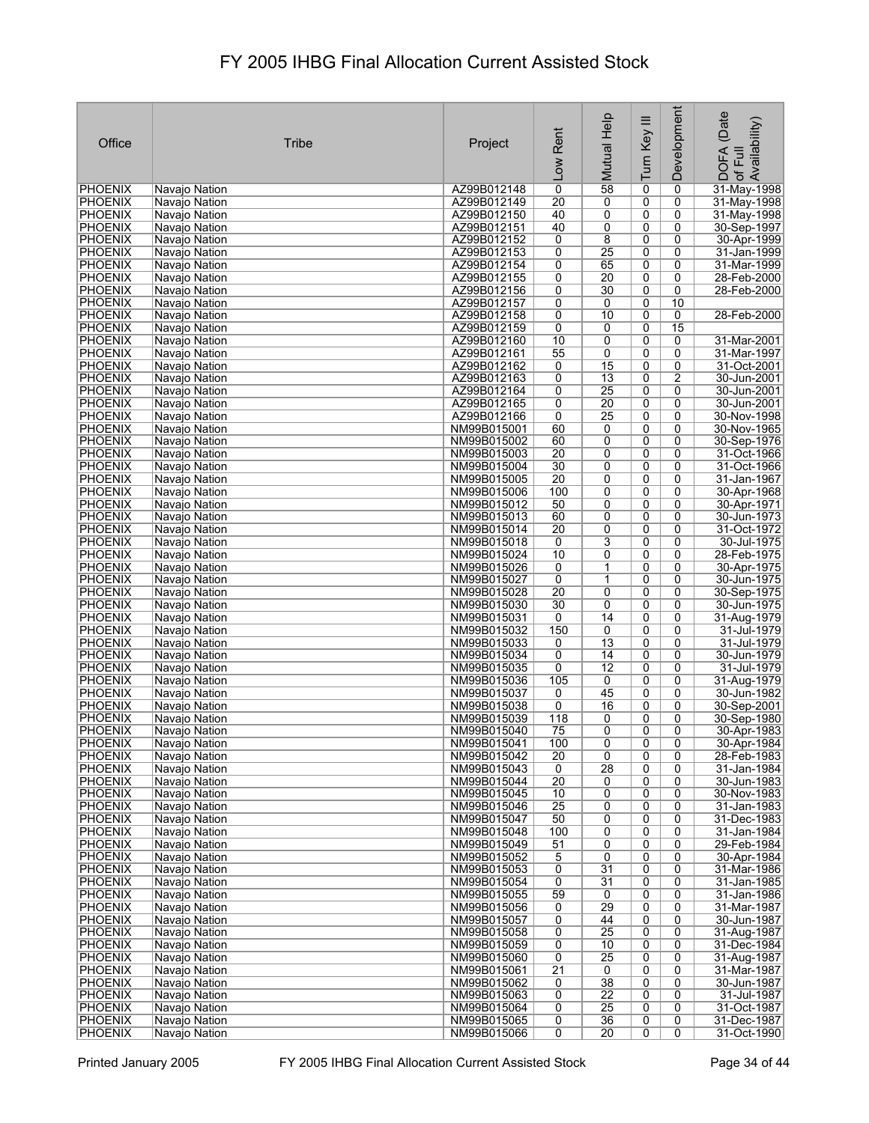|                                  |                                |                            |                      | Mutual Help          | Turn Key III        | Development         | (Date<br>Availability)       |
|----------------------------------|--------------------------------|----------------------------|----------------------|----------------------|---------------------|---------------------|------------------------------|
| Office                           | Tribe                          | Project                    | Rent                 |                      |                     |                     |                              |
|                                  |                                |                            |                      |                      |                     |                     | Full                         |
|                                  |                                |                            | Low                  |                      |                     |                     | <b>DOFA</b><br>$\mathcal{P}$ |
| PHOENIX                          | Navajo Nation                  | AZ99B012148                | 0                    | 58                   | 0                   | 0                   | 31-May-1998                  |
| <b>PHOENIX</b>                   | Navajo Nation                  | AZ99B012149                | $\overline{20}$      | 0                    | 0                   | 0                   | 31-May-1998                  |
| <b>PHOENIX</b>                   | Navajo Nation                  | AZ99B012150                | 40                   | 0                    | 0                   | 0                   | 31-May-1998                  |
| PHOENIX                          | Navajo Nation                  | AZ99B012151                | 40                   | 0                    | 0                   | 0                   | 30-Sep-1997                  |
| <b>PHOENIX</b><br><b>PHOENIX</b> | Navajo Nation<br>Navajo Nation | AZ99B012152<br>AZ99B012153 | 0<br>0               | 8<br>25              | 0<br>0              | 0<br>0              | 30-Apr-1999<br>31-Jan-1999   |
| <b>PHOENIX</b>                   | Navajo Nation                  | AZ99B012154                | 0                    | 65                   | 0                   | 0                   | 31-Mar-1999                  |
| <b>PHOENIX</b>                   | Navajo Nation                  | AZ99B012155                | 0                    | $\overline{20}$      | 0                   | 0                   | 28-Feb-2000                  |
| <b>PHOENIX</b>                   | Navajo Nation                  | AZ99B012156                | 0                    | 30                   | 0                   | 0                   | 28-Feb-2000                  |
| PHOENIX                          | Navajo Nation                  | AZ99B012157                | 0                    | 0                    | 0                   | 10                  |                              |
| PHOENIX<br><b>PHOENIX</b>        | Navajo Nation<br>Navajo Nation | AZ99B012158<br>AZ99B012159 | 0<br>0               | 10<br>0              | $\overline{0}$<br>0 | 0<br>15             | 28-Feb-2000                  |
| PHOENIX                          | Navajo Nation                  | AZ99B012160                | 10                   | 0                    | 0                   | 0                   | 31-Mar-2001                  |
| PHOENIX                          | Navajo Nation                  | AZ99B012161                | 55                   | 0                    | 0                   | 0                   | 31-Mar-1997                  |
| <b>PHOENIX</b>                   | Navajo Nation                  | AZ99B012162                | 0                    | 15                   | 0                   | 0                   | 31-Oct-2001                  |
| PHOENIX                          | Navajo Nation                  | AZ99B012163                | 0                    | $\overline{13}$      | 0                   | 2                   | 30-Jun-2001                  |
| <b>PHOENIX</b><br><b>PHOENIX</b> | Navajo Nation<br>Navajo Nation | AZ99B012164<br>AZ99B012165 | 0<br>0               | 25<br>20             | 0<br>0              | 0<br>0              | 30-Jun-2001<br>30-Jun-2001   |
| <b>PHOENIX</b>                   | Navajo Nation                  | AZ99B012166                | 0                    | 25                   | 0                   | 0                   | 30-Nov-1998                  |
| <b>PHOENIX</b>                   | Navajo Nation                  | NM99B015001                | 60                   | 0                    | 0                   | 0                   | 30-Nov-1965                  |
| <b>PHOENIX</b>                   | Navaio Nation                  | NM99B015002                | 60                   | 0                    | 0                   | 0                   | 30-Sep-1976                  |
| PHOENIX                          | Navajo Nation                  | NM99B015003                | 20                   | $\overline{0}$       | $\overline{0}$      | $\overline{0}$      | 31-Oct-1966                  |
| PHOENIX<br><b>PHOENIX</b>        | Navajo Nation<br>Navajo Nation | NM99B015004<br>NM99B015005 | 30<br>20             | 0<br>0               | 0<br>0              | 0<br>0              | 31-Oct-1966<br>31-Jan-1967   |
| <b>PHOENIX</b>                   | Navajo Nation                  | NM99B015006                | 100                  | 0                    | 0                   | $\overline{0}$      | 30-Apr-1968                  |
| <b>PHOENIX</b>                   | Navajo Nation                  | NM99B015012                | 50                   | 0                    | 0                   | 0                   | 30-Apr-1971                  |
| PHOENIX                          | Navajo Nation                  | NM99B015013                | 60                   | 0                    | 0                   | 0                   | 30-Jun-1973                  |
| <b>PHOENIX</b>                   | Navajo Nation                  | NM99B015014                | $\overline{20}$      | 0                    | 0                   | 0                   | 31-Oct-1972                  |
| PHOENIX<br><b>PHOENIX</b>        | Navajo Nation<br>Navajo Nation | NM99B015018<br>NM99B015024 | 0<br>10              | 3<br>0               | 0<br>0              | 0<br>0              | 30-Jul-1975<br>28-Feb-1975   |
| <b>PHOENIX</b>                   | Navajo Nation                  | NM99B015026                | 0                    | 1                    | 0                   | 0                   | 30-Apr-1975                  |
| <b>PHOENIX</b>                   | Navajo Nation                  | NM99B015027                | 0                    | 1                    | 0                   | 0                   | 30-Jun-1975                  |
| <b>PHOENIX</b>                   | Navajo Nation                  | NM99B015028                | $\overline{20}$      | 0                    | 0                   | 0                   | 30-Sep-1975                  |
| <b>PHOENIX</b>                   | Navajo Nation                  | NM99B015030                | 30                   | 0                    | 0                   | 0                   | 30-Jun-1975                  |
| PHOENIX<br><b>PHOENIX</b>        | Navajo Nation<br>Navajo Nation | NM99B015031<br>NM99B015032 | 0<br>150             | 14<br>0              | 0<br>0              | 0<br>0              | 31-Aug-1979<br>31-Jul-1979   |
| <b>PHOENIX</b>                   | Navajo Nation                  | NM99B015033                | 0                    | $\overline{13}$      | 0                   | 0                   | 31-Jul-1979                  |
| PHOENIX                          | Navajo Nation                  | NM99B015034                | 0                    | 14                   | 0                   | 0                   | 30-Jun-1979                  |
| PHOENIX                          | Navajo Nation                  | NM99B015035                | 0                    | $\overline{12}$      | 0                   | 0                   | 31-Jul-1979                  |
| <b>PHOENIX</b><br><b>PHOENIX</b> | Navajo Nation                  | NM99B015036                | 105                  | 0                    | 0                   | 0<br>0              | 31-Aug-1979                  |
| <b>PHOENIX</b>                   | Navajo Nation<br>Navajo Nation | NM99B015037<br>NM99B015038 | 0<br>0               | 45<br>16             | 0<br>0              | 0                   | 30-Jun-1982<br>30-Sep-2001   |
| <b>PHOENIX</b>                   | Navajo Nation                  | NM99B015039                | 118                  | 0                    | 0                   | 0                   | 30-Sep-1980                  |
| <b>PHOENIX</b>                   | Navajo Nation                  | NM99B015040                | 75                   | 0                    | $\overline{0}$      | 0                   | 30-Apr-1983                  |
| <b>PHOENIX</b>                   | Navajo Nation                  | NM99B015041                | 100                  | 0                    | 0                   | 0                   | 30-Apr-1984                  |
| PHOENIX<br><b>PHOENIX</b>        | Navajo Nation<br>Navajo Nation | NM99B015042<br>NM99B015043 | 20<br>0              | 0<br>$\overline{28}$ | 0<br>$\overline{0}$ | 0<br>$\overline{0}$ | 28-Feb-1983<br>31-Jan-1984   |
| <b>PHOENIX</b>                   | Navajo Nation                  | NM99B015044                | 20                   | 0                    | 0                   | 0                   | 30-Jun-1983                  |
| <b>PHOENIX</b>                   | Navajo Nation                  | NM99B015045                | 10                   | 0                    | 0                   | 0                   | 30-Nov-1983                  |
| <b>PHOENIX</b>                   | Navajo Nation                  | NM99B015046                | 25                   | 0                    | 0                   | $\overline{0}$      | 31-Jan-1983                  |
| <b>PHOENIX</b>                   | Navajo Nation                  | NM99B015047                | 50                   | 0                    | 0                   | 0                   | 31-Dec-1983                  |
| <b>PHOENIX</b><br><b>PHOENIX</b> | Navajo Nation<br>Navajo Nation | NM99B015048<br>NM99B015049 | 100<br>51            | 0<br>0               | 0<br>0              | 0<br>0              | 31-Jan-1984<br>29-Feb-1984   |
| <b>PHOENIX</b>                   | Navajo Nation                  | NM99B015052                | 5                    | 0                    | 0                   | 0                   | 30-Apr-1984                  |
| <b>PHOENIX</b>                   | Navajo Nation                  | NM99B015053                | 0                    | $\overline{31}$      | 0                   | 0                   | 31-Mar-1986                  |
| <b>PHOENIX</b>                   | Navajo Nation                  | NM99B015054                | 0                    | 31                   | 0                   | 0                   | 31-Jan-1985                  |
| PHOENIX                          | Navajo Nation                  | NM99B015055                | 59                   | 0                    | 0                   | 0                   | 31-Jan-1986                  |
| PHOENIX<br><b>PHOENIX</b>        | Navajo Nation<br>Navajo Nation | NM99B015056<br>NM99B015057 | 0<br>0               | 29<br>44             | 0<br>0              | 0<br>0              | 31-Mar-1987<br>30-Jun-1987   |
| <b>PHOENIX</b>                   | Navajo Nation                  | NM99B015058                | 0                    | 25                   | 0                   | 0                   | 31-Aug-1987                  |
| <b>PHOENIX</b>                   | Navajo Nation                  | NM99B015059                | 0                    | 10                   | 0                   | 0                   | 31-Dec-1984                  |
| <b>PHOENIX</b>                   | Navajo Nation                  | NM99B015060                | 0                    | $\overline{25}$      | 0                   | 0                   | 31-Aug-1987                  |
| <b>PHOENIX</b><br><b>PHOENIX</b> | Navajo Nation<br>Navajo Nation | NM99B015061<br>NM99B015062 | $\overline{21}$<br>0 | 0<br>38              | 0<br>0              | 0<br>0              | 31-Mar-1987<br>30-Jun-1987   |
| <b>PHOENIX</b>                   | Navajo Nation                  | NM99B015063                | 0                    | $\overline{22}$      | 0                   | 0                   | 31-Jul-1987                  |
| <b>PHOENIX</b>                   | Navajo Nation                  | NM99B015064                | 0                    | 25                   | 0                   | 0                   | 31-Oct-1987                  |
| <b>PHOENIX</b>                   | Navajo Nation                  | NM99B015065                | 0                    | 36                   | 0                   | 0                   | 31-Dec-1987                  |
| <b>PHOENIX</b>                   | Navajo Nation                  | NM99B015066                | 0                    | $\overline{20}$      | 0                   | 0                   | 31-Oct-1990                  |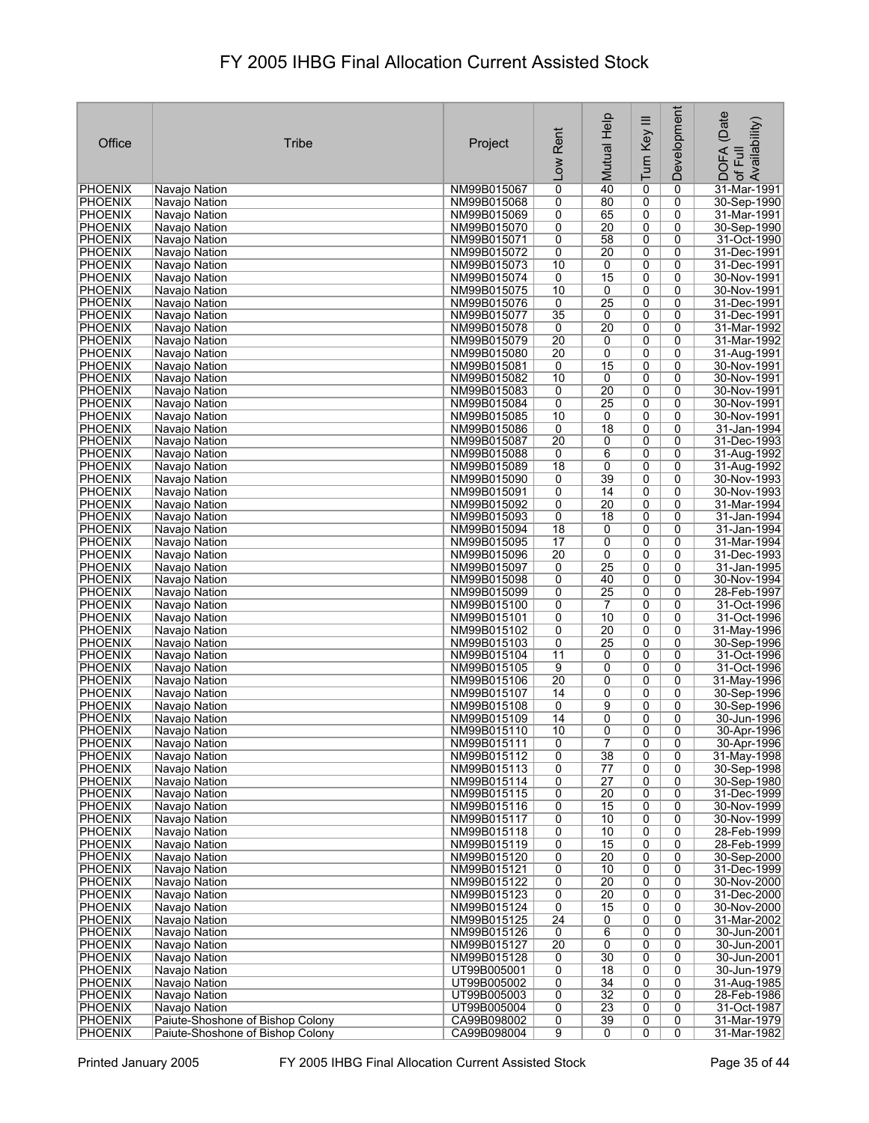| Office                           | Tribe                            | Project                    | Rent<br><b>Low</b>  | Mutual Help          | Turn Key III   | Development         | (Date<br>of Full<br>Availability)<br><b>DOFA</b> |
|----------------------------------|----------------------------------|----------------------------|---------------------|----------------------|----------------|---------------------|--------------------------------------------------|
| <b>PHOENIX</b>                   | Navajo Nation                    | NM99B015067                | 0                   | 40                   | 0              | 0                   | 31-Mar-1991                                      |
| <b>PHOENIX</b>                   | Navajo Nation                    | NM99B015068                | 0                   | 80                   | 0              | 0                   | 30-Sep-1990                                      |
| <b>PHOENIX</b>                   | Navajo Nation                    | NM99B015069                | 0                   | 65                   | 0              | 0                   | 31-Mar-1991                                      |
| PHOENIX                          | Navajo Nation                    | NM99B015070                | 0                   | 20                   | 0              | 0                   | 30-Sep-1990                                      |
| <b>PHOENIX</b>                   | Navajo Nation                    | NM99B015071                | 0                   | 58                   | 0              | 0                   | 31-Oct-1990                                      |
| <b>PHOENIX</b>                   | Navajo Nation                    | NM99B015072                | 0                   | 20                   | 0              | 0                   | 31-Dec-1991                                      |
| <b>PHOENIX</b><br><b>PHOENIX</b> | Navajo Nation                    | NM99B015073<br>NM99B015074 | 10<br>0             | 0<br>15              | 0              | 0<br>0              | 31-Dec-1991<br>30-Nov-1991                       |
| <b>PHOENIX</b>                   | Navajo Nation<br>Navajo Nation   | NM99B015075                | 10                  | 0                    | 0<br>0         | 0                   | 30-Nov-1991                                      |
| <b>PHOENIX</b>                   | Navajo Nation                    | NM99B015076                | 0                   | 25                   | 0              | 0                   | 31-Dec-1991                                      |
| PHOENIX                          | Navajo Nation                    | NM99B015077                | 35                  | 0                    | $\overline{0}$ | 0                   | 31-Dec-1991                                      |
| <b>PHOENIX</b>                   | Navajo Nation                    | NM99B015078                | 0                   | 20                   | 0              | 0                   | 31-Mar-1992                                      |
| PHOENIX                          | Navajo Nation                    | NM99B015079                | 20                  | 0                    | 0              | 0                   | 31-Mar-1992                                      |
| <b>PHOENIX</b>                   | Navajo Nation                    | NM99B015080                | 20                  | 0                    | 0              | 0                   | 31-Aug-1991                                      |
| <b>PHOENIX</b>                   | Navajo Nation                    | NM99B015081                | 0                   | 15                   | 0              | 0                   | 30-Nov-1991                                      |
| PHOENIX<br><b>PHOENIX</b>        | Navajo Nation<br>Navajo Nation   | NM99B015082<br>NM99B015083 | 10<br>0             | 0<br>20              | 0<br>0         | 0<br>0              | 30-Nov-1991<br>30-Nov-1991                       |
| <b>PHOENIX</b>                   | Navajo Nation                    | NM99B015084                | 0                   | 25                   | 0              | 0                   | 30-Nov-1991                                      |
| <b>PHOENIX</b>                   | Navajo Nation                    | NM99B015085                | 10                  | 0                    | 0              | 0                   | 30-Nov-1991                                      |
| <b>PHOENIX</b>                   | Navajo Nation                    | NM99B015086                | 0                   | 18                   | 0              | 0                   | 31-Jan-1994                                      |
| <b>PHOENIX</b>                   | Navaio Nation                    | NM99B015087                | 20                  | 0                    | 0              | 0                   | 31-Dec-1993                                      |
| <b>PHOENIX</b>                   | Navajo Nation                    | NM99B015088                | 0                   | $6\overline{6}$      | $\overline{0}$ | $\overline{0}$      | 31-Aug-1992                                      |
| PHOENIX                          | Navajo Nation                    | NM99B015089                | $\overline{18}$     | 0                    | 0              | 0                   | 31-Aug-1992                                      |
| <b>PHOENIX</b>                   | Navajo Nation                    | NM99B015090                | 0                   | 39                   | 0              | 0                   | 30-Nov-1993                                      |
| <b>PHOENIX</b><br><b>PHOENIX</b> | Navajo Nation                    | NM99B015091<br>NM99B015092 | 0<br>0              | 14<br>20             | 0<br>0         | $\overline{0}$<br>0 | 30-Nov-1993<br>31-Mar-1994                       |
| PHOENIX                          | Navajo Nation<br>Navajo Nation   | NM99B015093                | 0                   | 18                   | 0              | 0                   | 31-Jan-1994                                      |
| <b>PHOENIX</b>                   | Navajo Nation                    | NM99B015094                | $\overline{18}$     | 0                    | 0              | 0                   | 31-Jan-1994                                      |
| PHOENIX                          | Navajo Nation                    | NM99B015095                | 17                  | 0                    | 0              | 0                   | 31-Mar-1994                                      |
| <b>PHOENIX</b>                   | Navajo Nation                    | NM99B015096                | $\overline{20}$     | 0                    | 0              | 0                   | 31-Dec-1993                                      |
| <b>PHOENIX</b>                   | Navajo Nation                    | NM99B015097                | 0                   | 25                   | 0              | 0                   | 31-Jan-1995                                      |
| <b>PHOENIX</b>                   | Navajo Nation                    | NM99B015098                | 0                   | 40                   | 0              | 0                   | 30-Nov-1994                                      |
| <b>PHOENIX</b>                   | Navajo Nation                    | NM99B015099                | 0                   | 25                   | 0              | 0                   | 28-Feb-1997                                      |
| <b>PHOENIX</b><br>PHOENIX        | Navajo Nation<br>Navajo Nation   | NM99B015100<br>NM99B015101 | 0<br>0              | $\overline{7}$<br>10 | 0<br>0         | 0<br>0              | 31-Oct-1996<br>31-Oct-1996                       |
| <b>PHOENIX</b>                   | Navajo Nation                    | NM99B015102                | 0                   | $\overline{20}$      | 0              | 0                   | 31-May-1996                                      |
| <b>PHOENIX</b>                   | Navajo Nation                    | NM99B015103                | 0                   | $\overline{25}$      | 0              | 0                   | 30-Sep-1996                                      |
| PHOENIX                          | Navajo Nation                    | NM99B015104                | 11                  | 0                    | 0              | 0                   | 31-Oct-1996                                      |
| <b>PHOENIX</b>                   | Navajo Nation                    | NM99B015105                | 9                   | 0                    | 0              | 0                   | 31-Oct-1996                                      |
| <b>PHOENIX</b>                   | Navajo Nation                    | NM99B015106                | 20                  | 0                    | 0              | 0                   | 31-May-1996                                      |
| PHOENIX<br><b>PHOENIX</b>        | Navajo Nation                    | NM99B015107<br>NM99B015108 | 14<br>0             | 0<br>9               | 0<br>0         | 0<br>0              | 30-Sep-1996<br>30-Sep-1996                       |
| <b>PHOENIX</b>                   | Navajo Nation<br>Navajo Nation   | NM99B015109                | 14                  | 0                    | 0              | 0                   | 30-Jun-1996                                      |
| PHOENIX                          | Navajo Nation                    | NM99B015110                | 10                  | 0                    | $\overline{0}$ | 0                   | 30-Apr-1996                                      |
| <b>PHOENIX</b>                   | Navajo Nation                    | NM99B015111                | 0                   | $\overline{7}$       | 0              | 0                   | 30-Apr-1996                                      |
| PHOENIX                          | Navajo Nation                    | NM99B015112                | 0                   | 38                   | 0              | 0                   | 31-May-1998                                      |
| <b>PHOENIX</b>                   | Navajo Nation                    | NM99B015113                | 0                   | 77                   | $\overline{0}$ | $\overline{0}$      | 30-Sep-1998                                      |
| <b>PHOENIX</b>                   | Navaio Nation                    | NM99B015114                | 0                   | $\overline{27}$      | 0              | 0                   | 30-Sep-1980                                      |
| <b>PHOENIX</b><br><b>PHOENIX</b> | Navajo Nation<br>Navajo Nation   | NM99B015115<br>NM99B015116 | 0<br>0              | 20<br>15             | 0<br>0         | 0<br>$\overline{0}$ | 31-Dec-1999<br>30-Nov-1999                       |
| <b>PHOENIX</b>                   | Navajo Nation                    | NM99B015117                | 0                   | 10                   | 0              | 0                   | 30-Nov-1999                                      |
| <b>PHOENIX</b>                   | Navajo Nation                    | NM99B015118                | 0                   | 10                   | 0              | 0                   | 28-Feb-1999                                      |
| <b>PHOENIX</b>                   | Navajo Nation                    | NM99B015119                | 0                   | 15                   | 0              | 0                   | 28-Feb-1999                                      |
| <b>PHOENIX</b>                   | Navajo Nation                    | NM99B015120                | 0                   | $\overline{20}$      | 0              | 0                   | 30-Sep-2000                                      |
| <b>PHOENIX</b>                   | Navajo Nation                    | NM99B015121                | 0                   | 10                   | 0              | 0                   | 31-Dec-1999                                      |
| <b>PHOENIX</b>                   | Navajo Nation                    | NM99B015122                | 0                   | $\overline{20}$      | 0              | 0                   | 30-Nov-2000                                      |
| <b>PHOENIX</b><br>PHOENIX        | Navajo Nation<br>Navajo Nation   | NM99B015123<br>NM99B015124 | 0<br>$\overline{0}$ | 20<br>15             | 0              | 0<br>0              | 31-Dec-2000<br>30-Nov-2000                       |
| <b>PHOENIX</b>                   | Navajo Nation                    | NM99B015125                | $\overline{24}$     | 0                    | 0<br>0         | 0                   | 31-Mar-2002                                      |
| PHOENIX                          | Navajo Nation                    | NM99B015126                | 0                   | 6                    | 0              | 0                   | 30-Jun-2001                                      |
| <b>PHOENIX</b>                   | Navajo Nation                    | NM99B015127                | 20                  | 0                    | 0              | 0                   | 30-Jun-2001                                      |
| <b>PHOENIX</b>                   | Navajo Nation                    | NM99B015128                | 0                   | 30                   | 0              | 0                   | 30-Jun-2001                                      |
| <b>PHOENIX</b>                   | Navajo Nation                    | UT99B005001                | 0                   | 18                   | 0              | 0                   | 30-Jun-1979                                      |
| <b>PHOENIX</b>                   | Navajo Nation                    | UT99B005002                | 0                   | $\overline{34}$      | 0              | 0                   | 31-Aug-1985                                      |
| <b>PHOENIX</b><br><b>PHOENIX</b> | Navajo Nation<br>Navajo Nation   | UT99B005003<br>UT99B005004 | 0<br>0              | 32<br>23             | 0<br>0         | 0<br>0              | 28-Feb-1986<br>31-Oct-1987                       |
| <b>PHOENIX</b>                   | Paiute-Shoshone of Bishop Colony | CA99B098002                | 0                   | 39                   | 0              | 0                   | 31-Mar-1979                                      |
| <b>PHOENIX</b>                   | Paiute-Shoshone of Bishop Colony | CA99B098004                | 9                   | 0                    | 0              | 0                   | 31-Mar-1982                                      |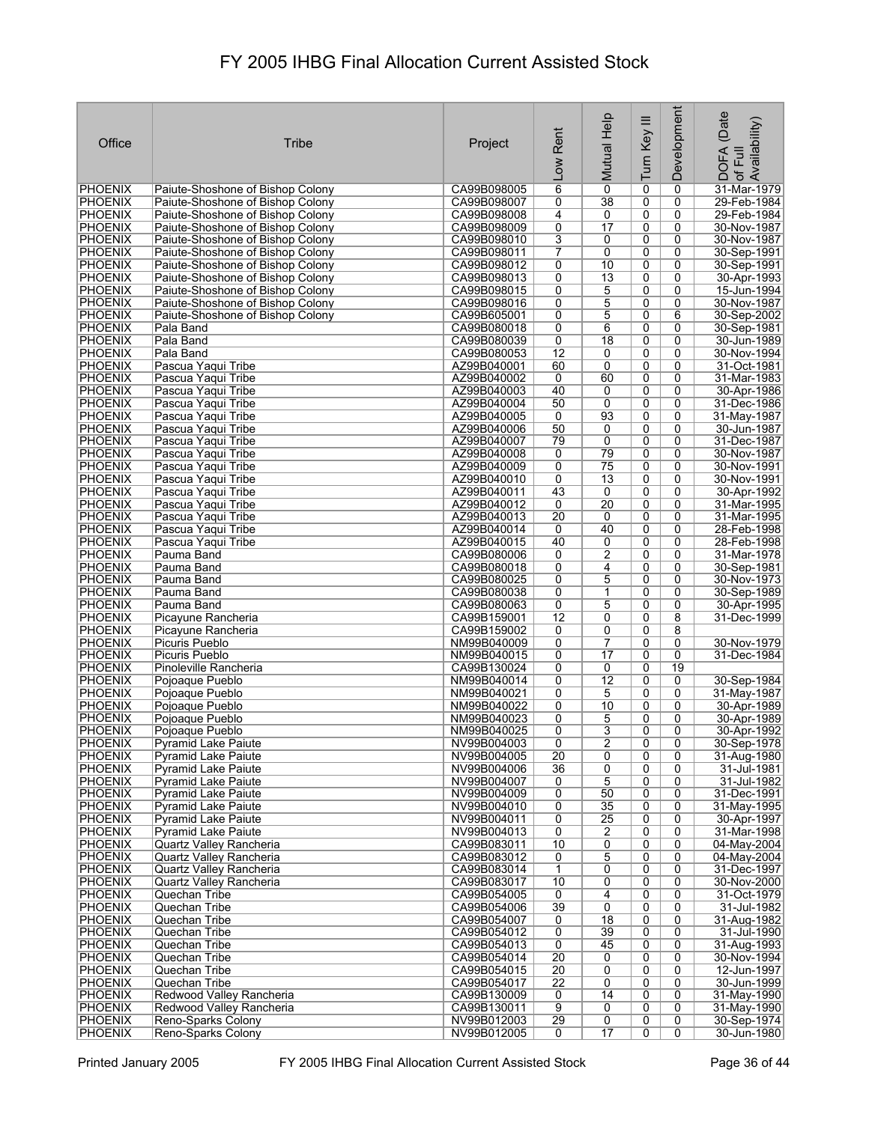|                                  |                                                                      |                            |                      |                      |                                  | Development         | (Date                      |
|----------------------------------|----------------------------------------------------------------------|----------------------------|----------------------|----------------------|----------------------------------|---------------------|----------------------------|
| Office                           | Tribe                                                                | Project                    | Rent                 | Mutual Help          | Turn Key III                     |                     | Availability)              |
|                                  |                                                                      |                            |                      |                      |                                  |                     | <b>DOFA</b><br>Full        |
|                                  |                                                                      |                            | $\overline{100}$     |                      |                                  |                     | $\mathcal{P}$              |
| <b>PHOENIX</b><br><b>PHOENIX</b> | Paiute-Shoshone of Bishop Colony<br>Paiute-Shoshone of Bishop Colony | CA99B098005<br>CA99B098007 | $\overline{6}$<br>0  | $\overline{0}$<br>38 | 0<br>0                           | 0<br>0              | 31-Mar-1979<br>29-Feb-1984 |
| PHOENIX                          | Paiute-Shoshone of Bishop Colony                                     | CA99B098008                | 4                    | 0                    | 0                                | 0                   | 29-Feb-1984                |
| <b>PHOENIX</b>                   | Paiute-Shoshone of Bishop Colony                                     | CA99B098009                | 0                    | $\overline{17}$      | 0                                | 0                   | 30-Nov-1987                |
| <b>PHOENIX</b>                   | Paiute-Shoshone of Bishop Colony                                     | CA99B098010                | 3                    | 0                    | 0                                | 0                   | 30-Nov-1987                |
| <b>PHOENIX</b><br><b>PHOENIX</b> | Paiute-Shoshone of Bishop Colony<br>Paiute-Shoshone of Bishop Colony | CA99B098011<br>CA99B098012 | 7<br>0               | 0<br>10              | 0<br>0                           | 0<br>0              | 30-Sep-1991<br>30-Sep-1991 |
| PHOENIX                          | Paiute-Shoshone of Bishop Colony                                     | CA99B098013                | 0                    | $\overline{13}$      | 0                                | $\mathbf{0}$        | 30-Apr-1993                |
| <b>PHOENIX</b>                   | Paiute-Shoshone of Bishop Colony                                     | CA99B098015                | 0                    | 5                    | 0                                | 0                   | 15-Jun-1994                |
| <b>PHOENIX</b><br><b>PHOENIX</b> | Paiute-Shoshone of Bishop Colony<br>Paiute-Shoshone of Bishop Colony | CA99B098016<br>CA99B605001 | 0<br>0               | 5<br>5               | 0<br>0                           | 0<br>6              | 30-Nov-1987<br>30-Sep-2002 |
| <b>PHOENIX</b>                   | Pala Band                                                            | CA99B080018                | 0                    | 6                    | 0                                | 0                   | 30-Sep-1981                |
| <b>PHOENIX</b>                   | Pala Band                                                            | CA99B080039                | 0                    | 18                   | 0                                | 0                   | 30-Jun-1989                |
| <b>PHOENIX</b>                   | Pala Band                                                            | CA99B080053                | $\overline{12}$      | 0                    | 0                                | 0                   | 30-Nov-1994                |
| <b>PHOENIX</b><br>PHOENIX        | Pascua Yaqui Tribe<br>Pascua Yaqui Tribe                             | AZ99B040001<br>AZ99B040002 | 60<br>0              | 0<br>60              | $\overline{0}$<br>0              | 0<br>0              | 31-Oct-1981<br>31-Mar-1983 |
| <b>PHOENIX</b>                   | Pascua Yaqui Tribe                                                   | AZ99B040003                | 40                   | 0                    | $\overline{0}$                   | 0                   | 30-Apr-1986                |
| <b>PHOENIX</b>                   | Pascua Yaqui Tribe                                                   | AZ99B040004                | 50                   | 0                    | 0                                | 0                   | 31-Dec-1986                |
| <b>PHOENIX</b>                   | Pascua Yaqui Tribe                                                   | AZ99B040005<br>AZ99B040006 | 0<br>50              | 93<br>0              | 0<br>0                           | $\overline{0}$<br>0 | 31-May-1987                |
| <b>PHOENIX</b><br><b>PHOENIX</b> | Pascua Yaqui Tribe<br>Pascua Yaqui Tribe                             | AZ99B040007                | 79                   | 0                    | 0                                | 0                   | 30-Jun-1987<br>31-Dec-1987 |
| <b>PHOENIX</b>                   | Pascua Yaqui Tribe                                                   | AZ99B040008                | 0                    | 79                   | $\overline{0}$                   | 0                   | 30-Nov-1987                |
| <b>PHOENIX</b>                   | Pascua Yaqui Tribe                                                   | AZ99B040009                | 0                    | 75                   | 0                                | 0                   | 30-Nov-1991                |
| <b>PHOENIX</b><br><b>PHOENIX</b> | Pascua Yaqui Tribe<br>Pascua Yaqui Tribe                             | AZ99B040010<br>AZ99B040011 | 0<br>43              | $\overline{13}$<br>0 | 0<br>0                           | 0<br>0              | 30-Nov-1991<br>30-Apr-1992 |
| <b>PHOENIX</b>                   | Pascua Yaqui Tribe                                                   | AZ99B040012                | 0                    | 20                   | 0                                | 0                   | 31-Mar-1995                |
| <b>PHOENIX</b>                   | Pascua Yaqui Tribe                                                   | AZ99B040013                | $\overline{20}$      | 0                    | 0                                | 0                   | 31-Mar-1995                |
| PHOENIX                          | Pascua Yaqui Tribe                                                   | AZ99B040014                | 0                    | 40                   | 0                                | 0                   | 28-Feb-1998                |
| <b>PHOENIX</b><br><b>PHOENIX</b> | Pascua Yaqui Tribe<br>Pauma Band                                     | AZ99B040015<br>CA99B080006 | 40<br>0              | 0<br>$\overline{2}$  | 0<br>$\overline{0}$              | 0<br>0              | 28-Feb-1998<br>31-Mar-1978 |
| <b>PHOENIX</b>                   | Pauma Band                                                           | CA99B080018                | 0                    | 4                    | 0                                | 0                   | 30-Sep-1981                |
| <b>PHOENIX</b>                   | Pauma Band                                                           | CA99B080025                | 0                    | 5                    | 0                                | 0                   | 30-Nov-1973                |
| PHOENIX                          | Pauma Band                                                           | CA99B080038                | 0                    | 1                    | 0                                | 0                   | 30-Sep-1989                |
| <b>PHOENIX</b><br><b>PHOENIX</b> | Pauma Band<br>Picayune Rancheria                                     | CA99B080063<br>CA99B159001 | 0<br>$\overline{12}$ | 5<br>0               | 0<br>0                           | 0<br>8              | 30-Apr-1995<br>31-Dec-1999 |
| <b>PHOENIX</b>                   | Picayune Rancheria                                                   | CA99B159002                | 0                    | 0                    | 0                                | 8                   |                            |
| <b>PHOENIX</b>                   | Picuris Pueblo                                                       | NM99B040009                | 0                    | $\overline{7}$       | 0                                | 0                   | 30-Nov-1979                |
| <b>PHOENIX</b><br><b>PHOENIX</b> | Picuris Pueblo<br>Pinoleville Rancheria                              | NM99B040015<br>CA99B130024 | 0<br>0               | $\overline{17}$<br>0 | 0<br>0                           | 0<br>19             | 31-Dec-1984                |
| <b>PHOENIX</b>                   | Pojoaque Pueblo                                                      | NM99B040014                | 0                    | $\overline{12}$      | 0                                | 0                   | 30-Sep-1984                |
| PHOENIX                          | Pojoaque Pueblo                                                      | NM99B040021                | 0                    | 5                    | 0                                | 0                   | 31-May-1987                |
| PHOENIX                          | Pojoaque Pueblo                                                      | NM99B040022                | 0                    | 10                   | $\overline{0}$                   | 0                   | 30-Apr-1989                |
| PHOENIX<br><b>PHOENIX</b>        | Pojoaque Pueblo<br>Pojoaque Pueblo                                   | NM99B040023<br>NM99B040025 | 0<br>0               | 5<br>3               | 0<br>0                           | 0<br>0              | 30-Apr-1989<br>30-Apr-1992 |
| <b>PHOENIX</b>                   | <b>Pyramid Lake Paiute</b>                                           | NV99B004003                | $\overline{0}$       | $\overline{2}$       | 0                                | 0                   | 30-Sep-1978                |
| <b>PHOENIX</b>                   | <b>Pyramid Lake Paiute</b>                                           | NV99B004005                | $\overline{20}$      | 0                    | 0                                | 0                   | 31-Aug-1980                |
| <b>PHOENIX</b><br><b>PHOENIX</b> | <b>Pyramid Lake Paiute</b><br><b>Pyramid Lake Paiute</b>             | NV99B004006<br>NV99B004007 | $\overline{36}$<br>0 | $\overline{0}$<br>5  | 0<br>0                           | 0<br>0              | 31-Jul-1981<br>31-Jul-1982 |
| <b>PHOENIX</b>                   | Pyramid Lake Paiute                                                  | NV99B004009                | 0                    | 50                   | 0                                | 0                   | 31-Dec-1991                |
| <b>PHOENIX</b>                   | <b>Pyramid Lake Paiute</b>                                           | NV99B004010                | 0                    | 35                   | $\overline{0}$                   | 0                   | 31-May-1995                |
| <b>PHOENIX</b>                   | <b>Pyramid Lake Paiute</b>                                           | NV99B004011                | 0                    | $\overline{25}$      | 0                                | 0                   | 30-Apr-1997                |
| <b>PHOENIX</b><br>PHOENIX        | <b>Pyramid Lake Paiute</b><br>Quartz Vallev Rancheria                | NV99B004013<br>CA99B083011 | 0<br>10              | 2<br>0               | 0<br>0                           | 0<br>$\mathbf 0$    | 31-Mar-1998<br>04-May-2004 |
| <b>PHOENIX</b>                   | Quartz Valley Rancheria                                              | CA99B083012                | 0                    | 5                    | 0                                | 0                   | 04-May-2004                |
| <b>PHOENIX</b>                   | Quartz Valley Rancheria                                              | CA99B083014                | 1                    | $\overline{0}$       | 0                                | 0                   | 31-Dec-1997                |
| <b>PHOENIX</b>                   | Quartz Valley Rancheria                                              | CA99B083017                | 10                   | 0                    | 0                                | 0                   | 30-Nov-2000                |
| <b>PHOENIX</b><br><b>PHOENIX</b> | Quechan Tribe<br>Quechan Tribe                                       | CA99B054005<br>CA99B054006 | 0<br>39              | 4<br>0               | 0<br>0                           | 0<br>0              | 31-Oct-1979<br>31-Jul-1982 |
| <b>PHOENIX</b>                   | Quechan Tribe                                                        | CA99B054007                | 0                    | $\overline{18}$      | 0                                | 0                   | 31-Aug-1982                |
| <b>PHOENIX</b>                   | Quechan Tribe                                                        | CA99B054012                | 0                    | 39                   | 0                                | 0                   | 31-Jul-1990                |
| <b>PHOENIX</b><br><b>PHOENIX</b> | Quechan Tribe<br>Quechan Tribe                                       | CA99B054013<br>CA99B054014 | 0<br>$\overline{20}$ | 45<br>0              | 0<br>0                           | 0<br>0              | 31-Aug-1993<br>30-Nov-1994 |
| <b>PHOENIX</b>                   | Quechan Tribe                                                        | CA99B054015                | 20                   | 0                    | 0                                | 0                   | 12-Jun-1997                |
| <b>PHOENIX</b>                   | Quechan Tribe                                                        | CA99B054017                | $\overline{22}$      | 0                    | 0                                | 0                   | 30-Jun-1999                |
| <b>PHOENIX</b>                   | Redwood Valley Rancheria                                             | CA99B130009                | 0                    | 14                   | 0                                | 0                   | 31-May-1990                |
| <b>PHOENIX</b><br><b>PHOENIX</b> | Redwood Valley Rancheria<br>Reno-Sparks Colony                       | CA99B130011<br>NV99B012003 | $\overline{9}$<br>29 | 0<br>$\overline{0}$  | $\overline{0}$<br>$\overline{0}$ | 0<br>0              | 31-May-1990<br>30-Sep-1974 |
| PHOENIX                          | Reno-Sparks Colony                                                   | NV99B012005                | 0                    | 17                   | 0                                | $\overline{0}$      | 30-Jun-1980                |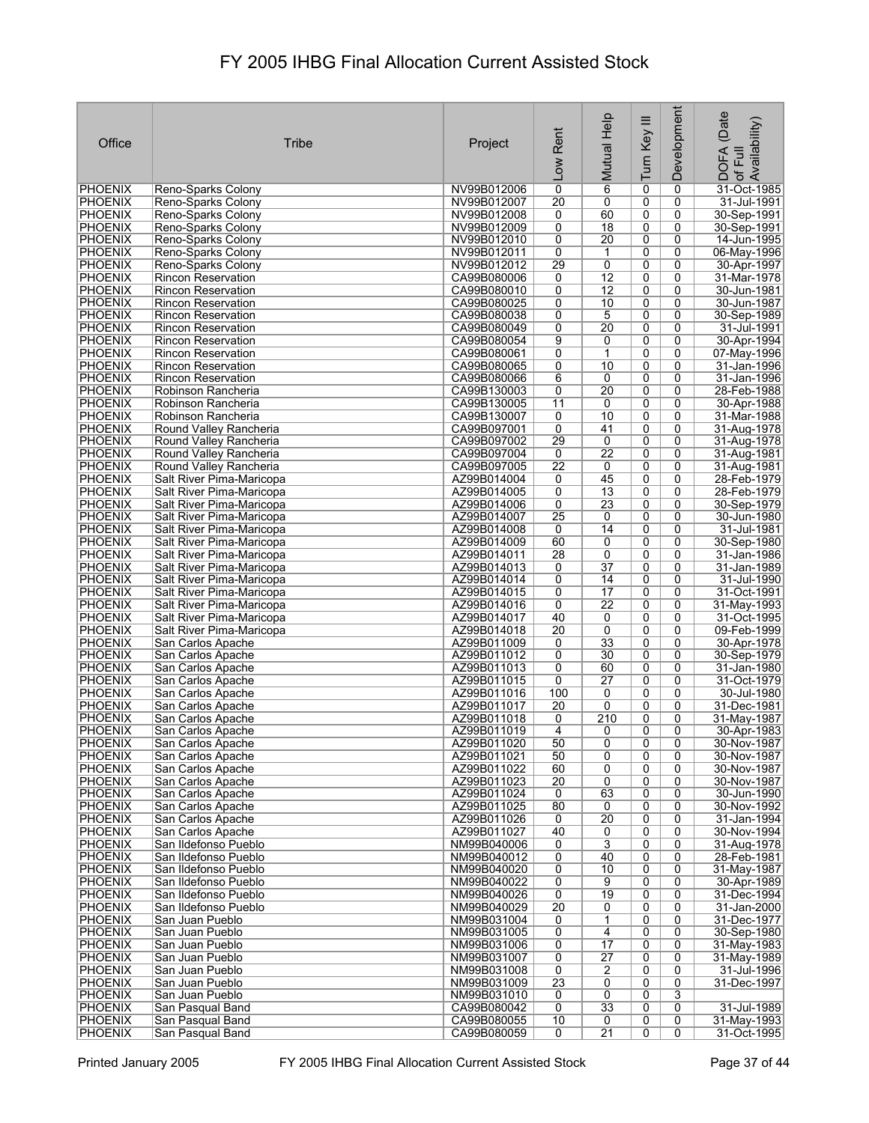| Office                           | Tribe                                                  | Project                    | Rent<br>Low          | Mutual Help          | Turn Key III        | Development         | (Date<br>of Full<br>Availability)<br><b>DOFA</b> |
|----------------------------------|--------------------------------------------------------|----------------------------|----------------------|----------------------|---------------------|---------------------|--------------------------------------------------|
| <b>PHOENIX</b>                   | Reno-Sparks Colony                                     | NV99B012006                | 0                    | $\overline{6}$       | 0                   | 0                   | 31-Oct-1985                                      |
| <b>PHOENIX</b>                   | Reno-Sparks Colony                                     | NV99B012007                | $\overline{20}$      | 0                    | 0                   | 0                   | 31-Jul-1991                                      |
| <b>PHOENIX</b>                   | Reno-Sparks Colony                                     | NV99B012008                | 0                    | 60                   | 0                   | 0                   | 30-Sep-1991                                      |
| <b>PHOENIX</b>                   | Reno-Sparks Colony                                     | NV99B012009                | 0                    | $\overline{18}$      | 0                   | 0                   | 30-Sep-1991                                      |
| <b>PHOENIX</b>                   | Reno-Sparks Colony                                     | NV99B012010                | 0                    | 20                   | 0                   | 0                   | 14-Jun-1995                                      |
| <b>PHOENIX</b><br><b>PHOENIX</b> | Reno-Sparks Colony<br>Reno-Sparks Colony               | NV99B012011<br>NV99B012012 | 0<br>29              | 1<br>0               | 0<br>0              | 0<br>0              | 06-May-1996<br>30-Apr-1997                       |
| <b>PHOENIX</b>                   | <b>Rincon Reservation</b>                              | CA99B080006                | 0                    | $\overline{12}$      | 0                   | 0                   | 31-Mar-1978                                      |
| <b>PHOENIX</b>                   | <b>Rincon Reservation</b>                              | CA99B080010                | 0                    | $\overline{12}$      | 0                   | 0                   | 30-Jun-1981                                      |
| PHOENIX                          | <b>Rincon Reservation</b>                              | CA99B080025                | 0                    | 10                   | 0                   | 0                   | 30-Jun-1987                                      |
| PHOENIX                          | <b>Rincon Reservation</b>                              | CA99B080038                | 0                    | 5                    | $\overline{0}$      | 0                   | 30-Sep-1989                                      |
| <b>PHOENIX</b>                   | <b>Rincon Reservation</b>                              | CA99B080049                | 0                    | 20                   | 0                   | 0                   | 31-Jul-1991                                      |
| PHOENIX<br>PHOENIX               | <b>Rincon Reservation</b><br><b>Rincon Reservation</b> | CA99B080054<br>CA99B080061 | 9<br>0               | 0<br>1               | 0<br>0              | 0<br>0              | 30-Apr-1994<br>07-May-1996                       |
| <b>PHOENIX</b>                   | <b>Rincon Reservation</b>                              | CA99B080065                | 0                    | 10                   | 0                   | 0                   | 31-Jan-1996                                      |
| PHOENIX                          | Rincon Reservation                                     | CA99B080066                | 6                    | 0                    | 0                   | 0                   | 31-Jan-1996                                      |
| <b>PHOENIX</b>                   | Robinson Rancheria                                     | CA99B130003                | 0                    | 20                   | 0                   | 0                   | 28-Feb-1988                                      |
| <b>PHOENIX</b>                   | Robinson Rancheria                                     | CA99B130005                | 11                   | 0                    | 0                   | 0                   | 30-Apr-1988                                      |
| <b>PHOENIX</b>                   | Robinson Rancheria                                     | CA99B130007                | 0                    | 10                   | $\overline{0}$      | 0                   | 31-Mar-1988                                      |
| <b>PHOENIX</b>                   | Round Valley Rancheria                                 | CA99B097001                | 0                    | 41                   | 0                   | 0                   | 31-Aug-1978                                      |
| <b>PHOENIX</b><br><b>PHOENIX</b> | Round Valley Rancheria<br>Round Valley Rancheria       | CA99B097002<br>CA99B097004 | 29<br>$\overline{0}$ | 0<br>$\overline{22}$ | 0<br>$\overline{0}$ | 0<br>$\overline{0}$ | 31-Aug-1978<br>31-Aug-1981                       |
| <b>PHOENIX</b>                   | Round Valley Rancheria                                 | CA99B097005                | $\overline{22}$      | 0                    | 0                   | 0                   | 31-Aug-1981                                      |
| <b>PHOENIX</b>                   | Salt River Pima-Maricopa                               | AZ99B014004                | 0                    | 45                   | 0                   | 0                   | 28-Feb-1979                                      |
| <b>PHOENIX</b>                   | Salt River Pima-Maricopa                               | AZ99B014005                | 0                    | $\overline{13}$      | 0                   | $\overline{0}$      | 28-Feb-1979                                      |
| <b>PHOENIX</b>                   | Salt River Pima-Maricopa                               | AZ99B014006                | 0                    | 23                   | 0                   | 0                   | 30-Sep-1979                                      |
| PHOENIX                          | Salt River Pima-Maricopa                               | AZ99B014007                | 25                   | 0                    | 0                   | 0                   | 30-Jun-1980                                      |
| <b>PHOENIX</b>                   | Salt River Pima-Maricopa                               | AZ99B014008                | 0                    | 14                   | 0                   | 0                   | 31-Jul-1981                                      |
| <b>PHOENIX</b><br><b>PHOENIX</b> | Salt River Pima-Maricopa<br>Salt River Pima-Maricopa   | AZ99B014009<br>AZ99B014011 | 60<br>28             | 0<br>0               | 0<br>0              | 0<br>0              | 30-Sep-1980<br>31-Jan-1986                       |
| <b>PHOENIX</b>                   | Salt River Pima-Maricopa                               | AZ99B014013                | 0                    | $\overline{37}$      | 0                   | 0                   | 31-Jan-1989                                      |
| <b>PHOENIX</b>                   | Salt River Pima-Maricopa                               | AZ99B014014                | 0                    | 14                   | 0                   | 0                   | 31-Jul-1990                                      |
| <b>PHOENIX</b>                   | Salt River Pima-Maricopa                               | AZ99B014015                | 0                    | 17                   | 0                   | 0                   | 31-Oct-1991                                      |
| <b>PHOENIX</b>                   | Salt River Pima-Maricopa                               | AZ99B014016                | 0                    | $\overline{22}$      | $\overline{0}$      | 0                   | 31-May-1993                                      |
| PHOENIX                          | Salt River Pima-Maricopa                               | AZ99B014017                | 40                   | 0                    | 0                   | 0                   | 31-Oct-1995                                      |
| <b>PHOENIX</b><br><b>PHOENIX</b> | Salt River Pima-Maricopa<br>San Carlos Apache          | AZ99B014018<br>AZ99B011009 | $\overline{20}$<br>0 | 0<br>33              | 0<br>0              | 0<br>0              | 09-Feb-1999<br>30-Apr-1978                       |
| PHOENIX                          | San Carlos Apache                                      | AZ99B011012                | 0                    | 30                   | 0                   | 0                   | 30-Sep-1979                                      |
| PHOENIX                          | San Carlos Apache                                      | AZ99B011013                | 0                    | 60                   | 0                   | 0                   | 31-Jan-1980                                      |
| <b>PHOENIX</b>                   | San Carlos Apache                                      | AZ99B011015                | 0                    | $\overline{27}$      | 0                   | 0                   | 31-Oct-1979                                      |
| PHOENIX                          | San Carlos Apache                                      | AZ99B011016                | 100                  | 0                    | 0                   | 0                   | 30-Jul-1980                                      |
| <b>PHOENIX</b>                   | San Carlos Apache                                      | AZ99B011017                | 20                   | 0                    | 0                   | 0                   | 31-Dec-1981                                      |
| <b>PHOENIX</b><br>PHOENIX        | San Carlos Apache<br>San Carlos Apache                 | AZ99B011018<br>AZ99B011019 | 0<br>4               | 210<br>0             | 0<br>0              | 0<br>0              | 31-May-1987<br>30-Apr-1983                       |
| <b>PHOENIX</b>                   | San Carlos Apache                                      | AZ99B011020                | 50                   | 0                    | 0                   | 0                   | 30-Nov-1987                                      |
| <b>PHOENIX</b>                   | San Carlos Apache                                      | AZ99B011021                | 50                   | 0                    | 0                   | 0                   | 30-Nov-1987                                      |
| <b>PHOENIX</b>                   | San Carlos Apache                                      | AZ99B011022                | 60                   | $\overline{0}$       | $\overline{0}$      | $\overline{0}$      | 30-Nov-1987                                      |
| <b>PHOENIX</b>                   | San Carlos Apache                                      | AZ99B011023                | $\overline{20}$      | 0                    | 0                   | 0                   | 30-Nov-1987                                      |
| <b>PHOENIX</b>                   | San Carlos Apache                                      | AZ99B011024                | 0                    | 63                   | 0                   | 0                   | 30-Jun-1990                                      |
| <b>PHOENIX</b><br><b>PHOENIX</b> | San Carlos Apache<br>San Carlos Apache                 | AZ99B011025<br>AZ99B011026 | 80<br>0              | 0<br>20              | 0<br>0              | $\overline{0}$<br>0 | 30-Nov-1992<br>31-Jan-1994                       |
| <b>PHOENIX</b>                   | San Carlos Apache                                      | AZ99B011027                | 40                   | 0                    | 0                   | 0                   | 30-Nov-1994                                      |
| <b>PHOENIX</b>                   | San Ildefonso Pueblo                                   | NM99B040006                | 0                    | 3                    | 0                   | 0                   | 31-Aug-1978                                      |
| <b>PHOENIX</b>                   | San Ildefonso Pueblo                                   | NM99B040012                | 0                    | 40                   | 0                   | 0                   | 28-Feb-1981                                      |
| <b>PHOENIX</b>                   | San Ildefonso Pueblo                                   | NM99B040020                | 0                    | 10                   | 0                   | 0                   | 31-May-1987                                      |
| <b>PHOENIX</b>                   | San Ildefonso Pueblo                                   | NM99B040022                | 0                    | 9                    | 0                   | 0                   | 30-Apr-1989                                      |
| <b>PHOENIX</b><br>PHOENIX        | San Ildefonso Pueblo<br>San Ildefonso Pueblo           | NM99B040026<br>NM99B040029 | 0<br>20              | 19                   | 0                   | 0<br>0              | 31-Dec-1994<br>31-Jan-2000                       |
| <b>PHOENIX</b>                   | San Juan Pueblo                                        | NM99B031004                | 0                    | 0<br>1               | 0<br>0              | 0                   | 31-Dec-1977                                      |
| <b>PHOENIX</b>                   | San Juan Pueblo                                        | NM99B031005                | 0                    | 4                    | 0                   | 0                   | 30-Sep-1980                                      |
| <b>PHOENIX</b>                   | San Juan Pueblo                                        | NM99B031006                | 0                    | 17                   | 0                   | 0                   | 31-May-1983                                      |
| <b>PHOENIX</b>                   | San Juan Pueblo                                        | NM99B031007                | 0                    | $\overline{27}$      | 0                   | 0                   | 31-May-1989                                      |
| <b>PHOENIX</b>                   | San Juan Pueblo                                        | NM99B031008                | 0                    | $\overline{c}$       | 0                   | 0                   | 31-Jul-1996                                      |
| <b>PHOENIX</b>                   | San Juan Pueblo<br>San Juan Pueblo                     | NM99B031009                | 23                   | 0<br>0               | 0<br>0              | 0<br>3              | 31-Dec-1997                                      |
| <b>PHOENIX</b><br><b>PHOENIX</b> | San Pasqual Band                                       | NM99B031010<br>CA99B080042 | 0<br>0               | 33                   | 0                   | 0                   | 31-Jul-1989                                      |
| <b>PHOENIX</b>                   | San Pasqual Band                                       | CA99B080055                | 10                   | 0                    | 0                   | 0                   | 31-May-1993                                      |
| <b>PHOENIX</b>                   | San Pasqual Band                                       | CA99B080059                | 0                    | $\overline{21}$      | 0                   | 0                   | 31-Oct-1995                                      |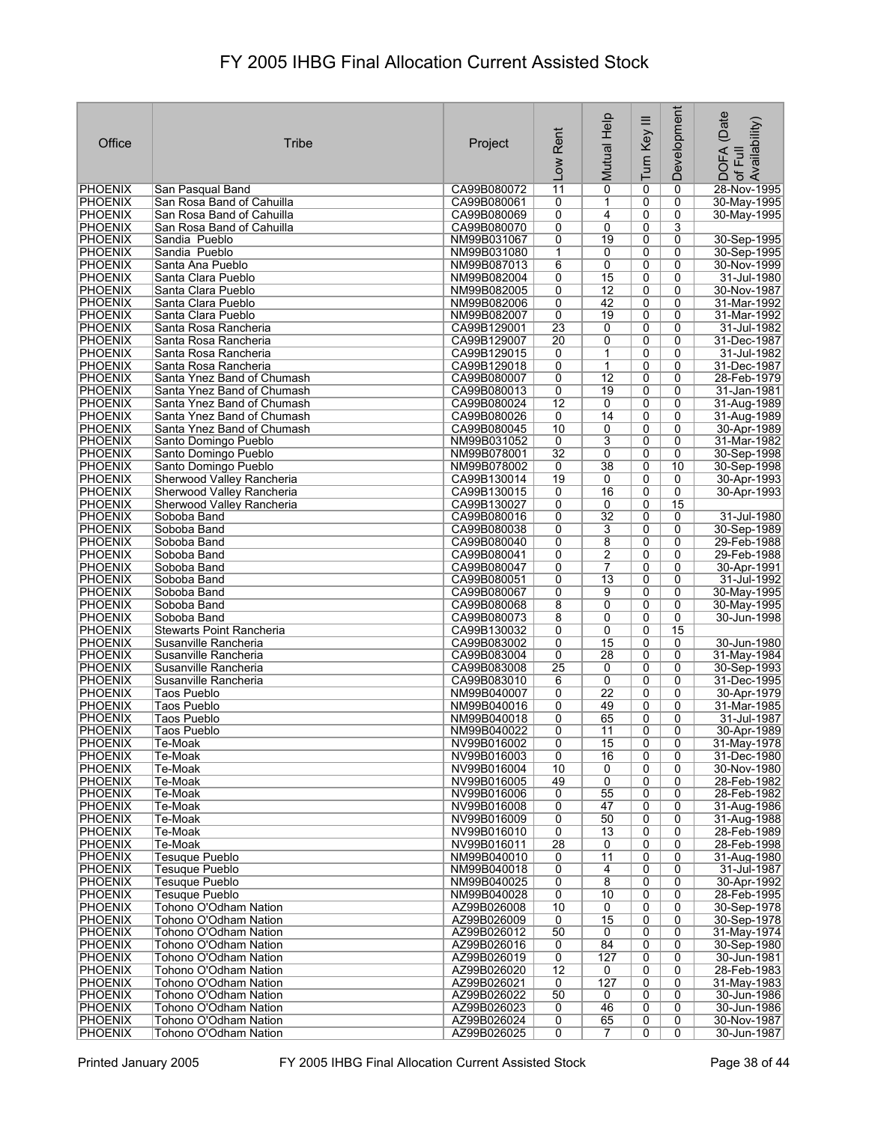| Office                           | Tribe                                          | Project                    | Rent<br>Low           | Mutual Help         | Turn Key III   | Development    | (Date<br>Availability)<br>DOFA<br>Full<br>$\overline{\sigma}$ |
|----------------------------------|------------------------------------------------|----------------------------|-----------------------|---------------------|----------------|----------------|---------------------------------------------------------------|
| <b>PHOENIX</b>                   | San Pasqual Band                               | CA99B080072                | $\overline{11}$       | $\overline{0}$      | 0              | 0              | 28-Nov-1995                                                   |
| <b>PHOENIX</b>                   | San Rosa Band of Cahuilla                      | CA99B080061                | 0                     | 1                   | 0              | 0              | 30-May-1995                                                   |
| <b>PHOENIX</b>                   | San Rosa Band of Cahuilla                      | CA99B080069                | 0                     | $\overline{4}$      | 0              | 0              | 30-May-1995                                                   |
| <b>PHOENIX</b>                   | San Rosa Band of Cahuilla                      | CA99B080070                | 0                     | 0                   | 0              | 3              |                                                               |
| <b>PHOENIX</b>                   | Sandia Pueblo                                  | NM99B031067                | 0                     | 19                  | 0              | 0              | 30-Sep-1995                                                   |
| <b>PHOENIX</b>                   | Sandia Pueblo                                  | NM99B031080                | 1                     | 0                   | 0              | 0              | 30-Sep-1995                                                   |
| <b>PHOENIX</b>                   | Santa Ana Pueblo                               | NM99B087013                | 6                     | 0                   | 0              | 0              | 30-Nov-1999                                                   |
| <b>PHOENIX</b>                   | Santa Clara Pueblo                             | NM99B082004                | 0                     | 15                  | 0              | 0              | 31-Jul-1980                                                   |
| <b>PHOENIX</b>                   | Santa Clara Pueblo                             | NM99B082005                | 0                     | $\overline{12}$     | 0              | 0              | 30-Nov-1987                                                   |
| PHOENIX                          | Santa Clara Pueblo                             | NM99B082006                | 0                     | 42                  | 0              | 0              | 31-Mar-1992                                                   |
| <b>PHOENIX</b>                   | Santa Clara Pueblo                             | NM99B082007                | 0                     | 19                  | 0              | 0<br>0         | 31-Mar-1992<br>31-Jul-1982                                    |
| <b>PHOENIX</b><br><b>PHOENIX</b> | Santa Rosa Rancheria<br>Santa Rosa Rancheria   | CA99B129001<br>CA99B129007 | 23<br>$\overline{20}$ | 0<br>0              | 0<br>0         | 0              | 31-Dec-1987                                                   |
| <b>PHOENIX</b>                   | Santa Rosa Rancheria                           | CA99B129015                | 0                     | 1                   | 0              | 0              | 31-Jul-1982                                                   |
| <b>PHOENIX</b>                   | Santa Rosa Rancheria                           | CA99B129018                | 0                     | $\mathbf{1}$        | 0              | $\mathbf{0}$   | 31-Dec-1987                                                   |
| PHOENIX                          | Santa Ynez Band of Chumash                     | CA99B080007                | 0                     | $\overline{12}$     | 0              | 0              | 28-Feb-1979                                                   |
| <b>PHOENIX</b>                   | Santa Ynez Band of Chumash                     | CA99B080013                | 0                     | 19                  | 0              | 0              | 31-Jan-1981                                                   |
| <b>PHOENIX</b>                   | Santa Ynez Band of Chumash                     | CA99B080024                | 12                    | 0                   | 0              | 0              | 31-Aug-1989                                                   |
| <b>PHOENIX</b>                   | Santa Ynez Band of Chumash                     | CA99B080026                | $\overline{0}$        | 14                  | $\overline{0}$ | $\overline{0}$ | 31-Aug-1989                                                   |
| PHOENIX                          | Santa Ynez Band of Chumash                     | CA99B080045                | 10                    | 0                   | 0              | 0              | 30-Apr-1989                                                   |
| <b>PHOENIX</b>                   | Santo Domingo Pueblo                           | NM99B031052                | 0                     | $\overline{3}$      | 0              | 0              | 31-Mar-1982                                                   |
| <b>PHOENIX</b>                   | Santo Domingo Pueblo                           | NM99B078001                | $\overline{32}$       | $\overline{0}$      | 0              | $\overline{0}$ | 30-Sep-1998                                                   |
| <b>PHOENIX</b>                   | Santo Domingo Pueblo                           | NM99B078002                | 0                     | 38                  | 0              | 10             | 30-Sep-1998                                                   |
| <b>PHOENIX</b>                   | Sherwood Valley Rancheria                      | CA99B130014                | 19                    | 0                   | 0              | 0              | 30-Apr-1993                                                   |
| <b>PHOENIX</b>                   | Sherwood Valley Rancheria                      | CA99B130015                | 0                     | 16                  | 0              | $\overline{0}$ | 30-Apr-1993                                                   |
| <b>PHOENIX</b>                   | Sherwood Valley Rancheria                      | CA99B130027                | 0                     | 0                   | 0              | 15             |                                                               |
| <b>PHOENIX</b>                   | Soboba Band                                    | CA99B080016                | 0                     | $\overline{32}$     | 0              | 0              | 31-Jul-1980                                                   |
| <b>PHOENIX</b>                   | Soboba Band                                    | CA99B080038                | 0                     | 3                   | 0              | 0              | 30-Sep-1989                                                   |
| <b>PHOENIX</b>                   | Soboba Band                                    | CA99B080040                | 0                     | 8                   | 0              | 0              | 29-Feb-1988                                                   |
| <b>PHOENIX</b><br><b>PHOENIX</b> | Soboba Band                                    | CA99B080041                | 0                     | $\overline{2}$<br>7 | 0<br>0         | 0              | 29-Feb-1988                                                   |
| PHOENIX                          | Soboba Band<br>Soboba Band                     | CA99B080047<br>CA99B080051 | 0<br>0                | $\overline{13}$     | 0              | 0<br>0         | 30-Apr-1991<br>31-Jul-1992                                    |
| <b>PHOENIX</b>                   | Soboba Band                                    | CA99B080067                | 0                     | 9                   | 0              | 0              | 30-May-1995                                                   |
| <b>PHOENIX</b>                   | Soboba Band                                    | CA99B080068                | 8                     | 0                   | 0              | 0              | 30-May-1995                                                   |
| PHOENIX                          | Soboba Band                                    | CA99B080073                | 8                     | 0                   | 0              | 0              | 30-Jun-1998                                                   |
| <b>PHOENIX</b>                   | Stewarts Point Rancheria                       | CA99B130032                | 0                     | 0                   | 0              | 15             |                                                               |
| <b>PHOENIX</b>                   | Susanville Rancheria                           | CA99B083002                | 0                     | 15                  | 0              | 0              | 30-Jun-1980                                                   |
| <b>PHOENIX</b>                   | Susanville Rancheria                           | CA99B083004                | 0                     | 28                  | 0              | 0              | 31-May-1984                                                   |
| PHOENIX                          | Susanville Rancheria                           | CA99B083008                | $\overline{25}$       | 0                   | 0              | 0              | 30-Sep-1993                                                   |
| <b>PHOENIX</b>                   | Susanville Rancheria                           | CA99B083010                | 6                     | 0                   | 0              | 0              | 31-Dec-1995                                                   |
| PHOENIX                          | Taos Pueblo                                    | NM99B040007                | 0                     | $\overline{22}$     | 0              | 0              | 30-Apr-1979                                                   |
| <b>PHOENIX</b>                   | Taos Pueblo                                    | NM99B040016                | 0                     | 49                  | 0              | 0              | 31-Mar-1985                                                   |
| <b>PHOENIX</b>                   | Taos Pueblo                                    | NM99B040018                | 0                     | 65                  | 0              | 0              | 31-Jul-1987                                                   |
| <b>PHOENIX</b>                   | Taos Pueblo                                    | NM99B040022                | $\overline{0}$        | 11                  | $\overline{0}$ | $\overline{0}$ | 30-Apr-1989                                                   |
| <b>PHOENIX</b><br><b>PHOENIX</b> | Te-Moak<br>Te-Moak                             | NV99B016002<br>NV99B016003 | $\overline{0}$<br>0   | 15<br>16            | 0<br>0         | 0<br>0         | 31-May-1978<br>31-Dec-1980                                    |
| <b>PHOENIX</b>                   | Te-Moak                                        | NV99B016004                | 10                    | 0                   | $\overline{0}$ | 0              | 30-Nov-1980                                                   |
| PHOENIX                          | Te-Moak                                        | NV99B016005                | 49                    | 0                   | 0              | 0              | 28-Feb-1982                                                   |
| <b>PHOENIX</b>                   | Te-Moak                                        | NV99B016006                | $\overline{0}$        | 55                  | 0              | 0              | 28-Feb-1982                                                   |
| <b>PHOENIX</b>                   | Te-Moak                                        | NV99B016008                | 0                     | 47                  | 0              | 0              | 31-Aug-1986                                                   |
| PHOENIX                          | Te-Moak                                        | NV99B016009                | $\overline{0}$        | 50                  | 0              | 0              | 31-Aug-1988                                                   |
| <b>PHOENIX</b>                   | Te-Moak                                        | NV99B016010                | 0                     | 13                  | 0              | 0              | 28-Feb-1989                                                   |
| <b>PHOENIX</b>                   | Te-Moak                                        | NV99B016011                | 28                    | 0                   | 0              | 0              | 28-Feb-1998                                                   |
| PHOENIX                          | <b>Tesuque Pueblo</b>                          | NM99B040010                | 0                     | 11                  | 0              | 0              | 31-Aug-1980                                                   |
| PHOENIX                          | Tesuque Pueblo                                 | NM99B040018                | 0                     | 4                   | 0              | 0              | 31-Jul-1987                                                   |
| <b>PHOENIX</b>                   | Tesugue Pueblo                                 | NM99B040025                | 0                     | 8                   | 0              | 0              | 30-Apr-1992                                                   |
| <b>PHOENIX</b>                   | Tesuque Pueblo                                 | NM99B040028                | 0                     | 10                  | 0              | 0              | 28-Feb-1995                                                   |
| <b>PHOENIX</b>                   | Tohono O'Odham Nation                          | AZ99B026008                | 10                    | 0                   | 0              | 0              | 30-Sep-1978                                                   |
| <b>PHOENIX</b>                   | Tohono O'Odham Nation                          | AZ99B026009                | $\overline{0}$        | 15                  | 0              | 0              | 30-Sep-1978                                                   |
| <b>PHOENIX</b><br><b>PHOENIX</b> | Tohono O'Odham Nation<br>Tohono O'Odham Nation | AZ99B026012<br>AZ99B026016 | 50<br>0               | 0<br>84             | 0<br>0         | 0<br>0         | 31-May-1974<br>30-Sep-1980                                    |
| <b>PHOENIX</b>                   | Tohono O'Odham Nation                          | AZ99B026019                | 0                     | 127                 | 0              | 0              | 30-Jun-1981                                                   |
| <b>PHOENIX</b>                   | Tohono O'Odham Nation                          | AZ99B026020                | $\overline{12}$       | 0                   | 0              | 0              | 28-Feb-1983                                                   |
| <b>PHOENIX</b>                   | Tohono O'Odham Nation                          | AZ99B026021                | 0                     | 127                 | 0              | 0              | 31-May-1983                                                   |
| <b>PHOENIX</b>                   | Tohono O'Odham Nation                          | AZ99B026022                | 50                    | 0                   | 0              | 0              | 30-Jun-1986                                                   |
| <b>PHOENIX</b>                   | Tohono O'Odham Nation                          | AZ99B026023                | 0                     | 46                  | 0              | 0              | 30-Jun-1986                                                   |
| <b>PHOENIX</b>                   | Tohono O'Odham Nation                          | AZ99B026024                | $\overline{0}$        | 65                  | 0              | 0              | 30-Nov-1987                                                   |
| <b>PHOENIX</b>                   | Tohono O'Odham Nation                          | AZ99B026025                | 0                     | 7                   | 0              | 0              | 30-Jun-1987                                                   |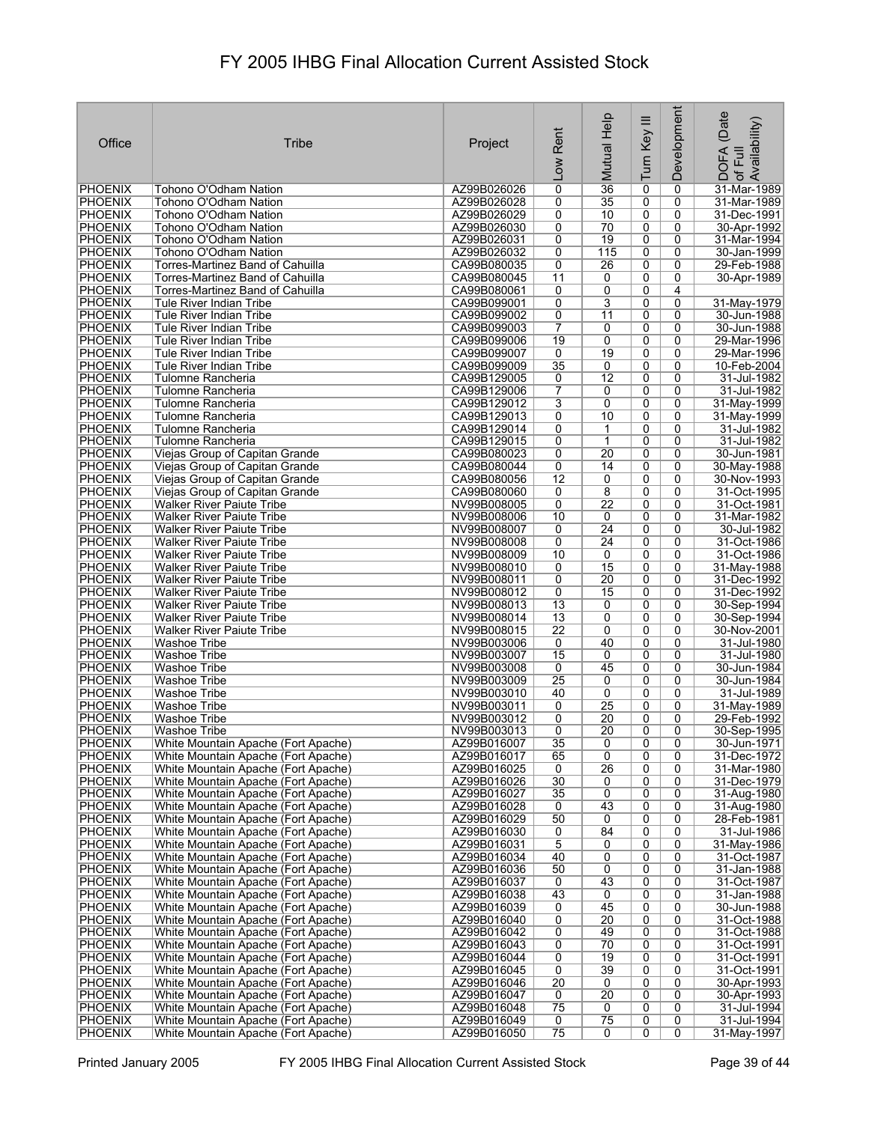|                                  |                                                                            |                            |                                   |                        |                     | Development         |                            |
|----------------------------------|----------------------------------------------------------------------------|----------------------------|-----------------------------------|------------------------|---------------------|---------------------|----------------------------|
| Office                           | Tribe                                                                      | Project                    | Rent                              | Mutual Help            | Turn Key III        |                     | (Date<br>Availability)     |
|                                  |                                                                            |                            |                                   |                        |                     |                     | <b>DOFA</b><br>Full        |
|                                  |                                                                            |                            | $\overline{100}$                  |                        |                     |                     | $\mathcal{P}$              |
| <b>PHOENIX</b>                   | Tohono O'Odham Nation                                                      | AZ99B026026                | $\overline{0}$                    | $\overline{36}$        | 0                   | 0                   | 31-Mar-1989                |
| <b>PHOENIX</b><br>PHOENIX        | Tohono O'Odham Nation<br>Tohono O'Odham Nation                             | AZ99B026028<br>AZ99B026029 | 0<br>0                            | $\overline{35}$<br>10  | 0<br>0              | 0<br>0              | 31-Mar-1989<br>31-Dec-1991 |
| <b>PHOENIX</b>                   | Tohono O'Odham Nation                                                      | AZ99B026030                | 0                                 | 70                     | 0                   | 0                   | 30-Apr-1992                |
| <b>PHOENIX</b><br><b>PHOENIX</b> | Tohono O'Odham Nation<br>Tohono O'Odham Nation                             | AZ99B026031<br>AZ99B026032 | 0<br>0                            | $\overline{19}$<br>115 | 0<br>0              | 0<br>0              | 31-Mar-1994<br>30-Jan-1999 |
| <b>PHOENIX</b>                   | Torres-Martinez Band of Cahuilla                                           | CA99B080035                | 0                                 | 26                     | 0                   | 0                   | 29-Feb-1988                |
| <b>PHOENIX</b><br><b>PHOENIX</b> | Torres-Martinez Band of Cahuilla<br>Torres-Martinez Band of Cahuilla       | CA99B080045<br>CA99B080061 | 11<br>0                           | 0                      | 0                   | 0<br>4              | 30-Apr-1989                |
| <b>PHOENIX</b>                   | <b>Tule River Indian Tribe</b>                                             | CA99B099001                | 0                                 | 0<br>3                 | 0<br>0              | 0                   | 31-May-1979                |
| <b>PHOENIX</b>                   | Tule River Indian Tribe                                                    | CA99B099002                | 0                                 | $\overline{11}$        | 0                   | 0                   | 30-Jun-1988                |
| <b>PHOENIX</b><br><b>PHOENIX</b> | Tule River Indian Tribe<br>Tule River Indian Tribe                         | CA99B099003<br>CA99B099006 | $\overline{7}$<br>19              | 0<br>0                 | 0<br>0              | 0<br>0              | 30-Jun-1988<br>29-Mar-1996 |
| <b>PHOENIX</b>                   | Tule River Indian Tribe                                                    | CA99B099007                | 0                                 | 19                     | 0                   | 0                   | 29-Mar-1996                |
| <b>PHOENIX</b><br><b>PHOENIX</b> | Tule River Indian Tribe<br>Tulomne Rancheria                               | CA99B099009<br>CA99B129005 | 35<br>0                           | 0<br>$\overline{12}$   | $\overline{0}$<br>0 | 0<br>0              | 10-Feb-2004<br>31-Jul-1982 |
| <b>PHOENIX</b>                   | Tulomne Rancheria                                                          | CA99B129006                | 7                                 | 0                      | $\overline{0}$      | 0                   | 31-Jul-1982                |
| <b>PHOENIX</b>                   | Tulomne Rancheria                                                          | CA99B129012                | 3                                 | 0                      | 0                   | 0                   | 31-May-1999                |
| <b>PHOENIX</b><br><b>PHOENIX</b> | Tulomne Rancheria<br>Tulomne Rancheria                                     | CA99B129013<br>CA99B129014 | 0<br>0                            | 10<br>1                | 0<br>0              | $\overline{0}$<br>0 | 31-May-1999<br>31-Jul-1982 |
| <b>PHOENIX</b>                   | Tulomne Rancheria                                                          | CA99B129015                | 0                                 | 1                      | 0                   | 0                   | 31-Jul-1982                |
| <b>PHOENIX</b><br><b>PHOENIX</b> | Viejas Group of Capitan Grande<br>Viejas Group of Capitan Grande           | CA99B080023<br>CA99B080044 | 0<br>0                            | $\overline{20}$<br>14  | 0<br>0              | 0<br>0              | 30-Jun-1981<br>30-May-1988 |
| <b>PHOENIX</b>                   | Viejas Group of Capitan Grande                                             | CA99B080056                | $\overline{12}$                   | 0                      | 0                   | 0                   | 30-Nov-1993                |
| <b>PHOENIX</b>                   | Viejas Group of Capitan Grande                                             | CA99B080060                | 0                                 | 8                      | 0                   | 0                   | 31-Oct-1995                |
| <b>PHOENIX</b><br><b>PHOENIX</b> | <b>Walker River Paiute Tribe</b><br><b>Walker River Paiute Tribe</b>       | NV99B008005<br>NV99B008006 | 0<br>10                           | 22<br>0                | 0<br>0              | 0<br>0              | 31-Oct-1981<br>31-Mar-1982 |
| PHOENIX                          | <b>Walker River Paiute Tribe</b>                                           | NV99B008007                | 0                                 | 24                     | 0                   | 0                   | 30-Jul-1982                |
| <b>PHOENIX</b><br><b>PHOENIX</b> | Walker River Paiute Tribe<br><b>Walker River Paiute Tribe</b>              | NV99B008008<br>NV99B008009 | 0<br>10                           | 24<br>0                | 0<br>0              | 0<br>0              | 31-Oct-1986<br>31-Oct-1986 |
| <b>PHOENIX</b>                   | <b>Walker River Paiute Tribe</b>                                           | NV99B008010                | 0                                 | 15                     | 0                   | 0                   | 31-May-1988                |
| <b>PHOENIX</b>                   | <b>Walker River Paiute Tribe</b>                                           | NV99B008011                | 0                                 | 20                     | 0                   | 0                   | 31-Dec-1992                |
| PHOENIX<br><b>PHOENIX</b>        | <b>Walker River Paiute Tribe</b><br><b>Walker River Paiute Tribe</b>       | NV99B008012<br>NV99B008013 | 0<br>$\overline{13}$              | 15<br>0                | 0<br>0              | 0<br>0              | 31-Dec-1992<br>30-Sep-1994 |
| <b>PHOENIX</b>                   | <b>Walker River Paiute Tribe</b>                                           | NV99B008014                | 13                                | 0                      | 0                   | 0                   | 30-Sep-1994                |
| <b>PHOENIX</b><br><b>PHOENIX</b> | <b>Walker River Paiute Tribe</b><br>Washoe Tribe                           | NV99B008015<br>NV99B003006 | $\overline{22}$<br>0              | 0<br>40                | 0<br>0              | 0<br>0              | 30-Nov-2001<br>31-Jul-1980 |
| <b>PHOENIX</b>                   | <b>Washoe Tribe</b>                                                        | NV99B003007                | 15                                | 0                      | 0                   | 0                   | 31-Jul-1980                |
| <b>PHOENIX</b>                   | <b>Washoe Tribe</b>                                                        | NV99B003008<br>NV99B003009 | 0<br>$\overline{25}$              | 45                     | 0                   | 0                   | 30-Jun-1984<br>30-Jun-1984 |
| <b>PHOENIX</b><br>PHOENIX        | Washoe Tribe<br>Washoe Tribe                                               | NV99B003010                | 40                                | 0<br>0                 | 0<br>0              | 0<br>0              | 31-Jul-1989                |
| <b>PHOENIX</b>                   | Washoe Tribe                                                               | NV99B003011                | 0                                 | $\overline{25}$        | 0                   | 0                   | 31-May-1989                |
| PHOENIX<br><b>PHOENIX</b>        | <b>Washoe Tribe</b><br><b>Washoe Tribe</b>                                 | NV99B003012<br>NV99B003013 | 0<br>0                            | 20<br>$\overline{20}$  | 0<br>0              | 0<br>$\overline{0}$ | 29-Feb-1992<br>30-Sep-1995 |
| <b>PHOENIX</b>                   | White Mountain Apache (Fort Apache)                                        | AZ99B016007                | 35                                | 0                      | 0                   | 0                   | 30-Jun-1971                |
| <b>PHOENIX</b><br><b>PHOENIX</b> | White Mountain Apache (Fort Apache)<br>White Mountain Apache (Fort Apache) | AZ99B016017<br>AZ99B016025 | 65<br>0                           | 0<br>26                | 0<br>0              | 0<br>0              | 31-Dec-1972<br>31-Mar-1980 |
| <b>PHOENIX</b>                   | White Mountain Apache (Fort Apache)                                        | AZ99B016026                | 30                                | 0                      | 0                   | 0                   | 31-Dec-1979                |
| <b>PHOENIX</b>                   | White Mountain Apache (Fort Apache)                                        | AZ99B016027                | 35                                | 0                      | 0                   | 0                   | 31-Aug-1980                |
| <b>PHOENIX</b><br>PHOENIX        | White Mountain Apache (Fort Apache)<br>White Mountain Apache (Fort Apache) | AZ99B016028<br>AZ99B016029 | 0<br>50                           | 43<br>0                | $\overline{0}$<br>0 | 0<br>0              | 31-Aug-1980<br>28-Feb-1981 |
| <b>PHOENIX</b>                   | White Mountain Apache (Fort Apache)                                        | AZ99B016030                | 0                                 | 84                     | 0                   | 0                   | 31-Jul-1986                |
| <b>PHOENIX</b><br><b>PHOENIX</b> | White Mountain Apache (Fort Apache)<br>White Mountain Apache (Fort Apache) | AZ99B016031<br>AZ99B016034 | 5<br>40                           | 0<br>0                 | 0<br>0              | 0<br>0              | 31-May-1986<br>31-Oct-1987 |
| <b>PHOENIX</b>                   | White Mountain Apache (Fort Apache)                                        | AZ99B016036                | 50                                | 0                      | 0                   | 0                   | 31-Jan-1988                |
| <b>PHOENIX</b>                   | White Mountain Apache (Fort Apache)                                        | AZ99B016037                | 0                                 | 43                     | 0                   | 0                   | 31-Oct-1987                |
| <b>PHOENIX</b><br><b>PHOENIX</b> | White Mountain Apache (Fort Apache)<br>White Mountain Apache (Fort Apache) | AZ99B016038<br>AZ99B016039 | 43<br>0                           | 0<br>45                | 0<br>0              | 0<br>0              | 31-Jan-1988<br>30-Jun-1988 |
| <b>PHOENIX</b>                   | White Mountain Apache (Fort Apache)                                        | AZ99B016040                | 0                                 | $\overline{20}$        | 0                   | 0                   | 31-Oct-1988                |
| <b>PHOENIX</b><br><b>PHOENIX</b> | White Mountain Apache (Fort Apache)<br>White Mountain Apache (Fort Apache) | AZ99B016042<br>AZ99B016043 | 0<br>0                            | 49<br>70               | 0<br>0              | 0<br>0              | 31-Oct-1988<br>31-Oct-1991 |
| <b>PHOENIX</b>                   | White Mountain Apache (Fort Apache)                                        | AZ99B016044                | 0                                 | 19                     | 0                   | 0                   | 31-Oct-1991                |
| <b>PHOENIX</b><br><b>PHOENIX</b> | White Mountain Apache (Fort Apache)<br>White Mountain Apache (Fort Apache) | AZ99B016045<br>AZ99B016046 | $\overline{0}$<br>$\overline{20}$ | 39<br>0                | 0<br>0              | 0<br>0              | 31-Oct-1991<br>30-Apr-1993 |
| <b>PHOENIX</b>                   | White Mountain Apache (Fort Apache)                                        | AZ99B016047                | 0                                 | $\overline{20}$        | 0                   | 0                   | 30-Apr-1993                |
| <b>PHOENIX</b>                   | White Mountain Apache (Fort Apache)                                        | AZ99B016048                | 75                                | 0                      | 0                   | 0                   | 31-Jul-1994                |
| PHOENIX<br>PHOENIX               | White Mountain Apache (Fort Apache)<br>White Mountain Apache (Fort Apache) | AZ99B016049<br>AZ99B016050 | $\overline{0}$<br>75              | $\overline{75}$<br>0   | 0<br>0              | 0<br>$\overline{0}$ | 31-Jul-1994<br>31-May-1997 |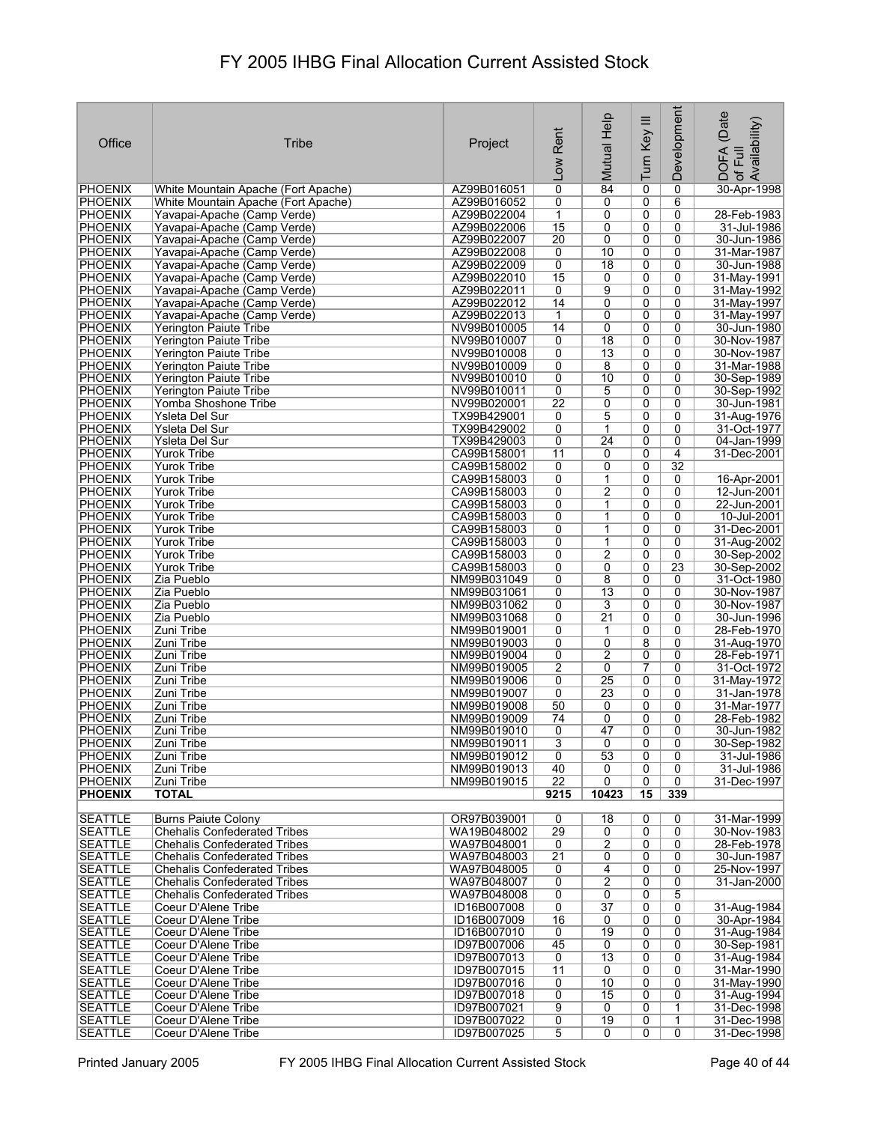|                |                                     |             |                 |                 |                | <b>Development</b> |                                            |
|----------------|-------------------------------------|-------------|-----------------|-----------------|----------------|--------------------|--------------------------------------------|
|                |                                     |             |                 |                 |                |                    | (Date                                      |
|                |                                     |             | Rent            |                 |                |                    |                                            |
| Office         | Tribe                               | Project     |                 |                 |                |                    |                                            |
|                |                                     |             |                 |                 |                |                    |                                            |
|                |                                     |             | Low             | Mutual Help     | Turn Key III   |                    | ; DOFA (Date<br>·of Full<br>.Availability) |
|                |                                     |             |                 |                 |                |                    |                                            |
| PHOENIX        | White Mountain Apache (Fort Apache) | AZ99B016051 | 0               | 84              | 0              | 0                  | 30-Apr-1998                                |
| <b>PHOENIX</b> | White Mountain Apache (Fort Apache) | AZ99B016052 | 0               | 0               | 0              | 6                  |                                            |
| <b>PHOENIX</b> | Yavapai-Apache (Camp Verde)         | AZ99B022004 | $\mathbf{1}$    | 0               | 0              | 0                  | 28-Feb-1983                                |
| <b>PHOENIX</b> | Yavapai-Apache (Camp Verde)         | AZ99B022006 | 15              | 0               | 0              | 0                  | 31-Jul-1986                                |
| <b>PHOENIX</b> | Yavapai-Apache (Camp Verde)         | AZ99B022007 | 20              | 0               | 0              | 0                  | 30-Jun-1986                                |
| <b>PHOENIX</b> | Yavapai-Apache (Camp Verde)         | AZ99B022008 | 0               | 10              | 0              | $\mathbf{0}$       | 31-Mar-1987                                |
| PHOENIX        | Yavapai-Apache (Camp Verde)         | AZ99B022009 | 0               | 18              | 0              | 0                  | 30-Jun-1988                                |
| <b>PHOENIX</b> | Yavapai-Apache (Camp Verde)         | AZ99B022010 | 15              | 0               | 0              | 0                  | 31-May-1991                                |
| <b>PHOENIX</b> | Yavapai-Apache (Camp Verde)         | AZ99B022011 | 0               | 9               | 0              | 0                  | 31-May-1992                                |
| <b>PHOENIX</b> | Yavapai-Apache (Camp Verde)         | AZ99B022012 | 14              | 0               | 0              | 0                  | 31-May-1997                                |
| <b>PHOENIX</b> |                                     |             | 1               | 0               | 0              | 0                  |                                            |
|                | Yavapai-Apache (Camp Verde)         | AZ99B022013 |                 |                 |                |                    | 31-May-1997                                |
| <b>PHOENIX</b> | Yerington Paiute Tribe              | NV99B010005 | 14              | 0               | 0              | 0                  | 30-Jun-1980                                |
| <b>PHOENIX</b> | Yerington Paiute Tribe              | NV99B010007 | 0               | $\overline{18}$ | 0              | 0                  | 30-Nov-1987                                |
| <b>PHOENIX</b> | Yerington Paiute Tribe              | NV99B010008 | 0               | 13              | 0              | 0                  | 30-Nov-1987                                |
| <b>PHOENIX</b> | Yerington Paiute Tribe              | NV99B010009 | 0               | 8               | 0              | 0                  | 31-Mar-1988                                |
| <b>PHOENIX</b> | Yerington Paiute Tribe              | NV99B010010 | 0               | 10              | 0              | 0                  | 30-Sep-1989                                |
| <b>PHOENIX</b> | Yerington Paiute Tribe              | NV99B010011 | 0               | 5               | 0              | 0                  | 30-Sep-1992                                |
| <b>PHOENIX</b> | Yomba Shoshone Tribe                | NV99B020001 | $\overline{22}$ | 0               | 0              | $\Omega$           | 30-Jun-1981                                |
| <b>PHOENIX</b> | Ysleta Del Sur                      | TX99B429001 | 0               | 5               | $\overline{0}$ | 0                  | 31-Aug-1976                                |
| <b>PHOENIX</b> | Ysleta Del Sur                      | TX99B429002 | 0               | 1               | 0              | 0                  | 31-Oct-1977                                |
| <b>PHOENIX</b> | Ysleta Del Sur                      | TX99B429003 | 0               | $\overline{24}$ | 0              | 0                  | 04-Jan-1999                                |
|                |                                     |             |                 |                 |                |                    |                                            |
| <b>PHOENIX</b> | <b>Yurok Tribe</b>                  | CA99B158001 | $\overline{11}$ | 0               | 0              | $\overline{4}$     | 31-Dec-2001                                |
| <b>PHOENIX</b> | <b>Yurok Tribe</b>                  | CA99B158002 | 0               | 0               | $\overline{0}$ | $\overline{32}$    |                                            |
| <b>PHOENIX</b> | <b>Yurok Tribe</b>                  | CA99B158003 | 0               | 1               | 0              | 0                  | 16-Apr-2001                                |
| <b>PHOENIX</b> | Yurok Tribe                         | CA99B158003 | $\overline{0}$  | $\overline{2}$  | $\overline{0}$ | $\overline{0}$     | 12-Jun-2001                                |
| PHOENIX        | Yurok Tribe                         | CA99B158003 | 0               | 1               | 0              | 0                  | 22-Jun-2001                                |
| PHOENIX        | <b>Yurok Tribe</b>                  | CA99B158003 | 0               | 1               | 0              | 0                  | 10-Jul-2001                                |
| <b>PHOENIX</b> | <b>Yurok Tribe</b>                  | CA99B158003 | 0               | 1               | 0              | 0                  | 31-Dec-2001                                |
| <b>PHOENIX</b> | Yurok Tribe                         | CA99B158003 | 0               | 1               | 0              | 0                  | 31-Aug-2002                                |
| <b>PHOENIX</b> | Yurok Tribe                         | CA99B158003 | 0               | $\overline{2}$  | 0              | 0                  | 30-Sep-2002                                |
| <b>PHOENIX</b> | <b>Yurok Tribe</b>                  | CA99B158003 | 0               | 0               | 0              | 23                 | 30-Sep-2002                                |
| PHOENIX        | Zia Pueblo                          | NM99B031049 | 0               | 8               | 0              | 0                  | 31-Oct-1980                                |
|                |                                     |             |                 |                 |                |                    |                                            |
| <b>PHOENIX</b> | Zia Pueblo                          | NM99B031061 | 0               | 13              | 0              | 0                  | 30-Nov-1987                                |
| <b>PHOENIX</b> | Zia Pueblo                          | NM99B031062 | 0               | 3               | 0              | 0                  | 30-Nov-1987                                |
| <b>PHOENIX</b> | Zia Pueblo                          | NM99B031068 | 0               | $\overline{21}$ | 0              | 0                  | 30-Jun-1996                                |
| <b>PHOENIX</b> | Zuni Tribe                          | NM99B019001 | 0               | 1               | 0              | 0                  | 28-Feb-1970                                |
| <b>PHOENIX</b> | Zuni Tribe                          | NM99B019003 | 0               | 0               | 8              | 0                  | 31-Aug-1970                                |
| <b>PHOENIX</b> | Zuni Tribe                          | NM99B019004 | 0               | 2               | 0              | $\mathbf{0}$       | 28-Feb-1971                                |
| <b>PHOENIX</b> | Zuni Tribe                          | NM99B019005 | 2               | 0               | 7              | 0                  | 31-Oct-1972                                |
| <b>PHOENIX</b> | Zuni Tribe                          | NM99B019006 | 0               | $\overline{25}$ | 0              | 0                  | 31-May-1972                                |
| PHOENIX        | Zuni Tribe                          | NM99B019007 | 0               | $\overline{23}$ | 0              | 0                  | 31-Jan-1978                                |
| <b>PHOENIX</b> | Zuni Tribe                          | NM99B019008 | 50              | 0               | 0              | 0                  | 31-Mar-1977                                |
| <b>PHOENIX</b> | Zuni Tribe                          | NM99B019009 | 74              | 0               | 0              | 0                  | 28-Feb-1982                                |
| <b>PHOFNIX</b> | Zuni Tribe                          | NM99B019010 | $\overline{0}$  | $\overline{47}$ | $\overline{0}$ | $\overline{0}$     | 30-Jun-1982                                |
| <b>PHOENIX</b> |                                     |             | 3               |                 |                |                    |                                            |
|                | Zuni Tribe                          | NM99B019011 |                 | 0               | 0              | 0                  | 30-Sep-1982                                |
| <b>PHOENIX</b> | Zuni Tribe                          | NM99B019012 | 0               | 53              | 0              | 0                  | 31-Jul-1986                                |
| <b>PHOENIX</b> | Zuni Tribe                          | NM99B019013 | 40              | 0               | 0              | 0                  | 31-Jul-1986                                |
| <b>PHOENIX</b> | Zuni Tribe                          | NM99B019015 | $\overline{22}$ | 0               | 0              | $\overline{0}$     | 31-Dec-1997                                |
| <b>PHOENIX</b> | <b>TOTAL</b>                        |             | 9215            | 10423           | 15             | 339                |                                            |
|                |                                     |             |                 |                 |                |                    |                                            |
| <b>SEATTLE</b> | <b>Burns Paiute Colony</b>          | OR97B039001 | 0               | 18              | 0              | 0                  | 31-Mar-1999                                |
| SEATTLE        | <b>Chehalis Confederated Tribes</b> | WA19B048002 | 29              | 0               | 0              | 0                  | 30-Nov-1983                                |
| <b>SEATTLE</b> | <b>Chehalis Confederated Tribes</b> | WA97B048001 | 0               | 2               | 0              | 0                  | 28-Feb-1978                                |
| <b>SEATTLE</b> | <b>Chehalis Confederated Tribes</b> | WA97B048003 | $\overline{21}$ | 0               | 0              | 0                  | 30-Jun-1987                                |
| <b>SEATTLE</b> | <b>Chehalis Confederated Tribes</b> | WA97B048005 | 0               | $\overline{4}$  | 0              | 0                  | 25-Nov-1997                                |
| <b>SEATTLE</b> | <b>Chehalis Confederated Tribes</b> | WA97B048007 | 0               | $\overline{2}$  | 0              | 0                  | 31-Jan-2000                                |
| <b>SEATTLE</b> | Chehalis Confederated Tribes        | WA97B048008 | 0               | 0               | 0              | $\overline{5}$     |                                            |
| <b>SEATTLE</b> | Coeur D'Alene Tribe                 | ID16B007008 | 0               | $\overline{37}$ | 0              | 0                  | 31-Aug-1984                                |
|                |                                     |             |                 |                 |                |                    |                                            |
| <b>SEATTLE</b> | Coeur D'Alene Tribe                 | ID16B007009 | 16              | 0               | 0              | 0                  | 30-Apr-1984                                |
| <b>SEATTLE</b> | Coeur D'Alene Tribe                 | ID16B007010 | 0               | 19              | 0              | 0                  | 31-Aug-1984                                |
| <b>SEATTLE</b> | Coeur D'Alene Tribe                 | ID97B007006 | 45              | 0               | 0              | 0                  | 30-Sep-1981                                |
| <b>SEATTLE</b> | Coeur D'Alene Tribe                 | ID97B007013 | 0               | $\overline{13}$ | 0              | 0                  | 31-Aug-1984                                |
| <b>SEATTLE</b> | Coeur D'Alene Tribe                 | ID97B007015 | 11              | 0               | 0              | 0                  | 31-Mar-1990                                |
| <b>SEATTLE</b> | Coeur D'Alene Tribe                 | ID97B007016 | 0               | 10              | 0              | 0                  | 31-May-1990                                |
| <b>SEATTLE</b> | Coeur D'Alene Tribe                 | ID97B007018 | 0               | 15              | 0              | 0                  | 31-Aug-1994                                |
| <b>SEATTLE</b> | Coeur D'Alene Tribe                 | ID97B007021 | 9               | 0               | 0              | 1                  | 31-Dec-1998                                |
| <b>SEATTLE</b> | Coeur D'Alene Tribe                 | ID97B007022 | $\overline{0}$  | 19              | 0              | $\mathbf{1}$       | 31-Dec-1998                                |
| <b>SEATTLE</b> | Coeur D'Alene Tribe                 | ID97B007025 | 5               | 0               | 0              | 0                  | 31-Dec-1998                                |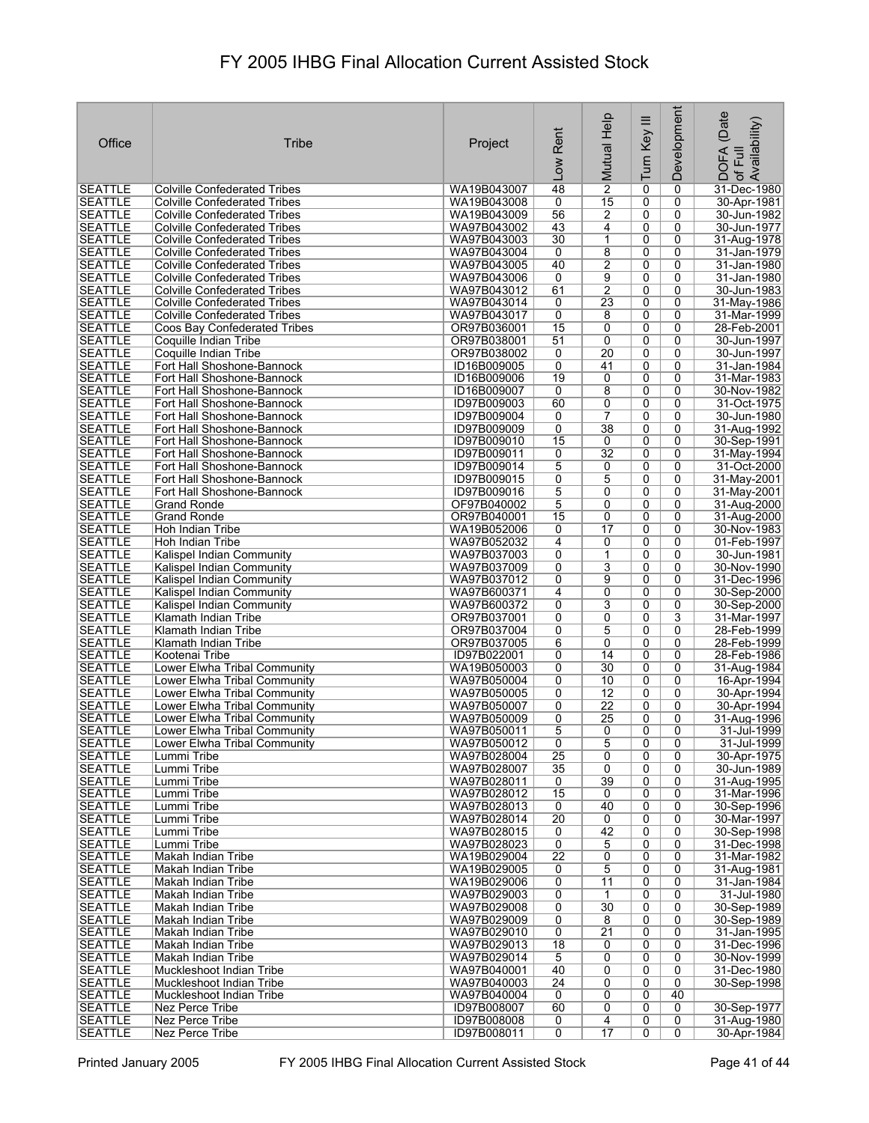| Office                           | Tribe                                                                      | Project                    | Rent<br>Low                      | Mutual Help           | Turn Key III   | Development         | (Date<br>Availability)<br>DOFA<br>of Full |
|----------------------------------|----------------------------------------------------------------------------|----------------------------|----------------------------------|-----------------------|----------------|---------------------|-------------------------------------------|
| <b>SEATTLE</b>                   | <b>Colville Confederated Tribes</b>                                        | WA19B043007                | 48                               | $\overline{2}$        | 0              | 0                   | 31-Dec-1980                               |
| <b>SEATTLE</b>                   | <b>Colville Confederated Tribes</b>                                        | WA19B043008                | 0                                | 15                    | 0              | 0                   | 30-Apr-1981                               |
| <b>SEATTLE</b>                   | Colville Confederated Tribes                                               | WA19B043009                | 56                               | 2                     | 0              | 0                   | 30-Jun-1982                               |
| <b>SEATTLE</b>                   | <b>Colville Confederated Tribes</b>                                        | WA97B043002                | 43                               | 4                     | 0              | 0                   | 30-Jun-1977                               |
| <b>SEATTLE</b>                   | <b>Colville Confederated Tribes</b>                                        | WA97B043003                | 30                               | 1                     | 0              | 0                   | 31-Aug-1978                               |
| <b>SEATTLE</b>                   | <b>Colville Confederated Tribes</b>                                        | WA97B043004                | 0                                | 8                     | 0              | 0                   | 31-Jan-1979                               |
| <b>SEATTLE</b>                   | Colville Confederated Tribes                                               | WA97B043005                | 40                               | 2                     | 0              | 0                   | 31-Jan-1980                               |
| <b>SEATTLE</b><br><b>SEATTLE</b> | <b>Colville Confederated Tribes</b><br><b>Colville Confederated Tribes</b> | WA97B043006<br>WA97B043012 | 0<br>61                          | 9<br>$\overline{2}$   | 0<br>0         | 0<br>$\mathbf{0}$   | 31-Jan-1980<br>30-Jun-1983                |
| <b>SEATTLE</b>                   | Colville Confederated Tribes                                               | WA97B043014                | 0                                | 23                    | 0              | 0                   | 31-May-1986                               |
| <b>SEATTLE</b>                   | Colville Confederated Tribes                                               | WA97B043017                | 0                                | 8                     | 0              | 0                   | 31-Mar-1999                               |
| <b>SEATTLE</b>                   | Coos Bay Confederated Tribes                                               | OR97B036001                | 15                               | 0                     | 0              | 0                   | 28-Feb-2001                               |
| <b>SEATTLE</b>                   | Coquille Indian Tribe                                                      | OR97B038001                | 51                               | 0                     | 0              | 0                   | 30-Jun-1997                               |
| <b>SEATTLE</b>                   | Coquille Indian Tribe                                                      | OR97B038002                | 0                                | 20                    | 0              | 0                   | 30-Jun-1997                               |
| <b>SEATTLE</b>                   | Fort Hall Shoshone-Bannock                                                 | ID16B009005                | 0                                | 41                    | 0              | 0                   | 31-Jan-1984                               |
| <b>SEATTLE</b><br><b>SEATTLE</b> | Fort Hall Shoshone-Bannock<br>Fort Hall Shoshone-Bannock                   | ID16B009006<br>ID16B009007 | 19<br>0                          | 0<br>8                | 0<br>0         | 0<br>0              | 31-Mar-1983<br>30-Nov-1982                |
| <b>SEATTLE</b>                   | Fort Hall Shoshone-Bannock                                                 | ID97B009003                | 60                               | 0                     | 0              | 0                   | 31-Oct-1975                               |
| <b>SEATTLE</b>                   | Fort Hall Shoshone-Bannock                                                 | ID97B009004                | 0                                | 7                     | 0              | 0                   | 30-Jun-1980                               |
| <b>SEATTLE</b>                   | Fort Hall Shoshone-Bannock                                                 | ID97B009009                | 0                                | 38                    | 0              | 0                   | 31-Aug-1992                               |
| <b>SEATTLE</b>                   | Fort Hall Shoshone-Bannock                                                 | ID97B009010                | 15                               | 0                     | 0              | 0                   | 30-Sep-1991                               |
| <b>SEATTLE</b>                   | Fort Hall Shoshone-Bannock                                                 | ID97B009011                | 0                                | $\overline{32}$       | 0              | 0                   | 31-May-1994                               |
| <b>SEATTLE</b>                   | Fort Hall Shoshone-Bannock                                                 | ID97B009014                | 5                                | 0                     | 0              | 0                   | 31-Oct-2000                               |
| <b>SEATTLE</b>                   | Fort Hall Shoshone-Bannock                                                 | ID97B009015                | 0                                | $\overline{5}$        | 0              | 0                   | 31-May-2001                               |
| <b>SEATTLE</b><br><b>SEATTLE</b> | Fort Hall Shoshone-Bannock                                                 | ID97B009016<br>OF97B040002 | 5<br>5                           | 0<br>0                | 0<br>0         | 0<br>0              | 31-May-2001                               |
| <b>SEATTLE</b>                   | Grand Ronde<br>Grand Ronde                                                 | OR97B040001                | 15                               | 0                     | 0              | 0                   | 31-Aug-2000<br>31-Aug-2000                |
| <b>SEATTLE</b>                   | Hoh Indian Tribe                                                           | WA19B052006                | 0                                | 17                    | 0              | 0                   | 30-Nov-1983                               |
| <b>SEATTLE</b>                   | Hoh Indian Tribe                                                           | WA97B052032                | 4                                | 0                     | 0              | 0                   | 01-Feb-1997                               |
| <b>SEATTLE</b>                   | Kalispel Indian Community                                                  | WA97B037003                | 0                                | $\mathbf{1}$          | 0              | 0                   | 30-Jun-1981                               |
| <b>SEATTLE</b>                   | Kalispel Indian Community                                                  | WA97B037009                | 0                                | 3                     | 0              | 0                   | 30-Nov-1990                               |
| <b>SEATTLE</b>                   | Kalispel Indian Community                                                  | WA97B037012                | 0                                | 9                     | 0              | 0                   | 31-Dec-1996                               |
| <b>SEATTLE</b>                   | Kalispel Indian Community                                                  | WA97B600371                | 4                                | 0                     | 0              | 0                   | 30-Sep-2000                               |
| <b>SEATTLE</b><br><b>SEATTLE</b> | Kalispel Indian Community<br>Klamath Indian Tribe                          | WA97B600372<br>OR97B037001 | 0<br>0                           | 3<br>0                | 0<br>0         | 0<br>3              | 30-Sep-2000<br>31-Mar-1997                |
| <b>SEATTLE</b>                   | Klamath Indian Tribe                                                       | OR97B037004                | 0                                | 5                     | 0              | 0                   | 28-Feb-1999                               |
| <b>SEATTLE</b>                   | Klamath Indian Tribe                                                       | OR97B037005                | 6                                | 0                     | 0              | 0                   | 28-Feb-1999                               |
| <b>SEATTLE</b>                   | Kootenai Tribe                                                             | ID97B022001                | 0                                | 14                    | 0              | 0                   | 28-Feb-1986                               |
| <b>SEATTLE</b>                   | Lower Elwha Tribal Community                                               | WA19B050003                | 0                                | 30                    | 0              | 0                   | 31-Aug-1984                               |
| <b>SEATTLE</b>                   | Lower Elwha Tribal Community                                               | WA97B050004                | 0                                | 10                    | 0              | 0                   | 16-Apr-1994                               |
| <b>SEATTLE</b>                   | Lower Elwha Tribal Community                                               | WA97B050005                | 0                                | $\overline{12}$       | 0              | 0                   | 30-Apr-1994                               |
| <b>SEATTLE</b>                   | Lower Elwha Tribal Community                                               | WA97B050007                | 0<br>0                           | $\overline{22}$<br>25 | 0<br>0         | 0<br>0              | 30-Apr-1994                               |
| <b>SEATTLE</b><br><b>SEATTLE</b> | Lower Elwha Tribal Community<br>Lower Elwha Tribal Community               | WA97B050009<br>WA97B050011 | 5                                | 0                     | $\overline{0}$ | 0                   | 31-Aug-1996<br>31-Jul-1999                |
| <b>SEATTLE</b>                   | Lower Elwha Tribal Community                                               | WA97B050012                | $\overline{0}$                   | $\overline{5}$        | 0              | 0                   | 31-Jul-1999                               |
| <b>SEATTLE</b>                   | Lummi Tribe                                                                | WA97B028004                | 25                               | 0                     | 0              | 0                   | 30-Apr-1975                               |
| <b>SEATTLE</b>                   | Lummi Tribe                                                                | WA97B028007                | 35                               | $\overline{0}$        | 0              | 0                   | 30-Jun-1989                               |
| <b>SEATTLE</b>                   | Lummi Tribe                                                                | WA97B028011                | 0                                | 39                    | 0              | 0                   | 31-Aug-1995                               |
| <b>SEATTLE</b>                   | Lummi Tribe                                                                | WA97B028012                | 15                               | 0                     | 0              | 0                   | 31-Mar-1996                               |
| <b>SEATTLE</b>                   | Lummi Tribe                                                                | WA97B028013<br>WA97B028014 | 0<br>$\overline{20}$             | 40                    | $\overline{0}$ | $\overline{0}$<br>0 | 30-Sep-1996                               |
| <b>SEATTLE</b><br><b>SEATTLE</b> | Lummi Tribe<br>Lummi Tribe                                                 | WA97B028015                | 0                                | 0<br>$\overline{42}$  | 0<br>0         | 0                   | 30-Mar-1997<br>30-Sep-1998                |
| <b>SEATTLE</b>                   | Lummi Tribe                                                                | WA97B028023                | 0                                | 5                     | 0              | 0                   | 31-Dec-1998                               |
| <b>SEATTLE</b>                   | Makah Indian Tribe                                                         | WA19B029004                | 22                               | 0                     | 0              | 0                   | 31-Mar-1982                               |
| <b>SEATTLE</b>                   | Makah Indian Tribe                                                         | WA19B029005                | 0                                | 5                     | 0              | 0                   | 31-Aug-1981                               |
| <b>SEATTLE</b>                   | Makah Indian Tribe                                                         | WA19B029006                | 0                                | 11                    | 0              | 0                   | 31-Jan-1984                               |
| <b>SEATTLE</b>                   | Makah Indian Tribe                                                         | WA97B029003                | $\overline{0}$                   | $\mathbf{1}$          | 0              | 0                   | 31-Jul-1980                               |
| <b>SEATTLE</b>                   | Makah Indian Tribe                                                         | WA97B029008                | $\overline{0}$                   | 30                    | 0              | 0                   | 30-Sep-1989                               |
| <b>SEATTLE</b><br><b>SEATTLE</b> | Makah Indian Tribe                                                         | WA97B029009<br>WA97B029010 | 0<br>0                           | 8<br>$\overline{21}$  | 0<br>0         | 0<br>0              | 30-Sep-1989<br>31-Jan-1995                |
| <b>SEATTLE</b>                   | Makah Indian Tribe<br>Makah Indian Tribe                                   | WA97B029013                | $\overline{18}$                  | 0                     | 0              | 0                   | 31-Dec-1996                               |
| <b>SEATTLE</b>                   | Makah Indian Tribe                                                         | WA97B029014                | $\overline{5}$                   | 0                     | 0              | 0                   | 30-Nov-1999                               |
| <b>SEATTLE</b>                   | Muckleshoot Indian Tribe                                                   | WA97B040001                | 40                               | 0                     | 0              | 0                   | 31-Dec-1980                               |
| <b>SEATTLE</b>                   | Muckleshoot Indian Tribe                                                   | WA97B040003                | $\overline{24}$                  | 0                     | 0              | 0                   | 30-Sep-1998                               |
| <b>SEATTLE</b>                   | Muckleshoot Indian Tribe                                                   | WA97B040004                | 0                                | 0                     | 0              | 40                  |                                           |
| <b>SEATTLE</b>                   | Nez Perce Tribe                                                            | ID97B008007                | 60                               | 0                     | 0              | 0                   | 30-Sep-1977                               |
| <b>SEATTLE</b><br><b>SEATTLE</b> | Nez Perce Tribe<br>Nez Perce Tribe                                         | ID97B008008<br>ID97B008011 | $\overline{0}$<br>$\overline{0}$ | 4<br>17               | 0<br>0         | 0<br>0              | 31-Aug-1980<br>30-Apr-1984                |
|                                  |                                                                            |                            |                                  |                       |                |                     |                                           |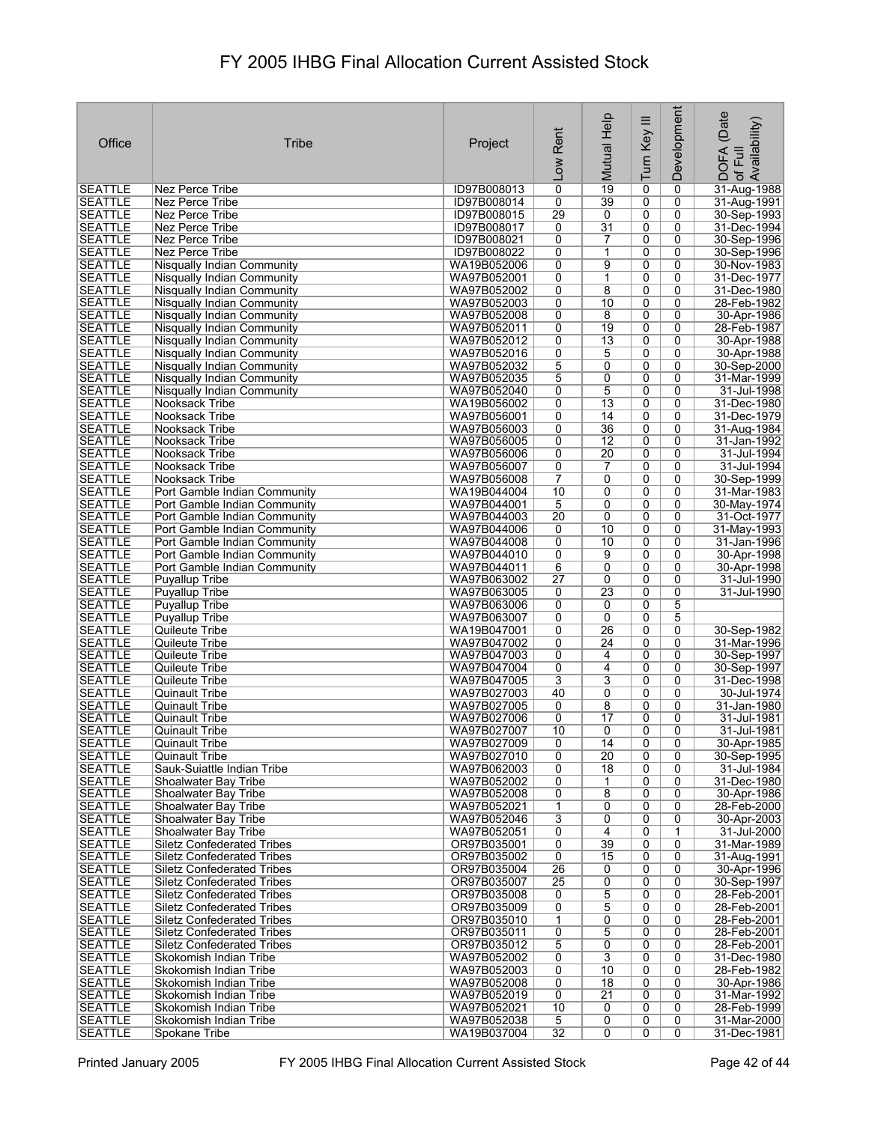|                                  |                                                                        |                            |                                   | Mutual Help                       | Turn Key III        | Development         | (Date<br>Availability)       |
|----------------------------------|------------------------------------------------------------------------|----------------------------|-----------------------------------|-----------------------------------|---------------------|---------------------|------------------------------|
| Office                           | Tribe                                                                  | Project                    | Rent                              |                                   |                     |                     |                              |
|                                  |                                                                        |                            | <b>NOT</b>                        |                                   |                     |                     | <b>DOFA</b><br>Ξ             |
| <b>SEATTLE</b>                   | Nez Perce Tribe                                                        | ID97B008013                | $\overline{0}$                    | $\overline{19}$                   | 0                   | 0                   | $\mathcal{P}$<br>31-Aug-1988 |
| <b>SEATTLE</b>                   | Nez Perce Tribe                                                        | ID97B008014                | 0                                 | 39                                | 0                   | 0                   | 31-Aug-1991                  |
| <b>SEATTLE</b>                   | Nez Perce Tribe                                                        | ID97B008015                | 29                                | 0                                 | 0                   | 0                   | 30-Sep-1993                  |
| <b>SEATTLE</b><br><b>SEATTLE</b> | Nez Perce Tribe<br>Nez Perce Tribe                                     | ID97B008017<br>ID97B008021 | 0<br>$\overline{0}$               | $\overline{31}$<br>$\overline{7}$ | 0<br>0              | 0<br>0              | 31-Dec-1994<br>30-Sep-1996   |
| <b>SEATTLE</b>                   | Nez Perce Tribe                                                        | ID97B008022                | 0                                 | 1                                 | 0                   | 0                   | 30-Sep-1996                  |
| <b>SEATTLE</b>                   | Nisqually Indian Community                                             | WA19B052006                | 0                                 | 9                                 | 0                   | 0                   | 30-Nov-1983                  |
| <b>SEATTLE</b>                   | Nisqually Indian Community                                             | WA97B052001                | 0                                 | 1                                 | 0                   | 0                   | 31-Dec-1977                  |
| <b>SEATTLE</b><br><b>SEATTLE</b> | Nisqually Indian Community<br>Nisqually Indian Community               | WA97B052002<br>WA97B052003 | 0<br>0                            | 8<br>10                           | 0<br>0              | 0<br>0              | 31-Dec-1980<br>28-Feb-1982   |
| <b>SEATTLE</b>                   | Nisqually Indian Community                                             | WA97B052008                | 0                                 | 8                                 | 0                   | $\Omega$            | 30-Apr-1986                  |
| <b>SEATTLE</b>                   | Nisqually Indian Community                                             | WA97B052011                | 0                                 | 19                                | 0                   | 0                   | 28-Feb-1987                  |
| <b>SEATTLE</b><br><b>SEATTLE</b> | Nisqually Indian Community                                             | WA97B052012                | 0<br>$\overline{0}$               | $\overline{13}$                   | 0                   | 0                   | 30-Apr-1988                  |
| <b>SEATTLE</b>                   | Nisqually Indian Community<br><b>Nisqually Indian Community</b>        | WA97B052016<br>WA97B052032 | $\overline{5}$                    | 5<br>0                            | 0<br>0              | 0<br>0              | 30-Apr-1988<br>30-Sep-2000   |
| <b>SEATTLE</b>                   | Nisqually Indian Community                                             | WA97B052035                | 5                                 | 0                                 | 0                   | 0                   | 31-Mar-1999                  |
| <b>SEATTLE</b>                   | Nisqually Indian Community                                             | WA97B052040                | 0                                 | 5                                 | 0                   | 0                   | 31-Jul-1998                  |
| <b>SEATTLE</b>                   | Nooksack Tribe                                                         | WA19B056002<br>WA97B056001 | 0<br>$\overline{0}$               | $\overline{13}$<br>14             | 0<br>0              | 0<br>$\overline{0}$ | 31-Dec-1980                  |
| <b>SEATTLE</b><br><b>SEATTLE</b> | Nooksack Tribe<br>Nooksack Tribe                                       | WA97B056003                | 0                                 | $\overline{36}$                   | 0                   | 0                   | 31-Dec-1979<br>31-Aug-1984   |
| <b>SEATTLE</b>                   | Nooksack Tribe                                                         | WA97B056005                | 0                                 | $\overline{12}$                   | 0                   | 0                   | 31-Jan-1992                  |
| <b>SEATTLE</b>                   | Nooksack Tribe                                                         | WA97B056006                | $\overline{0}$                    | 20                                | $\overline{0}$      | 0                   | 31-Jul-1994                  |
| <b>SEATTLE</b>                   | Nooksack Tribe                                                         | WA97B056007                | 0                                 | 7                                 | 0                   | 0                   | 31-Jul-1994                  |
| <b>SEATTLE</b><br><b>SEATTLE</b> | Nooksack Tribe<br>Port Gamble Indian Community                         | WA97B056008<br>WA19B044004 | $\overline{7}$<br>$\overline{10}$ | 0<br>0                            | 0<br>$\overline{0}$ | $\mathbf{0}$<br>0   | 30-Sep-1999<br>31-Mar-1983   |
| <b>SEATTLE</b>                   | Port Gamble Indian Community                                           | WA97B044001                | $\overline{5}$                    | 0                                 | 0                   | 0                   | 30-May-1974                  |
| <b>SEATTLE</b>                   | Port Gamble Indian Community                                           | WA97B044003                | $\overline{20}$                   | 0                                 | 0                   | 0                   | 31-Oct-1977                  |
| <b>SEATTLE</b>                   | Port Gamble Indian Community                                           | WA97B044006                | 0                                 | 10                                | 0                   | 0                   | 31-May-1993                  |
| <b>SEATTLE</b><br><b>SEATTLE</b> | Port Gamble Indian Community<br>Port Gamble Indian Community           | WA97B044008<br>WA97B044010 | 0<br>$\overline{0}$               | 10<br>9                           | 0<br>0              | 0<br>0              | 31-Jan-1996<br>30-Apr-1998   |
| <b>SEATTLE</b>                   | Port Gamble Indian Community                                           | WA97B044011                | 6                                 | 0                                 | 0                   | 0                   | 30-Apr-1998                  |
| <b>SEATTLE</b>                   | Puyallup Tribe                                                         | WA97B063002                | 27                                | 0                                 | 0                   | 0                   | 31-Jul-1990                  |
| <b>SEATTLE</b>                   | <b>Puyallup Tribe</b>                                                  | WA97B063005                | 0                                 | $\overline{23}$                   | 0                   | 0                   | 31-Jul-1990                  |
| <b>SEATTLE</b><br><b>SEATTLE</b> | <b>Puvallup Tribe</b><br><b>Puyallup Tribe</b>                         | WA97B063006<br>WA97B063007 | 0<br>0                            | 0<br>0                            | 0<br>0              | 5<br>5              |                              |
| <b>SEATTLE</b>                   | Quileute Tribe                                                         | WA19B047001                | 0                                 | 26                                | 0                   | 0                   | 30-Sep-1982                  |
| <b>SEATTLE</b>                   | Quileute Tribe                                                         | WA97B047002                | 0                                 | 24                                | 0                   | 0                   | 31-Mar-1996                  |
| <b>SEATTLE</b><br><b>SEATTLE</b> | Quileute Tribe                                                         | WA97B047003                | 0                                 | 4<br>4                            | 0                   | 0<br>0              | 30-Sep-1997                  |
| <b>SEATTLE</b>                   | Quileute Tribe<br>Quileute Tribe                                       | WA97B047004<br>WA97B047005 | 0<br>$\overline{3}$               | 3                                 | 0<br>0              | 0                   | 30-Sep-1997<br>31-Dec-1998   |
| <b>SEATTLE</b>                   | Quinault Tribe                                                         | WA97B027003                | 40                                | 0                                 | 0                   | 0                   | 30-Jul-1974                  |
| <b>SEATTLE</b>                   | Quinault Tribe                                                         | WA97B027005                | 0                                 | 8                                 | 0                   | 0                   | 31-Jan-1980                  |
| <b>SEATTLE</b><br><b>SEATTLE</b> | Quinault Tribe                                                         | WA97B027006                | 0<br>$\overline{10}$              | 17                                | 0                   | 0                   | 31-Jul-1981<br>31-Jul-1981   |
| <b>SEATTLE</b>                   | Quinault Tribe<br><b>Quinault Tribe</b>                                | WA97B027007<br>WA97B027009 | $\overline{0}$                    | $\overline{0}$<br>14              | 0<br>0              | $\overline{0}$<br>0 | 30-Apr-1985                  |
| <b>SEATTLE</b>                   | <b>Quinault Tribe</b>                                                  | WA97B027010                | 0                                 | $\overline{20}$                   | 0                   | 0                   | 30-Sep-1995                  |
| <b>SEATTLE</b>                   | Sauk-Suiattle Indian Tribe                                             | WA97B062003                | 0                                 | $\overline{18}$                   | 0                   | 0                   | 31-Jul-1984                  |
| <b>SEATTLE</b><br><b>SEATTLE</b> | Shoalwater Bay Tribe                                                   | WA97B052002<br>WA97B052008 | 0<br>0                            | 1                                 | 0                   | 0<br>0              | 31-Dec-1980<br>30-Apr-1986   |
| <b>SEATTLE</b>                   | Shoalwater Bay Tribe<br>Shoalwater Bay Tribe                           | WA97B052021                | 1                                 | 8<br>0                            | 0<br>$\overline{0}$ | 0                   | 28-Feb-2000                  |
| <b>SEATTLE</b>                   | Shoalwater Bay Tribe                                                   | WA97B052046                | 3                                 | 0                                 | 0                   | 0                   | 30-Apr-2003                  |
| <b>SEATTLE</b>                   | Shoalwater Bay Tribe                                                   | WA97B052051                | 0                                 | 4                                 | 0                   | 1                   | 31-Jul-2000                  |
| <b>SEATTLE</b><br><b>SEATTLE</b> | <b>Siletz Confederated Tribes</b><br>Siletz Confederated Tribes        | OR97B035001<br>OR97B035002 | 0<br>0                            | 39<br>15                          | 0<br>0              | 0<br>0              | 31-Mar-1989<br>31-Aug-1991   |
| <b>SEATTLE</b>                   | <b>Siletz Confederated Tribes</b>                                      | OR97B035004                | $\overline{26}$                   | 0                                 | 0                   | 0                   | 30-Apr-1996                  |
| <b>SEATTLE</b>                   | <b>Siletz Confederated Tribes</b>                                      | OR97B035007                | 25                                | 0                                 | 0                   | 0                   | 30-Sep-1997                  |
| <b>SEATTLE</b>                   | Siletz Confederated Tribes                                             | OR97B035008                | 0                                 | 5                                 | 0                   | 0                   | 28-Feb-2001                  |
| <b>SEATTLE</b><br><b>SEATTLE</b> | <b>Siletz Confederated Tribes</b><br><b>Siletz Confederated Tribes</b> | OR97B035009<br>OR97B035010 | 0<br>$\mathbf{1}$                 | 5<br>0                            | 0<br>0              | 0<br>0              | 28-Feb-2001<br>28-Feb-2001   |
| <b>SEATTLE</b>                   | <b>Siletz Confederated Tribes</b>                                      | OR97B035011                | $\overline{0}$                    | 5                                 | 0                   | 0                   | 28-Feb-2001                  |
| <b>SEATTLE</b>                   | <b>Siletz Confederated Tribes</b>                                      | OR97B035012                | $\overline{5}$                    | 0                                 | 0                   | 0                   | 28-Feb-2001                  |
| <b>SEATTLE</b>                   | Skokomish Indian Tribe                                                 | WA97B052002                | $\overline{0}$                    | $\overline{3}$                    | 0                   | 0                   | 31-Dec-1980                  |
| <b>SEATTLE</b><br><b>SEATTLE</b> | Skokomish Indian Tribe<br>Skokomish Indian Tribe                       | WA97B052003<br>WA97B052008 | 0<br>$\overline{0}$               | 10<br>$\overline{18}$             | 0<br>0              | 0<br>0              | 28-Feb-1982<br>30-Apr-1986   |
| <b>SEATTLE</b>                   | Skokomish Indian Tribe                                                 | WA97B052019                | $\overline{0}$                    | $\overline{21}$                   | 0                   | 0                   | 31-Mar-1992                  |
| <b>SEATTLE</b>                   | Skokomish Indian Tribe                                                 | WA97B052021                | 10                                | 0                                 | 0                   | 0                   | 28-Feb-1999                  |
| <b>SEATTLE</b>                   | Skokomish Indian Tribe                                                 | WA97B052038                | $\overline{5}$                    | $\overline{0}$                    | $\overline{0}$      | 0                   | 31-Mar-2000                  |
| <b>SEATTLE</b>                   | Spokane Tribe                                                          | WA19B037004                | $\overline{32}$                   | $\overline{0}$                    | 0                   | $\overline{0}$      | 31-Dec-1981                  |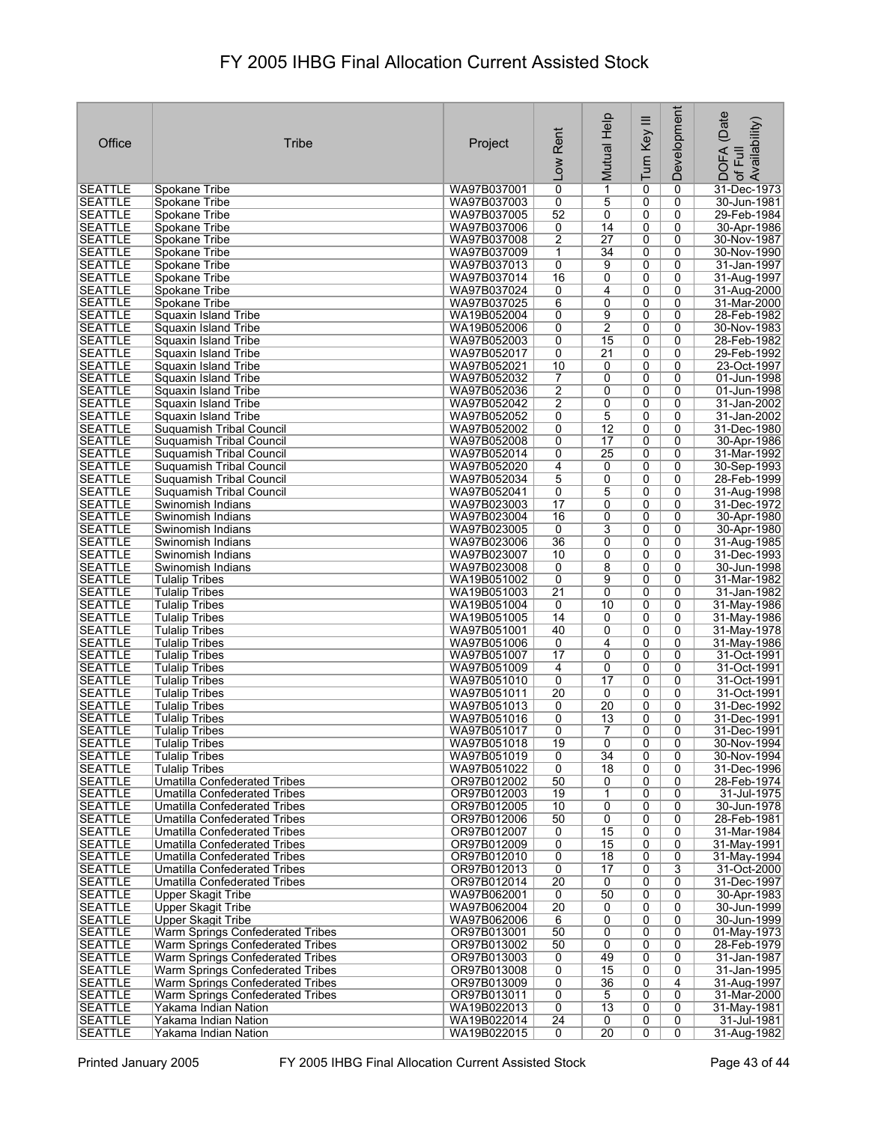| Office                           | <b>Tribe</b>                                                  | Project                    | Rent<br><b>NOT</b>    | Mutual Help     | Turn Key III        | Development         | (Date<br>Availability)<br>DOFA<br>of Full |
|----------------------------------|---------------------------------------------------------------|----------------------------|-----------------------|-----------------|---------------------|---------------------|-------------------------------------------|
| <b>SEATTLE</b>                   | Spokane Tribe                                                 | WA97B037001                | $\overline{0}$        | 1               | 0                   | 0                   | 31-Dec-1973                               |
| <b>SEATTLE</b>                   | Spokane Tribe                                                 | WA97B037003                | 0                     | 5               | 0                   | 0                   | 30-Jun-1981                               |
| <b>SEATTLE</b>                   | Spokane Tribe                                                 | WA97B037005                | 52                    | 0               | 0                   | 0                   | 29-Feb-1984                               |
| <b>SEATTLE</b>                   | Spokane Tribe                                                 | WA97B037006                | 0                     | 14              | 0                   | 0                   | 30-Apr-1986                               |
| <b>SEATTLE</b>                   | Spokane Tribe                                                 | WA97B037008                | $\overline{2}$        | 27              | 0                   | 0                   | 30-Nov-1987                               |
| <b>SEATTLE</b>                   | Spokane Tribe                                                 | WA97B037009                | 1                     | $\overline{34}$ | 0                   | 0                   | 30-Nov-1990                               |
| <b>SEATTLE</b><br><b>SEATTLE</b> | Spokane Tribe<br>Spokane Tribe                                | WA97B037013<br>WA97B037014 | 0<br>16               | 9<br>0          | 0<br>0              | 0<br>0              | 31-Jan-1997<br>31-Aug-1997                |
| <b>SEATTLE</b>                   | Spokane Tribe                                                 | WA97B037024                | 0                     | $\overline{4}$  | 0                   | 0                   | 31-Aug-2000                               |
| <b>SEATTLE</b>                   | Spokane Tribe                                                 | WA97B037025                | 6                     | 0               | 0                   | 0                   | 31-Mar-2000                               |
| <b>SEATTLE</b>                   | Squaxin Island Tribe                                          | WA19B052004                | 0                     | 9               | $\overline{0}$      | 0                   | 28-Feb-1982                               |
| <b>SEATTLE</b>                   | Squaxin Island Tribe                                          | WA19B052006                | 0                     | $\overline{2}$  | 0                   | 0                   | 30-Nov-1983                               |
| <b>SEATTLE</b>                   | Squaxin Island Tribe                                          | WA97B052003                | 0                     | 15              | $\overline{0}$      | 0                   | 28-Feb-1982                               |
| <b>SEATTLE</b>                   | Squaxin Island Tribe                                          | WA97B052017                | $\overline{0}$        | $\overline{21}$ | 0                   | 0                   | 29-Feb-1992                               |
| <b>SEATTLE</b>                   | Squaxin Island Tribe                                          | WA97B052021                | 10                    | 0               | $\overline{0}$      | 0                   | 23-Oct-1997                               |
| <b>SEATTLE</b>                   | Squaxin Island Tribe                                          | WA97B052032                | $\overline{7}$        | 0               | 0                   | 0                   | 01-Jun-1998                               |
| <b>SEATTLE</b>                   | Squaxin Island Tribe                                          | WA97B052036                | 2                     | 0               | 0                   | 0                   | 01-Jun-1998                               |
| <b>SEATTLE</b><br><b>SEATTLE</b> | Squaxin Island Tribe<br>Squaxin Island Tribe                  | WA97B052042<br>WA97B052052 | $\overline{2}$<br>0   | 0<br>5          | 0<br>0              | 0<br>$\overline{0}$ | 31-Jan-2002<br>31-Jan-2002                |
| <b>SEATTLE</b>                   | Suquamish Tribal Council                                      | WA97B052002                | 0                     | $\overline{12}$ | 0                   | 0                   | 31-Dec-1980                               |
| <b>SEATTLE</b>                   | Suquamish Tribal Council                                      | WA97B052008                | 0                     | 17              | 0                   | $\mathbf{0}$        | 30-Apr-1986                               |
| <b>SEATTLE</b>                   | Suquamish Tribal Council                                      | WA97B052014                | 0                     | $\overline{25}$ | $\overline{0}$      | $\overline{0}$      | 31-Mar-1992                               |
| <b>SEATTLE</b>                   | Suguamish Tribal Council                                      | WA97B052020                | 4                     | 0               | 0                   | 0                   | 30-Sep-1993                               |
| <b>SEATTLE</b>                   | Suguamish Tribal Council                                      | WA97B052034                | 5                     | 0               | 0                   | 0                   | 28-Feb-1999                               |
| <b>SEATTLE</b>                   | Suguamish Tribal Council                                      | WA97B052041                | 0                     | 5               | $\overline{0}$      | 0                   | 31-Aug-1998                               |
| <b>SEATTLE</b>                   | Swinomish Indians                                             | WA97B023003                | 17                    | 0               | 0                   | 0                   | 31-Dec-1972                               |
| <b>SEATTLE</b>                   | Swinomish Indians                                             | WA97B023004                | 16                    | 0               | 0                   | 0                   | 30-Apr-1980                               |
| <b>SEATTLE</b>                   | Swinomish Indians                                             | WA97B023005                | 0                     | $\overline{3}$  | 0                   | 0                   | 30-Apr-1980                               |
| <b>SEATTLE</b><br><b>SEATTLE</b> | Swinomish Indians                                             | WA97B023006                | 36<br>10              | 0<br>0          | 0<br>0              | 0<br>0              | 31-Aug-1985                               |
| <b>SEATTLE</b>                   | Swinomish Indians<br>Swinomish Indians                        | WA97B023007<br>WA97B023008 | $\overline{0}$        | 8               | 0                   | 0                   | 31-Dec-1993<br>30-Jun-1998                |
| <b>SEATTLE</b>                   | <b>Tulalip Tribes</b>                                         | WA19B051002                | 0                     | 9               | 0                   | 0                   | 31-Mar-1982                               |
| <b>SEATTLE</b>                   | <b>Tulalip Tribes</b>                                         | WA19B051003                | $\overline{21}$       | 0               | 0                   | 0                   | 31-Jan-1982                               |
| <b>SEATTLE</b>                   | <b>Tulalip Tribes</b>                                         | WA19B051004                | 0                     | 10              | 0                   | 0                   | 31-May-1986                               |
| <b>SEATTLE</b>                   | <b>Tulalip Tribes</b>                                         | WA19B051005                | 14                    | 0               | 0                   | 0                   | 31-May-1986                               |
| <b>SEATTLE</b>                   | <b>Tulalip Tribes</b>                                         | WA97B051001                | 40                    | 0               | 0                   | 0                   | 31-May-1978                               |
| <b>SEATTLE</b>                   | <b>Tulalip Tribes</b>                                         | WA97B051006                | $\overline{0}$        | $\overline{4}$  | 0                   | 0                   | 31-May-1986                               |
| <b>SEATTLE</b>                   | <b>Tulalip Tribes</b>                                         | WA97B051007                | 17                    | 0               | $\overline{0}$      | 0                   | 31-Oct-1991                               |
| <b>SEATTLE</b><br><b>SEATTLE</b> | <b>Tulalip Tribes</b><br><b>Tulalip Tribes</b>                | WA97B051009<br>WA97B051010 | 4<br>$\overline{0}$   | 0<br>17         | 0<br>0              | 0<br>0              | 31-Oct-1991<br>31-Oct-1991                |
| <b>SEATTLE</b>                   | <b>Tulalip Tribes</b>                                         | WA97B051011                | $\overline{20}$       | 0               | 0                   | 0                   | 31-Oct-1991                               |
| <b>SEATTLE</b>                   | <b>Tulalip Tribes</b>                                         | WA97B051013                | 0                     | 20              | 0                   | 0                   | 31-Dec-1992                               |
| <b>SEATTLE</b>                   | <b>Tulalip Tribes</b>                                         | WA97B051016                | 0                     | $\overline{13}$ | 0                   | 0                   | 31-Dec-1991                               |
| <b>SEATTLE</b>                   | <b>Tulalip Tribes</b>                                         | WA97B051017                | 0                     | 7               | $\overline{0}$      | $\overline{0}$      | 31-Dec-1991                               |
| <b>SEATTLE</b>                   | <b>Tulalip Tribes</b>                                         | WA97B051018                | 19                    | 0               | 0                   | 0                   | 30-Nov-1994                               |
| <b>SEATTLE</b>                   | Tulalip Tribes                                                | WA97B051019                | $\mathbf{0}$          | $\overline{34}$ | 0                   | 0                   | 30-Nov-1994                               |
| <b>SEATTLE</b>                   | <b>Tulalip Tribes</b>                                         | WA97B051022                | 0                     | $\overline{18}$ | 0                   | 0                   | 31-Dec-1996                               |
| <b>SEATTLE</b>                   | Umatilla Confederated Tribes                                  | OR97B012002<br>OR97B012003 | 50<br>$\overline{19}$ | 0               | 0                   | 0                   | 28-Feb-1974                               |
| <b>SEATTLE</b><br><b>SEATTLE</b> | Umatilla Confederated Tribes<br>Umatilla Confederated Tribes  | OR97B012005                | 10                    | 1<br>0          | 0<br>$\overline{0}$ | 0<br>0              | 31-Jul-1975<br>30-Jun-1978                |
| <b>SEATTLE</b>                   | Umatilla Confederated Tribes                                  | OR97B012006                | 50                    | 0               | 0                   | 0                   | 28-Feb-1981                               |
| <b>SEATTLE</b>                   | Umatilla Confederated Tribes                                  | OR97B012007                | 0                     | 15              | 0                   | 0                   | 31-Mar-1984                               |
| <b>SEATTLE</b>                   | <b>Umatilla Confederated Tribes</b>                           | OR97B012009                | 0                     | 15              | 0                   | 0                   | 31-May-1991                               |
| <b>SEATTLE</b>                   | <b>Umatilla Confederated Tribes</b>                           | OR97B012010                | 0                     | $\overline{18}$ | 0                   | 0                   | 31-May-1994                               |
| <b>SEATTLE</b>                   | <b>Umatilla Confederated Tribes</b>                           | OR97B012013                | $\overline{0}$        | 17              | 0                   | 3                   | 31-Oct-2000                               |
| <b>SEATTLE</b>                   | <b>Umatilla Confederated Tribes</b>                           | OR97B012014                | $\overline{20}$       | 0               | 0                   | 0                   | 31-Dec-1997                               |
| <b>SEATTLE</b>                   | Upper Skagit Tribe                                            | WA97B062001                | 0                     | 50              | 0                   | 0                   | 30-Apr-1983                               |
| <b>SEATTLE</b>                   | <b>Upper Skagit Tribe</b>                                     | WA97B062004                | 20                    | 0               | 0                   | 0                   | 30-Jun-1999                               |
| <b>SEATTLE</b><br><b>SEATTLE</b> | <b>Upper Skagit Tribe</b><br>Warm Springs Confederated Tribes | WA97B062006<br>OR97B013001 | 6<br>50               | 0<br>0          | 0                   | 0<br>0              | 30-Jun-1999                               |
| <b>SEATTLE</b>                   | Warm Springs Confederated Tribes                              | OR97B013002                | 50                    | 0               | 0<br>0              | 0                   | 01-May-1973<br>28-Feb-1979                |
| <b>SEATTLE</b>                   | Warm Springs Confederated Tribes                              | OR97B013003                | 0                     | 49              | 0                   | 0                   | 31-Jan-1987                               |
| <b>SEATTLE</b>                   | Warm Springs Confederated Tribes                              | OR97B013008                | $\overline{0}$        | 15              | 0                   | 0                   | 31-Jan-1995                               |
| <b>SEATTLE</b>                   | Warm Springs Confederated Tribes                              | OR97B013009                | $\overline{0}$        | 36              | 0                   | $\overline{4}$      | 31-Aug-1997                               |
| <b>SEATTLE</b>                   | Warm Springs Confederated Tribes                              | OR97B013011                | 0                     | 5               | 0                   | 0                   | 31-Mar-2000                               |
| <b>SEATTLE</b>                   | Yakama Indian Nation                                          | WA19B022013                | $\overline{0}$        | 13              | 0                   | 0                   | 31-May-1981                               |
| <b>SEATTLE</b>                   | Yakama Indian Nation                                          | WA19B022014                | $\overline{24}$       | $\overline{0}$  | 0                   | 0                   | 31-Jul-1981                               |
| <b>SEATTLE</b>                   | Yakama Indian Nation                                          | WA19B022015                | 0                     | 20              | 0                   | 0                   | 31-Aug-1982                               |